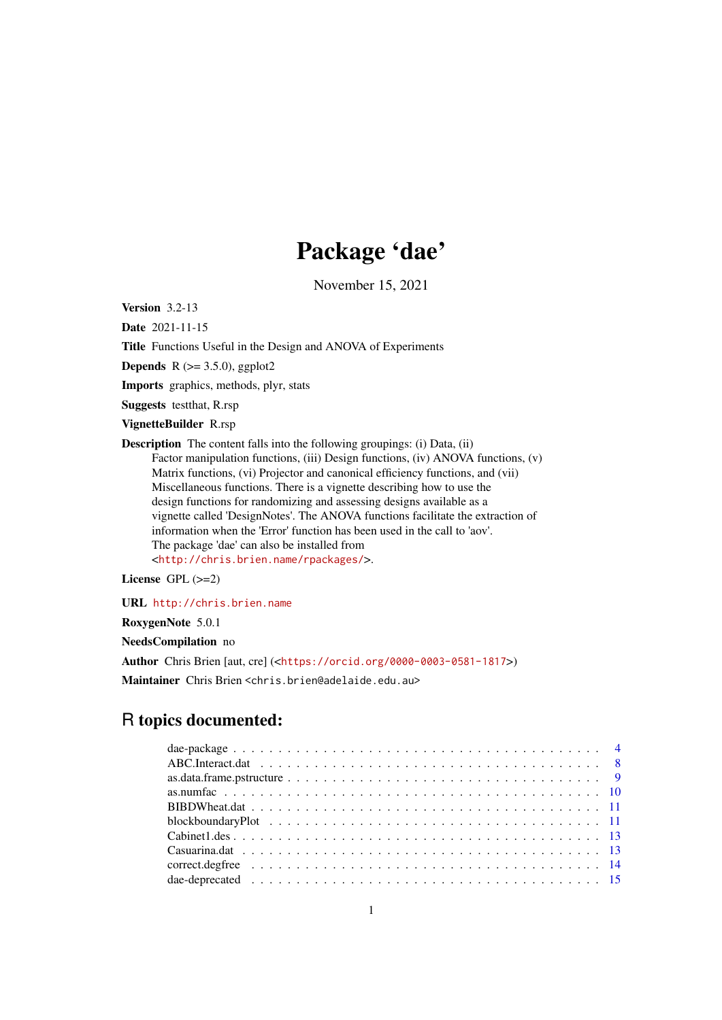# Package 'dae'

November 15, 2021

<span id="page-0-0"></span>Version 3.2-13

Date 2021-11-15

Title Functions Useful in the Design and ANOVA of Experiments

**Depends** R  $(>= 3.5.0)$ , ggplot2

Imports graphics, methods, plyr, stats

Suggests testthat, R.rsp

VignetteBuilder R.rsp

Description The content falls into the following groupings: (i) Data, (ii) Factor manipulation functions, (iii) Design functions, (iv) ANOVA functions, (v) Matrix functions, (vi) Projector and canonical efficiency functions, and (vii) Miscellaneous functions. There is a vignette describing how to use the design functions for randomizing and assessing designs available as a vignette called 'DesignNotes'. The ANOVA functions facilitate the extraction of information when the 'Error' function has been used in the call to 'aov'. The package 'dae' can also be installed from <<http://chris.brien.name/rpackages/>>.

License GPL (>=2)

URL <http://chris.brien.name>

RoxygenNote 5.0.1

NeedsCompilation no

Author Chris Brien [aut, cre] (<<https://orcid.org/0000-0003-0581-1817>>)

Maintainer Chris Brien <chris.brien@adelaide.edu.au>

# R topics documented: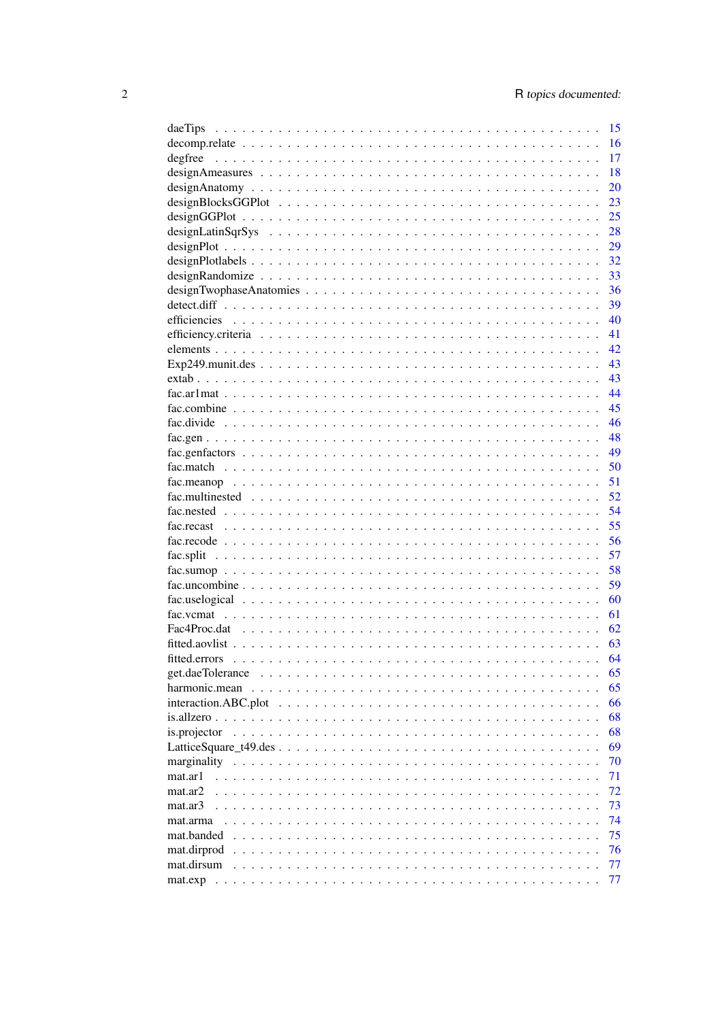| 15<br>daeTips                                                                                                                              |
|--------------------------------------------------------------------------------------------------------------------------------------------|
| 16                                                                                                                                         |
| 17<br>degfree                                                                                                                              |
| 18                                                                                                                                         |
| 20                                                                                                                                         |
| 23                                                                                                                                         |
| 25                                                                                                                                         |
| 28                                                                                                                                         |
| 29                                                                                                                                         |
| 32                                                                                                                                         |
| 33                                                                                                                                         |
| 36                                                                                                                                         |
| 39                                                                                                                                         |
| 40                                                                                                                                         |
| 41                                                                                                                                         |
| 42                                                                                                                                         |
| 43                                                                                                                                         |
| 43                                                                                                                                         |
| 44                                                                                                                                         |
| 45                                                                                                                                         |
| 46                                                                                                                                         |
| 48                                                                                                                                         |
| 49                                                                                                                                         |
| 50                                                                                                                                         |
| 51                                                                                                                                         |
| 52                                                                                                                                         |
| 54                                                                                                                                         |
| 55                                                                                                                                         |
| 56                                                                                                                                         |
| 57                                                                                                                                         |
| 58                                                                                                                                         |
| 59                                                                                                                                         |
| 60                                                                                                                                         |
|                                                                                                                                            |
| 61                                                                                                                                         |
| Fac4Proc.dat<br>62                                                                                                                         |
| 63                                                                                                                                         |
| 64                                                                                                                                         |
| 65<br>get.daeTolerance                                                                                                                     |
| 65<br>harmonic.mean                                                                                                                        |
| 66<br>interaction.ABC.plot                                                                                                                 |
| 68                                                                                                                                         |
| 68<br>is.projector                                                                                                                         |
| 69                                                                                                                                         |
| 70<br>marginality                                                                                                                          |
| 71<br>mat.ar1                                                                                                                              |
| 72<br>mat.ar2<br>$\mathbf{r}$<br>$\mathbf{r}$<br>$\sim$<br>$\overline{a}$                                                                  |
| 73<br>mat.ar3<br>$\mathbf{r}$<br>$\overline{a}$<br>$\mathbf{r}$<br>$\cdot$ $\cdot$ $\cdot$<br>$\ddot{\phantom{a}}$<br>$\ddot{\phantom{a}}$ |
| 74<br>mat.arma<br>$\overline{a}$                                                                                                           |
| 75<br>mat.banded<br>$\sim$ $\sim$<br>$\overline{a}$<br>$\ddot{\phantom{a}}$<br>$\overline{a}$                                              |
| 76<br>mat.dirprod<br>.<br>$\ddots$<br>$\sim$<br>$\overline{a}$<br>$\sim$                                                                   |
| 77<br>mat.dirsum<br>and and<br>$\sim 10$<br>$\sim$<br>$\sim$<br>$\mathbf{r}$                                                               |
| 77                                                                                                                                         |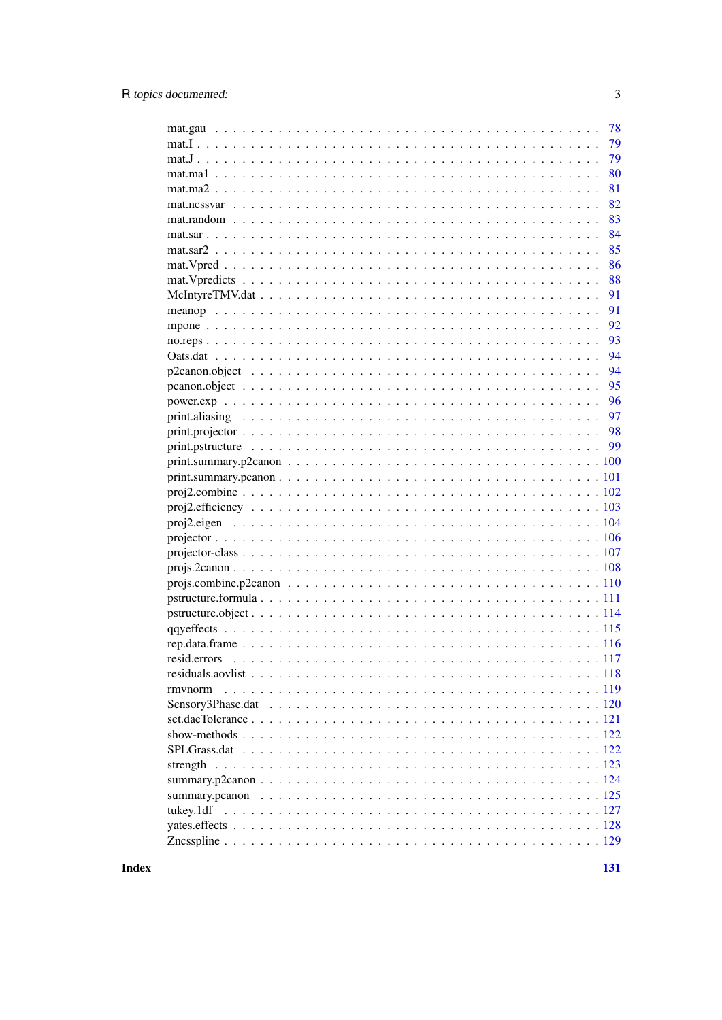|                                                                                                                           | 78 |
|---------------------------------------------------------------------------------------------------------------------------|----|
|                                                                                                                           | 79 |
|                                                                                                                           | 79 |
|                                                                                                                           | 80 |
|                                                                                                                           | 81 |
|                                                                                                                           | 82 |
|                                                                                                                           |    |
| $\text{mat.random} \dots \dots \dots \dots \dots \dots \dots \dots \dots \dots \dots \dots \dots \dots \dots \dots \dots$ | 83 |
|                                                                                                                           | 84 |
|                                                                                                                           | 85 |
|                                                                                                                           | 86 |
|                                                                                                                           | 88 |
|                                                                                                                           |    |
|                                                                                                                           | 91 |
|                                                                                                                           | 92 |
|                                                                                                                           | 93 |
|                                                                                                                           | 94 |
|                                                                                                                           | 94 |
|                                                                                                                           | 95 |
|                                                                                                                           |    |
|                                                                                                                           |    |
|                                                                                                                           |    |
|                                                                                                                           |    |
|                                                                                                                           |    |
|                                                                                                                           |    |
|                                                                                                                           |    |
|                                                                                                                           |    |
|                                                                                                                           |    |
|                                                                                                                           |    |
|                                                                                                                           |    |
|                                                                                                                           |    |
|                                                                                                                           |    |
|                                                                                                                           |    |
|                                                                                                                           |    |
|                                                                                                                           |    |
|                                                                                                                           |    |
|                                                                                                                           |    |
|                                                                                                                           |    |
|                                                                                                                           |    |
| rmynorm                                                                                                                   |    |
|                                                                                                                           |    |
|                                                                                                                           |    |
|                                                                                                                           |    |
|                                                                                                                           |    |
|                                                                                                                           |    |
|                                                                                                                           |    |
|                                                                                                                           |    |
|                                                                                                                           |    |
|                                                                                                                           |    |
|                                                                                                                           |    |
|                                                                                                                           |    |

**Index**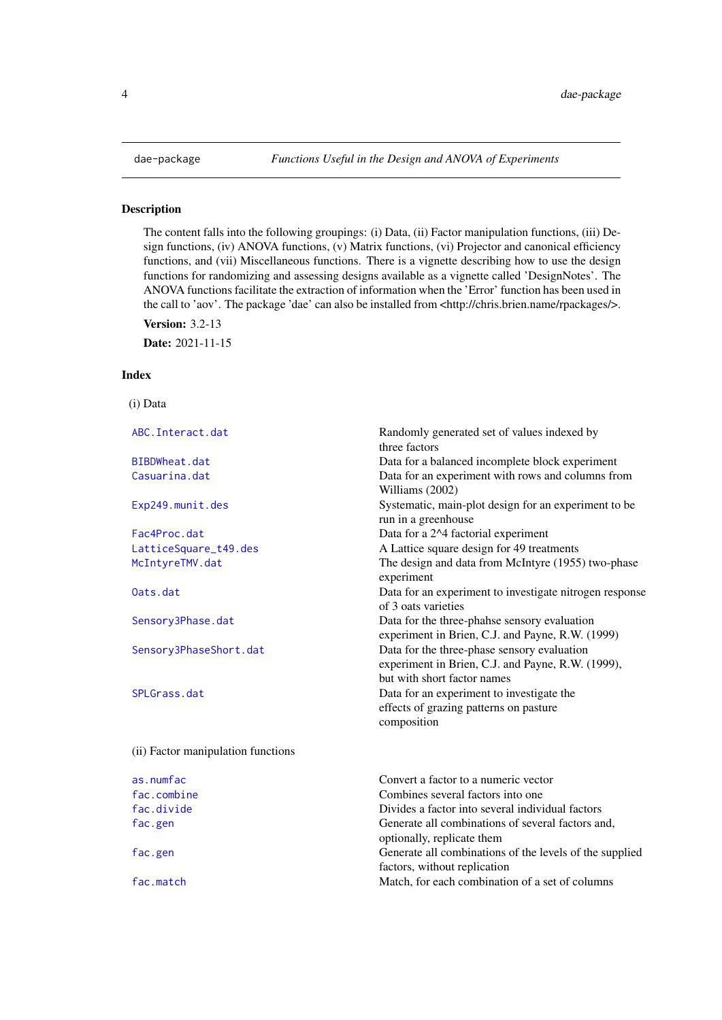The content falls into the following groupings: (i) Data, (ii) Factor manipulation functions, (iii) Design functions, (iv) ANOVA functions, (v) Matrix functions, (vi) Projector and canonical efficiency functions, and (vii) Miscellaneous functions. There is a vignette describing how to use the design functions for randomizing and assessing designs available as a vignette called 'DesignNotes'. The ANOVA functions facilitate the extraction of information when the 'Error' function has been used in the call to 'aov'. The package 'dae' can also be installed from <http://chris.brien.name/rpackages/>.

Version: 3.2-13

Date: 2021-11-15

# Index

(i) Data

| ABC. Interact.dat                  | Randomly generated set of values indexed by<br>three factors                                                                      |
|------------------------------------|-----------------------------------------------------------------------------------------------------------------------------------|
| BIBDWheat.dat                      | Data for a balanced incomplete block experiment                                                                                   |
| Casuarina.dat                      | Data for an experiment with rows and columns from<br>Williams (2002)                                                              |
| Exp249.munit.des                   | Systematic, main-plot design for an experiment to be<br>run in a greenhouse                                                       |
| Fac4Proc.dat                       | Data for a 2^4 factorial experiment                                                                                               |
| LatticeSquare_t49.des              | A Lattice square design for 49 treatments                                                                                         |
| McIntyreTMV.dat                    | The design and data from McIntyre (1955) two-phase<br>experiment                                                                  |
| Oats.dat                           | Data for an experiment to investigate nitrogen response<br>of 3 oats varieties                                                    |
| Sensory3Phase.dat                  | Data for the three-phahse sensory evaluation<br>experiment in Brien, C.J. and Payne, R.W. (1999)                                  |
| Sensory3PhaseShort.dat             | Data for the three-phase sensory evaluation<br>experiment in Brien, C.J. and Payne, R.W. (1999),                                  |
| SPLGrass.dat                       | but with short factor names<br>Data for an experiment to investigate the<br>effects of grazing patterns on pasture<br>composition |
| (ii) Factor manipulation functions |                                                                                                                                   |
| as.numfac                          | Convert a factor to a numeric vector                                                                                              |
| fac.combine                        | Combines several factors into one                                                                                                 |
| fac.divide                         | Divides a factor into several individual factors                                                                                  |
| fac.gen                            | Generate all combinations of several factors and,<br>optionally, replicate them                                                   |
| fac.gen                            | Generate all combinations of the levels of the supplied<br>factors, without replication                                           |
| fac.match                          | Match, for each combination of a set of columns                                                                                   |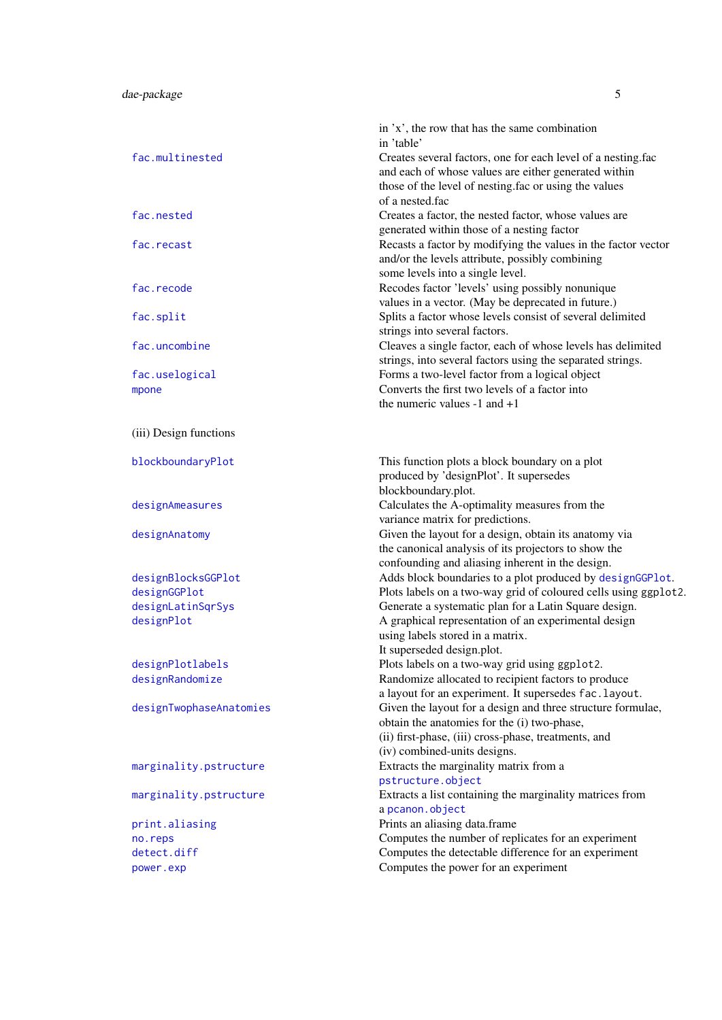|                                     | in 'x', the row that has the same combination<br>in 'table'                                                                                                       |
|-------------------------------------|-------------------------------------------------------------------------------------------------------------------------------------------------------------------|
| fac.multinested                     | Creates several factors, one for each level of a nesting.fac<br>and each of whose values are either generated within                                              |
|                                     | those of the level of nesting.fac or using the values<br>of a nested.fac                                                                                          |
| fac.nested                          | Creates a factor, the nested factor, whose values are                                                                                                             |
| fac.recast                          | generated within those of a nesting factor<br>Recasts a factor by modifying the values in the factor vector<br>and/or the levels attribute, possibly combining    |
| fac.recode                          | some levels into a single level.<br>Recodes factor 'levels' using possibly nonunique<br>values in a vector. (May be deprecated in future.)                        |
| fac.split                           | Splits a factor whose levels consist of several delimited<br>strings into several factors.                                                                        |
| fac.uncombine                       | Cleaves a single factor, each of whose levels has delimited<br>strings, into several factors using the separated strings.                                         |
| fac.uselogical<br>mpone             | Forms a two-level factor from a logical object<br>Converts the first two levels of a factor into<br>the numeric values $-1$ and $+1$                              |
| (iii) Design functions              |                                                                                                                                                                   |
| blockboundaryPlot                   | This function plots a block boundary on a plot<br>produced by 'designPlot'. It supersedes<br>blockboundary.plot.                                                  |
| designAmeasures                     | Calculates the A-optimality measures from the<br>variance matrix for predictions.                                                                                 |
| designAnatomy                       | Given the layout for a design, obtain its anatomy via<br>the canonical analysis of its projectors to show the<br>confounding and aliasing inherent in the design. |
| designBlocksGGPlot                  | Adds block boundaries to a plot produced by designGGP1ot.                                                                                                         |
| designGGPlot                        | Plots labels on a two-way grid of coloured cells using ggplot2.                                                                                                   |
| designLatinSqrSys                   | Generate a systematic plan for a Latin Square design.                                                                                                             |
| designPlot                          | A graphical representation of an experimental design                                                                                                              |
|                                     | using labels stored in a matrix.                                                                                                                                  |
|                                     | It superseded design.plot.                                                                                                                                        |
| designPlotlabels<br>designRandomize | Plots labels on a two-way grid using ggplot2.<br>Randomize allocated to recipient factors to produce                                                              |
|                                     | a layout for an experiment. It supersedes fac. layout.                                                                                                            |
| designTwophaseAnatomies             | Given the layout for a design and three structure formulae,<br>obtain the anatomies for the (i) two-phase,                                                        |
|                                     | (ii) first-phase, (iii) cross-phase, treatments, and<br>(iv) combined-units designs.                                                                              |
| marginality.pstructure              | Extracts the marginality matrix from a<br>pstructure.object                                                                                                       |
| marginality.pstructure              | Extracts a list containing the marginality matrices from<br>a pcanon.object                                                                                       |
| print.aliasing                      | Prints an aliasing data.frame                                                                                                                                     |
| no.reps                             | Computes the number of replicates for an experiment                                                                                                               |
| detect.diff                         | Computes the detectable difference for an experiment                                                                                                              |
| power.exp                           | Computes the power for an experiment                                                                                                                              |
|                                     |                                                                                                                                                                   |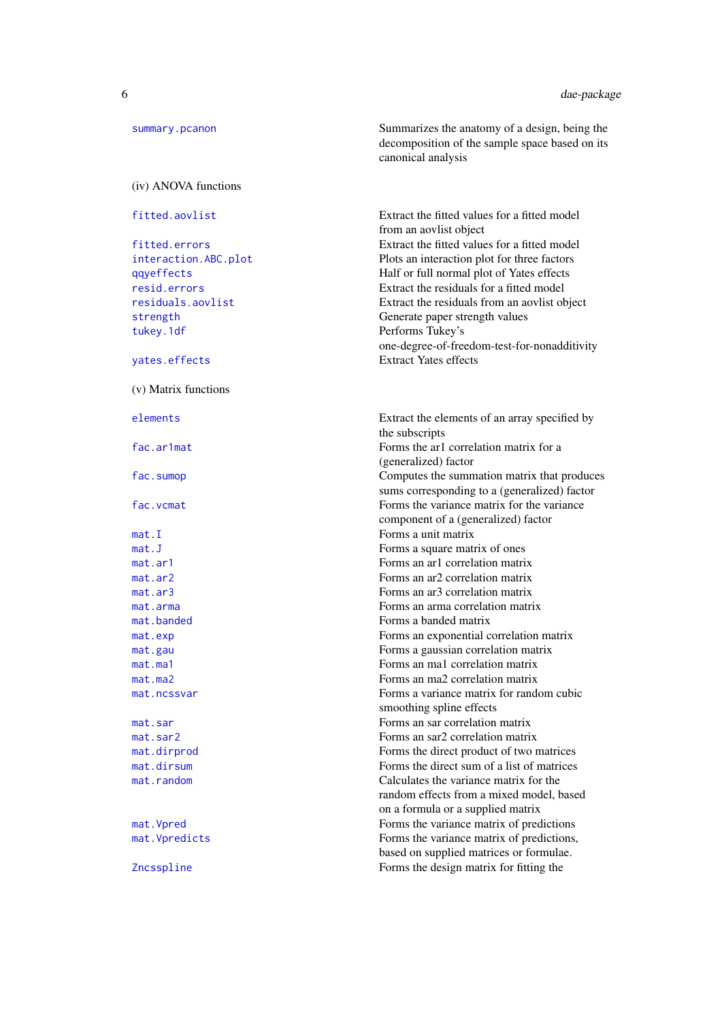| summary.pcanon       | Summarizes the anatomy of a design, being the<br>decomposition of the sample space based on its<br>canonical analysis   |
|----------------------|-------------------------------------------------------------------------------------------------------------------------|
| (iv) ANOVA functions |                                                                                                                         |
| fitted.aovlist       | Extract the fitted values for a fitted model<br>from an aovlist object                                                  |
| fitted.errors        | Extract the fitted values for a fitted model                                                                            |
| interaction.ABC.plot | Plots an interaction plot for three factors                                                                             |
| qqyeffects           | Half or full normal plot of Yates effects                                                                               |
| resid.errors         | Extract the residuals for a fitted model                                                                                |
| residuals.aovlist    | Extract the residuals from an aovlist object                                                                            |
| strength             | Generate paper strength values                                                                                          |
| tukey.1df            | Performs Tukey's                                                                                                        |
|                      | one-degree-of-freedom-test-for-nonadditivity                                                                            |
| yates.effects        | <b>Extract Yates effects</b>                                                                                            |
| (v) Matrix functions |                                                                                                                         |
| elements             | Extract the elements of an array specified by<br>the subscripts                                                         |
| fac.ar1mat           | Forms the ar1 correlation matrix for a<br>(generalized) factor                                                          |
| fac.sumop            | Computes the summation matrix that produces<br>sums corresponding to a (generalized) factor                             |
| fac.vcmat            | Forms the variance matrix for the variance<br>component of a (generalized) factor                                       |
| mat.I                | Forms a unit matrix                                                                                                     |
| mat.J                | Forms a square matrix of ones                                                                                           |
| mat.ar1              | Forms an ar1 correlation matrix                                                                                         |
| mat.ar2              | Forms an ar2 correlation matrix                                                                                         |
| mat.ar3              | Forms an ar3 correlation matrix                                                                                         |
| mat.arma             | Forms an arma correlation matrix                                                                                        |
| mat.banded           | Forms a banded matrix                                                                                                   |
| mat.exp              | Forms an exponential correlation matrix                                                                                 |
| mat.gau              | Forms a gaussian correlation matrix                                                                                     |
| mat.mac1             | Forms an ma1 correlation matrix                                                                                         |
| mat.mac              | Forms an ma2 correlation matrix                                                                                         |
| mat.ncssvar          | Forms a variance matrix for random cubic<br>smoothing spline effects                                                    |
| mat.sar              | Forms an sar correlation matrix                                                                                         |
| mat.sar2             | Forms an sar2 correlation matrix                                                                                        |
| mat.dirprod          | Forms the direct product of two matrices                                                                                |
| mat.dirsum           | Forms the direct sum of a list of matrices                                                                              |
| mat.random           | Calculates the variance matrix for the<br>random effects from a mixed model, based<br>on a formula or a supplied matrix |
| mat. Vpred           | Forms the variance matrix of predictions                                                                                |
| mat. Vpredicts       | Forms the variance matrix of predictions,<br>based on supplied matrices or formulae.                                    |
| Zncsspline           | Forms the design matrix for fitting the                                                                                 |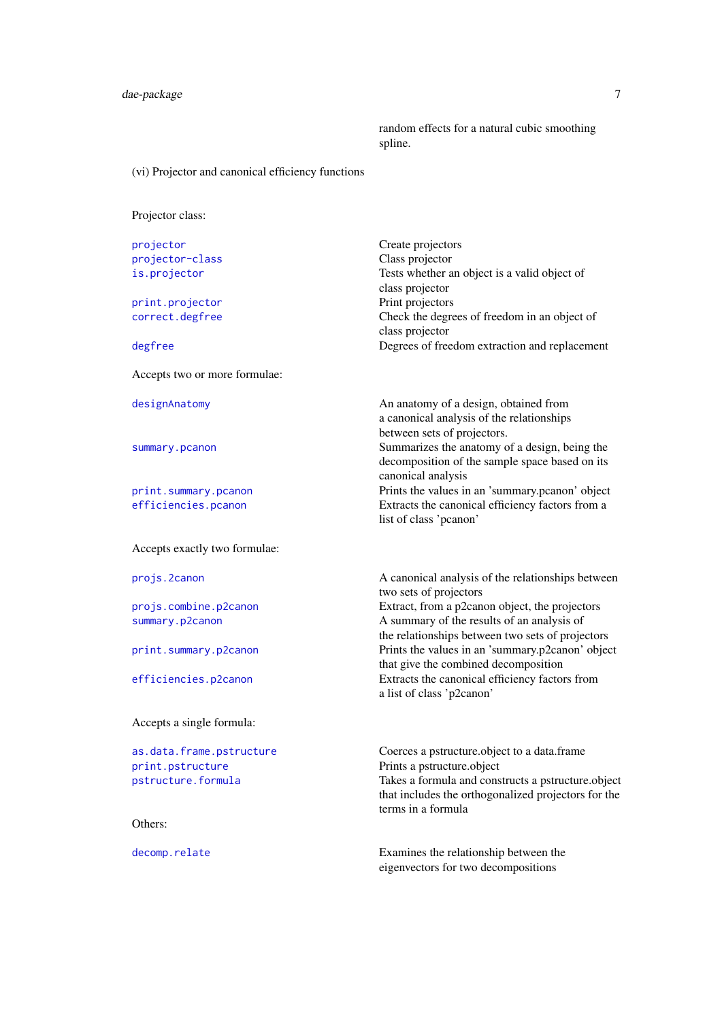random effects for a natural cubic smoothing spline.

(vi) Projector and canonical efficiency functions

Projector class:

| projector                     | Create projectors                                                                                                               |
|-------------------------------|---------------------------------------------------------------------------------------------------------------------------------|
| projector-class               | Class projector                                                                                                                 |
| is.projector                  | Tests whether an object is a valid object of                                                                                    |
|                               | class projector                                                                                                                 |
| print.projector               | Print projectors                                                                                                                |
| correct.degfree               | Check the degrees of freedom in an object of                                                                                    |
|                               | class projector                                                                                                                 |
| degfree                       | Degrees of freedom extraction and replacement                                                                                   |
| Accepts two or more formulae: |                                                                                                                                 |
| designAnatomy                 | An anatomy of a design, obtained from<br>a canonical analysis of the relationships<br>between sets of projectors.               |
| summary.pcanon                | Summarizes the anatomy of a design, being the<br>decomposition of the sample space based on its<br>canonical analysis           |
| print.summary.pcanon          | Prints the values in an 'summary.pcanon' object                                                                                 |
| efficiencies.pcanon           | Extracts the canonical efficiency factors from a<br>list of class 'pcanon'                                                      |
| Accepts exactly two formulae: |                                                                                                                                 |
| projs.2canon                  | A canonical analysis of the relationships between<br>two sets of projectors                                                     |
| projs.combine.p2canon         | Extract, from a p2canon object, the projectors                                                                                  |
| summary.p2canon               | A summary of the results of an analysis of<br>the relationships between two sets of projectors                                  |
| print.summary.p2canon         | Prints the values in an 'summary.p2canon' object<br>that give the combined decomposition                                        |
| efficiencies.p2canon          | Extracts the canonical efficiency factors from<br>a list of class 'p2canon'                                                     |
| Accepts a single formula:     |                                                                                                                                 |
| as.data.frame.pstructure      | Coerces a pstructure.object to a data.frame                                                                                     |
| print.pstructure              | Prints a pstructure.object                                                                                                      |
| pstructure.formula            | Takes a formula and constructs a pstructure.object<br>that includes the orthogonalized projectors for the<br>terms in a formula |
| Others:                       |                                                                                                                                 |
|                               |                                                                                                                                 |

[decomp.relate](#page-15-1) **Examines** the relationship between the eigenvectors for two decompositions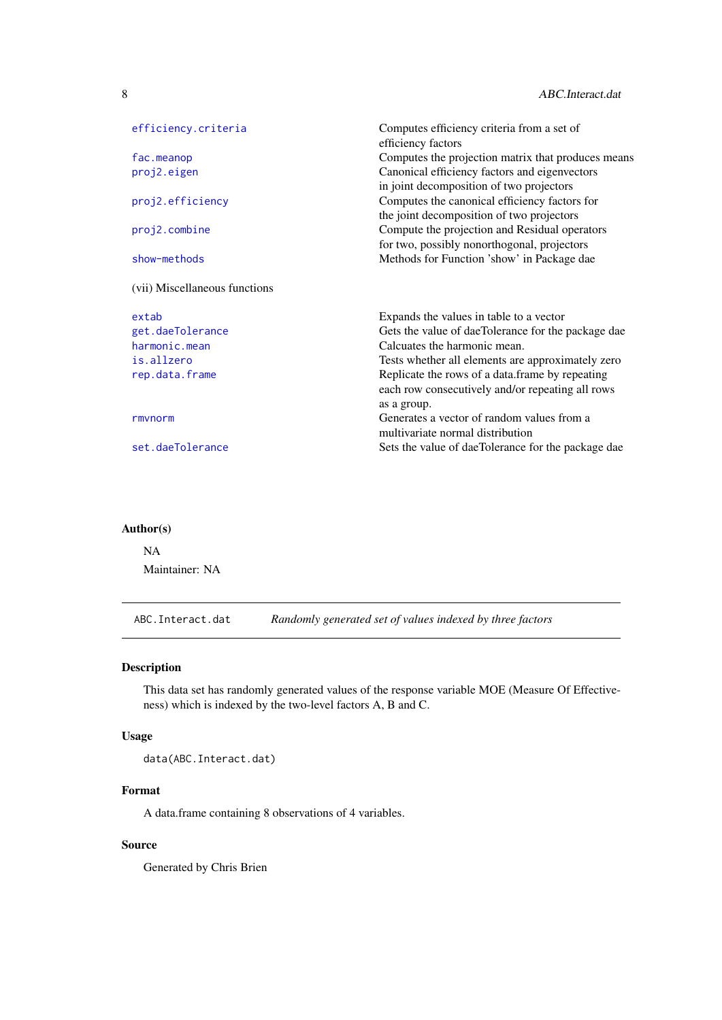<span id="page-7-0"></span>

| efficiency.criteria           | Computes efficiency criteria from a set of<br>efficiency factors |
|-------------------------------|------------------------------------------------------------------|
| fac.meanop                    | Computes the projection matrix that produces means               |
| proj2.eigen                   | Canonical efficiency factors and eigenvectors                    |
|                               | in joint decomposition of two projectors                         |
| proj2.efficiency              | Computes the canonical efficiency factors for                    |
|                               | the joint decomposition of two projectors                        |
| proj2.combine                 | Compute the projection and Residual operators                    |
|                               | for two, possibly nonorthogonal, projectors                      |
| show-methods                  | Methods for Function 'show' in Package dae                       |
| (vii) Miscellaneous functions |                                                                  |
| extab                         | Expands the values in table to a vector                          |
| get.daeTolerance              | Gets the value of daeTolerance for the package dae               |
| harmonic.mean                 | Calcuates the harmonic mean.                                     |
| is.allzero                    | Tests whether all elements are approximately zero                |
| rep.data.frame                | Replicate the rows of a data.frame by repeating                  |
|                               | each row consecutively and/or repeating all rows                 |
|                               | as a group.                                                      |
| rmynorm                       | Generates a vector of random values from a                       |
|                               | multivariate normal distribution                                 |
|                               |                                                                  |
| set.daeTolerance              | Sets the value of daeTolerance for the package dae               |

# Author(s)

NA Maintainer: NA

<span id="page-7-1"></span>ABC.Interact.dat *Randomly generated set of values indexed by three factors*

# Description

This data set has randomly generated values of the response variable MOE (Measure Of Effectiveness) which is indexed by the two-level factors A, B and C.

# Usage

data(ABC.Interact.dat)

# Format

A data.frame containing 8 observations of 4 variables.

# Source

Generated by Chris Brien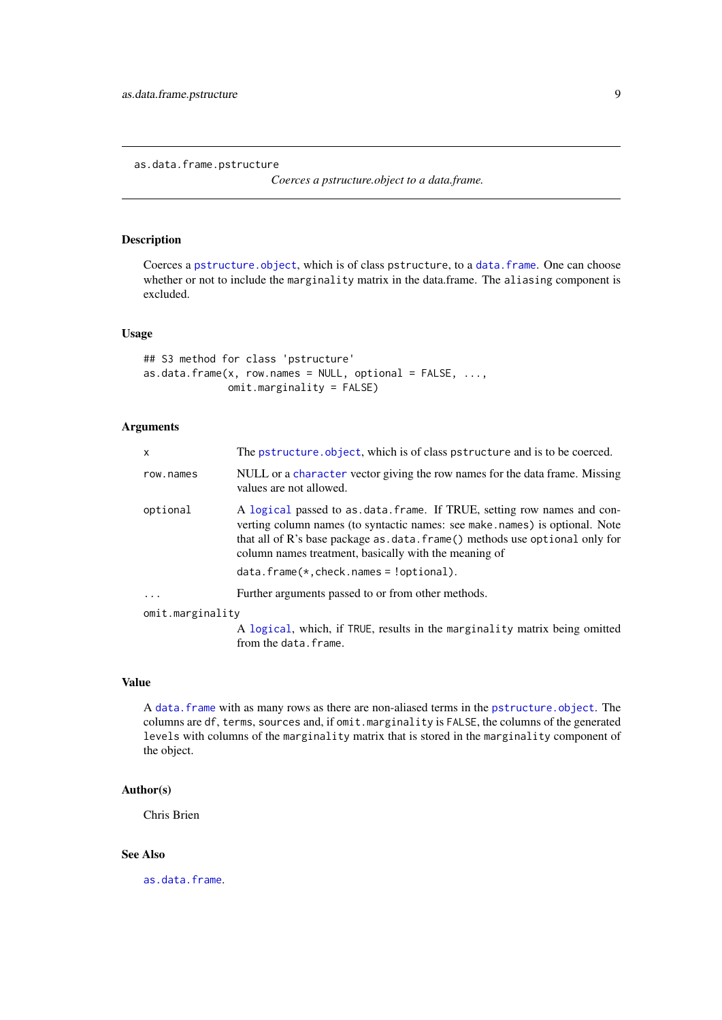<span id="page-8-1"></span><span id="page-8-0"></span>as.data.frame.pstructure

*Coerces a pstructure.object to a data.frame.*

# Description

Coerces a [pstructure.object](#page-113-1), which is of class pstructure, to a [data.frame](#page-0-0). One can choose whether or not to include the marginality matrix in the data.frame. The aliasing component is excluded.

# Usage

```
## S3 method for class 'pstructure'
as.data.frame(x, row.names = NULL, optional = FALSE, ...,omit.marginality = FALSE)
```
# Arguments

| $\mathsf{x}$     | The pstructure object, which is of class pstructure and is to be coerced.                                                                                                                                                                                                                        |
|------------------|--------------------------------------------------------------------------------------------------------------------------------------------------------------------------------------------------------------------------------------------------------------------------------------------------|
| row.names        | NULL or a character vector giving the row names for the data frame. Missing<br>values are not allowed.                                                                                                                                                                                           |
| optional         | A logical passed to as data frame. If TRUE, setting row names and con-<br>verting column names (to syntactic names: see make.names) is optional. Note<br>that all of R's base package as $data$ . frame() methods use optional only for<br>column names treatment, basically with the meaning of |
|                  | $data. frame(*, check. names = 'optional).$                                                                                                                                                                                                                                                      |
| $\ddots$ .       | Further arguments passed to or from other methods.                                                                                                                                                                                                                                               |
| omit.marginality |                                                                                                                                                                                                                                                                                                  |
|                  | A logical, which, if TRUE, results in the marginality matrix being omitted<br>from the data.frame.                                                                                                                                                                                               |

# Value

A [data.frame](#page-0-0) with as many rows as there are non-aliased terms in the [pstructure.object](#page-113-1). The columns are df, terms, sources and, if omit.marginality is FALSE, the columns of the generated levels with columns of the marginality matrix that is stored in the marginality component of the object.

# Author(s)

Chris Brien

# See Also

[as.data.frame](#page-0-0).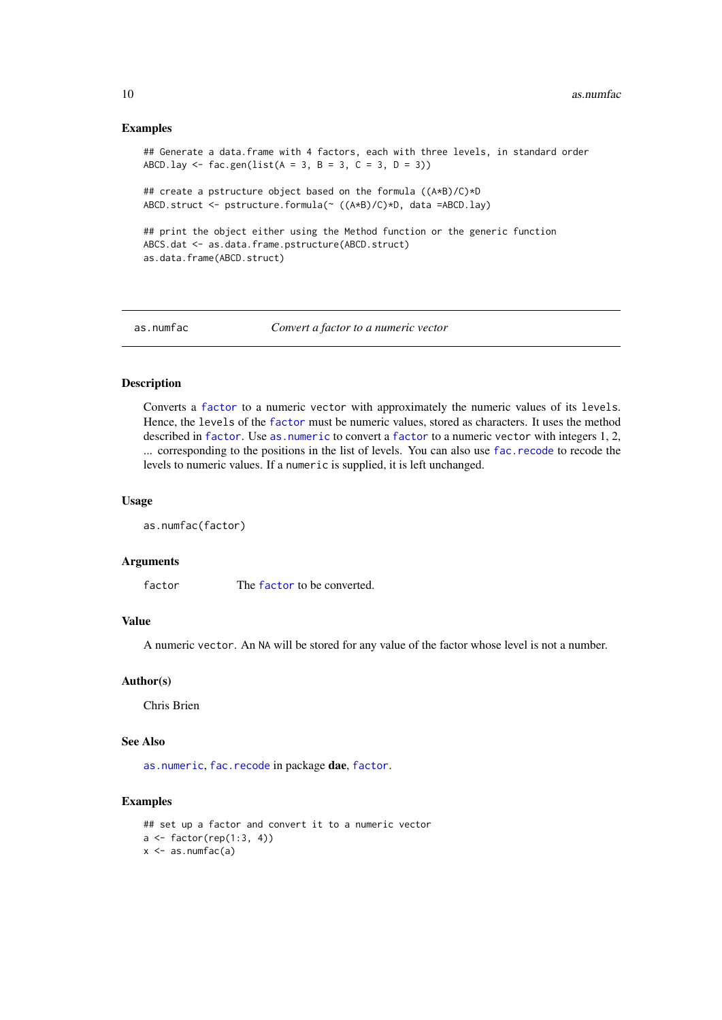### Examples

```
## Generate a data.frame with 4 factors, each with three levels, in standard order
ABCD.lay \leq fac.gen(list(A = 3, B = 3, C = 3, D = 3))
## create a pstructure object based on the formula ((A*B)/C)*D
ABCD.struct <- pstructure.formula(~ ((A*B)/C)*D, data =ABCD.lay)
## print the object either using the Method function or the generic function
ABCS.dat <- as.data.frame.pstructure(ABCD.struct)
as.data.frame(ABCD.struct)
```
<span id="page-9-1"></span>as.numfac *Convert a factor to a numeric vector*

#### Description

Converts a [factor](#page-0-0) to a numeric vector with approximately the numeric values of its levels. Hence, the levels of the [factor](#page-0-0) must be numeric values, stored as characters. It uses the method described in [factor](#page-0-0). Use as numeric to convert a factor to a numeric vector with integers 1, 2, ... corresponding to the positions in the list of levels. You can also use [fac.recode](#page-55-1) to recode the levels to numeric values. If a numeric is supplied, it is left unchanged.

### Usage

as.numfac(factor)

#### Arguments

[factor](#page-0-0) The factor to be converted.

# Value

A numeric vector. An NA will be stored for any value of the factor whose level is not a number.

### Author(s)

Chris Brien

# See Also

[as.numeric](#page-0-0), [fac.recode](#page-55-1) in package dae, [factor](#page-0-0).

```
## set up a factor and convert it to a numeric vector
a \leftarrow factor(rep(1:3, 4))x \leftarrow as.numfac(a)
```
<span id="page-9-0"></span>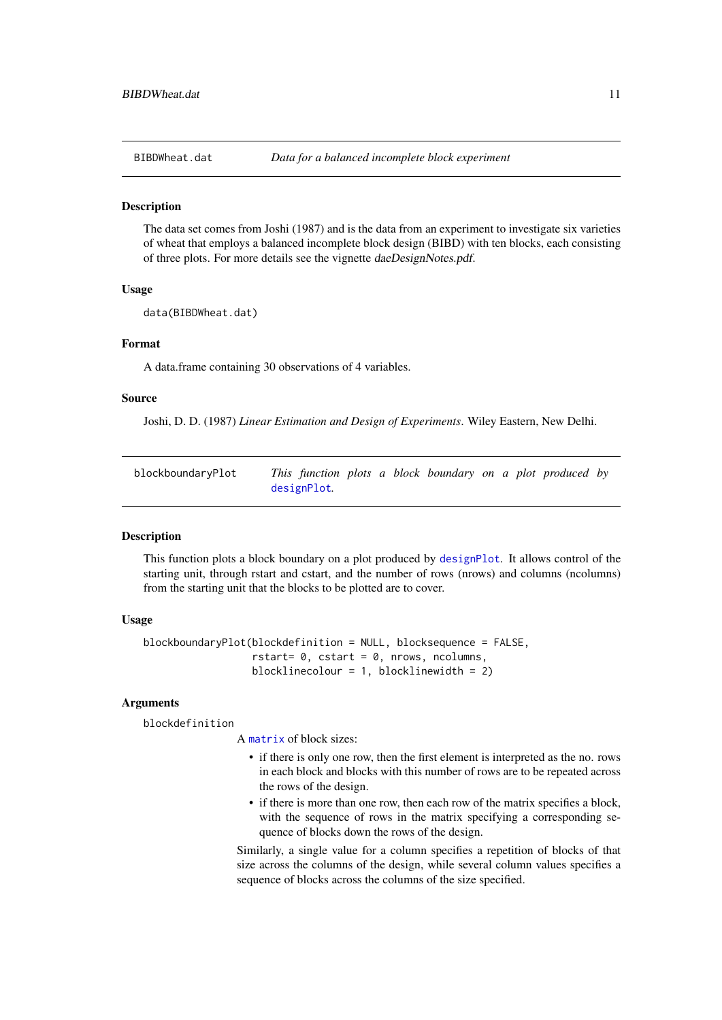<span id="page-10-1"></span><span id="page-10-0"></span>

The data set comes from Joshi (1987) and is the data from an experiment to investigate six varieties of wheat that employs a balanced incomplete block design (BIBD) with ten blocks, each consisting of three plots. For more details see the vignette daeDesignNotes.pdf.

#### Usage

```
data(BIBDWheat.dat)
```
#### Format

A data.frame containing 30 observations of 4 variables.

#### Source

Joshi, D. D. (1987) *Linear Estimation and Design of Experiments*. Wiley Eastern, New Delhi.

<span id="page-10-2"></span>

| blockboundaryPlot | This function plots a block boundary on a plot produced by |  |  |  |  |  |
|-------------------|------------------------------------------------------------|--|--|--|--|--|
|                   | designPlot.                                                |  |  |  |  |  |

#### Description

This function plots a block boundary on a plot produced by [designPlot](#page-28-1). It allows control of the starting unit, through rstart and cstart, and the number of rows (nrows) and columns (ncolumns) from the starting unit that the blocks to be plotted are to cover.

# Usage

```
blockboundaryPlot(blockdefinition = NULL, blocksequence = FALSE,
                  rstart= 0, cstart = 0, nrows, ncolumns,
                  blocklinecolour = 1, blocklinewidth = 2)
```
# Arguments

blockdefinition

A [matrix](#page-0-0) of block sizes:

- if there is only one row, then the first element is interpreted as the no. rows in each block and blocks with this number of rows are to be repeated across the rows of the design.
- if there is more than one row, then each row of the matrix specifies a block, with the sequence of rows in the matrix specifying a corresponding sequence of blocks down the rows of the design.

Similarly, a single value for a column specifies a repetition of blocks of that size across the columns of the design, while several column values specifies a sequence of blocks across the columns of the size specified.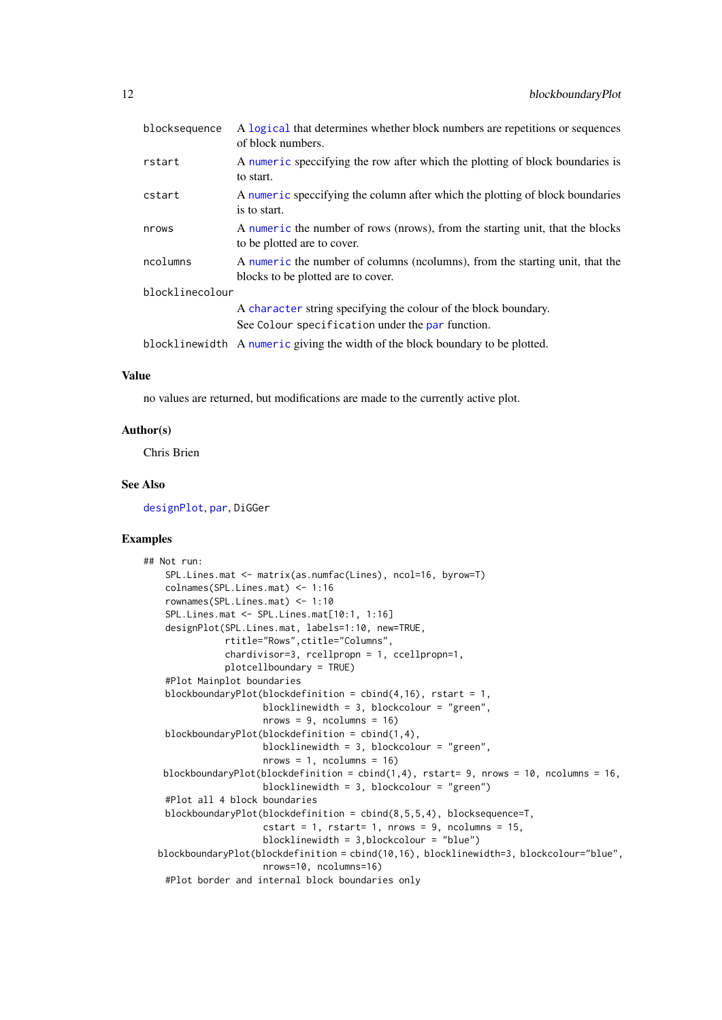| blocksequence   | A logical that determines whether block numbers are repetitions or sequences<br>of block numbers.                  |
|-----------------|--------------------------------------------------------------------------------------------------------------------|
| rstart          | A numeric speccifying the row after which the plotting of block boundaries is<br>to start.                         |
| cstart          | A numeric speccifying the column after which the plotting of block boundaries<br>is to start.                      |
| nrows           | A numeric the number of rows (nrows), from the starting unit, that the blocks<br>to be plotted are to cover.       |
| ncolumns        | A numeric the number of columns (ncolumns), from the starting unit, that the<br>blocks to be plotted are to cover. |
| blocklinecolour |                                                                                                                    |
|                 | A character string specifying the colour of the block boundary.                                                    |
|                 | See Colour specification under the par function.                                                                   |
|                 | blocklinewidth A numeric giving the width of the block boundary to be plotted.                                     |

# Value

no values are returned, but modifications are made to the currently active plot.

# Author(s)

Chris Brien

# See Also

[designPlot](#page-28-1), [par](#page-0-0), DiGGer

```
## Not run:
   SPL.Lines.mat <- matrix(as.numfac(Lines), ncol=16, byrow=T)
   colnames(SPL.Lines.mat) <- 1:16
   rownames(SPL.Lines.mat) <- 1:10
   SPL.Lines.mat <- SPL.Lines.mat[10:1, 1:16]
   designPlot(SPL.Lines.mat, labels=1:10, new=TRUE,
               rtitle="Rows",ctitle="Columns",
               chardivisor=3, rcellpropn = 1, ccellpropn=1,
               plotcellboundary = TRUE)
   #Plot Mainplot boundaries
   blockboundaryPlot(blockdefinition = cbind(4,16), rstart = 1,
                      blocklinewidth = 3, blockcolour = "green",
                      nrows = 9, ncolumns = 16blockboundaryPlot(blockdefinition = cbind(1,4),
                      blocklinewidth = 3, blockcolour = "green",
                      nrows = 1, ncolumns = 16blockboundaryPlot(blockdefinition = cbind(1,4), rstart= 9, nrows = 10, ncolumns = 16,
                      blocklinewidth = 3, blockcolour = "green")
   #Plot all 4 block boundaries
   blockboundaryPlot(blockdefinition = cbind(8,5,5,4), blocksequence=T,
                      \text{cstart} = 1, \text{rstart} = 1, \text{nrows} = 9, \text{ncolumn} = 15,
                      blocklinewidth = 3,blockcolour = "blue")
  blockboundaryPlot(blockdefinition = cbind(10,16), blocklinewidth=3, blockcolour="blue",
                      nrows=10, ncolumns=16)
   #Plot border and internal block boundaries only
```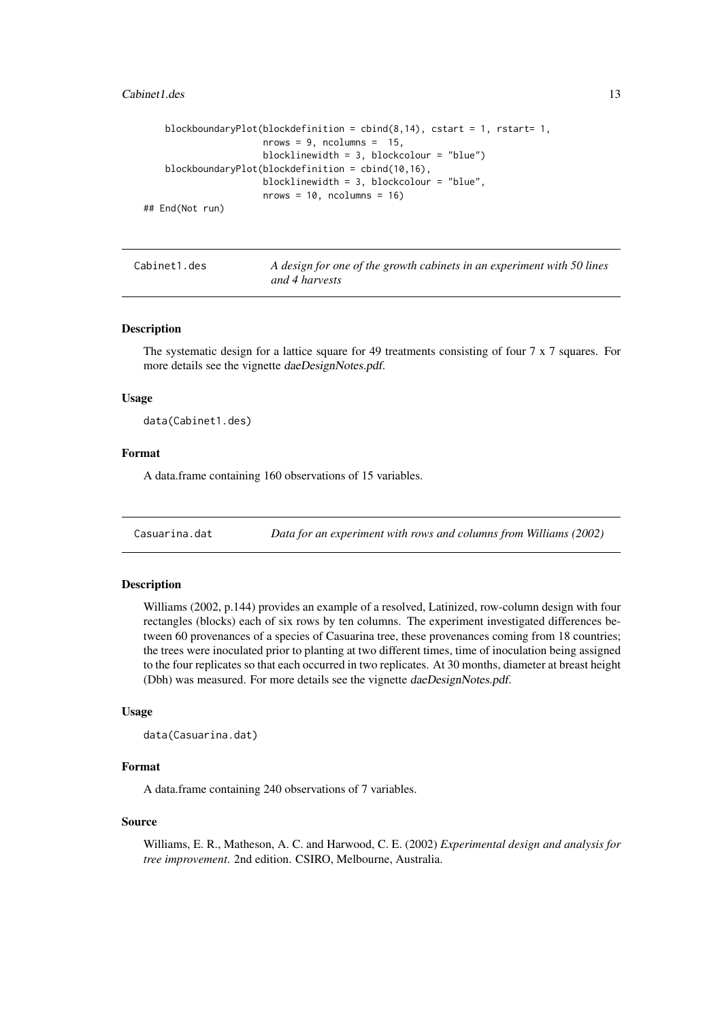### <span id="page-12-0"></span>Cabinet 1.des 13

```
blockboundaryPlot(blockdefinition = cbind(8,14), cstart = 1, rstart= 1,
                     nrows = 9, ncolumns = 15,
                     blocklinewidth = 3, blockcolour = "blue")
   blockboundaryPlot(blockdefinition = cbind(10,16),
                     blocklinewidth = 3, blockcolour = "blue",
                     nrows = 10, ncolumn = 16## End(Not run)
```
Cabinet1.des *A design for one of the growth cabinets in an experiment with 50 lines and 4 harvests*

#### Description

The systematic design for a lattice square for 49 treatments consisting of four 7 x 7 squares. For more details see the vignette daeDesignNotes.pdf.

### Usage

data(Cabinet1.des)

#### Format

A data.frame containing 160 observations of 15 variables.

<span id="page-12-1"></span>Casuarina.dat *Data for an experiment with rows and columns from Williams (2002)*

#### Description

Williams (2002, p.144) provides an example of a resolved, Latinized, row-column design with four rectangles (blocks) each of six rows by ten columns. The experiment investigated differences between 60 provenances of a species of Casuarina tree, these provenances coming from 18 countries; the trees were inoculated prior to planting at two different times, time of inoculation being assigned to the four replicates so that each occurred in two replicates. At 30 months, diameter at breast height (Dbh) was measured. For more details see the vignette daeDesignNotes.pdf.

# Usage

```
data(Casuarina.dat)
```
### Format

A data.frame containing 240 observations of 7 variables.

#### Source

Williams, E. R., Matheson, A. C. and Harwood, C. E. (2002) *Experimental design and analysis for tree improvement*. 2nd edition. CSIRO, Melbourne, Australia.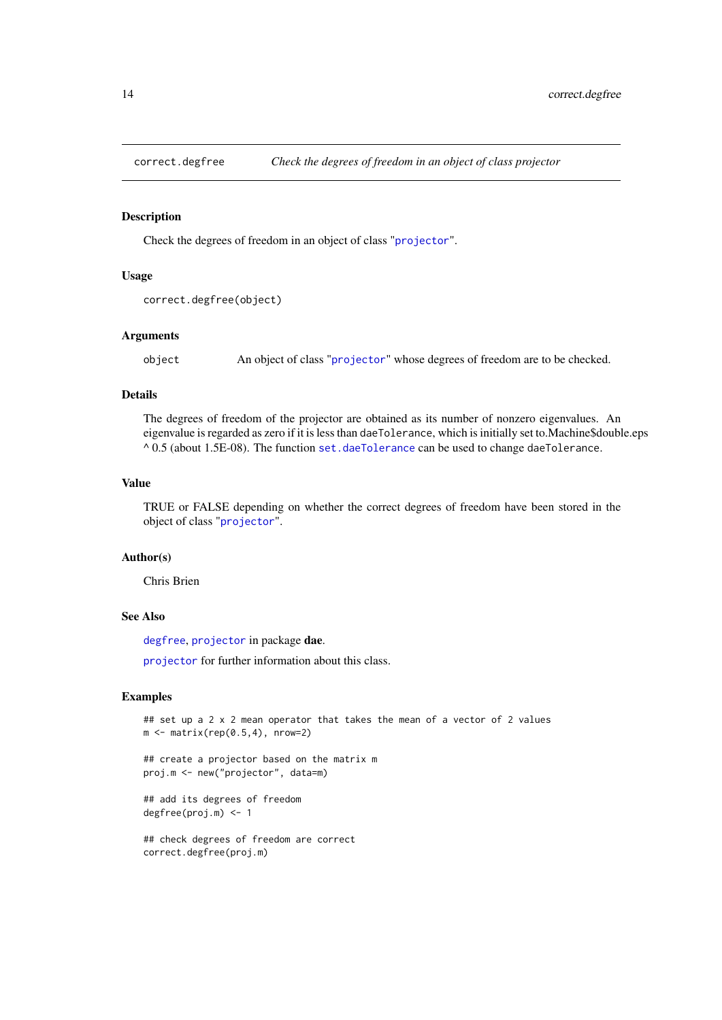<span id="page-13-1"></span><span id="page-13-0"></span>

Check the degrees of freedom in an object of class "[projector](#page-106-1)".

# Usage

```
correct.degfree(object)
```
### Arguments

object An object of class "[projector](#page-106-1)" whose degrees of freedom are to be checked.

### Details

The degrees of freedom of the projector are obtained as its number of nonzero eigenvalues. An eigenvalue is regarded as zero if it is less than daeTolerance, which is initially set to.Machine\$double.eps  $^{\circ}$  0.5 (about 1.5E-08). The function [set.daeTolerance](#page-120-1) can be used to change daeTolerance.

### Value

TRUE or FALSE depending on whether the correct degrees of freedom have been stored in the object of class "[projector](#page-106-1)".

#### Author(s)

Chris Brien

# See Also

[degfree](#page-16-1), [projector](#page-105-1) in package dae.

[projector](#page-106-1) for further information about this class.

# Examples

## set up a 2 x 2 mean operator that takes the mean of a vector of 2 values  $m \leq -$  matrix(rep(0.5,4), nrow=2)

## create a projector based on the matrix m proj.m <- new("projector", data=m)

## add its degrees of freedom degfree(proj.m) <- 1

## check degrees of freedom are correct correct.degfree(proj.m)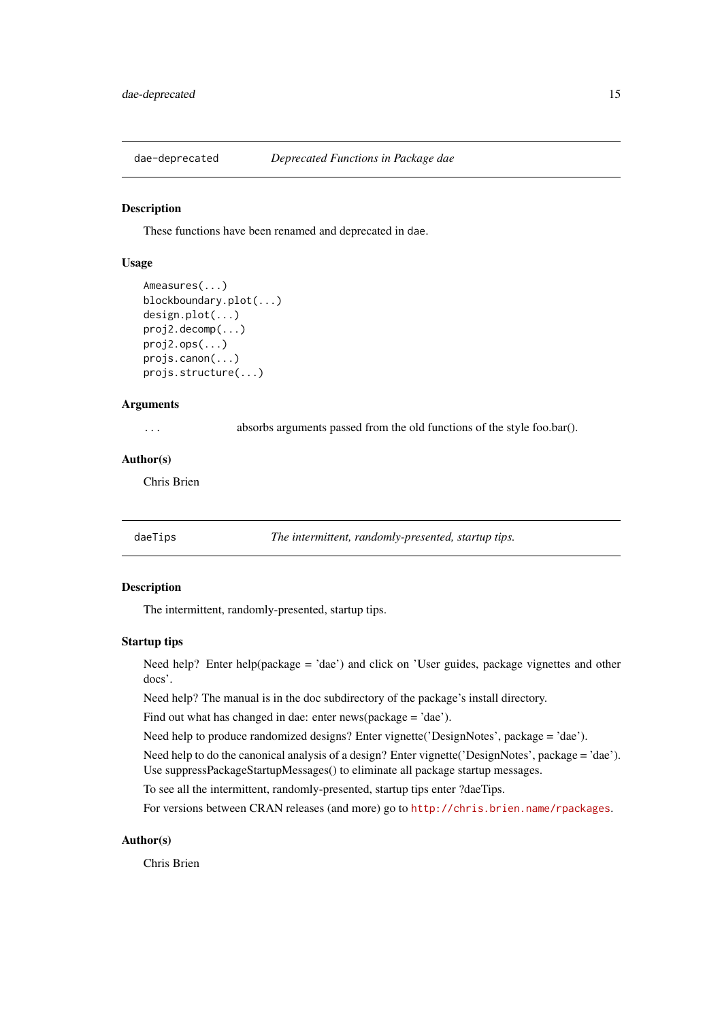<span id="page-14-0"></span>

These functions have been renamed and deprecated in dae.

# Usage

```
Ameasures(...)
blockboundary.plot(...)
design.plot(...)
proj2.decomp(...)
proj2.ops(...)
projs.canon(...)
projs.structure(...)
```
# Arguments

... absorbs arguments passed from the old functions of the style foo.bar().

# Author(s)

Chris Brien

daeTips *The intermittent, randomly-presented, startup tips.*

#### Description

The intermittent, randomly-presented, startup tips.

# Startup tips

Need help? Enter help(package = 'dae') and click on 'User guides, package vignettes and other docs'.

Need help? The manual is in the doc subdirectory of the package's install directory.

Find out what has changed in dae: enter news(package = 'dae').

Need help to produce randomized designs? Enter vignette('DesignNotes', package = 'dae').

Need help to do the canonical analysis of a design? Enter vignette('DesignNotes', package = 'dae'). Use suppressPackageStartupMessages() to eliminate all package startup messages.

To see all the intermittent, randomly-presented, startup tips enter ?daeTips.

For versions between CRAN releases (and more) go to <http://chris.brien.name/rpackages>.

# Author(s)

Chris Brien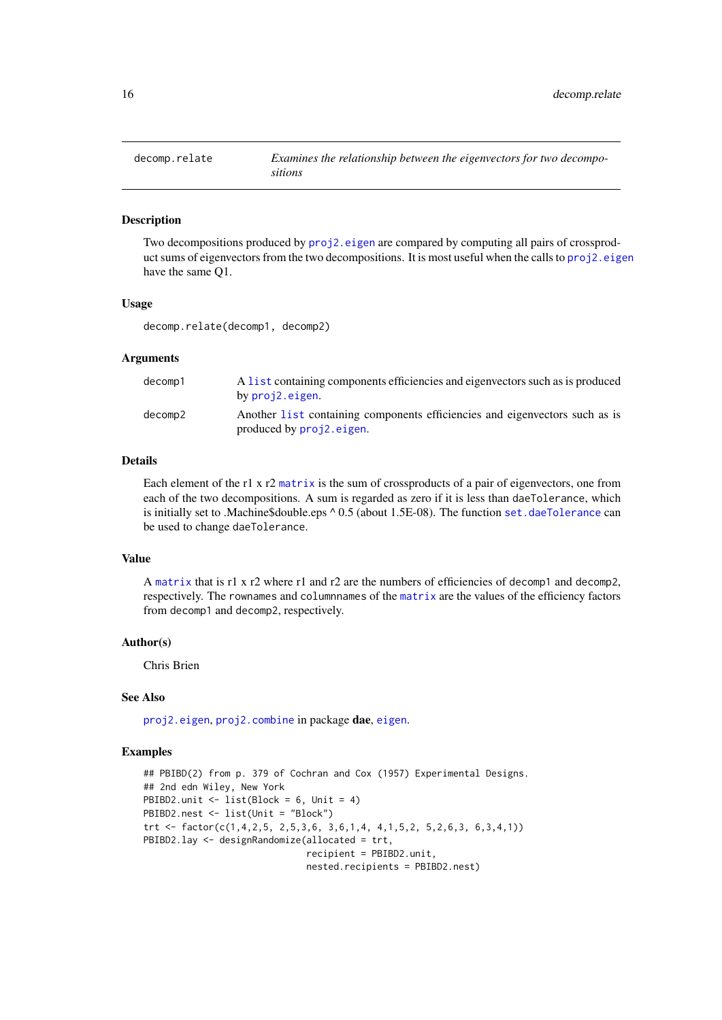<span id="page-15-1"></span><span id="page-15-0"></span>

Two decompositions produced by [proj2.eigen](#page-103-1) are compared by computing all pairs of crossproduct sums of eigenvectors from the two decompositions. It is most useful when the calls to [proj2.eigen](#page-103-1) have the same Q1.

#### Usage

decomp.relate(decomp1, decomp2)

### Arguments

| decomp1 | A list containing components efficiencies and eigenvectors such as is produced                          |
|---------|---------------------------------------------------------------------------------------------------------|
|         | by proj2.eigen.                                                                                         |
| decomp2 | Another list containing components efficiencies and eigenvectors such as is<br>produced by proj2.eigen. |

# Details

Each element of the r1 x r2 [matrix](#page-0-0) is the sum of crossproducts of a pair of eigenvectors, one from each of the two decompositions. A sum is regarded as zero if it is less than daeTolerance, which is initially set to .Machine\$double.eps ^ 0.5 (about 1.5E-08). The function [set.daeTolerance](#page-120-1) can be used to change daeTolerance.

# Value

A [matrix](#page-0-0) that is r1 x r2 where r1 and r2 are the numbers of efficiencies of decomp1 and decomp2, respectively. The rownames and columnnames of the [matrix](#page-0-0) are the values of the efficiency factors from decomp1 and decomp2, respectively.

# Author(s)

Chris Brien

# See Also

[proj2.eigen](#page-103-1), [proj2.combine](#page-101-1) in package dae, [eigen](#page-0-0).

```
## PBIBD(2) from p. 379 of Cochran and Cox (1957) Experimental Designs.
## 2nd edn Wiley, New York
PBIBD2.unit <- list(Block = 6, Unit = 4)
PBIBD2.nest <- list(Unit = "Block")
trt <- factor(c(1,4,2,5, 2,5,3,6, 3,6,1,4, 4,1,5,2, 5,2,6,3, 6,3,4,1))
PBIBD2.lay <- designRandomize(allocated = trt,
                              recipient = PBIBD2.unit,
                              nested.recipients = PBIBD2.nest)
```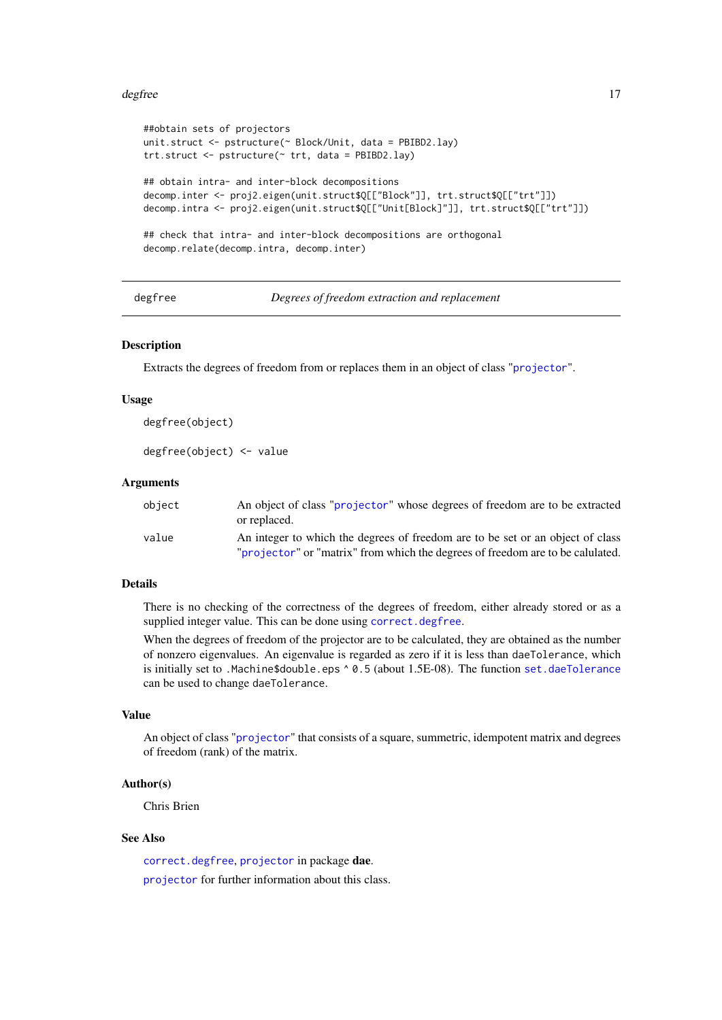#### <span id="page-16-0"></span>degfree the control of the control of the control of the control of the control of the control of the control of the control of the control of the control of the control of the control of the control of the control of the

```
##obtain sets of projectors
unit.struct <- pstructure(~ Block/Unit, data = PBIBD2.lay)
trt.struct <- pstructure(~ trt, data = PBIBD2.lay)
## obtain intra- and inter-block decompositions
decomp.inter <- proj2.eigen(unit.struct$Q[["Block"]], trt.struct$Q[["trt"]])
decomp.intra <- proj2.eigen(unit.struct$Q[["Unit[Block]"]], trt.struct$Q[["trt"]])
## check that intra- and inter-block decompositions are orthogonal
decomp.relate(decomp.intra, decomp.inter)
```
<span id="page-16-1"></span>degfree *Degrees of freedom extraction and replacement*

# Description

Extracts the degrees of freedom from or replaces them in an object of class "[projector](#page-106-1)".

#### Usage

degfree(object)

degfree(object) <- value

# Arguments

| object | An object of class "projector" whose degrees of freedom are to be extracted<br>or replaced.                                                                      |
|--------|------------------------------------------------------------------------------------------------------------------------------------------------------------------|
| value  | An integer to which the degrees of freedom are to be set or an object of class<br>"projector" or "matrix" from which the degrees of freedom are to be calulated. |

# Details

There is no checking of the correctness of the degrees of freedom, either already stored or as a supplied integer value. This can be done using [correct.degfree](#page-13-1).

When the degrees of freedom of the projector are to be calculated, they are obtained as the number of nonzero eigenvalues. An eigenvalue is regarded as zero if it is less than daeTolerance, which is initially set to .Machine\$double.eps ^ 0.5 (about 1.5E-08). The function [set.daeTolerance](#page-120-1) can be used to change daeTolerance.

# Value

An object of class "[projector](#page-106-1)" that consists of a square, summetric, idempotent matrix and degrees of freedom (rank) of the matrix.

#### Author(s)

Chris Brien

# See Also

[correct.degfree](#page-13-1), [projector](#page-105-1) in package dae. [projector](#page-106-1) for further information about this class.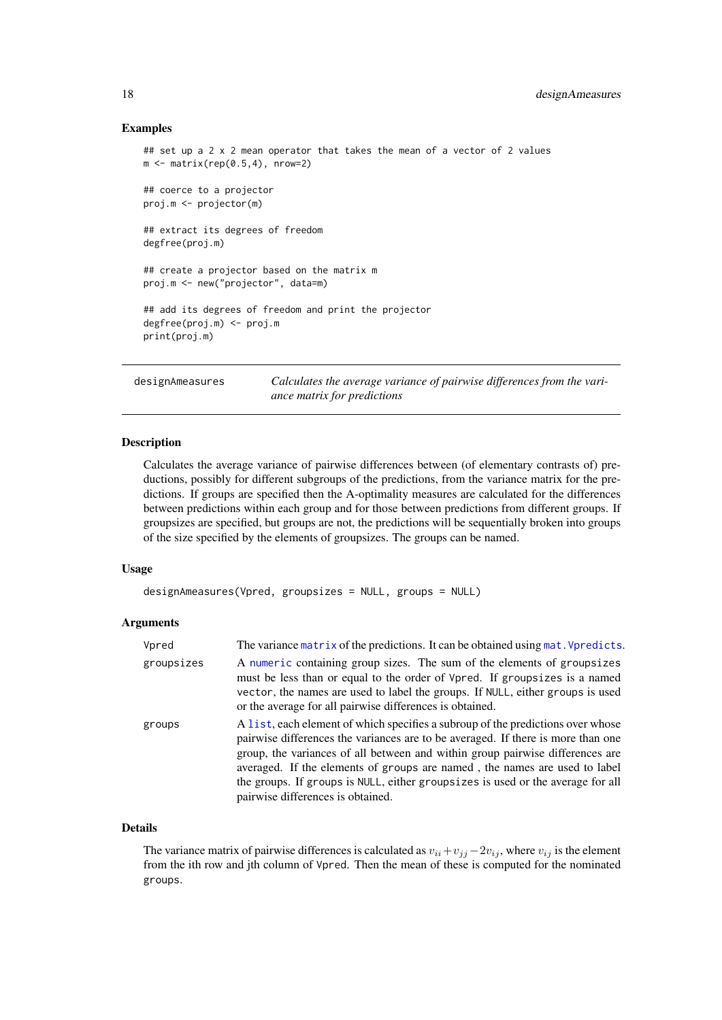#### Examples

```
## set up a 2 x 2 mean operator that takes the mean of a vector of 2 values
m \leq - matrix(rep(0.5,4), nrow=2)
## coerce to a projector
proj.m <- projector(m)
## extract its degrees of freedom
degfree(proj.m)
## create a projector based on the matrix m
proj.m <- new("projector", data=m)
## add its degrees of freedom and print the projector
degfree(proj.m) <- proj.m
print(proj.m)
```
<span id="page-17-1"></span>designAmeasures *Calculates the average variance of pairwise differences from the variance matrix for predictions*

#### Description

Calculates the average variance of pairwise differences between (of elementary contrasts of) preductions, possibly for different subgroups of the predictions, from the variance matrix for the predictions. If groups are specified then the A-optimality measures are calculated for the differences between predictions within each group and for those between predictions from different groups. If groupsizes are specified, but groups are not, the predictions will be sequentially broken into groups of the size specified by the elements of groupsizes. The groups can be named.

#### Usage

```
designAmeasures(Vpred, groupsizes = NULL, groups = NULL)
```
# Arguments

| Vpred      | The variance matrix of the predictions. It can be obtained using mat. Vpredicts.                                                                                                                                                                                                                                                                                                                                                                           |
|------------|------------------------------------------------------------------------------------------------------------------------------------------------------------------------------------------------------------------------------------------------------------------------------------------------------------------------------------------------------------------------------------------------------------------------------------------------------------|
| groupsizes | A numeric containing group sizes. The sum of the elements of groupsizes<br>must be less than or equal to the order of Vpred. If groupsizes is a named<br>vector, the names are used to label the groups. If NULL, either groups is used<br>or the average for all pairwise differences is obtained.                                                                                                                                                        |
| groups     | A list, each element of which specifies a subroup of the predictions over whose<br>pairwise differences the variances are to be averaged. If there is more than one<br>group, the variances of all between and within group pairwise differences are<br>averaged. If the elements of groups are named, the names are used to label<br>the groups. If groups is NULL, either groupsizes is used or the average for all<br>pairwise differences is obtained. |

# Details

The variance matrix of pairwise differences is calculated as  $v_{ii} + v_{jj} - 2v_{ij}$ , where  $v_{ij}$  is the element from the ith row and jth column of Vpred. Then the mean of these is computed for the nominated groups.

<span id="page-17-0"></span>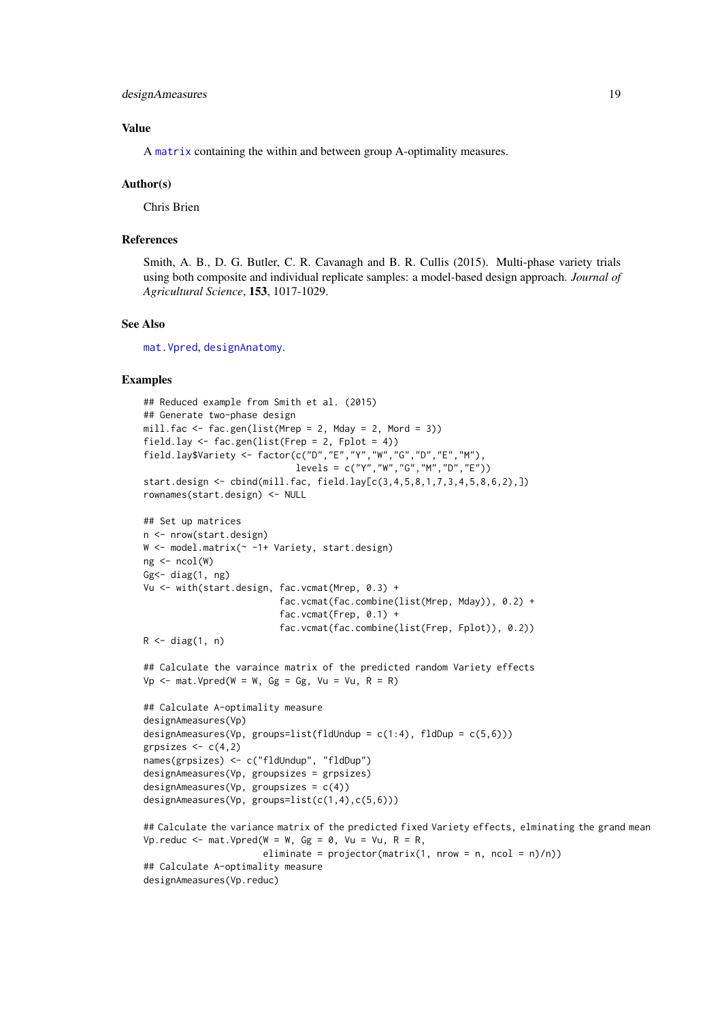### Value

A [matrix](#page-0-0) containing the within and between group A-optimality measures.

#### Author(s)

Chris Brien

#### References

Smith, A. B., D. G. Butler, C. R. Cavanagh and B. R. Cullis (2015). Multi-phase variety trials using both composite and individual replicate samples: a model-based design approach. *Journal of Agricultural Science*, 153, 1017-1029.

# See Also

[mat.Vpred](#page-85-1), [designAnatomy](#page-19-1).

```
## Reduced example from Smith et al. (2015)
## Generate two-phase design
mill.fac <- fac.gen(list(Mrep = 2, Mday = 2, Mord = 3))
field.lay \le fac.gen(list(Frep = 2, Fplot = 4))
field.lay$Variety <- factor(c("D","E","Y","W","G","D","E","M"),
                             levels = c("Y", "W", "G", "M", "D", "E"))start.design <- cbind(mill.fac, field.lay[c(3,4,5,8,1,7,3,4,5,8,6,2),])
rownames(start.design) <- NULL
## Set up matrices
n <- nrow(start.design)
W <- model.matrix(~ -1+ Variety, start.design)
ng \leftarrow \text{ncol}(W)Gg\leftarrow diag(1, ng)Vu <- with(start.design, fac.vcmat(Mrep, 0.3) +
                          fac.vcmat(fac.combine(list(Mrep, Mday)), 0.2) +
                          fac.vcmat(Frep, 0.1) +
                          fac.vcmat(fac.combine(list(Frep, Fplot)), 0.2))
R \leftarrow diag(1, n)## Calculate the varaince matrix of the predicted random Variety effects
Vp \le - mat. Vpred(W = W, Gg = Gg, Vu = Vu, R = R)
## Calculate A-optimality measure
designAmeasures(Vp)
designAmeasures(Vp, groups=list(fldUndup = c(1:4), fldDup = c(5,6)))
grpsizes \leq c(4,2)names(grpsizes) <- c("fldUndup", "fldDup")
designAmeasures(Vp, groupsizes = grpsizes)
designAmeasures(Vp, groupsizes = c(4))
designAmeasures(Vp, groups=list(c(1,4),c(5,6)))
## Calculate the variance matrix of the predicted fixed Variety effects, elminating the grand mean
Vp.reduc <- mat.Vpred(W = W, Gg = 0, Vu = Vu, R = R,
                       eliminate = projector(matrix(1, nrow = n, ncol = n)/n))## Calculate A-optimality measure
designAmeasures(Vp.reduc)
```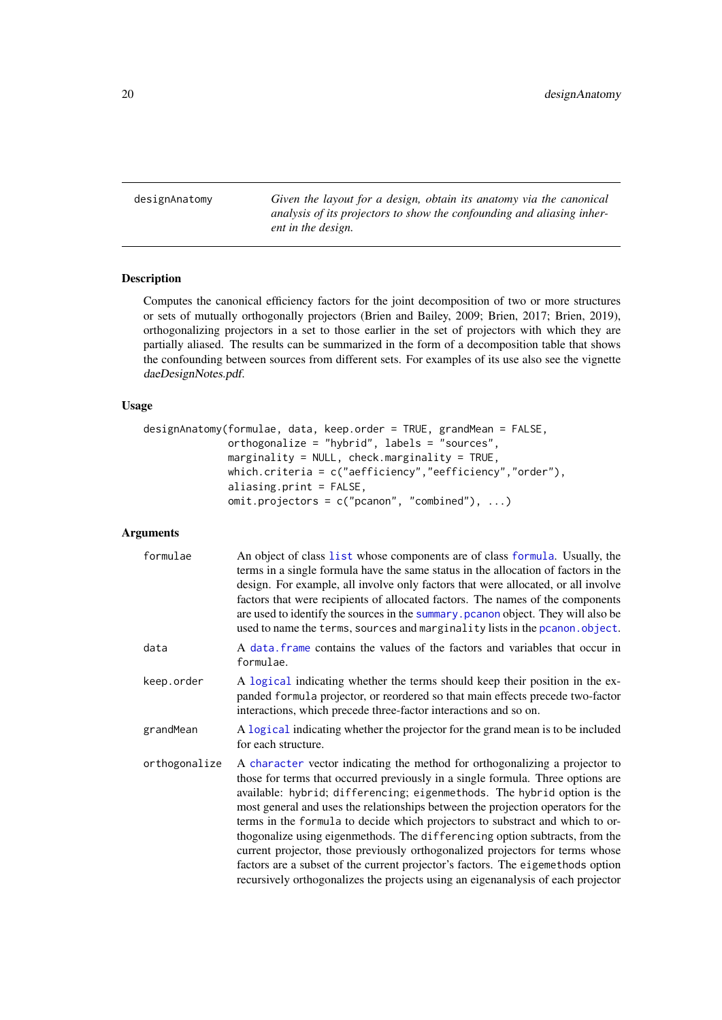<span id="page-19-1"></span><span id="page-19-0"></span>designAnatomy *Given the layout for a design, obtain its anatomy via the canonical analysis of its projectors to show the confounding and aliasing inherent in the design.*

# Description

Computes the canonical efficiency factors for the joint decomposition of two or more structures or sets of mutually orthogonally projectors (Brien and Bailey, 2009; Brien, 2017; Brien, 2019), orthogonalizing projectors in a set to those earlier in the set of projectors with which they are partially aliased. The results can be summarized in the form of a decomposition table that shows the confounding between sources from different sets. For examples of its use also see the vignette daeDesignNotes.pdf.

# Usage

```
designAnatomy(formulae, data, keep.order = TRUE, grandMean = FALSE,
              orthogonalize = "hybrid", labels = "sources",
              marginality = NULL, check.marginality = TRUE,
              which.criteria = c("aefficiency","eefficiency","order"),
              aliasing.print = FALSE,
              omit.projectors = c("pcanon", "combined"), ...)
```
#### Arguments

| formulae      | An object of class list whose components are of class formula. Usually, the<br>terms in a single formula have the same status in the allocation of factors in the<br>design. For example, all involve only factors that were allocated, or all involve<br>factors that were recipients of allocated factors. The names of the components<br>are used to identify the sources in the summary pcanon object. They will also be<br>used to name the terms, sources and marginality lists in the pcanon. object.                                                                                                                                                                                                                                          |
|---------------|-------------------------------------------------------------------------------------------------------------------------------------------------------------------------------------------------------------------------------------------------------------------------------------------------------------------------------------------------------------------------------------------------------------------------------------------------------------------------------------------------------------------------------------------------------------------------------------------------------------------------------------------------------------------------------------------------------------------------------------------------------|
| data          | A data frame contains the values of the factors and variables that occur in<br>formulae.                                                                                                                                                                                                                                                                                                                                                                                                                                                                                                                                                                                                                                                              |
| keep.order    | A logical indicating whether the terms should keep their position in the ex-<br>panded formula projector, or reordered so that main effects precede two-factor<br>interactions, which precede three-factor interactions and so on.                                                                                                                                                                                                                                                                                                                                                                                                                                                                                                                    |
| grandMean     | A logical indicating whether the projector for the grand mean is to be included<br>for each structure.                                                                                                                                                                                                                                                                                                                                                                                                                                                                                                                                                                                                                                                |
| orthogonalize | A character vector indicating the method for orthogonalizing a projector to<br>those for terms that occurred previously in a single formula. Three options are<br>available: hybrid; differencing; eigenmethods. The hybrid option is the<br>most general and uses the relationships between the projection operators for the<br>terms in the formula to decide which projectors to substract and which to or-<br>thogonalize using eigenmethods. The differencing option subtracts, from the<br>current projector, those previously orthogonalized projectors for terms whose<br>factors are a subset of the current projector's factors. The eigemethods option<br>recursively orthogonalizes the projects using an eigenanalysis of each projector |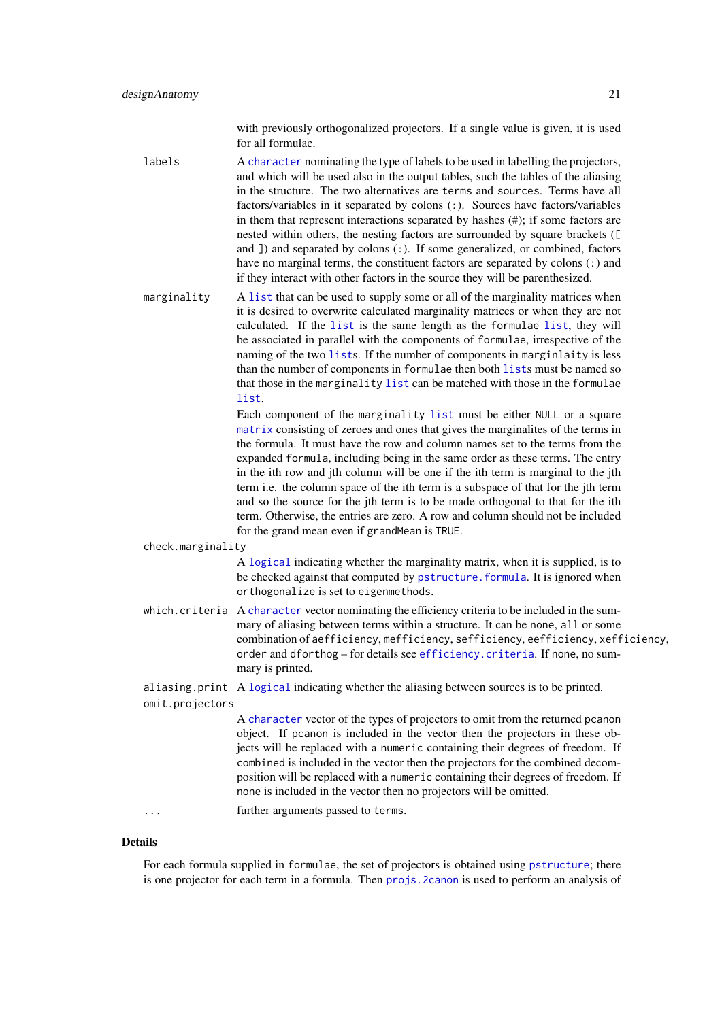with previously orthogonalized projectors. If a single value is given, it is used for all formulae.

- labels A [character](#page-0-0) nominating the type of labels to be used in labelling the projectors, and which will be used also in the output tables, such the tables of the aliasing in the structure. The two alternatives are terms and sources. Terms have all factors/variables in it separated by colons (:). Sources have factors/variables in them that represent interactions separated by hashes (#); if some factors are nested within others, the nesting factors are surrounded by square brackets ([ and  $\overline{1}$ ) and separated by colons (:). If some generalized, or combined, factors have no marginal terms, the constituent factors are separated by colons (:) and if they interact with other factors in the source they will be parenthesized.
- marginality A [list](#page-0-0) that can be used to supply some or all of the marginality matrices when it is desired to overwrite calculated marginality matrices or when they are not calculated. If the [list](#page-0-0) is the same length as the formulae [list](#page-0-0), they will be associated in parallel with the components of formulae, irrespective of the naming of the two [list](#page-0-0)s. If the number of components in marginlaity is less than the number of components in formulae then both [list](#page-0-0)s must be named so that those in the marginality [list](#page-0-0) can be matched with those in the formulae [list](#page-0-0).

Each component of the marginality [list](#page-0-0) must be either NULL or a square [matrix](#page-0-0) consisting of zeroes and ones that gives the marginalites of the terms in the formula. It must have the row and column names set to the terms from the expanded formula, including being in the same order as these terms. The entry in the ith row and jth column will be one if the ith term is marginal to the jth term i.e. the column space of the ith term is a subspace of that for the jth term and so the source for the jth term is to be made orthogonal to that for the ith term. Otherwise, the entries are zero. A row and column should not be included for the grand mean even if grandMean is TRUE.

check.marginality

A [logical](#page-0-0) indicating whether the marginality matrix, when it is supplied, is to be checked against that computed by [pstructure.formula](#page-110-1). It is ignored when orthogonalize is set to eigenmethods.

- which. criteria A [character](#page-0-0) vector nominating the efficiency criteria to be included in the summary of aliasing between terms within a structure. It can be none, all or some combination of aefficiency, mefficiency, sefficiency, eefficiency, xefficiency, order and dforthog – for details see [efficiency.criteria](#page-40-1). If none, no summary is printed.
- aliasing.print A [logical](#page-0-0) indicating whether the aliasing between sources is to be printed. omit.projectors
	- A [character](#page-0-0) vector of the types of projectors to omit from the returned pcanon object. If pcanon is included in the vector then the projectors in these objects will be replaced with a numeric containing their degrees of freedom. If combined is included in the vector then the projectors for the combined decomposition will be replaced with a numeric containing their degrees of freedom. If none is included in the vector then no projectors will be omitted.

... further arguments passed to terms.

#### Details

For each formula supplied in formulae, the set of projectors is obtained using [pstructure](#page-110-2); there is one projector for each term in a formula. Then [projs.2canon](#page-107-1) is used to perform an analysis of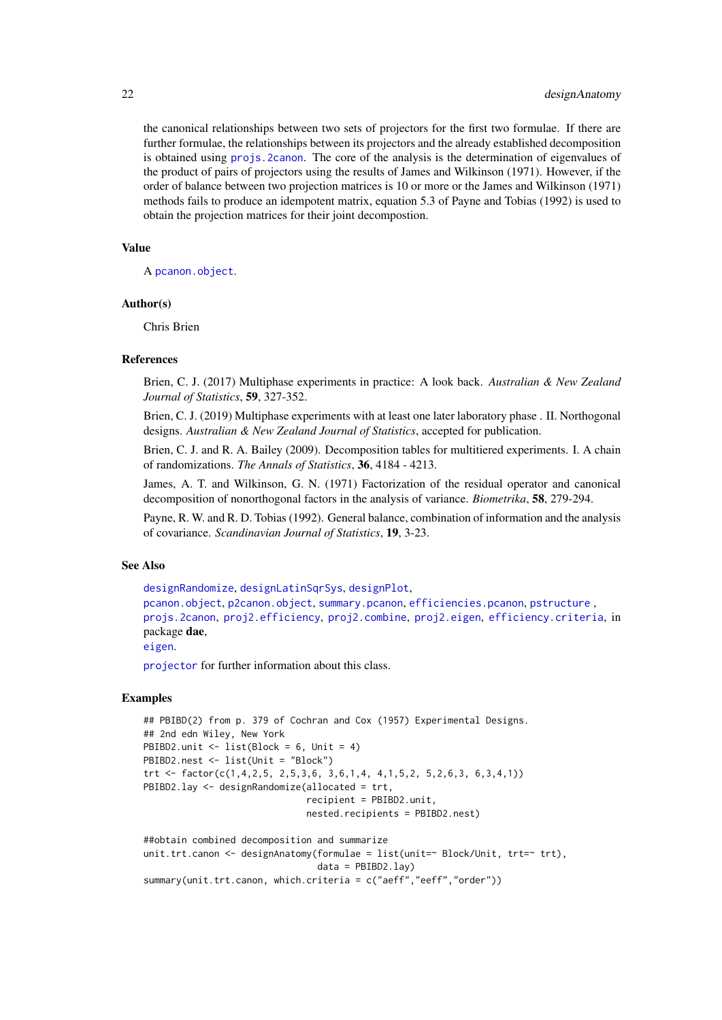the canonical relationships between two sets of projectors for the first two formulae. If there are further formulae, the relationships between its projectors and the already established decomposition is obtained using [projs.2canon](#page-107-1). The core of the analysis is the determination of eigenvalues of the product of pairs of projectors using the results of James and Wilkinson (1971). However, if the order of balance between two projection matrices is 10 or more or the James and Wilkinson (1971) methods fails to produce an idempotent matrix, equation 5.3 of Payne and Tobias (1992) is used to obtain the projection matrices for their joint decompostion.

# Value

A [pcanon.object](#page-94-1).

#### Author(s)

Chris Brien

#### References

Brien, C. J. (2017) Multiphase experiments in practice: A look back. *Australian & New Zealand Journal of Statistics*, 59, 327-352.

Brien, C. J. (2019) Multiphase experiments with at least one later laboratory phase . II. Northogonal designs. *Australian & New Zealand Journal of Statistics*, accepted for publication.

Brien, C. J. and R. A. Bailey (2009). Decomposition tables for multitiered experiments. I. A chain of randomizations. *The Annals of Statistics*, 36, 4184 - 4213.

James, A. T. and Wilkinson, G. N. (1971) Factorization of the residual operator and canonical decomposition of nonorthogonal factors in the analysis of variance. *Biometrika*, 58, 279-294.

Payne, R. W. and R. D. Tobias (1992). General balance, combination of information and the analysis of covariance. *Scandinavian Journal of Statistics*, 19, 3-23.

# See Also

```
designRandomize, designLatinSqrSys, designPlot,
pcanon.object, p2canon.object, summary.pcanon, efficiencies.pcanon, pstructure ,
projs.2canon, proj2.efficiency, proj2.combine, proj2.eigen, efficiency.criteria, in
package dae,
```
[eigen](#page-0-0).

[projector](#page-106-1) for further information about this class.

```
## PBIBD(2) from p. 379 of Cochran and Cox (1957) Experimental Designs.
## 2nd edn Wiley, New York
PBIBD2.unit \le list(Block = 6, Unit = 4)
PBIBD2.nest <- list(Unit = "Block")
trt <- factor(c(1,4,2,5, 2,5,3,6, 3,6,1,4, 4,1,5,2, 5,2,6,3, 6,3,4,1))
PBIBD2.lay <- designRandomize(allocated = trt,
                              recipient = PBIBD2.unit,
                              nested.recipients = PBIBD2.nest)
##obtain combined decomposition and summarize
unit.trt.canon <- designAnatomy(formulae = list(unit=~ Block/Unit, trt=~ trt),
```

```
data = PBIBD2.lay)
summary(unit.trt.canon, which.criteria = c("aeff","eeff","order"))
```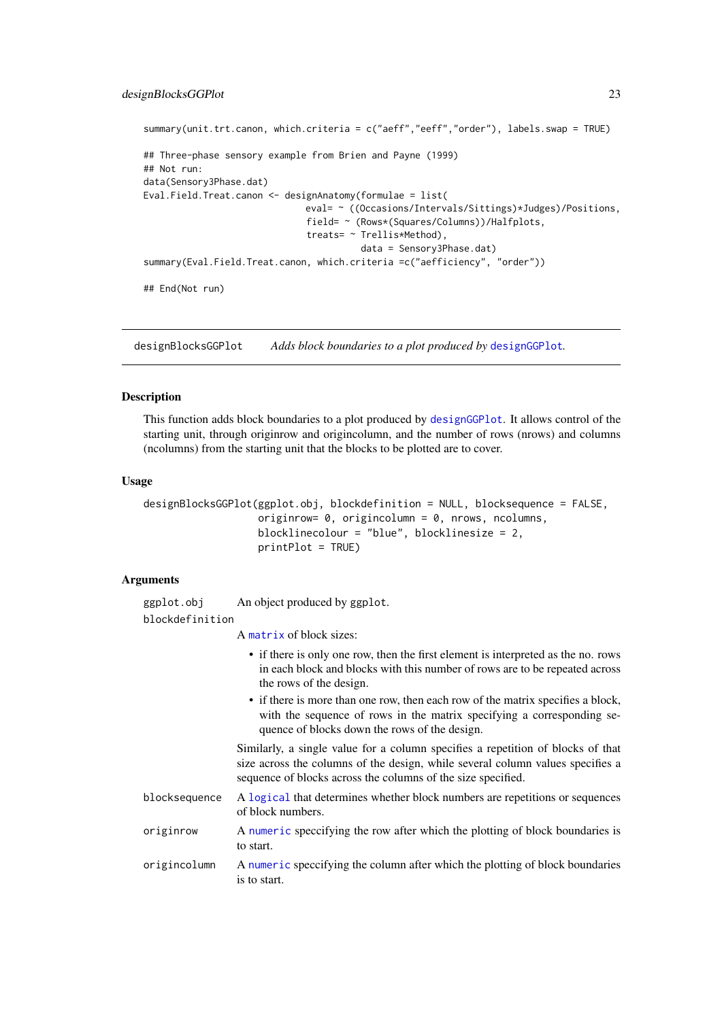#### <span id="page-22-0"></span>designBlocksGGPlot 23

```
summary(unit.trt.canon, which.criteria = c("aeff","eeff","order"), labels.swap = TRUE)
## Three-phase sensory example from Brien and Payne (1999)
## Not run:
data(Sensory3Phase.dat)
Eval.Field.Treat.canon <- designAnatomy(formulae = list(
                              eval= ~ ((Occasions/Intervals/Sittings)*Judges)/Positions,
                              field= ~ (Rows*(Squares/Columns))/Halfplots,
                              treats= ~ Trellis*Method),
                                        data = Sensory3Phase.dat)
summary(Eval.Field.Treat.canon, which.criteria =c("aefficiency", "order"))
## End(Not run)
```
<span id="page-22-1"></span>designBlocksGGPlot *Adds block boundaries to a plot produced by* [designGGPlot](#page-24-1)*.*

#### Description

This function adds block boundaries to a plot produced by [designGGPlot](#page-24-1). It allows control of the starting unit, through originrow and origincolumn, and the number of rows (nrows) and columns (ncolumns) from the starting unit that the blocks to be plotted are to cover.

#### Usage

```
designBlocksGGPlot(ggplot.obj, blockdefinition = NULL, blocksequence = FALSE,
                   originrow= 0, origincolumn = 0, nrows, ncolumns,
                   blocklinecolour = "blue", blocklinesize = 2,
                   printPlot = TRUE)
```
# Arguments

ggplot.obj An object produced by ggplot. blockdefinition

A [matrix](#page-0-0) of block sizes:

- if there is only one row, then the first element is interpreted as the no. rows in each block and blocks with this number of rows are to be repeated across the rows of the design.
- if there is more than one row, then each row of the matrix specifies a block, with the sequence of rows in the matrix specifying a corresponding sequence of blocks down the rows of the design.

Similarly, a single value for a column specifies a repetition of blocks of that size across the columns of the design, while several column values specifies a sequence of blocks across the columns of the size specified.

- blocksequence A [logical](#page-0-0) that determines whether block numbers are repetitions or sequences of block numbers.
- originrow A [numeric](#page-0-0) speccifying the row after which the plotting of block boundaries is to start.
- origincolumn A [numeric](#page-0-0) speccifying the column after which the plotting of block boundaries is to start.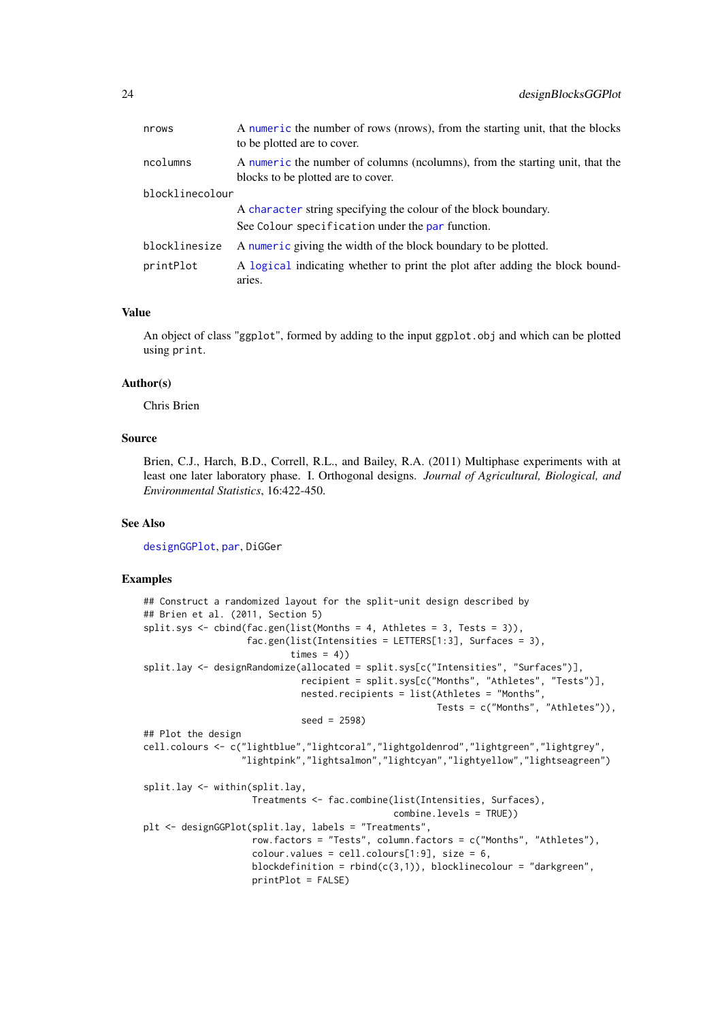| nrows           | A numeric the number of rows (nrows), from the starting unit, that the blocks<br>to be plotted are to cover.       |
|-----------------|--------------------------------------------------------------------------------------------------------------------|
| ncolumns        | A numeric the number of columns (ncolumns), from the starting unit, that the<br>blocks to be plotted are to cover. |
| blocklinecolour |                                                                                                                    |
|                 | A character string specifying the colour of the block boundary.                                                    |
|                 | See Colour specification under the par function.                                                                   |
| blocklinesize   | A numeric giving the width of the block boundary to be plotted.                                                    |
| printPlot       | A logical indicating whether to print the plot after adding the block bound-<br>aries.                             |

# Value

An object of class "ggplot", formed by adding to the input ggplot.obj and which can be plotted using print.

#### Author(s)

Chris Brien

# Source

Brien, C.J., Harch, B.D., Correll, R.L., and Bailey, R.A. (2011) Multiphase experiments with at least one later laboratory phase. I. Orthogonal designs. *Journal of Agricultural, Biological, and Environmental Statistics*, 16:422-450.

# See Also

[designGGPlot](#page-24-1), [par](#page-0-0), DiGGer

```
## Construct a randomized layout for the split-unit design described by
## Brien et al. (2011, Section 5)
split.sys <- cbind(fac.gen(list(Months = 4, Athletes = 3, Tests = 3)),
                   fac.gen(list(Intensities = LETTERS[1:3], Surfaces = 3),
                          times = 4)
split.lay <- designRandomize(allocated = split.sys[c("Intensities", "Surfaces")],
                            recipient = split.sys[c("Months", "Athletes", "Tests")],
                            nested.recipients = list(Athletes = "Months",
                                                      Tests = c("Months", "Athletes")),
                             seed = 2598)
## Plot the design
cell.colours <- c("lightblue","lightcoral","lightgoldenrod","lightgreen","lightgrey",
                  "lightpink","lightsalmon","lightcyan","lightyellow","lightseagreen")
split.lay <- within(split.lay,
                    Treatments <- fac.combine(list(Intensities, Surfaces),
                                              combine.levels = TRUE))
plt <- designGGPlot(split.lay, labels = "Treatments",
                    row.factors = "Tests", column.factors = c("Months", "Athletes"),
                    colour.values = cell[1:9], size = 6,blockdefinition = rbind(c(3,1)), blocklinecolour = "darkgreen",
                    printPlot = FALSE)
```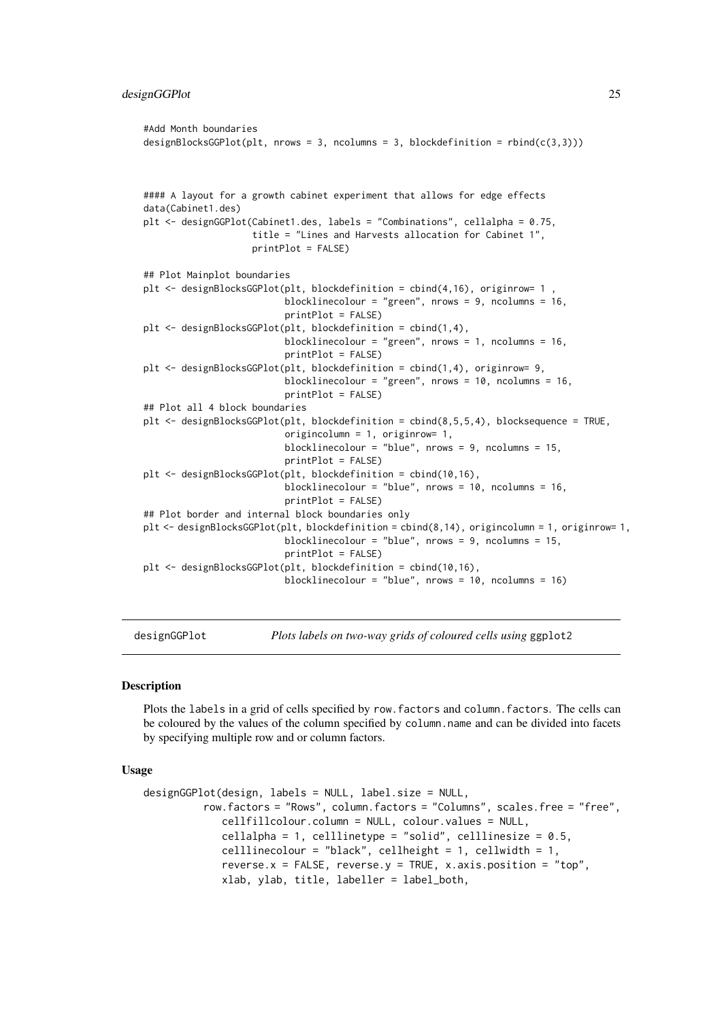```
#Add Month boundaries
designBlocksGGPlot(plt, nrows = 3, ncolumns = 3, blockdefinition = rbind(c(3,3)))#### A layout for a growth cabinet experiment that allows for edge effects
data(Cabinet1.des)
plt <- designGGPlot(Cabinet1.des, labels = "Combinations", cellalpha = 0.75,
                    title = "Lines and Harvests allocation for Cabinet 1",
                    printPlot = FALSE)
## Plot Mainplot boundaries
plt <- designBlocksGGPlot(plt, blockdefinition = cbind(4,16), originrow= 1 ,
                          blocklinecolour = "green", nrows = 9, ncolumns = 16,
                          printPlot = FALSE)
plt <- designBlocksGGPlot(plt, blockdefinition = cbind(1,4),
                          blocklinecolour = "green", nrows = 1, ncolumns = 16,
                          printPlot = FALSE)
plt <- designBlocksGGPlot(plt, blockdefinition = cbind(1,4), originrow= 9,
                          blocklinecolour = "green", nrows = 10, ncolumns = 16,
                          printPlot = FALSE)
## Plot all 4 block boundaries
plt <- designBlocksGGPlot(plt, blockdefinition = cbind(8,5,5,4), blocksequence = TRUE,
                          origincolumn = 1, originrow= 1,
                          blocklinecolour = "blue", nrows = 9, ncolumns = 15,
                          printPlot = FALSE)
plt <- designBlocksGGPlot(plt, blockdefinition = cbind(10,16),
                          blocklinecolour = "blue", nrows = 10, ncolumns = 16,
                          printPlot = FALSE)
## Plot border and internal block boundaries only
plt <- designBlocksGGPlot(plt, blockdefinition = cbind(8,14), origincolumn = 1, originrow= 1,
                          blocklinecolour = "blue", nrows = 9, ncolumns = 15,
                          printPlot = FALSE)
plt <- designBlocksGGPlot(plt, blockdefinition = cbind(10,16),
                          blocklinecolour = "blue", nrows = 10, ncolumns = 16)
```
<span id="page-24-1"></span>designGGPlot *Plots labels on two-way grids of coloured cells using* ggplot2

### Description

Plots the labels in a grid of cells specified by row.factors and column.factors. The cells can be coloured by the values of the column specified by column.name and can be divided into facets by specifying multiple row and or column factors.

#### Usage

```
designGGPlot(design, labels = NULL, label.size = NULL,
          row.factors = "Rows", column.factors = "Columns", scales.free = "free",
             cellfillcolour.column = NULL, colour.values = NULL,
             cellalpha = 1, celllinetype = "solid", celllinesize = 0.5,
             celllinecolour = "black", cellheight = 1, cellwidth = 1,
             reverse.x = FALSE, reverse.y = TRUE, x.axis.position = "top",
             xlab, ylab, title, labeller = label_both,
```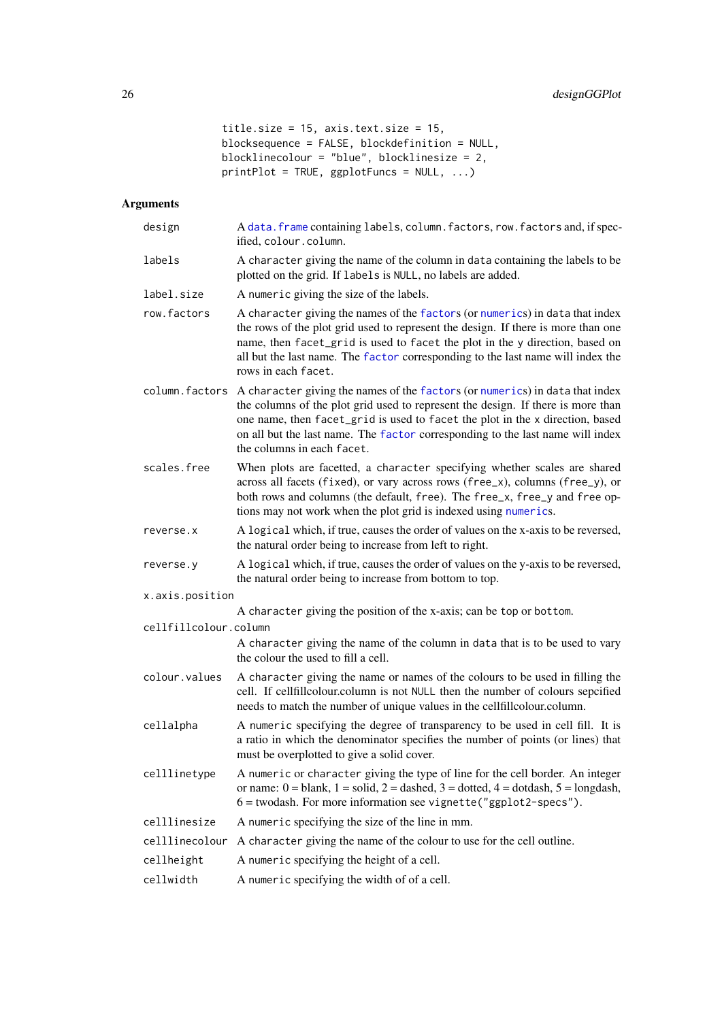```
title.size = 15, axis.text.size = 15,
blocksequence = FALSE, blockdefinition = NULL,
blocklinecolour = "blue", blocklinesize = 2,
printPlot = TRUE, gghotFuncs = NULL, ...
```
# Arguments

| design                | A data. frame containing labels, column. factors, row. factors and, if spec-<br>ified, colour.column.                                                                                                                                                                                                                                                             |  |
|-----------------------|-------------------------------------------------------------------------------------------------------------------------------------------------------------------------------------------------------------------------------------------------------------------------------------------------------------------------------------------------------------------|--|
| labels                | A character giving the name of the column in data containing the labels to be<br>plotted on the grid. If labels is NULL, no labels are added.                                                                                                                                                                                                                     |  |
| label.size            | A numeric giving the size of the labels.                                                                                                                                                                                                                                                                                                                          |  |
| row.factors           | A character giving the names of the factors (or numerics) in data that index<br>the rows of the plot grid used to represent the design. If there is more than one<br>name, then facet_grid is used to facet the plot in the y direction, based on<br>all but the last name. The factor corresponding to the last name will index the<br>rows in each facet.       |  |
| column.factors        | A character giving the names of the factors (or numerics) in data that index<br>the columns of the plot grid used to represent the design. If there is more than<br>one name, then facet_grid is used to facet the plot in the x direction, based<br>on all but the last name. The factor corresponding to the last name will index<br>the columns in each facet. |  |
| scales.free           | When plots are facetted, a character specifying whether scales are shared<br>across all facets (fixed), or vary across rows (free_x), columns (free_y), or<br>both rows and columns (the default, free). The free_x, free_y and free op-<br>tions may not work when the plot grid is indexed using numerics.                                                      |  |
| reverse.x             | A logical which, if true, causes the order of values on the x-axis to be reversed,<br>the natural order being to increase from left to right.                                                                                                                                                                                                                     |  |
| reverse.y             | A logical which, if true, causes the order of values on the y-axis to be reversed,<br>the natural order being to increase from bottom to top.                                                                                                                                                                                                                     |  |
| x.axis.position       |                                                                                                                                                                                                                                                                                                                                                                   |  |
|                       | A character giving the position of the x-axis; can be top or bottom.                                                                                                                                                                                                                                                                                              |  |
| cellfillcolour.column | A character giving the name of the column in data that is to be used to vary<br>the colour the used to fill a cell.                                                                                                                                                                                                                                               |  |
| colour.values         |                                                                                                                                                                                                                                                                                                                                                                   |  |
|                       | A character giving the name or names of the colours to be used in filling the<br>cell. If cellfillcolour.column is not NULL then the number of colours sepcified<br>needs to match the number of unique values in the cellfillcolour.column.                                                                                                                      |  |
| cellalpha             | A numeric specifying the degree of transparency to be used in cell fill. It is<br>a ratio in which the denominator specifies the number of points (or lines) that<br>must be overplotted to give a solid cover.                                                                                                                                                   |  |
| celllinetype          | A numeric or character giving the type of line for the cell border. An integer<br>or name: $0 =$ blank, $1 =$ solid, $2 =$ dashed, $3 =$ dotted, $4 =$ dotdash, $5 =$ longdash,<br>$6 =$ twodash. For more information see vignette ("ggplot2-specs").                                                                                                            |  |
| celllinesize          | A numeric specifying the size of the line in mm.                                                                                                                                                                                                                                                                                                                  |  |
| celllinecolour        | A character giving the name of the colour to use for the cell outline.                                                                                                                                                                                                                                                                                            |  |
| cellheight            | A numeric specifying the height of a cell.                                                                                                                                                                                                                                                                                                                        |  |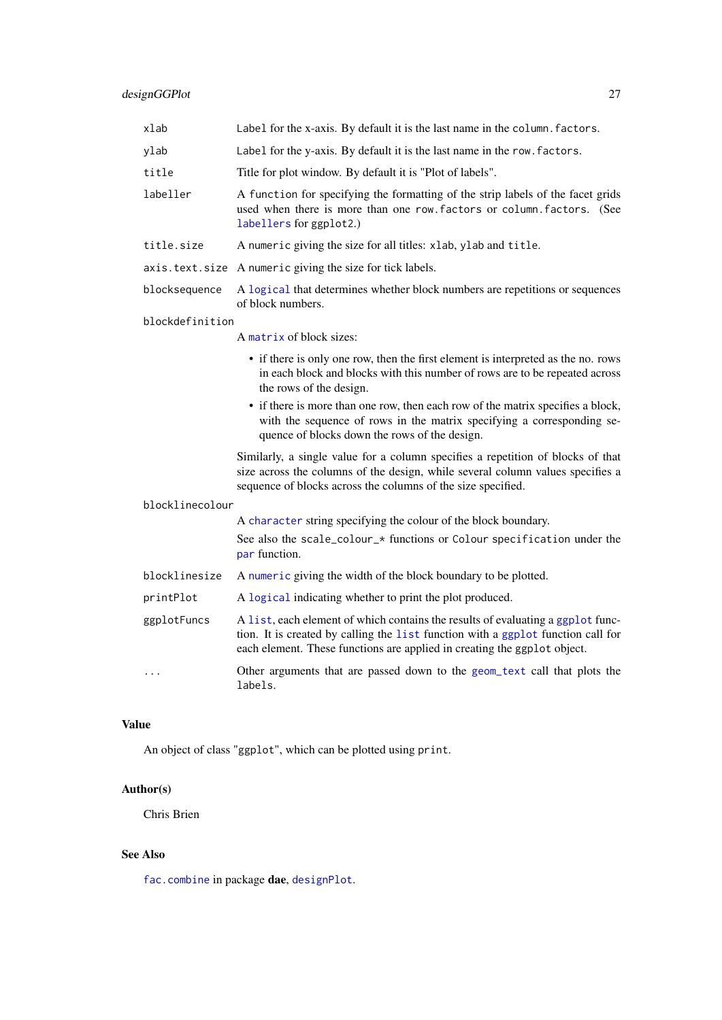| xlab            | Label for the x-axis. By default it is the last name in the column. factors.                                                                                                                                                                    |
|-----------------|-------------------------------------------------------------------------------------------------------------------------------------------------------------------------------------------------------------------------------------------------|
| ylab            | Label for the y-axis. By default it is the last name in the row. factors.                                                                                                                                                                       |
| title           | Title for plot window. By default it is "Plot of labels".                                                                                                                                                                                       |
| labeller        | A function for specifying the formatting of the strip labels of the facet grids<br>used when there is more than one row. factors or column. factors. (See<br>labellers for ggplot2.)                                                            |
| title.size      | A numeric giving the size for all titles: xlab, ylab and title.                                                                                                                                                                                 |
|                 | axis.text.size A numeric giving the size for tick labels.                                                                                                                                                                                       |
| blocksequence   | A logical that determines whether block numbers are repetitions or sequences<br>of block numbers.                                                                                                                                               |
| blockdefinition |                                                                                                                                                                                                                                                 |
|                 | A matrix of block sizes:                                                                                                                                                                                                                        |
|                 | • if there is only one row, then the first element is interpreted as the no. rows<br>in each block and blocks with this number of rows are to be repeated across<br>the rows of the design.                                                     |
|                 | • if there is more than one row, then each row of the matrix specifies a block,<br>with the sequence of rows in the matrix specifying a corresponding se-<br>quence of blocks down the rows of the design.                                      |
|                 | Similarly, a single value for a column specifies a repetition of blocks of that<br>size across the columns of the design, while several column values specifies a<br>sequence of blocks across the columns of the size specified.               |
| blocklinecolour |                                                                                                                                                                                                                                                 |
|                 | A character string specifying the colour of the block boundary.                                                                                                                                                                                 |
|                 | See also the scale_colour_* functions or Colour specification under the<br>par function.                                                                                                                                                        |
| blocklinesize   | A numeric giving the width of the block boundary to be plotted.                                                                                                                                                                                 |
| printPlot       | A logical indicating whether to print the plot produced.                                                                                                                                                                                        |
| ggplotFuncs     | A list, each element of which contains the results of evaluating a ggplot func-<br>tion. It is created by calling the list function with a ggplot function call for<br>each element. These functions are applied in creating the ggplot object. |
| .               | Other arguments that are passed down to the geom_text call that plots the<br>labels.                                                                                                                                                            |

# Value

An object of class "ggplot", which can be plotted using print.

# Author(s)

Chris Brien

# See Also

[fac.combine](#page-44-1) in package dae, [designPlot](#page-28-1).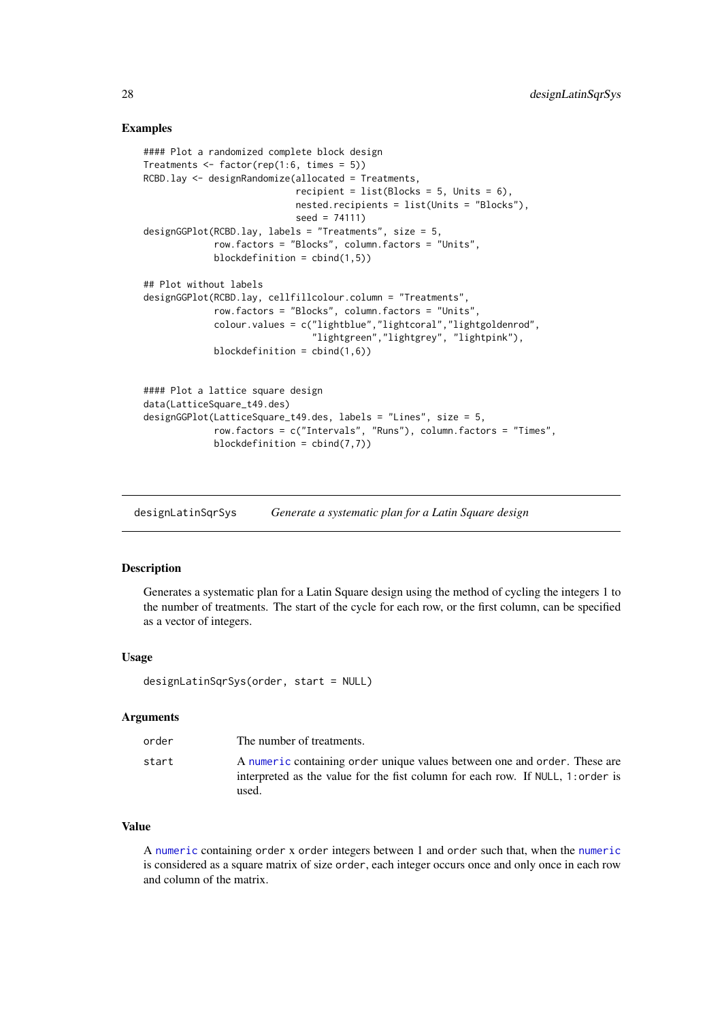### <span id="page-27-0"></span>Examples

```
#### Plot a randomized complete block design
Treatments <- factor(rep(1:6, times = 5))
RCBD.lay <- designRandomize(allocated = Treatments,
                            recipient = list(Blocks = 5, Units = 6),
                            nested.recipients = list(Units = "Blocks"),
                            seed = 74111)
designGGPlot(RCBD.lay, labels = "Treatments", size = 5,
             row.factors = "Blocks", column.factors = "Units",
             blockdefinition = cbind(1,5))
## Plot without labels
designGGPlot(RCBD.lay, cellfillcolour.column = "Treatments",
             row.factors = "Blocks", column.factors = "Units",
             colour.values = c("lightblue","lightcoral","lightgoldenrod",
                               "lightgreen","lightgrey", "lightpink"),
             blockdefinition = cbind(1,6))
#### Plot a lattice square design
data(LatticeSquare_t49.des)
designGGPlot(LatticeSquare_t49.des, labels = "Lines", size = 5,
             row.factors = c("Intervals", "Runs"), column.factors = "Times",
             blockdefinition = cbind(7,7))
```
<span id="page-27-1"></span>designLatinSqrSys *Generate a systematic plan for a Latin Square design*

#### Description

Generates a systematic plan for a Latin Square design using the method of cycling the integers 1 to the number of treatments. The start of the cycle for each row, or the first column, can be specified as a vector of integers.

# Usage

designLatinSqrSys(order, start = NULL)

#### Arguments

| order | The number of treatments.                                                                                                                                             |
|-------|-----------------------------------------------------------------------------------------------------------------------------------------------------------------------|
| start | A numeric containing order unique values between one and order. These are<br>interpreted as the value for the fist column for each row. If NULL, 1: order is<br>used. |

#### Value

A [numeric](#page-0-0) containing order x order integers between 1 and order such that, when the [numeric](#page-0-0) is considered as a square matrix of size order, each integer occurs once and only once in each row and column of the matrix.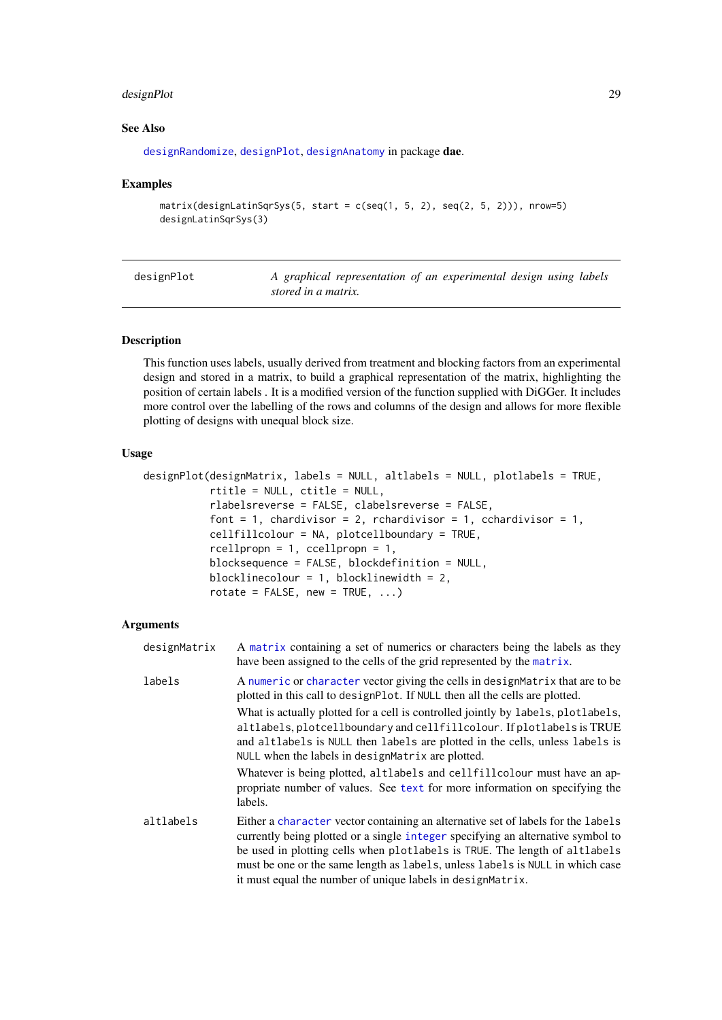#### <span id="page-28-0"></span>designPlot 29

#### See Also

[designRandomize](#page-32-1), [designPlot](#page-28-1), [designAnatomy](#page-19-1) in package dae.

### Examples

```
matrix(designLatinSqrSys(5, start = c(seq(1, 5, 2), seq(2, 5, 2))), nrow=5)
designLatinSqrSys(3)
```
<span id="page-28-1"></span>

| designPlot |                     | A graphical representation of an experimental design using labels |  |  |  |
|------------|---------------------|-------------------------------------------------------------------|--|--|--|
|            | stored in a matrix. |                                                                   |  |  |  |

# Description

This function uses labels, usually derived from treatment and blocking factors from an experimental design and stored in a matrix, to build a graphical representation of the matrix, highlighting the position of certain labels . It is a modified version of the function supplied with DiGGer. It includes more control over the labelling of the rows and columns of the design and allows for more flexible plotting of designs with unequal block size.

# Usage

```
designPlot(designMatrix, labels = NULL, altlabels = NULL, plotlabels = TRUE,
           rtitle = NULL, ctitle = NULL,
           rlabelsreverse = FALSE, clabelsreverse = FALSE,
           font = 1, chardivisor = 2, rchardivisor = 1, cchardivisor = 1,
           cellfillcolour = NA, plotcellboundary = TRUE,
           rcellpropn = 1, ccellpropn = 1,
           blocksequence = FALSE, blockdefinition = NULL,
           blocklinecolour = 1, blocklinewidth = 2,
           rotate = FALSE, new = TRUE, ...
```
#### Arguments

| designMatrix | A matrix containing a set of numerics or characters being the labels as they<br>have been assigned to the cells of the grid represented by the matrix.                                                                                                                                                                                                                                                                                                         |
|--------------|----------------------------------------------------------------------------------------------------------------------------------------------------------------------------------------------------------------------------------------------------------------------------------------------------------------------------------------------------------------------------------------------------------------------------------------------------------------|
| labels       | A numeric or character vector giving the cells in designMatrix that are to be<br>plotted in this call to designPlot. If NULL then all the cells are plotted.<br>What is actually plotted for a cell is controlled jointly by labels, plotlabels,<br>altlabels, plotcellboundary and cellfillcolour. If plotlabels is TRUE<br>and altlabels is NULL then labels are plotted in the cells, unless labels is<br>NULL when the labels in designMatrix are plotted. |
|              | Whatever is being plotted, altlabels and cellfillcolour must have an ap-<br>propriate number of values. See text for more information on specifying the<br>labels.                                                                                                                                                                                                                                                                                             |
| altlabels    | Either a character vector containing an alternative set of labels for the labels<br>currently being plotted or a single integer specifying an alternative symbol to<br>be used in plotting cells when plotlabels is TRUE. The length of altlabels<br>must be one or the same length as labels, unless labels is NULL in which case<br>it must equal the number of unique labels in designMatrix.                                                               |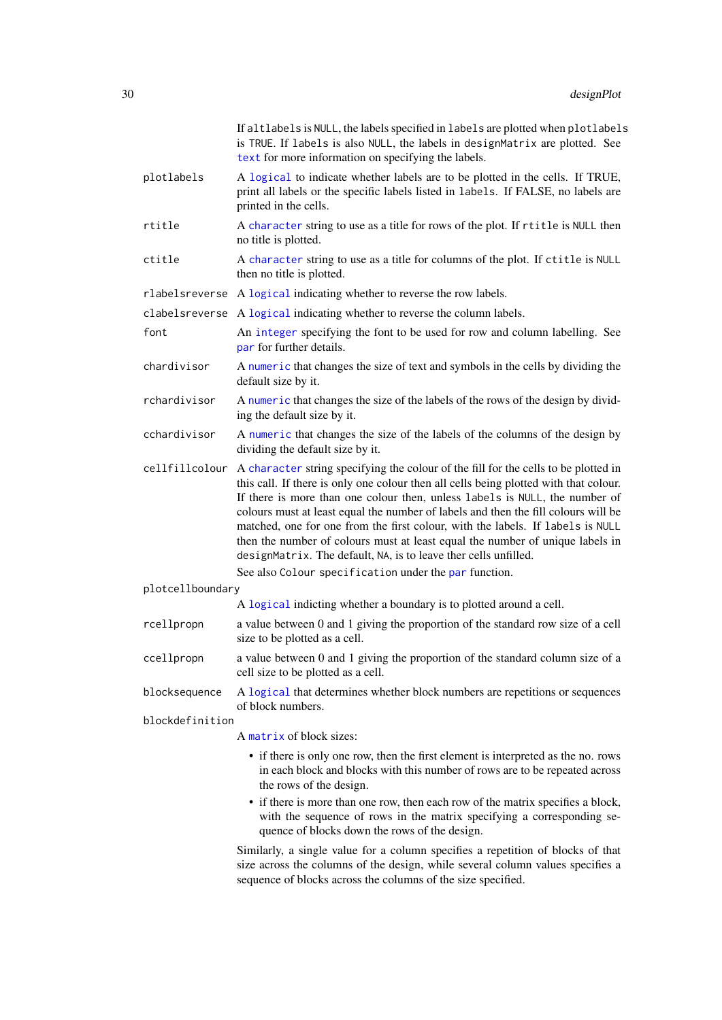|                  | If altlabels is NULL, the labels specified in labels are plotted when plotlabels<br>is TRUE. If labels is also NULL, the labels in designMatrix are plotted. See<br>text for more information on specifying the labels.                                                                                                                                                                                                                                                                                                                                                                                                                                         |
|------------------|-----------------------------------------------------------------------------------------------------------------------------------------------------------------------------------------------------------------------------------------------------------------------------------------------------------------------------------------------------------------------------------------------------------------------------------------------------------------------------------------------------------------------------------------------------------------------------------------------------------------------------------------------------------------|
| plotlabels       | A logical to indicate whether labels are to be plotted in the cells. If TRUE,<br>print all labels or the specific labels listed in labels. If FALSE, no labels are<br>printed in the cells.                                                                                                                                                                                                                                                                                                                                                                                                                                                                     |
| rtitle           | A character string to use as a title for rows of the plot. If rtitle is NULL then<br>no title is plotted.                                                                                                                                                                                                                                                                                                                                                                                                                                                                                                                                                       |
| ctitle           | A character string to use as a title for columns of the plot. If ctitle is NULL<br>then no title is plotted.                                                                                                                                                                                                                                                                                                                                                                                                                                                                                                                                                    |
|                  | rlabelsreverse A logical indicating whether to reverse the row labels.                                                                                                                                                                                                                                                                                                                                                                                                                                                                                                                                                                                          |
| clabelsreverse   | A logical indicating whether to reverse the column labels.                                                                                                                                                                                                                                                                                                                                                                                                                                                                                                                                                                                                      |
| font             | An integer specifying the font to be used for row and column labelling. See<br>par for further details.                                                                                                                                                                                                                                                                                                                                                                                                                                                                                                                                                         |
| chardivisor      | A numeric that changes the size of text and symbols in the cells by dividing the<br>default size by it.                                                                                                                                                                                                                                                                                                                                                                                                                                                                                                                                                         |
| rchardivisor     | A numeric that changes the size of the labels of the rows of the design by divid-<br>ing the default size by it.                                                                                                                                                                                                                                                                                                                                                                                                                                                                                                                                                |
| cchardivisor     | A numeric that changes the size of the labels of the columns of the design by<br>dividing the default size by it.                                                                                                                                                                                                                                                                                                                                                                                                                                                                                                                                               |
|                  | cellfillcolour A character string specifying the colour of the fill for the cells to be plotted in<br>this call. If there is only one colour then all cells being plotted with that colour.<br>If there is more than one colour then, unless labels is NULL, the number of<br>colours must at least equal the number of labels and then the fill colours will be<br>matched, one for one from the first colour, with the labels. If labels is NULL<br>then the number of colours must at least equal the number of unique labels in<br>designMatrix. The default, NA, is to leave ther cells unfilled.<br>See also Colour specification under the par function. |
| plotcellboundary |                                                                                                                                                                                                                                                                                                                                                                                                                                                                                                                                                                                                                                                                 |
|                  | A logical indicting whether a boundary is to plotted around a cell.                                                                                                                                                                                                                                                                                                                                                                                                                                                                                                                                                                                             |
| rcellpropn       | a value between 0 and 1 giving the proportion of the standard row size of a cell<br>size to be plotted as a cell.                                                                                                                                                                                                                                                                                                                                                                                                                                                                                                                                               |
| ccellpropn       | a value between 0 and 1 giving the proportion of the standard column size of a<br>cell size to be plotted as a cell.                                                                                                                                                                                                                                                                                                                                                                                                                                                                                                                                            |
| blocksequence    | A logical that determines whether block numbers are repetitions or sequences<br>of block numbers.                                                                                                                                                                                                                                                                                                                                                                                                                                                                                                                                                               |
| blockdefinition  |                                                                                                                                                                                                                                                                                                                                                                                                                                                                                                                                                                                                                                                                 |
|                  | A matrix of block sizes:                                                                                                                                                                                                                                                                                                                                                                                                                                                                                                                                                                                                                                        |
|                  | • if there is only one row, then the first element is interpreted as the no. rows<br>in each block and blocks with this number of rows are to be repeated across<br>the rows of the design.                                                                                                                                                                                                                                                                                                                                                                                                                                                                     |
|                  | • if there is more than one row, then each row of the matrix specifies a block,<br>with the sequence of rows in the matrix specifying a corresponding se-<br>quence of blocks down the rows of the design.                                                                                                                                                                                                                                                                                                                                                                                                                                                      |
|                  | Similarly, a single value for a column specifies a repetition of blocks of that<br>size across the columns of the design, while several column values specifies a<br>sequence of blocks across the columns of the size specified.                                                                                                                                                                                                                                                                                                                                                                                                                               |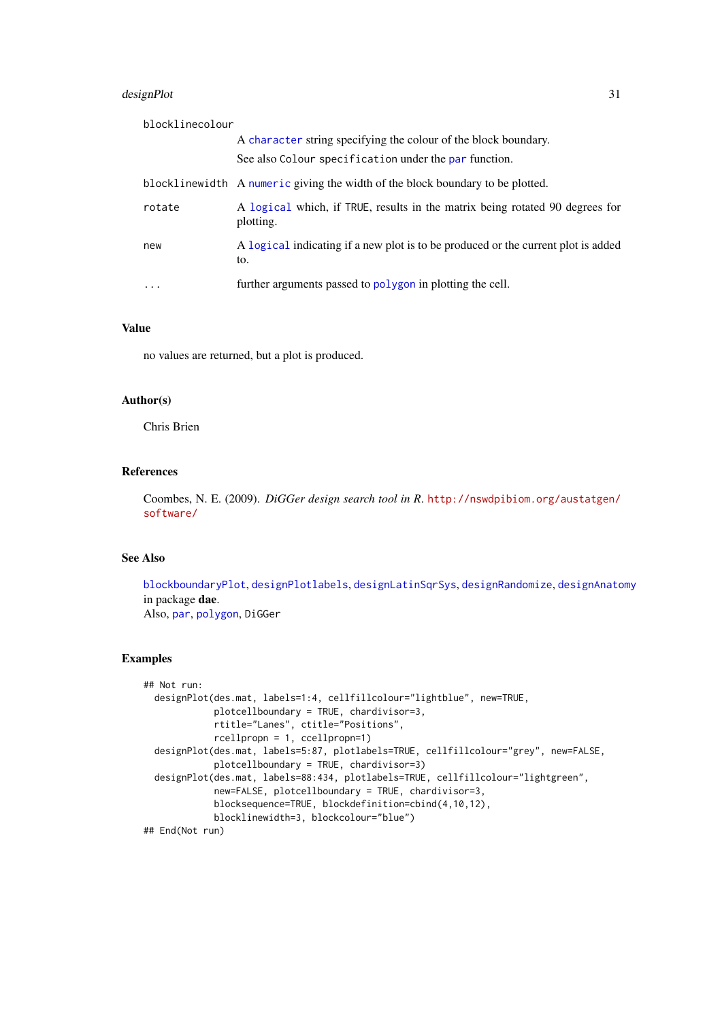#### designPlot 31

| blocklinecolour |                                                                                           |
|-----------------|-------------------------------------------------------------------------------------------|
|                 | A character string specifying the colour of the block boundary.                           |
|                 | See also Colour specification under the par function.                                     |
|                 | blocklinewidth A numeric giving the width of the block boundary to be plotted.            |
| rotate          | A logical which, if TRUE, results in the matrix being rotated 90 degrees for<br>plotting. |
| new             | A logical indicating if a new plot is to be produced or the current plot is added<br>to.  |
| $\ddotsc$       | further arguments passed to polygon in plotting the cell.                                 |

# Value

no values are returned, but a plot is produced.

# Author(s)

Chris Brien

# References

Coombes, N. E. (2009). *DiGGer design search tool in R*. [http://nswdpibiom.org/austatgen/](http://nswdpibiom.org/austatgen/software/) [software/](http://nswdpibiom.org/austatgen/software/)

# See Also

[blockboundaryPlot](#page-10-2), [designPlotlabels](#page-31-1), [designLatinSqrSys](#page-27-1), [designRandomize](#page-32-1), [designAnatomy](#page-19-1) in package dae. Also, [par](#page-0-0), [polygon](#page-0-0), DiGGer

```
## Not run:
  designPlot(des.mat, labels=1:4, cellfillcolour="lightblue", new=TRUE,
            plotcellboundary = TRUE, chardivisor=3,
            rtitle="Lanes", ctitle="Positions",
            rcellpropn = 1, ccellpropn=1)
  designPlot(des.mat, labels=5:87, plotlabels=TRUE, cellfillcolour="grey", new=FALSE,
             plotcellboundary = TRUE, chardivisor=3)
  designPlot(des.mat, labels=88:434, plotlabels=TRUE, cellfillcolour="lightgreen",
            new=FALSE, plotcellboundary = TRUE, chardivisor=3,
            blocksequence=TRUE, blockdefinition=cbind(4,10,12),
            blocklinewidth=3, blockcolour="blue")
## End(Not run)
```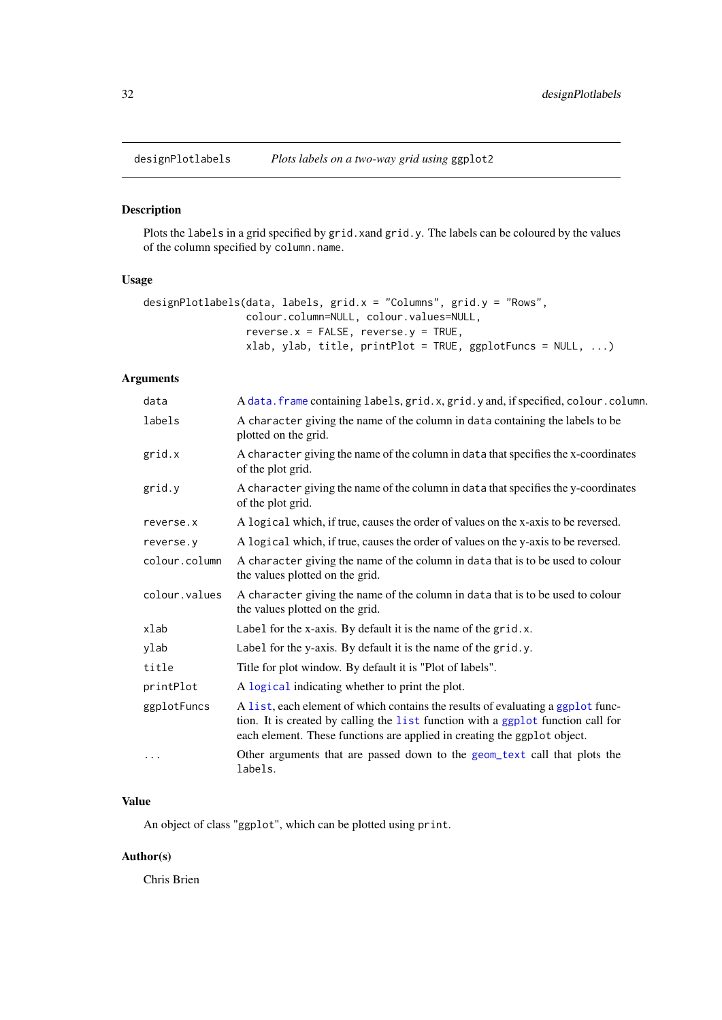<span id="page-31-1"></span><span id="page-31-0"></span>

Plots the labels in a grid specified by grid. xand grid.y. The labels can be coloured by the values of the column specified by column.name.

# Usage

```
designPlotlabels(data, labels, grid.x = "Columns", grid.y = "Rows",
                colour.column=NULL, colour.values=NULL,
                 reverse.x = FALSE, reverse.y =TRUE,
                 xlab, ylab, title, printPlot = TRUE, ggplotFuncs = NULL, ...)
```
# Arguments

| data          | A data. frame containing labels, grid. x, grid. y and, if specified, colour. column.                                                                                                                                                            |
|---------------|-------------------------------------------------------------------------------------------------------------------------------------------------------------------------------------------------------------------------------------------------|
| labels        | A character giving the name of the column in data containing the labels to be<br>plotted on the grid.                                                                                                                                           |
| grid.x        | A character giving the name of the column in data that specifies the x-coordinates<br>of the plot grid.                                                                                                                                         |
| grid.y        | A character giving the name of the column in data that specifies the y-coordinates<br>of the plot grid.                                                                                                                                         |
| reverse.x     | A logical which, if true, causes the order of values on the x-axis to be reversed.                                                                                                                                                              |
| reverse.y     | A logical which, if true, causes the order of values on the y-axis to be reversed.                                                                                                                                                              |
| colour.column | A character giving the name of the column in data that is to be used to colour<br>the values plotted on the grid.                                                                                                                               |
| colour.values | A character giving the name of the column in data that is to be used to colour<br>the values plotted on the grid.                                                                                                                               |
| xlab          | Label for the x-axis. By default it is the name of the grid.x.                                                                                                                                                                                  |
| ylab          | Label for the y-axis. By default it is the name of the grid.y.                                                                                                                                                                                  |
| title         | Title for plot window. By default it is "Plot of labels".                                                                                                                                                                                       |
| printPlot     | A logical indicating whether to print the plot.                                                                                                                                                                                                 |
| ggplotFuncs   | A list, each element of which contains the results of evaluating a ggplot func-<br>tion. It is created by calling the list function with a ggplot function call for<br>each element. These functions are applied in creating the ggplot object. |
| $\cdots$      | Other arguments that are passed down to the geom_text call that plots the<br>labels.                                                                                                                                                            |
|               |                                                                                                                                                                                                                                                 |

# Value

An object of class "ggplot", which can be plotted using print.

# Author(s)

Chris Brien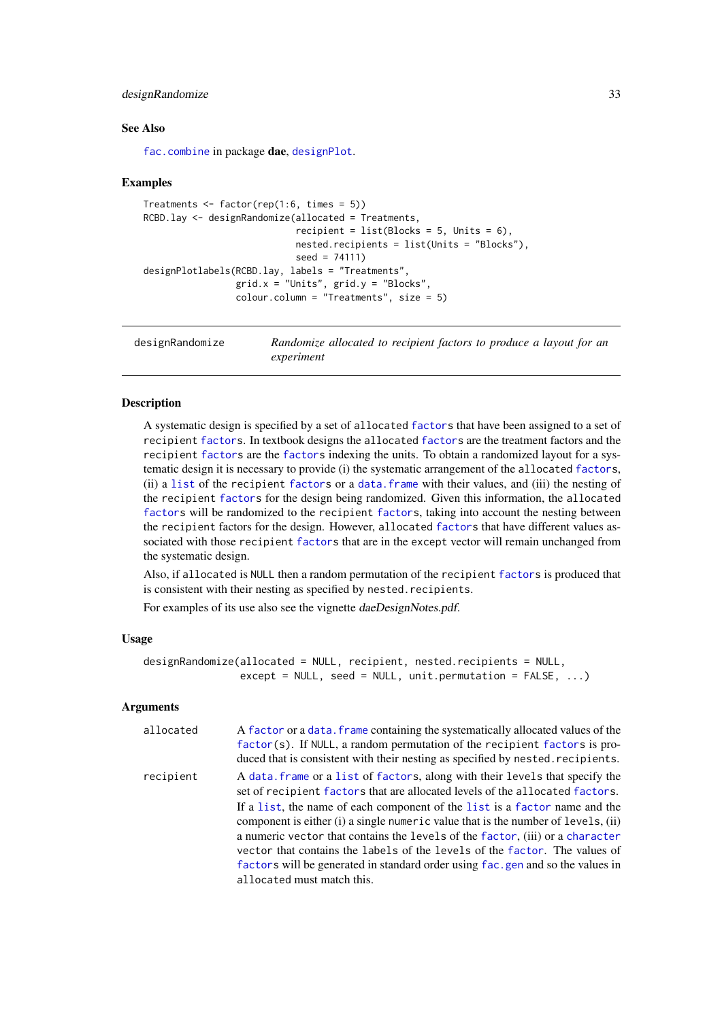#### <span id="page-32-0"></span>designRandomize 33

#### See Also

[fac.combine](#page-44-1) in package dae, [designPlot](#page-28-1).

#### Examples

```
Treatments \leq factor(rep(1:6, times = 5))
RCBD.lay <- designRandomize(allocated = Treatments,
                            recipient = list(Blocks = 5, Units = 6),
                            nested.recipients = list(Units = "Blocks"),
                            seed = 74111)
designPlotlabels(RCBD.lay, labels = "Treatments",
                 grid.x = "Units", grid.y = "Blocks",
                 colour.column = "Treatments", size = 5)
```
<span id="page-32-1"></span>designRandomize *Randomize allocated to recipient factors to produce a layout for an experiment*

# Description

A systematic design is specified by a set of allocated [factors](#page-0-0) that have been assigned to a set of recipient [factors](#page-0-0). In textbook designs the allocated [factors](#page-0-0) are the treatment factors and the recipient [factors](#page-0-0) are the [factors](#page-0-0) indexing the units. To obtain a randomized layout for a systematic design it is necessary to provide (i) the systematic arrangement of the allocated [factors](#page-0-0), (ii) a [list](#page-0-0) of the recipient [factors](#page-0-0) or a [data.frame](#page-0-0) with their values, and (iii) the nesting of the recipient [factors](#page-0-0) for the design being randomized. Given this information, the allocated [factors](#page-0-0) will be randomized to the recipient [factors](#page-0-0), taking into account the nesting between the recipient factors for the design. However, allocated [factors](#page-0-0) that have different values associated with those recipient [factors](#page-0-0) that are in the except vector will remain unchanged from the systematic design.

Also, if allocated is NULL then a random permutation of the recipient [factors](#page-0-0) is produced that is consistent with their nesting as specified by nested.recipients.

For examples of its use also see the vignette daeDesignNotes.pdf.

#### Usage

```
designRandomize(allocated = NULL, recipient, nested.recipients = NULL,
                except = NULL, seed = NULL, unit.permutation = FALSE, ...)
```
# Arguments

| allocated | A factor or a data. frame containing the systematically allocated values of the<br>factor(s). If NULL, a random permutation of the recipient factors is pro-<br>duced that is consistent with their nesting as specified by nested. recipients.                                                                                                                                                                                                                                                                                                                                 |
|-----------|---------------------------------------------------------------------------------------------------------------------------------------------------------------------------------------------------------------------------------------------------------------------------------------------------------------------------------------------------------------------------------------------------------------------------------------------------------------------------------------------------------------------------------------------------------------------------------|
| recipient | A data frame or a list of factors, along with their levels that specify the<br>set of recipient factors that are allocated levels of the allocated factors.<br>If a list, the name of each component of the list is a factor name and the<br>component is either (i) a single numeric value that is the number of levels, (ii)<br>a numeric vector that contains the levels of the factor, (iii) or a character<br>vector that contains the labels of the levels of the factor. The values of<br>factors will be generated in standard order using fac.gen and so the values in |
|           | allocated must match this.                                                                                                                                                                                                                                                                                                                                                                                                                                                                                                                                                      |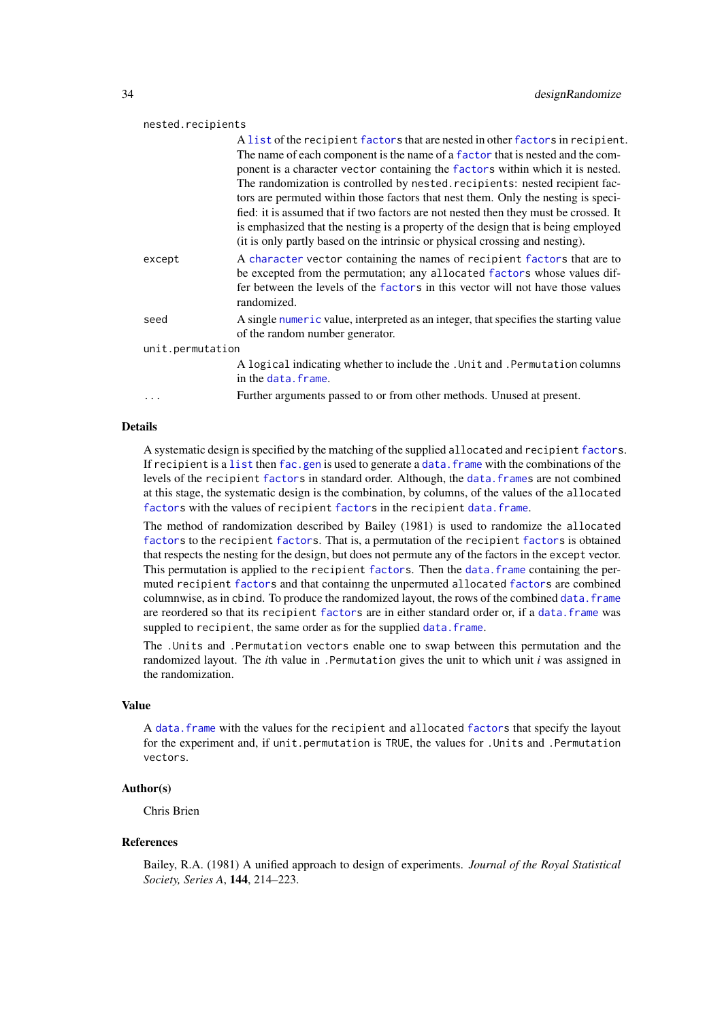### nested.recipients

|                  | A list of the recipient factors that are nested in other factors in recipient.<br>The name of each component is the name of a factor that is nested and the com-  |
|------------------|-------------------------------------------------------------------------------------------------------------------------------------------------------------------|
|                  | ponent is a character vector containing the factors within which it is nested.                                                                                    |
|                  | The randomization is controlled by nested. recipients: nested recipient fac-                                                                                      |
|                  | tors are permuted within those factors that nest them. Only the nesting is speci-                                                                                 |
|                  | fied: it is assumed that if two factors are not nested then they must be crossed. It                                                                              |
|                  | is emphasized that the nesting is a property of the design that is being employed<br>(it is only partly based on the intrinsic or physical crossing and nesting). |
| except           | A character vector containing the names of recipient factors that are to                                                                                          |
|                  | be excepted from the permutation; any allocated factors whose values dif-                                                                                         |
|                  | fer between the levels of the factors in this vector will not have those values<br>randomized.                                                                    |
| seed             | A single numeric value, interpreted as an integer, that specifies the starting value                                                                              |
|                  | of the random number generator.                                                                                                                                   |
| unit.permutation |                                                                                                                                                                   |
|                  | A logical indicating whether to include the . Unit and . Permutation columns                                                                                      |
|                  | in the data. frame.                                                                                                                                               |
|                  | Further arguments passed to or from other methods. Unused at present.                                                                                             |
|                  |                                                                                                                                                                   |

### Details

A systematic design is specified by the matching of the supplied allocated and recipient [factors](#page-0-0). If recipient is a [list](#page-0-0) then [fac.gen](#page-47-1) is used to generate a data. frame with the combinations of the levels of the recipient [factors](#page-0-0) in standard order. Although, the [data.frames](#page-0-0) are not combined at this stage, the systematic design is the combination, by columns, of the values of the allocated [factors](#page-0-0) with the values of recipient factors in the recipient [data.frame](#page-0-0).

The method of randomization described by Bailey (1981) is used to randomize the allocated [factors](#page-0-0) to the recipient [factors](#page-0-0). That is, a permutation of the recipient [factors](#page-0-0) is obtained that respects the nesting for the design, but does not permute any of the factors in the except vector. This permutation is applied to the recipient [factors](#page-0-0). Then the [data.frame](#page-0-0) containing the permuted recipient [factors](#page-0-0) and that containng the unpermuted allocated [factors](#page-0-0) are combined columnwise, as in cbind. To produce the randomized layout, the rows of the combined [data.frame](#page-0-0) are reordered so that its recipient [factors](#page-0-0) are in either standard order or, if a [data.frame](#page-0-0) was suppled to recipient, the same order as for the supplied [data.frame](#page-0-0).

The .Units and .Permutation vectors enable one to swap between this permutation and the randomized layout. The *i*th value in .Permutation gives the unit to which unit *i* was assigned in the randomization.

### Value

A [data.frame](#page-0-0) with the values for the recipient and allocated [factors](#page-0-0) that specify the layout for the experiment and, if unit.permutation is TRUE, the values for .Units and .Permutation vectors.

#### Author(s)

Chris Brien

#### References

Bailey, R.A. (1981) A unified approach to design of experiments. *Journal of the Royal Statistical Society, Series A*, 144, 214–223.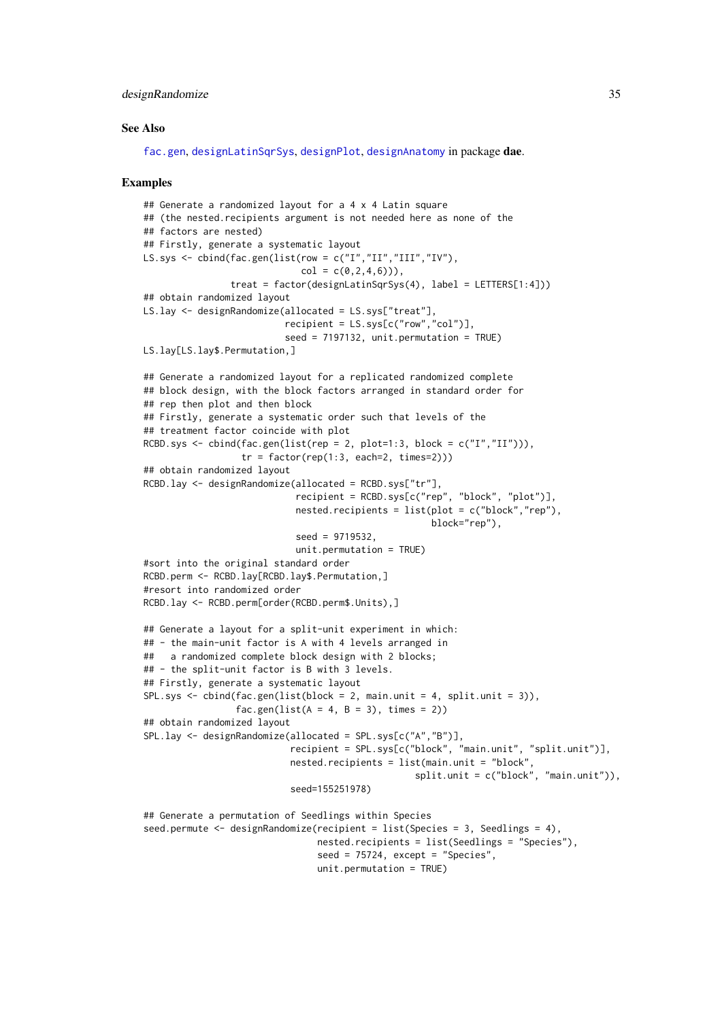#### designRandomize 35

#### See Also

[fac.gen](#page-47-1), [designLatinSqrSys](#page-27-1), [designPlot](#page-28-1), [designAnatomy](#page-19-1) in package dae.

```
## Generate a randomized layout for a 4 x 4 Latin square
## (the nested.recipients argument is not needed here as none of the
## factors are nested)
## Firstly, generate a systematic layout
LS.sys <- cbind(fac.gen(list(row = c("I","II","III","IV"),
                             col = c(0, 2, 4, 6)),
                treat = factor(designLatinSqrSys(4), label = LETTERS[1:4]))
## obtain randomized layout
LS.lay <- designRandomize(allocated = LS.sys["treat"],
                          recipient = LS.sys[c("row","col")],
                          seed = 7197132, unit.permutation = TRUE)
LS.lay[LS.lay$.Permutation,]
## Generate a randomized layout for a replicated randomized complete
## block design, with the block factors arranged in standard order for
## rep then plot and then block
## Firstly, generate a systematic order such that levels of the
## treatment factor coincide with plot
RCBD.sys <- cbind(fac.gen(list(rep = 2, plot=1:3, block = c("I","II"))),
                  tr = factor(rep(1:3, each=2, times=2)))## obtain randomized layout
RCBD.lay <- designRandomize(allocated = RCBD.sys["tr"],
                            recipient = RCBD.sys[c("rep", "block", "plot")],
                            nested.recipients = list(plot = c("block", "rep"),block="rep"),
                            seed = 9719532,
                            unit.permutation = TRUE)
#sort into the original standard order
RCBD.perm <- RCBD.lay[RCBD.lay$.Permutation,]
#resort into randomized order
RCBD.lay <- RCBD.perm[order(RCBD.perm$.Units),]
## Generate a layout for a split-unit experiment in which:
## - the main-unit factor is A with 4 levels arranged in
## a randomized complete block design with 2 blocks;
## - the split-unit factor is B with 3 levels.
## Firstly, generate a systematic layout
SPL.sys <- cbind(fac.gen(list(block = 2, main.unit = 4, split.unit = 3)),
                 fac.gen(list(A = 4, B = 3), times = 2))
## obtain randomized layout
SPL.lay <- designRandomize(allocated = SPL.sys[c("A","B")],
                           recipient = SPL.sys[c("block", "main.unit", "split.unit")],
                           nested.recipients = list(main.unit = "block",
                                                  split.unit = c("block", "main.unit")),
                           seed=155251978)
## Generate a permutation of Seedlings within Species
seed.permute <- designRandomize(recipient = list(Species = 3, Seedlings = 4),
                                nested.recipients = list(Seedlings = "Species"),
                                seed = 75724, except = "Species".
```

```
unit.permutation = TRUE)
```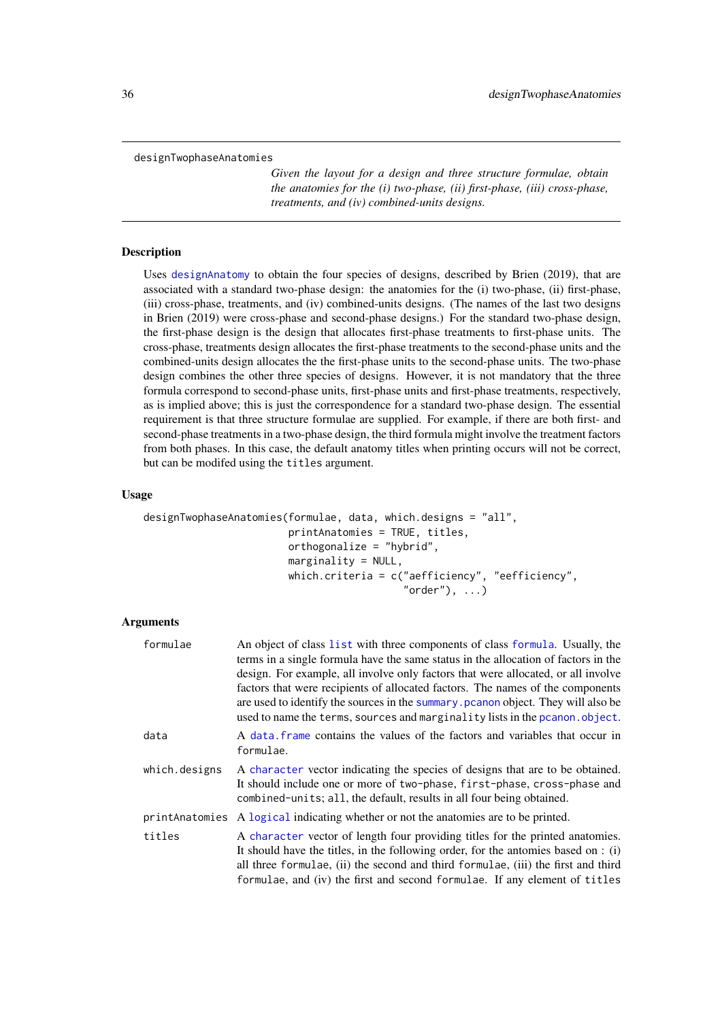<span id="page-35-1"></span><span id="page-35-0"></span>designTwophaseAnatomies

*Given the layout for a design and three structure formulae, obtain the anatomies for the (i) two-phase, (ii) first-phase, (iii) cross-phase, treatments, and (iv) combined-units designs.*

## Description

Uses [designAnatomy](#page-19-1) to obtain the four species of designs, described by Brien (2019), that are associated with a standard two-phase design: the anatomies for the (i) two-phase, (ii) first-phase, (iii) cross-phase, treatments, and (iv) combined-units designs. (The names of the last two designs in Brien (2019) were cross-phase and second-phase designs.) For the standard two-phase design, the first-phase design is the design that allocates first-phase treatments to first-phase units. The cross-phase, treatments design allocates the first-phase treatments to the second-phase units and the combined-units design allocates the the first-phase units to the second-phase units. The two-phase design combines the other three species of designs. However, it is not mandatory that the three formula correspond to second-phase units, first-phase units and first-phase treatments, respectively, as is implied above; this is just the correspondence for a standard two-phase design. The essential requirement is that three structure formulae are supplied. For example, if there are both first- and second-phase treatments in a two-phase design, the third formula might involve the treatment factors from both phases. In this case, the default anatomy titles when printing occurs will not be correct, but can be modifed using the titles argument.

# Usage

```
designTwophaseAnatomies(formulae, data, which.designs = "all",
                        printAnatomies = TRUE, titles,
                        orthogonalize = "hybrid",
                        marginality = NULL,
                        which.criteria = c("aefficiency", "eefficiency",
                                            "order"), ...)
```
# Arguments

| formulae      | An object of class list with three components of class formula. Usually, the<br>terms in a single formula have the same status in the allocation of factors in the<br>design. For example, all involve only factors that were allocated, or all involve<br>factors that were recipients of allocated factors. The names of the components<br>are used to identify the sources in the summary person object. They will also be<br>used to name the terms, sources and marginality lists in the pcanon. object. |
|---------------|---------------------------------------------------------------------------------------------------------------------------------------------------------------------------------------------------------------------------------------------------------------------------------------------------------------------------------------------------------------------------------------------------------------------------------------------------------------------------------------------------------------|
| data          | A data frame contains the values of the factors and variables that occur in<br>formulae.                                                                                                                                                                                                                                                                                                                                                                                                                      |
| which.designs | A character vector indicating the species of designs that are to be obtained.<br>It should include one or more of two-phase, first-phase, cross-phase and<br>combined-units; all, the default, results in all four being obtained.                                                                                                                                                                                                                                                                            |
|               | print Anatomies A logical indicating whether or not the anatomies are to be printed.                                                                                                                                                                                                                                                                                                                                                                                                                          |
| titles        | A character vector of length four providing titles for the printed anatomies.<br>It should have the titles, in the following order, for the antomies based on : (i)<br>all three formulae, (ii) the second and third formulae, (iii) the first and third<br>formulae, and (iv) the first and second formulae. If any element of titles                                                                                                                                                                        |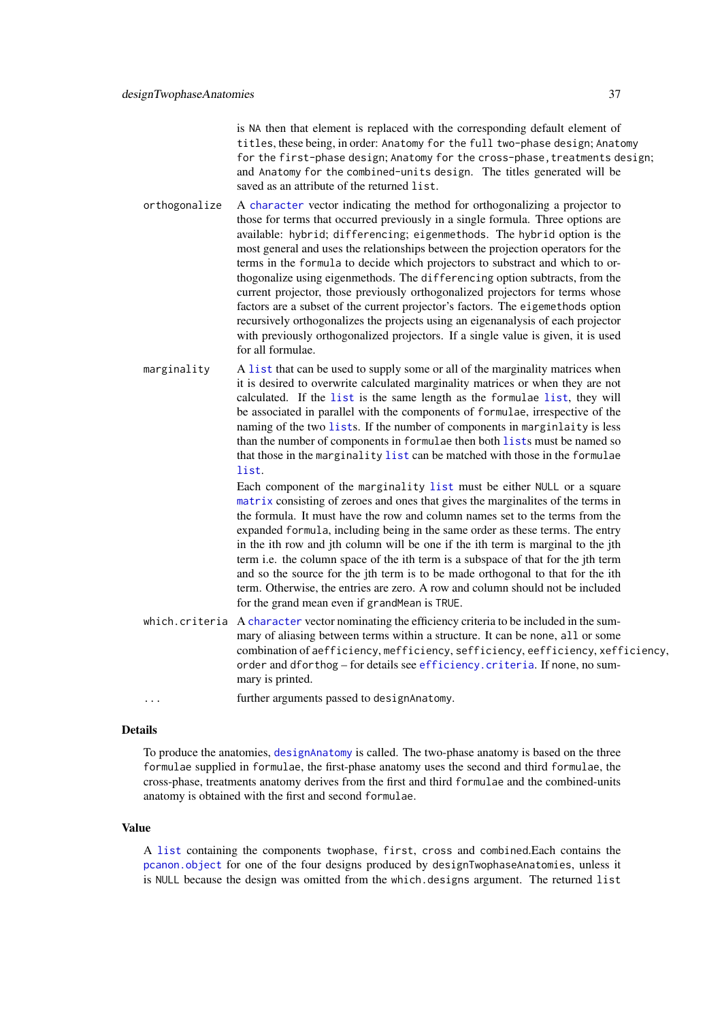is NA then that element is replaced with the corresponding default element of titles, these being, in order: Anatomy for the full two-phase design; Anatomy for the first-phase design; Anatomy for the cross-phase, treatments design; and Anatomy for the combined-units design. The titles generated will be saved as an attribute of the returned list.

- orthogonalize A [character](#page-0-0) vector indicating the method for orthogonalizing a projector to those for terms that occurred previously in a single formula. Three options are available: hybrid; differencing; eigenmethods. The hybrid option is the most general and uses the relationships between the projection operators for the terms in the formula to decide which projectors to substract and which to orthogonalize using eigenmethods. The differencing option subtracts, from the current projector, those previously orthogonalized projectors for terms whose factors are a subset of the current projector's factors. The eigemethods option recursively orthogonalizes the projects using an eigenanalysis of each projector with previously orthogonalized projectors. If a single value is given, it is used for all formulae.
- marginality A [list](#page-0-0) that can be used to supply some or all of the marginality matrices when it is desired to overwrite calculated marginality matrices or when they are not calculated. If the [list](#page-0-0) is the same length as the formulae [list](#page-0-0), they will be associated in parallel with the components of formulae, irrespective of the naming of the two [list](#page-0-0)s. If the number of components in marginlaity is less than the number of components in formulae then both [list](#page-0-0)s must be named so that those in the marginality [list](#page-0-0) can be matched with those in the formulae [list](#page-0-0).

Each component of the marginality [list](#page-0-0) must be either NULL or a square [matrix](#page-0-0) consisting of zeroes and ones that gives the marginalites of the terms in the formula. It must have the row and column names set to the terms from the expanded formula, including being in the same order as these terms. The entry in the ith row and jth column will be one if the ith term is marginal to the jth term i.e. the column space of the ith term is a subspace of that for the jth term and so the source for the jth term is to be made orthogonal to that for the ith term. Otherwise, the entries are zero. A row and column should not be included for the grand mean even if grandMean is TRUE.

- which. criteria A [character](#page-0-0) vector nominating the efficiency criteria to be included in the summary of aliasing between terms within a structure. It can be none, all or some combination of aefficiency, mefficiency, sefficiency, eefficiency, xefficiency, order and dforthog – for details see [efficiency.criteria](#page-40-0). If none, no summary is printed.
- ... further arguments passed to designAnatomy.

#### Details

To produce the anatomies, [designAnatomy](#page-19-0) is called. The two-phase anatomy is based on the three formulae supplied in formulae, the first-phase anatomy uses the second and third formulae, the cross-phase, treatments anatomy derives from the first and third formulae and the combined-units anatomy is obtained with the first and second formulae.

## Value

A [list](#page-0-0) containing the components twophase, first, cross and combined.Each contains the [pcanon.object](#page-94-0) for one of the four designs produced by designTwophaseAnatomies, unless it is NULL because the design was omitted from the which.designs argument. The returned list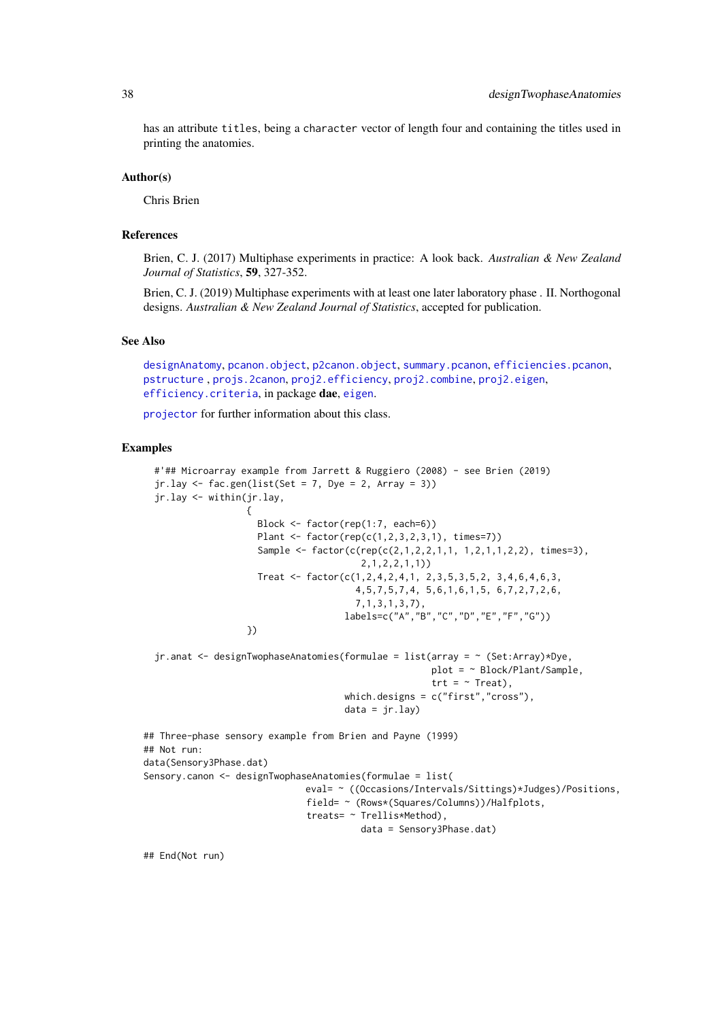has an attribute titles, being a character vector of length four and containing the titles used in printing the anatomies.

#### Author(s)

Chris Brien

# References

Brien, C. J. (2017) Multiphase experiments in practice: A look back. *Australian & New Zealand Journal of Statistics*, 59, 327-352.

Brien, C. J. (2019) Multiphase experiments with at least one later laboratory phase . II. Northogonal designs. *Australian & New Zealand Journal of Statistics*, accepted for publication.

### See Also

[designAnatomy](#page-19-0), [pcanon.object](#page-94-0), [p2canon.object](#page-93-0), [summary.pcanon](#page-124-0), [efficiencies.pcanon](#page-39-0), [pstructure](#page-110-0) , [projs.2canon](#page-107-0), [proj2.efficiency](#page-102-0), [proj2.combine](#page-101-0), [proj2.eigen](#page-103-0), [efficiency.criteria](#page-40-0), in package dae, [eigen](#page-0-0).

[projector](#page-106-0) for further information about this class.

### Examples

```
#'## Microarray example from Jarrett & Ruggiero (2008) - see Brien (2019)
  jr.lay \leftarrow fac.gen(list(Set = 7, Dye = 2, Array = 3))jr.lay <- within(jr.lay,
                   {
                     Block <- factor(rep(1:7, each=6))
                     Plant <- factor(rep(c(1,2,3,2,3,1), times=7))
                     Sample <- factor(c(rep(c(2,1,2,2,1,1, 1,2,1,1,2,2), times=3),
                                         2,1,2,2,1,1))
                     Treat <- factor(c(1,2,4,2,4,1, 2,3,5,3,5,2, 3,4,6,4,6,3,
                                        4,5,7,5,7,4, 5,6,1,6,1,5, 6,7,2,7,2,6,
                                        7,1,3,1,3,7),
                                      labels=c("A","B","C","D","E","F","G"))
                   })
  jr.anat <- designTwophaseAnatomies(formulae = list(array = ~ (Set:Array)*Dye,
                                                      plot = ~ Block/Plant/Sample,
                                                      trt = ~\sim Treat),
                                      which.designs = c("first","cross"),
                                      data = jr.lay)## Three-phase sensory example from Brien and Payne (1999)
## Not run:
data(Sensory3Phase.dat)
Sensory.canon <- designTwophaseAnatomies(formulae = list(
                              eval= ~ ((Occasions/Intervals/Sittings)*Judges)/Positions,
                              field= ~ (Rows*(Squares/Columns))/Halfplots,
                              treats= ~ Trellis*Method),
                                         data = Sensory3Phase.dat)
```
## End(Not run)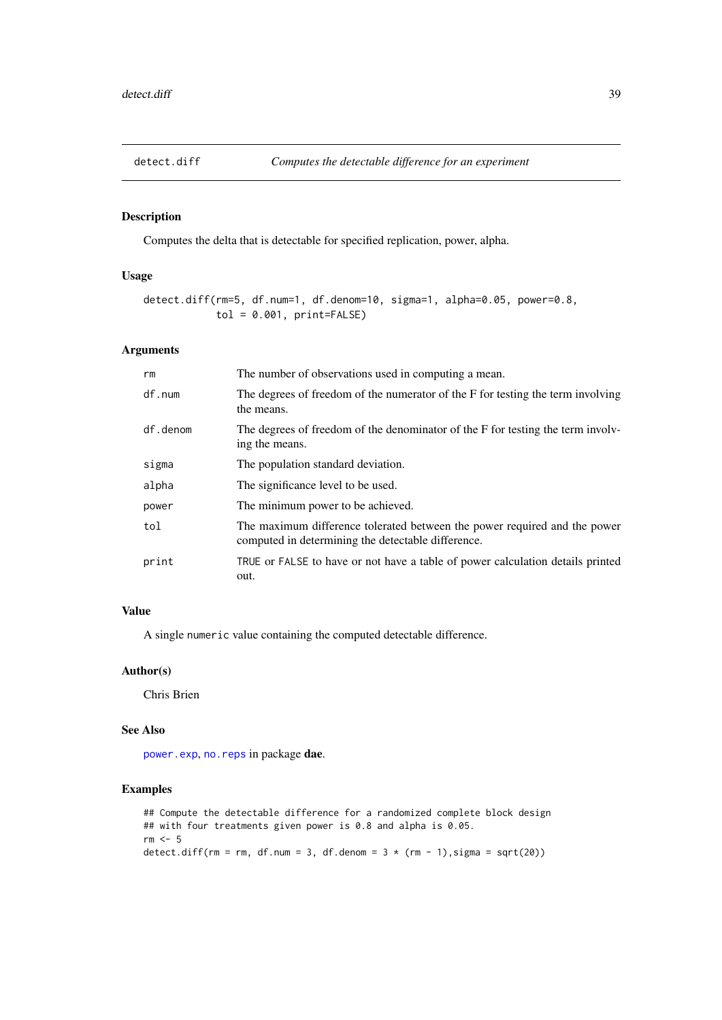### Description

Computes the delta that is detectable for specified replication, power, alpha.

# Usage

```
detect.diff(rm=5, df.num=1, df.denom=10, sigma=1, alpha=0.05, power=0.8,
            tol = 0.001, print = FALSE)
```
# Arguments

| rm       | The number of observations used in computing a mean.                                                                            |
|----------|---------------------------------------------------------------------------------------------------------------------------------|
| df.num   | The degrees of freedom of the numerator of the F for testing the term involving<br>the means.                                   |
| df.denom | The degrees of freedom of the denominator of the F for testing the term involv-<br>ing the means.                               |
| sigma    | The population standard deviation.                                                                                              |
| alpha    | The significance level to be used.                                                                                              |
| power    | The minimum power to be achieved.                                                                                               |
| tol      | The maximum difference tolerated between the power required and the power<br>computed in determining the detectable difference. |
| print    | TRUE or FALSE to have or not have a table of power calculation details printed<br>out.                                          |

# Value

A single numeric value containing the computed detectable difference.

# Author(s)

Chris Brien

# See Also

[power.exp](#page-95-0), [no.reps](#page-92-0) in package dae.

# Examples

```
## Compute the detectable difference for a randomized complete block design
## with four treatments given power is 0.8 and alpha is 0.05.
rm < - 5detect.diff(rm = rm, df.num = 3, df.denom = 3 * (rm - 1),sigma = sqrt(20))
```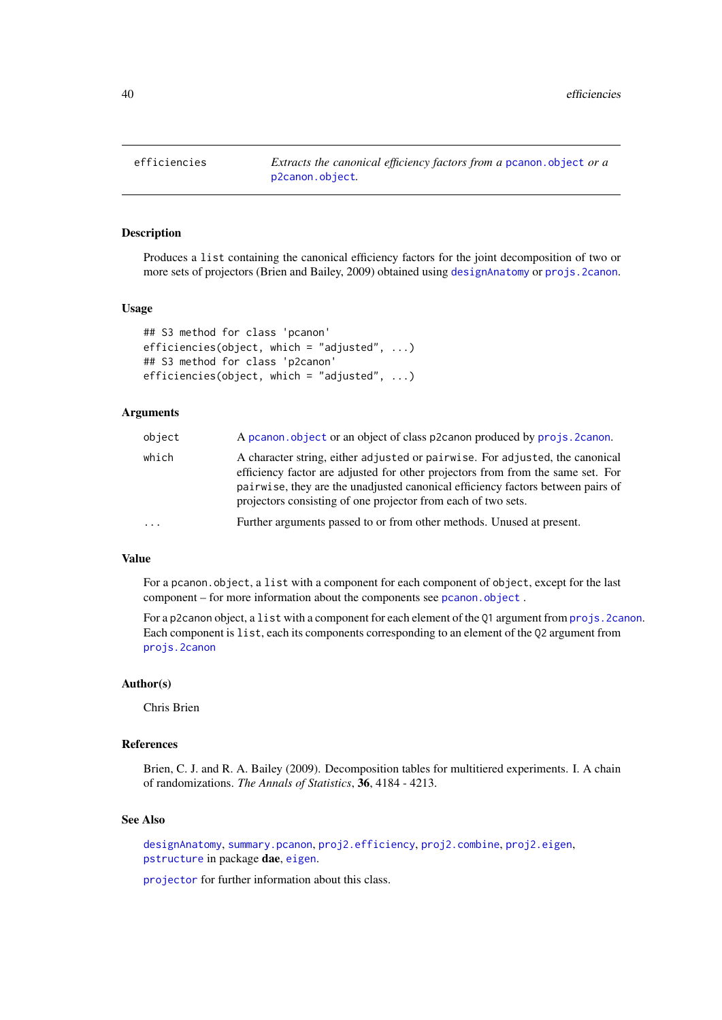efficiencies *Extracts the canonical efficiency factors from a* [pcanon.object](#page-94-0) *or a* [p2canon.object](#page-93-0)*.*

# <span id="page-39-0"></span>Description

Produces a list containing the canonical efficiency factors for the joint decomposition of two or more sets of projectors (Brien and Bailey, 2009) obtained using [designAnatomy](#page-19-0) or [projs.2canon](#page-107-0).

#### Usage

```
## S3 method for class 'pcanon'
efficiencies(object, which = "adjusted", ...)
## S3 method for class 'p2canon'
efficiencies(object, which = "adjusted", ...)
```
## Arguments

| object   | A pcanon. object or an object of class p2canon produced by projs. 2canon.                                                                                                                                                                                                                                           |
|----------|---------------------------------------------------------------------------------------------------------------------------------------------------------------------------------------------------------------------------------------------------------------------------------------------------------------------|
| which    | A character string, either adjusted or pairwise. For adjusted, the canonical<br>efficiency factor are adjusted for other projectors from from the same set. For<br>pairwise, they are the unadjusted canonical efficiency factors between pairs of<br>projectors consisting of one projector from each of two sets. |
| $\cdots$ | Further arguments passed to or from other methods. Unused at present.                                                                                                                                                                                                                                               |
|          |                                                                                                                                                                                                                                                                                                                     |

# Value

For a pcanon.object, a list with a component for each component of object, except for the last component – for more information about the components see [pcanon.object](#page-94-0).

For a p2canon object, a list with a component for each element of the 01 argument from projs. 2canon. Each component is list, each its components corresponding to an element of the Q2 argument from [projs.2canon](#page-107-0)

## Author(s)

Chris Brien

### References

Brien, C. J. and R. A. Bailey (2009). Decomposition tables for multitiered experiments. I. A chain of randomizations. *The Annals of Statistics*, 36, 4184 - 4213.

## See Also

[designAnatomy](#page-19-0), [summary.pcanon](#page-124-0), [proj2.efficiency](#page-102-0), [proj2.combine](#page-101-0), [proj2.eigen](#page-103-0), [pstructure](#page-110-0) in package dae, [eigen](#page-0-0).

[projector](#page-106-0) for further information about this class.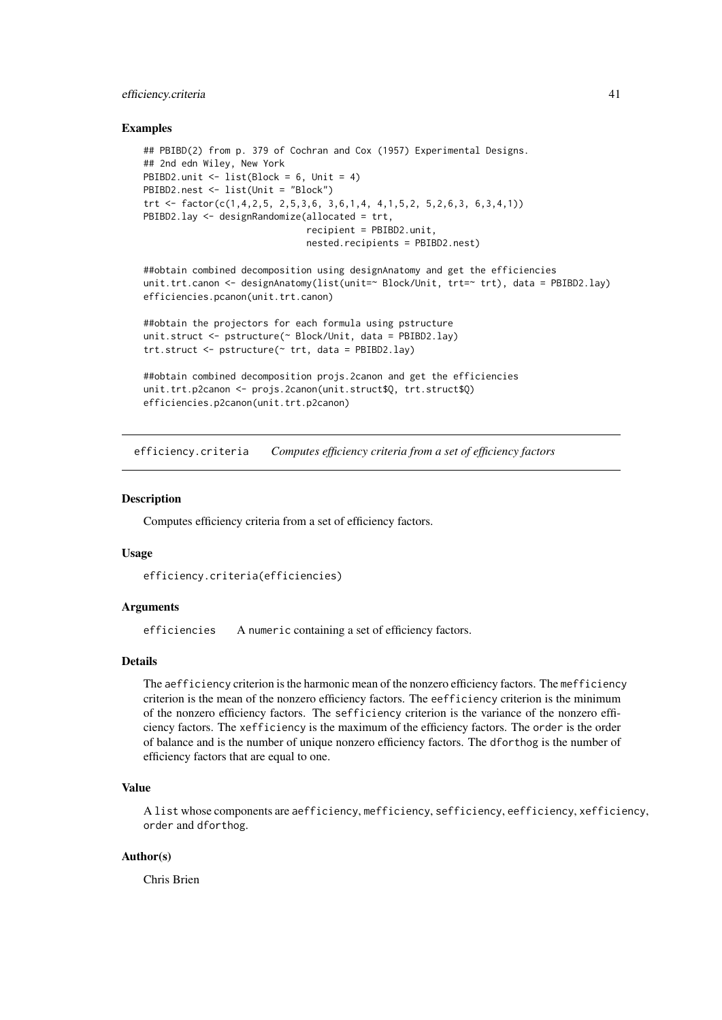## efficiency.criteria 41

### Examples

```
## PBIBD(2) from p. 379 of Cochran and Cox (1957) Experimental Designs.
## 2nd edn Wiley, New York
PBIBD2.unit <- list(Block = 6, Unit = 4)
PBIBD2.nest <- list(Unit = "Block")
trt <- factor(c(1,4,2,5, 2,5,3,6, 3,6,1,4, 4,1,5,2, 5,2,6,3, 6,3,4,1))
PBIBD2.lay <- designRandomize(allocated = trt,
                              recipient = PBIBD2.unit,
                              nested.recipients = PBIBD2.nest)
##obtain combined decomposition using designAnatomy and get the efficiencies
unit.trt.canon <- designAnatomy(list(unit=~ Block/Unit, trt=~ trt), data = PBIBD2.lay)
efficiencies.pcanon(unit.trt.canon)
##obtain the projectors for each formula using pstructure
unit.struct <- pstructure(~ Block/Unit, data = PBIBD2.lay)
trt.struct <- pstructure(~ trt, data = PBIBD2.lay)
##obtain combined decomposition projs.2canon and get the efficiencies
unit.trt.p2canon <- projs.2canon(unit.struct$Q, trt.struct$Q)
efficiencies.p2canon(unit.trt.p2canon)
```
<span id="page-40-0"></span>efficiency.criteria *Computes efficiency criteria from a set of efficiency factors*

## Description

Computes efficiency criteria from a set of efficiency factors.

#### Usage

```
efficiency.criteria(efficiencies)
```
## Arguments

efficiencies A numeric containing a set of efficiency factors.

## Details

The aefficiency criterion is the harmonic mean of the nonzero efficiency factors. The mefficiency criterion is the mean of the nonzero efficiency factors. The eefficiency criterion is the minimum of the nonzero efficiency factors. The sefficiency criterion is the variance of the nonzero efficiency factors. The xefficiency is the maximum of the efficiency factors. The order is the order of balance and is the number of unique nonzero efficiency factors. The dforthog is the number of efficiency factors that are equal to one.

## Value

A list whose components are aefficiency, mefficiency, sefficiency, eefficiency, xefficiency, order and dforthog.

# Author(s)

Chris Brien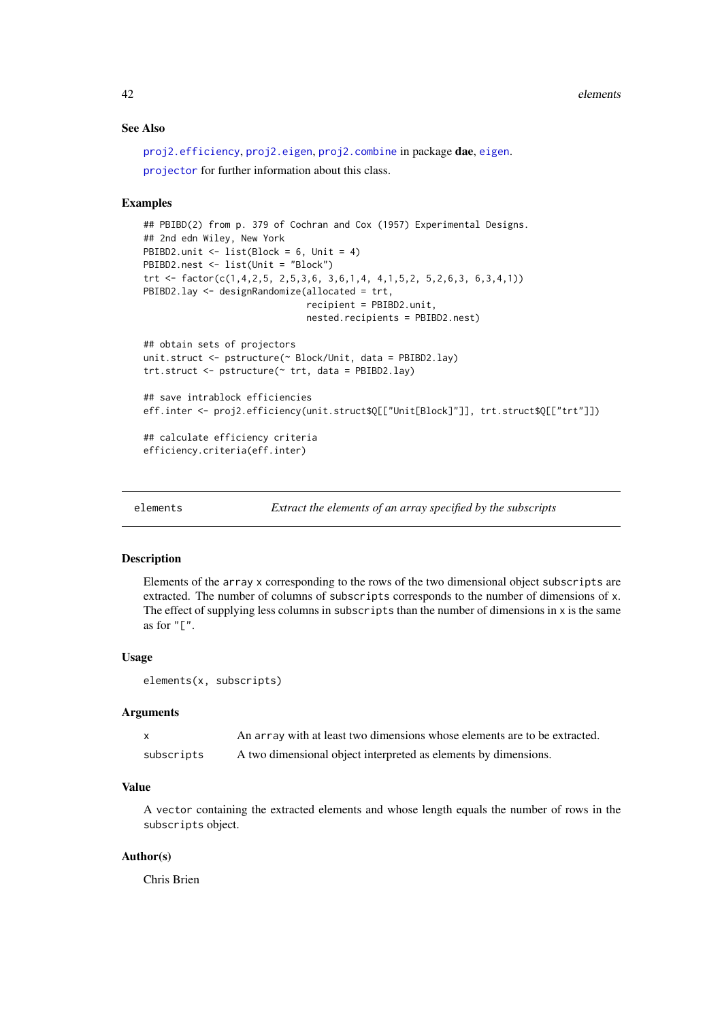### See Also

```
proj2.efficiency, proj2.eigen, proj2.combine in package dae, eigen.
projector for further information about this class.
```
## Examples

```
## PBIBD(2) from p. 379 of Cochran and Cox (1957) Experimental Designs.
## 2nd edn Wiley, New York
PBIBD2.unit \le list(Block = 6, Unit = 4)
PBIBD2.nest <- list(Unit = "Block")
trt <- factor(c(1,4,2,5, 2,5,3,6, 3,6,1,4, 4,1,5,2, 5,2,6,3, 6,3,4,1))
PBIBD2.lay <- designRandomize(allocated = trt,
                              recipient = PBIBD2.unit,
                              nested.recipients = PBIBD2.nest)
## obtain sets of projectors
unit.struct <- pstructure(~ Block/Unit, data = PBIBD2.lay)
trt.struct <- pstructure(~ trt, data = PBIBD2.lay)
## save intrablock efficiencies
eff.inter <- proj2.efficiency(unit.struct$Q[["Unit[Block]"]], trt.struct$Q[["trt"]])
```

```
## calculate efficiency criteria
efficiency.criteria(eff.inter)
```

```
elements Extract the elements of an array specified by the subscripts
```
#### Description

Elements of the array x corresponding to the rows of the two dimensional object subscripts are extracted. The number of columns of subscripts corresponds to the number of dimensions of x. The effect of supplying less columns in subscripts than the number of dimensions in  $x$  is the same as for  $"$ [ $"$ .

# Usage

```
elements(x, subscripts)
```
#### Arguments

|            | An array with at least two dimensions whose elements are to be extracted. |
|------------|---------------------------------------------------------------------------|
| subscripts | A two dimensional object interpreted as elements by dimensions.           |

## Value

A vector containing the extracted elements and whose length equals the number of rows in the subscripts object.

# Author(s)

Chris Brien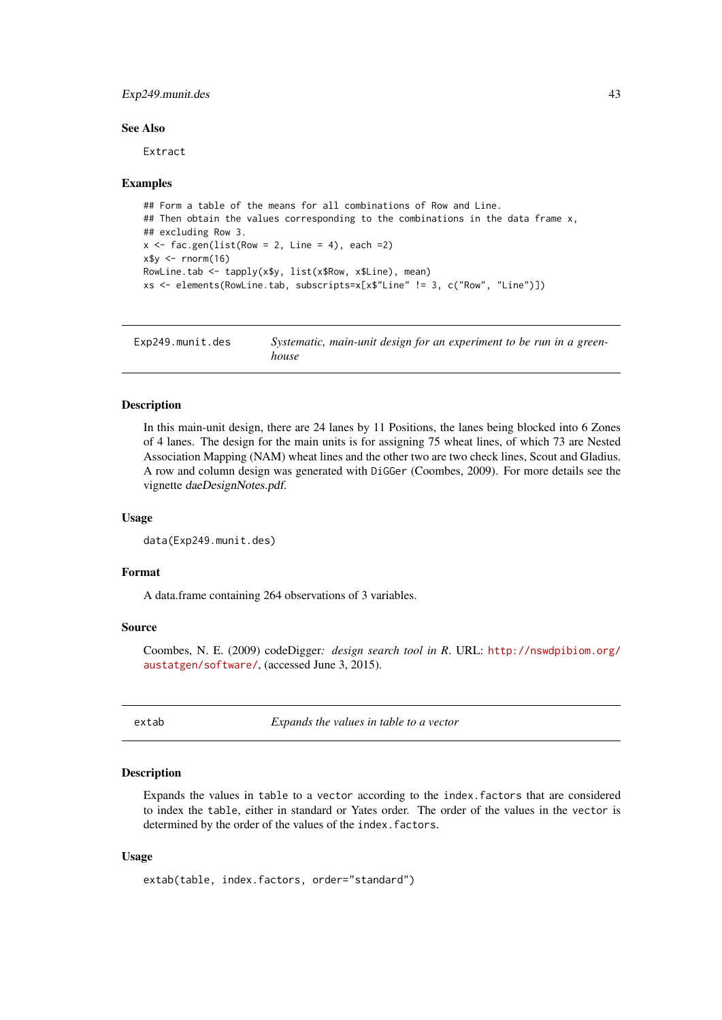#### Exp249.munit.des 43

#### See Also

Extract

## Examples

```
## Form a table of the means for all combinations of Row and Line.
## Then obtain the values corresponding to the combinations in the data frame x,
## excluding Row 3.
x \leftarrow fac.gen(list(Row = 2, Line = 4), each =2)
x$y <- rnorm(16)
RowLine.tab <- tapply(x$y, list(x$Row, x$Line), mean)
xs <- elements(RowLine.tab, subscripts=x[x$"Line" != 3, c("Row", "Line")])
```
Exp249.munit.des *Systematic, main-unit design for an experiment to be run in a greenhouse*

# Description

In this main-unit design, there are 24 lanes by 11 Positions, the lanes being blocked into 6 Zones of 4 lanes. The design for the main units is for assigning 75 wheat lines, of which 73 are Nested Association Mapping (NAM) wheat lines and the other two are two check lines, Scout and Gladius. A row and column design was generated with DiGGer (Coombes, 2009). For more details see the vignette daeDesignNotes.pdf.

## Usage

```
data(Exp249.munit.des)
```
### Format

A data.frame containing 264 observations of 3 variables.

## Source

Coombes, N. E. (2009) codeDigger*: design search tool in R*. URL: [http://nswdpibiom.org/](http://nswdpibiom.org/austatgen/software/) [austatgen/software/](http://nswdpibiom.org/austatgen/software/), (accessed June 3, 2015).

extab *Expands the values in table to a vector*

### Description

Expands the values in table to a vector according to the index.factors that are considered to index the table, either in standard or Yates order. The order of the values in the vector is determined by the order of the values of the index.factors.

# Usage

```
extab(table, index.factors, order="standard")
```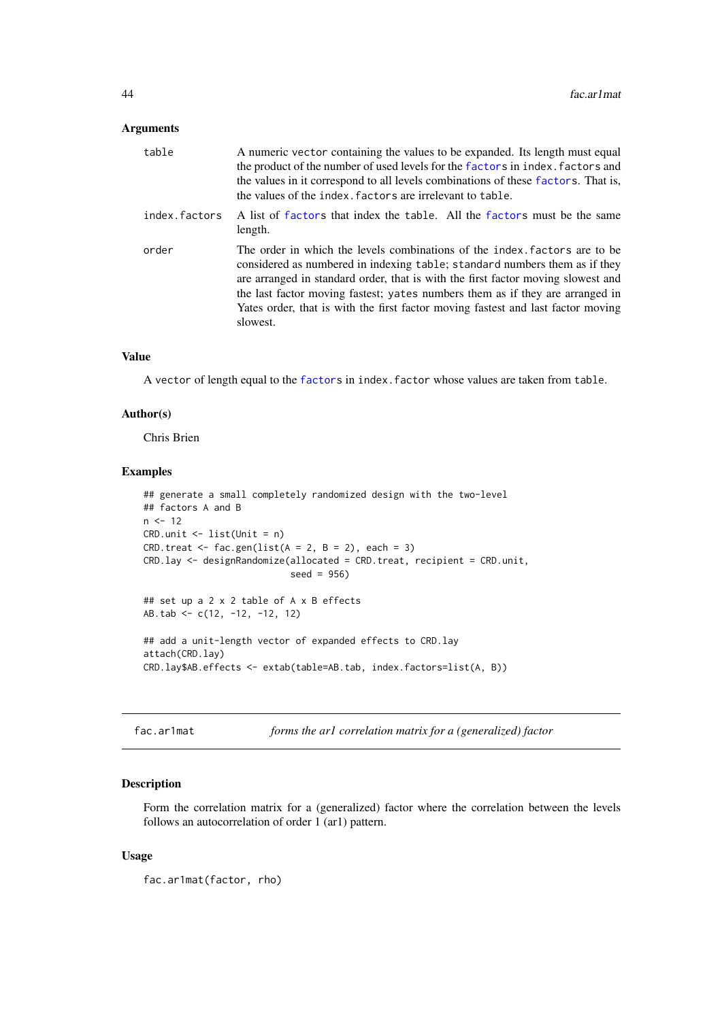## Arguments

| table         | A numeric vector containing the values to be expanded. Its length must equal<br>the product of the number of used levels for the factors in index. factors and<br>the values in it correspond to all levels combinations of these factors. That is,<br>the values of the index. factors are irrelevant to table.                                                                                                             |
|---------------|------------------------------------------------------------------------------------------------------------------------------------------------------------------------------------------------------------------------------------------------------------------------------------------------------------------------------------------------------------------------------------------------------------------------------|
| index.factors | A list of factors that index the table. All the factors must be the same<br>length.                                                                                                                                                                                                                                                                                                                                          |
| order         | The order in which the levels combinations of the index factors are to be<br>considered as numbered in indexing table; standard numbers them as if they<br>are arranged in standard order, that is with the first factor moving slowest and<br>the last factor moving fastest; yates numbers them as if they are arranged in<br>Yates order, that is with the first factor moving fastest and last factor moving<br>slowest. |

# Value

A vector of length equal to the [factors](#page-0-0) in index.factor whose values are taken from table.

### Author(s)

Chris Brien

## Examples

```
## generate a small completely randomized design with the two-level
## factors A and B
n < -12CRD.unit \leq - list(Unit = n)
CRD.treat \leq fac.gen(list(A = 2, B = 2), each = 3)
CRD.lay <- designRandomize(allocated = CRD.treat, recipient = CRD.unit,
                           seed = 956)
## set up a 2 x 2 table of A x B effects
AB.tab <- c(12, -12, -12, 12)
## add a unit-length vector of expanded effects to CRD.lay
attach(CRD.lay)
CRD.lay$AB.effects <- extab(table=AB.tab, index.factors=list(A, B))
```

```
fac.ar1mat forms the ar1 correlation matrix for a (generalized) factor
```
# Description

Form the correlation matrix for a (generalized) factor where the correlation between the levels follows an autocorrelation of order 1 (ar1) pattern.

# Usage

fac.ar1mat(factor, rho)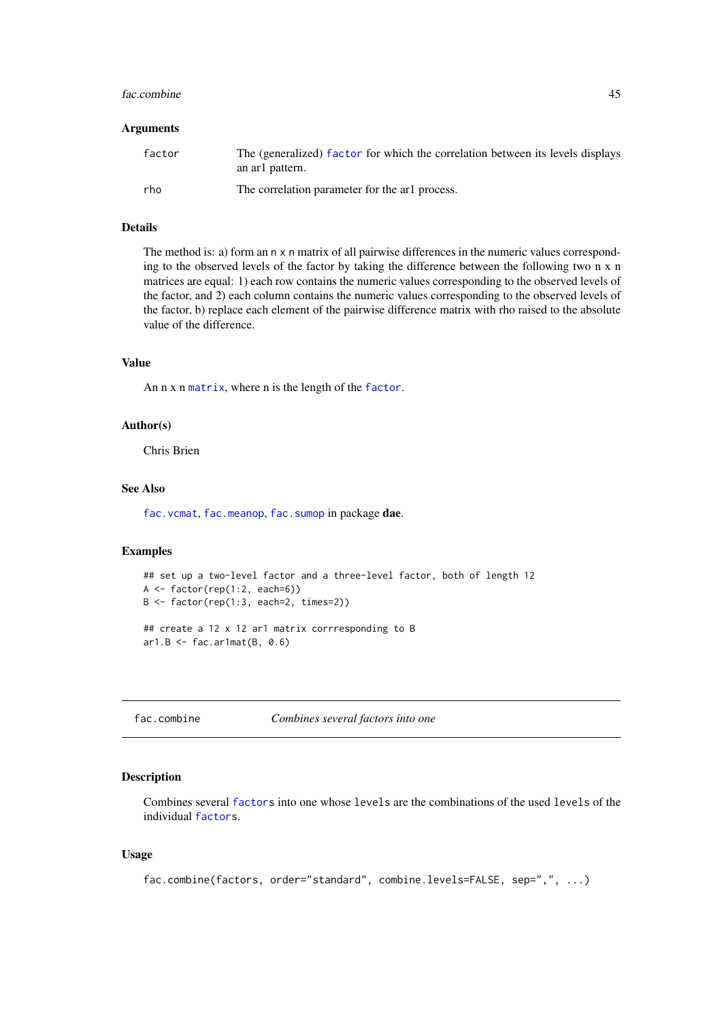#### fac.combine 45

#### Arguments

| factor | The (generalized) factor for which the correlation between its levels displays<br>an arl pattern. |
|--------|---------------------------------------------------------------------------------------------------|
| rho    | The correlation parameter for the arl process.                                                    |

### Details

The method is: a) form an n x n matrix of all pairwise differences in the numeric values corresponding to the observed levels of the factor by taking the difference between the following two n x n matrices are equal: 1) each row contains the numeric values corresponding to the observed levels of the factor, and 2) each column contains the numeric values corresponding to the observed levels of the factor, b) replace each element of the pairwise difference matrix with rho raised to the absolute value of the difference.

# Value

An n x n [matrix](#page-0-0), where n is the length of the [factor](#page-0-0).

# Author(s)

Chris Brien

# See Also

[fac.vcmat](#page-60-0), [fac.meanop](#page-50-0), [fac.sumop](#page-57-0) in package dae.

## Examples

```
## set up a two-level factor and a three-level factor, both of length 12
A <- factor(rep(1:2, each=6))
B <- factor(rep(1:3, each=2, times=2))
## create a 12 x 12 ar1 matrix corrresponding to B
ar1.B \leftarrow fac.ar1mat(B, 0.6)
```
<span id="page-44-0"></span>

```
fac.combine Combines several factors into one
```
# Description

Combines several [factors](#page-0-0) into one whose levels are the combinations of the used levels of the individual [factors](#page-0-0).

# Usage

```
fac.combine(factors, order="standard", combine.levels=FALSE, sep=",", ...)
```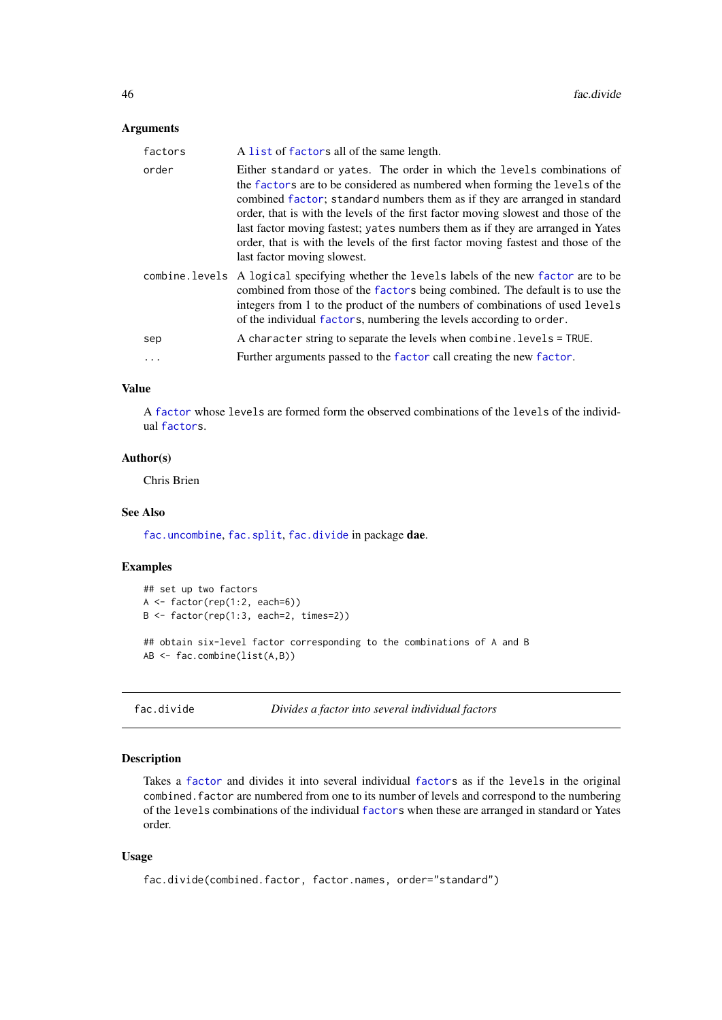# Arguments

| factors | A list of factors all of the same length.                                                                                                                                                                                                                                                                                                                                                                                                                                                                                          |
|---------|------------------------------------------------------------------------------------------------------------------------------------------------------------------------------------------------------------------------------------------------------------------------------------------------------------------------------------------------------------------------------------------------------------------------------------------------------------------------------------------------------------------------------------|
| order   | Either standard or yates. The order in which the levels combinations of<br>the factors are to be considered as numbered when forming the levels of the<br>combined factor; standard numbers them as if they are arranged in standard<br>order, that is with the levels of the first factor moving slowest and those of the<br>last factor moving fastest; yates numbers them as if they are arranged in Yates<br>order, that is with the levels of the first factor moving fastest and those of the<br>last factor moving slowest. |
|         | combine. Levels A logical specifying whether the levels labels of the new factor are to be<br>combined from those of the factors being combined. The default is to use the<br>integers from 1 to the product of the numbers of combinations of used levels<br>of the individual factors, numbering the levels according to order.                                                                                                                                                                                                  |
| sep     | A character string to separate the levels when combine. levels = TRUE.                                                                                                                                                                                                                                                                                                                                                                                                                                                             |
|         | Further arguments passed to the factor call creating the new factor.                                                                                                                                                                                                                                                                                                                                                                                                                                                               |

# Value

A [factor](#page-0-0) whose levels are formed form the observed combinations of the levels of the individual [factors](#page-0-0).

## Author(s)

Chris Brien

### See Also

[fac.uncombine](#page-58-0), [fac.split](#page-56-0), [fac.divide](#page-45-0) in package dae.

# Examples

```
## set up two factors
A \leftarrow factor(rep(1:2, each=6))
B <- factor(rep(1:3, each=2, times=2))
## obtain six-level factor corresponding to the combinations of A and B
AB <- fac.combine(list(A,B))
```
<span id="page-45-0"></span>fac.divide *Divides a factor into several individual factors*

# Description

Takes a [factor](#page-0-0) and divides it into several individual [factors](#page-0-0) as if the levels in the original combined.factor are numbered from one to its number of levels and correspond to the numbering of the levels combinations of the individual [factors](#page-0-0) when these are arranged in standard or Yates order.

# Usage

```
fac.divide(combined.factor, factor.names, order="standard")
```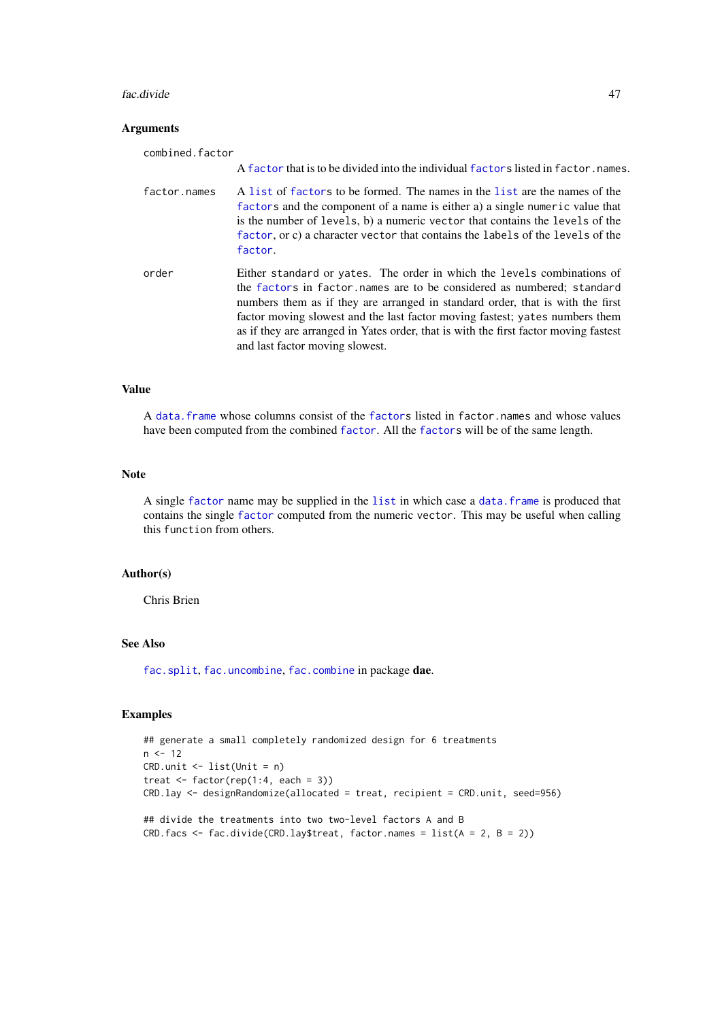#### fac.divide 47

# Arguments

| combined.factor |                                                                                                                                                                                                                                                                                                                                                                                                                                                |
|-----------------|------------------------------------------------------------------------------------------------------------------------------------------------------------------------------------------------------------------------------------------------------------------------------------------------------------------------------------------------------------------------------------------------------------------------------------------------|
|                 | A factor that is to be divided into the individual factors listed in factor, names.                                                                                                                                                                                                                                                                                                                                                            |
| factor.names    | A list of factors to be formed. The names in the list are the names of the<br>factors and the component of a name is either a) a single numeric value that<br>is the number of levels, b) a numeric vector that contains the levels of the<br>factor, or c) a character vector that contains the labels of the levels of the<br>factor.                                                                                                        |
| order           | Either standard or yates. The order in which the levels combinations of<br>the factors in factor names are to be considered as numbered; standard<br>numbers them as if they are arranged in standard order, that is with the first<br>factor moving slowest and the last factor moving fastest; yates numbers them<br>as if they are arranged in Yates order, that is with the first factor moving fastest<br>and last factor moving slowest. |

# Value

A [data.frame](#page-0-0) whose columns consist of the [factors](#page-0-0) listed in factor.names and whose values have been computed from the combined [factor](#page-0-0). All the [factors](#page-0-0) will be of the same length.

# Note

A single [factor](#page-0-0) name may be supplied in the [list](#page-0-0) in which case a [data.frame](#page-0-0) is produced that contains the single [factor](#page-0-0) computed from the numeric vector. This may be useful when calling this function from others.

### Author(s)

Chris Brien

# See Also

[fac.split](#page-56-0), [fac.uncombine](#page-58-0), [fac.combine](#page-44-0) in package dae.

# Examples

```
## generate a small completely randomized design for 6 treatments
n < -12CRD.unit <- list(Unit = n)
treat \leq factor(rep(1:4, each = 3))
CRD.lay <- designRandomize(allocated = treat, recipient = CRD.unit, seed=956)
## divide the treatments into two two-level factors A and B
CRD.facs \leq fac.divide(CRD.lay$treat, factor.names = list(A = 2, B = 2))
```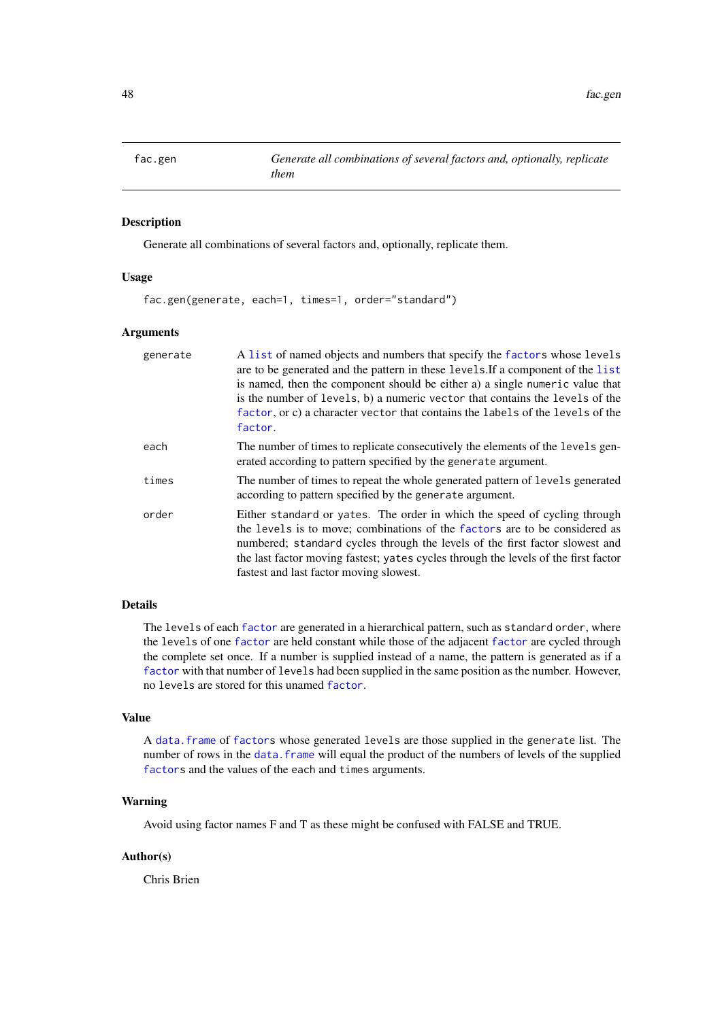<span id="page-47-0"></span>

# Description

Generate all combinations of several factors and, optionally, replicate them.

### Usage

fac.gen(generate, each=1, times=1, order="standard")

#### Arguments

| generate | A list of named objects and numbers that specify the factors whose levels<br>are to be generated and the pattern in these levels. If a component of the list<br>is named, then the component should be either a) a single numeric value that<br>is the number of levels, b) a numeric vector that contains the levels of the<br>factor, or c) a character vector that contains the labels of the levels of the<br>factor. |
|----------|---------------------------------------------------------------------------------------------------------------------------------------------------------------------------------------------------------------------------------------------------------------------------------------------------------------------------------------------------------------------------------------------------------------------------|
| each     | The number of times to replicate consecutively the elements of the levels gen-<br>erated according to pattern specified by the generate argument.                                                                                                                                                                                                                                                                         |
| times    | The number of times to repeat the whole generated pattern of levels generated<br>according to pattern specified by the generate argument.                                                                                                                                                                                                                                                                                 |
| order    | Either standard or yates. The order in which the speed of cycling through<br>the levels is to move; combinations of the factors are to be considered as<br>numbered; standard cycles through the levels of the first factor slowest and<br>the last factor moving fastest; yates cycles through the levels of the first factor<br>fastest and last factor moving slowest.                                                 |

# Details

The levels of each [factor](#page-0-0) are generated in a hierarchical pattern, such as standard order, where the levels of one [factor](#page-0-0) are held constant while those of the adjacent [factor](#page-0-0) are cycled through the complete set once. If a number is supplied instead of a name, the pattern is generated as if a [factor](#page-0-0) with that number of levels had been supplied in the same position as the number. However, no levels are stored for this unamed [factor](#page-0-0).

## Value

A [data.frame](#page-0-0) of [factors](#page-0-0) whose generated levels are those supplied in the generate list. The number of rows in the [data.frame](#page-0-0) will equal the product of the numbers of levels of the supplied [factors](#page-0-0) and the values of the each and times arguments.

## Warning

Avoid using factor names F and T as these might be confused with FALSE and TRUE.

# Author(s)

Chris Brien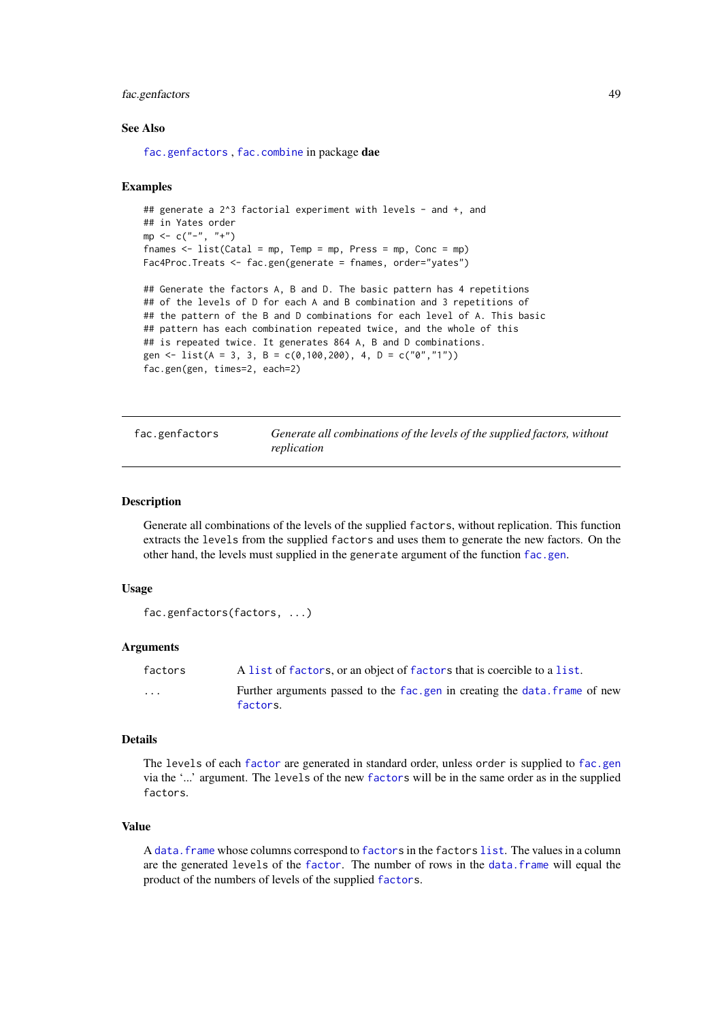### fac.genfactors 49

#### See Also

[fac.genfactors](#page-48-0) , [fac.combine](#page-44-0) in package dae

### Examples

```
## generate a 2^3 factorial experiment with levels - and +, and
## in Yates order
mp < -c("-", "+")fnames \leq - list(Catal = mp, Temp = mp, Press = mp, Conc = mp)
Fac4Proc.Treats <- fac.gen(generate = fnames, order="yates")
## Generate the factors A, B and D. The basic pattern has 4 repetitions
## of the levels of D for each A and B combination and 3 repetitions of
```

```
## the pattern of the B and D combinations for each level of A. This basic
## pattern has each combination repeated twice, and the whole of this
## is repeated twice. It generates 864 A, B and D combinations.
gen <- list(A = 3, 3, B = c(0,100,200), 4, D = c("0","1"))
fac.gen(gen, times=2, each=2)
```
<span id="page-48-0"></span>fac.genfactors *Generate all combinations of the levels of the supplied factors, without replication*

#### Description

Generate all combinations of the levels of the supplied factors, without replication. This function extracts the levels from the supplied factors and uses them to generate the new factors. On the other hand, the levels must supplied in the generate argument of the function [fac.gen](#page-47-0).

# Usage

```
fac.genfactors(factors, ...)
```
## Arguments

| factors  | A list of factors, or an object of factors that is coercible to a list.               |
|----------|---------------------------------------------------------------------------------------|
| $\cdots$ | Further arguments passed to the fac.gen in creating the data.frame of new<br>factors. |

## Details

The levels of each [factor](#page-0-0) are generated in standard order, unless order is supplied to [fac.gen](#page-47-0) via the '...' argument. The levels of the new [factors](#page-0-0) will be in the same order as in the supplied factors.

## Value

A [data.frame](#page-0-0) whose columns correspond to [factors](#page-0-0) in the factors [list](#page-0-0). The values in a column are the generated levels of the [factor](#page-0-0). The number of rows in the [data.frame](#page-0-0) will equal the product of the numbers of levels of the supplied [factors](#page-0-0).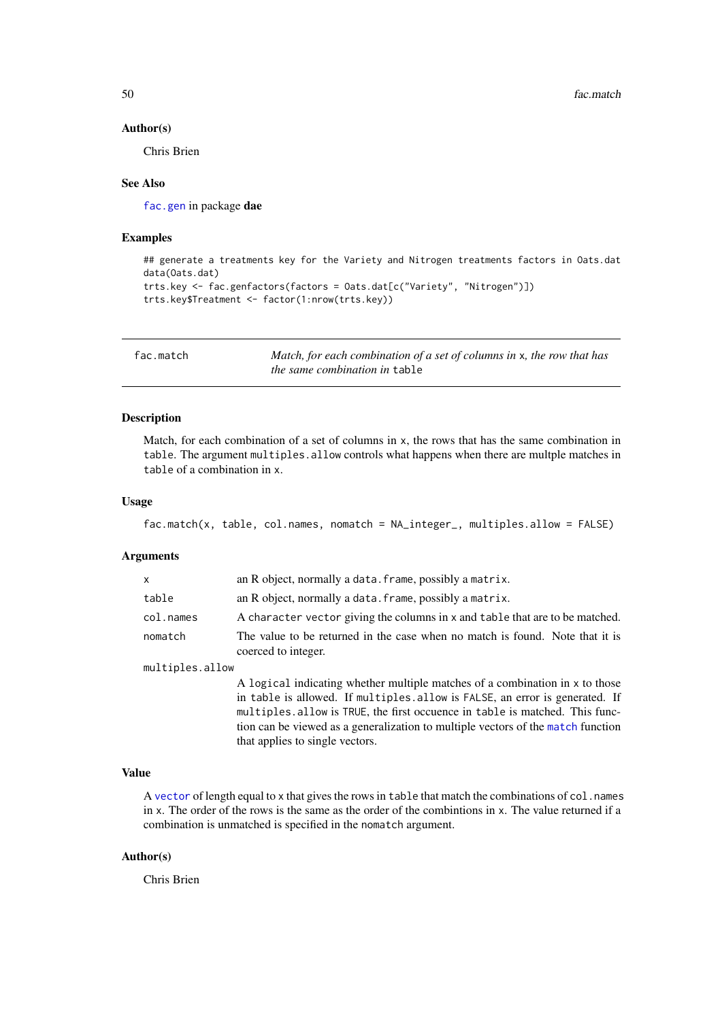50 fac.match

#### Author(s)

Chris Brien

## See Also

[fac.gen](#page-47-0) in package dae

## Examples

```
## generate a treatments key for the Variety and Nitrogen treatments factors in Oats.dat
data(Oats.dat)
trts.key <- fac.genfactors(factors = Oats.dat[c("Variety", "Nitrogen")])
trts.key$Treatment <- factor(1:nrow(trts.key))
```
fac.match *Match, for each combination of a set of columns in* x*, the row that has the same combination in* table

# Description

Match, for each combination of a set of columns in x, the rows that has the same combination in table. The argument multiples.allow controls what happens when there are multple matches in table of a combination in x.

## Usage

```
fac.match(x, table, col.names, nomatch = NA_integer_, multiples.allow = FALSE)
```
### Arguments

| x               | an R object, normally a data. frame, possibly a matrix.                                                                                                                                                                                                                                                                                                            |
|-----------------|--------------------------------------------------------------------------------------------------------------------------------------------------------------------------------------------------------------------------------------------------------------------------------------------------------------------------------------------------------------------|
| table           | an R object, normally a data. frame, possibly a matrix.                                                                                                                                                                                                                                                                                                            |
| col.names       | A character vector giving the columns in x and table that are to be matched.                                                                                                                                                                                                                                                                                       |
| nomatch         | The value to be returned in the case when no match is found. Note that it is<br>coerced to integer.                                                                                                                                                                                                                                                                |
| multiples.allow |                                                                                                                                                                                                                                                                                                                                                                    |
|                 | A logical indicating whether multiple matches of a combination in x to those<br>in table is allowed. If multiples allow is FALSE, an error is generated. If<br>multiples. allow is TRUE, the first occuence in table is matched. This func-<br>tion can be viewed as a generalization to multiple vectors of the match function<br>that applies to single vectors. |

# Value

A [vector](#page-0-0) of length equal to x that gives the rows in table that match the combinations of col.names in x. The order of the rows is the same as the order of the combintions in x. The value returned if a combination is unmatched is specified in the nomatch argument.

# Author(s)

Chris Brien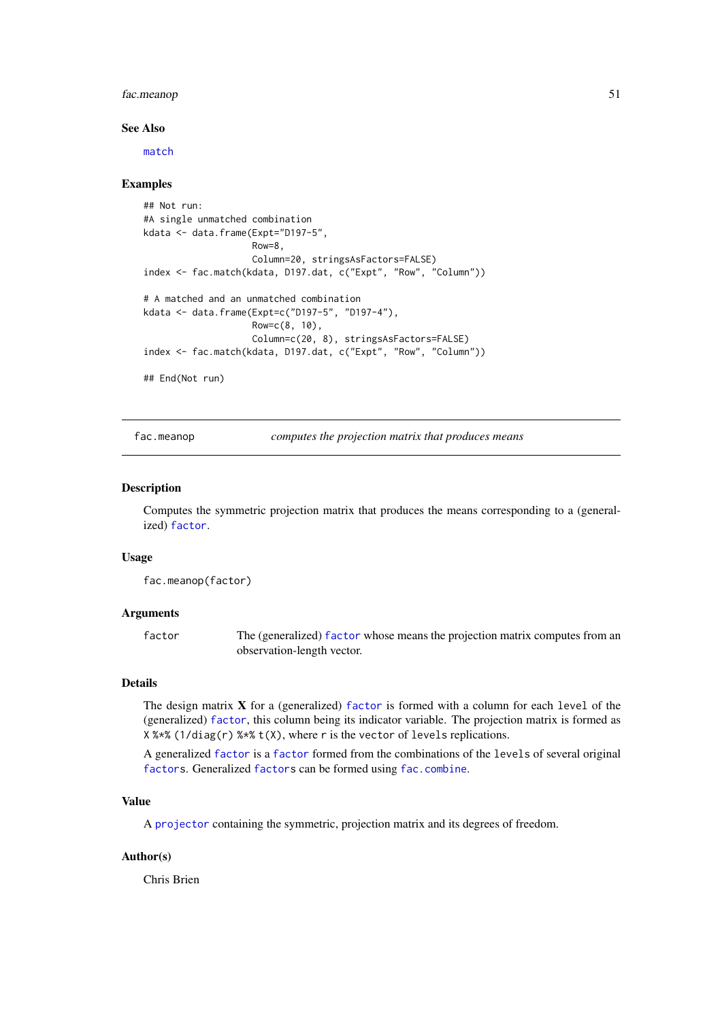#### fac.meanop 51

#### See Also

[match](#page-0-0)

# Examples

```
## Not run:
#A single unmatched combination
kdata <- data.frame(Expt="D197-5",
                    Row=8,
                    Column=20, stringsAsFactors=FALSE)
index <- fac.match(kdata, D197.dat, c("Expt", "Row", "Column"))
# A matched and an unmatched combination
kdata <- data.frame(Expt=c("D197-5", "D197-4"),
                    Row=c(8, 10),
                    Column=c(20, 8), stringsAsFactors=FALSE)
index <- fac.match(kdata, D197.dat, c("Expt", "Row", "Column"))
## End(Not run)
```
<span id="page-50-0"></span>fac.meanop *computes the projection matrix that produces means*

### Description

Computes the symmetric projection matrix that produces the means corresponding to a (generalized) [factor](#page-0-0).

## Usage

```
fac.meanop(factor)
```
### Arguments

factor The (generalized) [factor](#page-0-0) whose means the projection matrix computes from an observation-length vector.

## Details

The design matrix X for a (generalized) [factor](#page-0-0) is formed with a column for each level of the (generalized) [factor](#page-0-0), this column being its indicator variable. The projection matrix is formed as  $X$  %  $X$  (1/diag(r) %  $X$  t(X), where r is the vector of levels replications.

A generalized [factor](#page-0-0) is a [factor](#page-0-0) formed from the combinations of the levels of several original [factors](#page-0-0). Generalized [factors](#page-0-0) can be formed using [fac.combine](#page-44-0).

## Value

A [projector](#page-105-0) containing the symmetric, projection matrix and its degrees of freedom.

# Author(s)

Chris Brien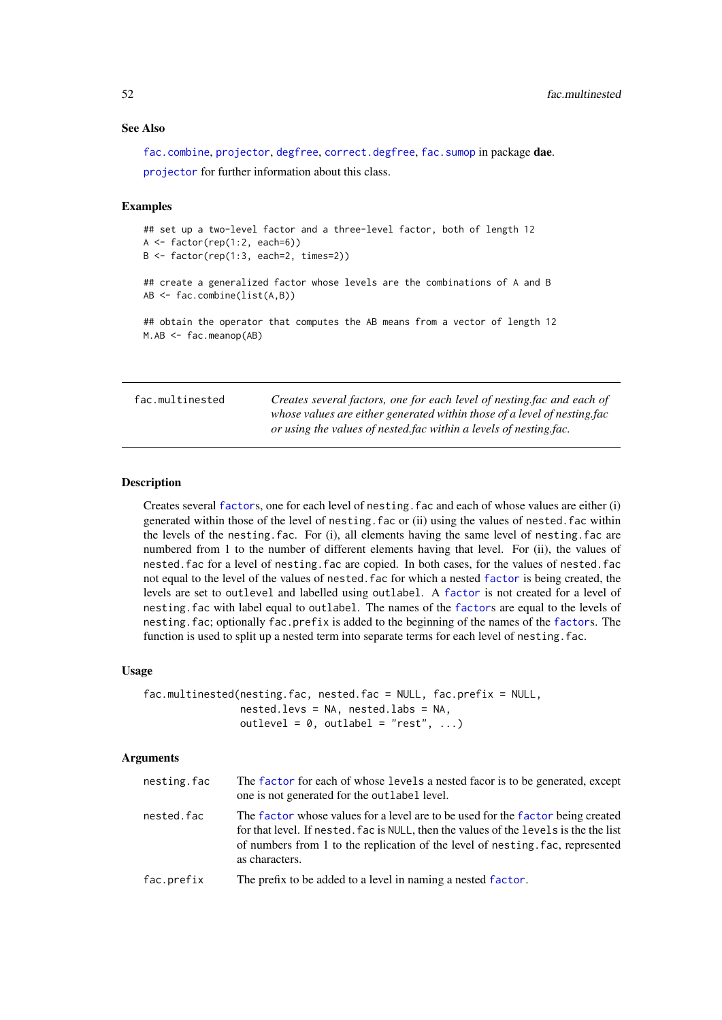### See Also

[fac.combine](#page-44-0), [projector](#page-105-0), [degfree](#page-16-0), [correct.degfree](#page-13-0), [fac.sumop](#page-57-0) in package dae. [projector](#page-106-0) for further information about this class.

### Examples

```
## set up a two-level factor and a three-level factor, both of length 12
A <- factor(rep(1:2, each=6))
B <- factor(rep(1:3, each=2, times=2))
## create a generalized factor whose levels are the combinations of A and B
AB <- fac.combine(list(A,B))
## obtain the operator that computes the AB means from a vector of length 12
M.AB <- fac.meanop(AB)
```
<span id="page-51-0"></span>fac.multinested *Creates several factors, one for each level of nesting.fac and each of whose values are either generated within those of a level of nesting.fac or using the values of nested.fac within a levels of nesting.fac.*

## Description

Creates several [factor](#page-0-0)s, one for each level of nesting.fac and each of whose values are either (i) generated within those of the level of nesting.fac or (ii) using the values of nested.fac within the levels of the nesting.fac. For (i), all elements having the same level of nesting.fac are numbered from 1 to the number of different elements having that level. For (ii), the values of nested.fac for a level of nesting.fac are copied. In both cases, for the values of nested.fac not equal to the level of the values of nested.fac for which a nested [factor](#page-0-0) is being created, the levels are set to outlevel and labelled using outlabel. A [factor](#page-0-0) is not created for a level of nesting.fac with label equal to outlabel. The names of the [factor](#page-0-0)s are equal to the levels of nesting.fac; optionally fac.prefix is added to the beginning of the names of the [factor](#page-0-0)s. The function is used to split up a nested term into separate terms for each level of nesting. fac.

## Usage

```
fac.multinested(nesting.fac, nested.fac = NULL, fac.prefix = NULL,
                nested.levs = NA, nested.labs = NA,
                outlevel = 0, outlabel = "rest", ...)
```
### Arguments

| nesting.fac | The factor for each of whose levels a nested facor is to be generated, except<br>one is not generated for the outlabel level.                                                                                                                                                |
|-------------|------------------------------------------------------------------------------------------------------------------------------------------------------------------------------------------------------------------------------------------------------------------------------|
| nested.fac  | The factor whose values for a level are to be used for the factor being created<br>for that level. If nested, fac is NULL, then the values of the levels is the the list<br>of numbers from 1 to the replication of the level of nesting, fac, represented<br>as characters. |
| fac.prefix  | The prefix to be added to a level in naming a nested factor.                                                                                                                                                                                                                 |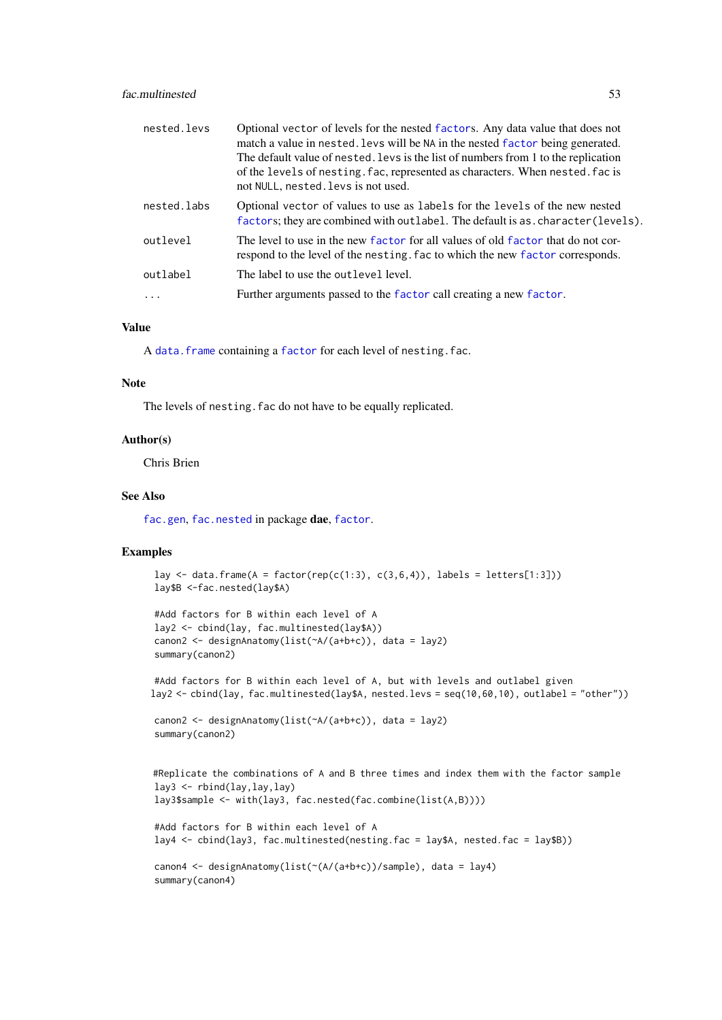### fac.multinested 53

| nested.levs | Optional vector of levels for the nested factors. Any data value that does not<br>match a value in nested. Levs will be NA in the nested factor being generated.<br>The default value of nested. Levs is the list of numbers from 1 to the replication<br>of the levels of nesting. fac, represented as characters. When nested, fac is<br>not NULL, nested. levs is not used. |
|-------------|--------------------------------------------------------------------------------------------------------------------------------------------------------------------------------------------------------------------------------------------------------------------------------------------------------------------------------------------------------------------------------|
| nested.labs | Optional vector of values to use as labels for the levels of the new nested<br>factors; they are combined with outlabel. The default is as. character (levels).                                                                                                                                                                                                                |
| outlevel    | The level to use in the new factor for all values of old factor that do not cor-<br>respond to the level of the nesting. factor which the new factor corresponds.                                                                                                                                                                                                              |
| outlabel    | The label to use the outlevel level.                                                                                                                                                                                                                                                                                                                                           |
| .           | Further arguments passed to the factor call creating a new factor.                                                                                                                                                                                                                                                                                                             |

# Value

A [data.frame](#page-0-0) containing a [factor](#page-0-0) for each level of nesting.fac.

### Note

The levels of nesting. fac do not have to be equally replicated.

### Author(s)

Chris Brien

# See Also

[fac.gen](#page-47-0), [fac.nested](#page-53-0) in package dae, [factor](#page-0-0).

# Examples

```
lay \le data.frame(A = factor(rep(c(1:3), c(3,6,4)), labels = letters[1:3]))
lay$B <-fac.nested(lay$A)
```

```
#Add factors for B within each level of A
lay2 <- cbind(lay, fac.multinested(lay$A))
canon2 <- designAnatomy(list(~A/(a+b+c)), data = lay2)
summary(canon2)
```
#Add factors for B within each level of A, but with levels and outlabel given lay2 <- cbind(lay, fac.multinested(lay\$A, nested.levs = seq(10,60,10), outlabel = "other"))

```
canon2 <- designAnatomy(list(~A/(a+b+c)), data = lay2)
summary(canon2)
```

```
#Replicate the combinations of A and B three times and index them with the factor sample
lay3 <- rbind(lay,lay,lay)
lay3$sample <- with(lay3, fac.nested(fac.combine(list(A,B))))
#Add factors for B within each level of A
lay4 <- cbind(lay3, fac.multinested(nesting.fac = lay$A, nested.fac = lay$B))
canon4 <- designAnatomy(list(~(A/(a+b+c))/sample), data = lay4)
summary(canon4)
```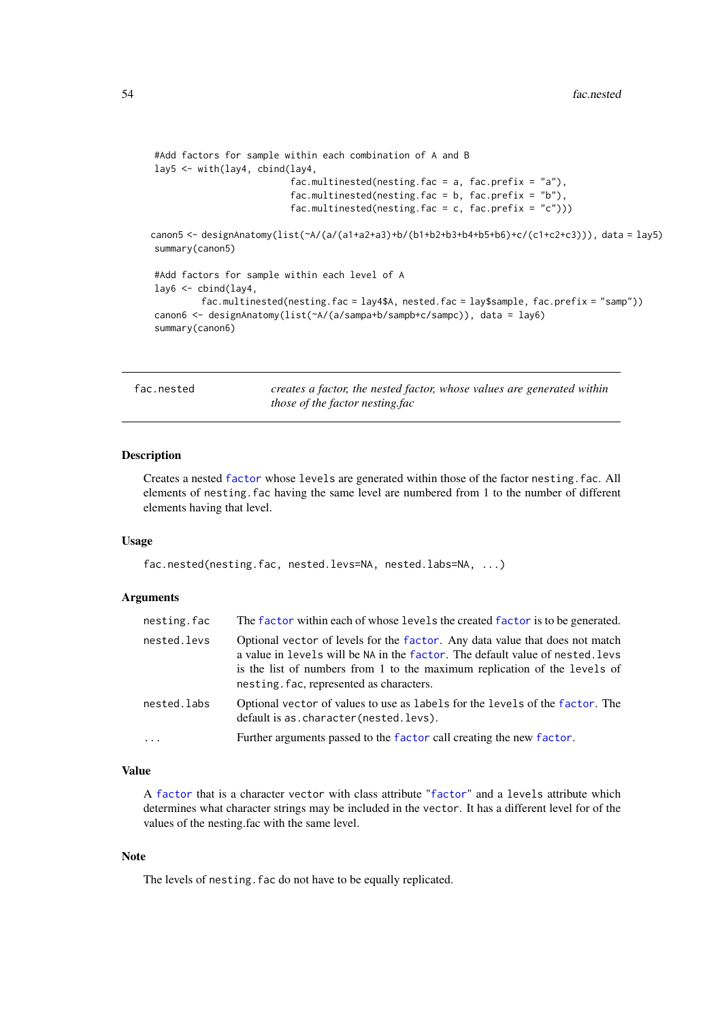```
#Add factors for sample within each combination of A and B
lay5 <- with(lay4, cbind(lay4,
                          fac.multinested(nesting.fac = a, fac.prefix = "a"),
                         fac.multinested(nesting.fac = b, fac.prefix = nb"),
                         fac.multinested(nesting.fac = c, fac.prefix = (c'')))
canon5 <- designAnatomy(list(~A/(a/(a1+a2+a3)+b/(b1+b2+b3+b4+b5+b6)+c/(c1+c2+c3))), data = lay5)
summary(canon5)
#Add factors for sample within each level of A
lay6 <- cbind(lay4,
         fac.multinested(nesting.fac = lay4$A, nested.fac = lay$sample, fac.prefix = "samp"))
canon6 <- designAnatomy(list(~A/(a/sampa+b/sampb+c/sampc)), data = lay6)
summary(canon6)
```
fac.nested *creates a factor, the nested factor, whose values are generated within those of the factor nesting.fac*

## Description

Creates a nested [factor](#page-0-0) whose levels are generated within those of the factor nesting.fac. All elements of nesting.fac having the same level are numbered from 1 to the number of different elements having that level.

## Usage

fac.nested(nesting.fac, nested.levs=NA, nested.labs=NA, ...)

## Arguments

| nesting.fac | The factor within each of whose levels the created factor is to be generated.                                                                                                                                                                                                          |
|-------------|----------------------------------------------------------------------------------------------------------------------------------------------------------------------------------------------------------------------------------------------------------------------------------------|
| nested.levs | Optional vector of levels for the factor. Any data value that does not match<br>a value in levels will be NA in the factor. The default value of nested. levs<br>is the list of numbers from 1 to the maximum replication of the levels of<br>nesting. fac, represented as characters. |
| nested.labs | Optional vector of values to use as labels for the levels of the factor. The<br>default is as. character (nested. levs).                                                                                                                                                               |
| $\ddots$    | Further arguments passed to the factor call creating the new factor.                                                                                                                                                                                                                   |

### Value

A [factor](#page-0-0) that is a character vector with class attribute "[factor](#page-0-0)" and a levels attribute which determines what character strings may be included in the vector. It has a different level for of the values of the nesting.fac with the same level.

### Note

The levels of nesting. fac do not have to be equally replicated.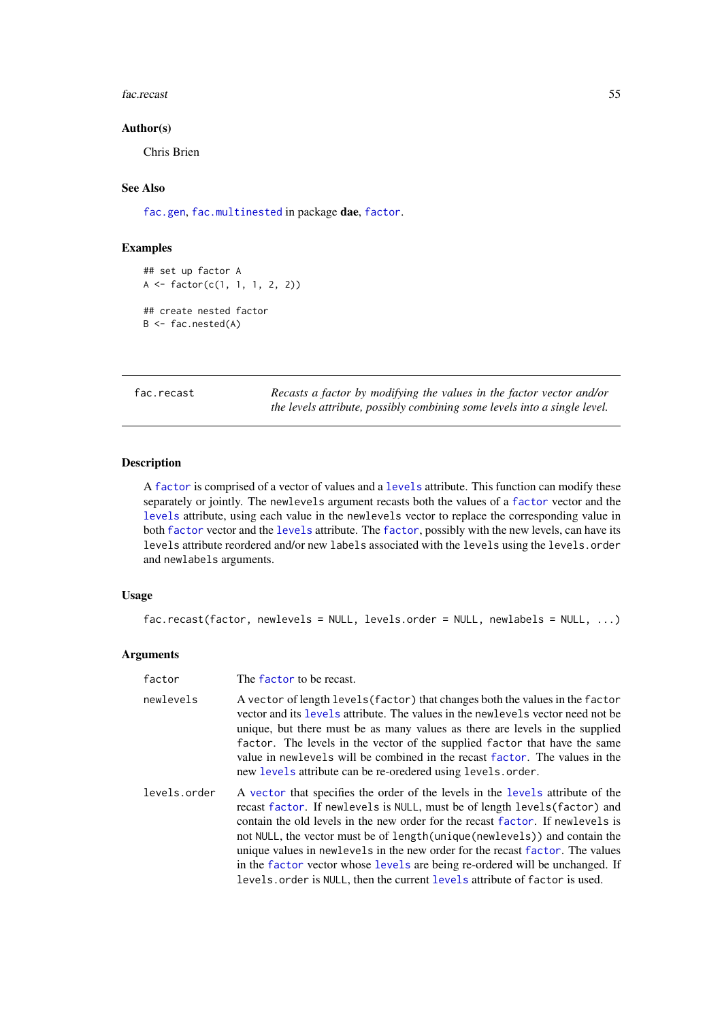fac.recast 55

## Author(s)

Chris Brien

# See Also

[fac.gen](#page-47-0), [fac.multinested](#page-51-0) in package dae, [factor](#page-0-0).

# Examples

```
## set up factor A
A \leftarrow factor(c(1, 1, 1, 2, 2))## create nested factor
B \leftarrow fac.nested(A)
```
<span id="page-54-0"></span>fac.recast *Recasts a factor by modifying the values in the factor vector and/or the levels attribute, possibly combining some levels into a single level.*

## Description

A [factor](#page-0-0) is comprised of a vector of values and a [levels](#page-0-0) attribute. This function can modify these separately or jointly. The newlevels argument recasts both the values of a [factor](#page-0-0) vector and the [levels](#page-0-0) attribute, using each value in the newlevels vector to replace the corresponding value in both [factor](#page-0-0) vector and the [levels](#page-0-0) attribute. The [factor](#page-0-0), possibly with the new levels, can have its levels attribute reordered and/or new labels associated with the levels using the levels.order and newlabels arguments.

# Usage

```
fac.recast(factor, newlevels = NULL, levels.order = NULL, newlabels = NULL, ...)
```
# Arguments

| factor       | The factor to be recast.                                                                                                                                                                                                                                                                                                                                                                                                                                                                                                                                                        |
|--------------|---------------------------------------------------------------------------------------------------------------------------------------------------------------------------------------------------------------------------------------------------------------------------------------------------------------------------------------------------------------------------------------------------------------------------------------------------------------------------------------------------------------------------------------------------------------------------------|
| newlevels    | A vector of length levels (factor) that changes both the values in the factor<br>vector and its levels attribute. The values in the newlevels vector need not be<br>unique, but there must be as many values as there are levels in the supplied<br>factor. The levels in the vector of the supplied factor that have the same<br>value in newlevels will be combined in the recast factor. The values in the<br>new levels attribute can be re-oredered using levels.order.                                                                                                    |
| levels.order | A vector that specifies the order of the levels in the levels attribute of the<br>recast factor. If newlevels is NULL, must be of length levels (factor) and<br>contain the old levels in the new order for the recast factor. If new levels is<br>not NULL, the vector must be of length (unique (newlevels)) and contain the<br>unique values in new levels in the new order for the recast factor. The values<br>in the factor vector whose levels are being re-ordered will be unchanged. If<br>levels, order is NULL, then the current levels attribute of factor is used. |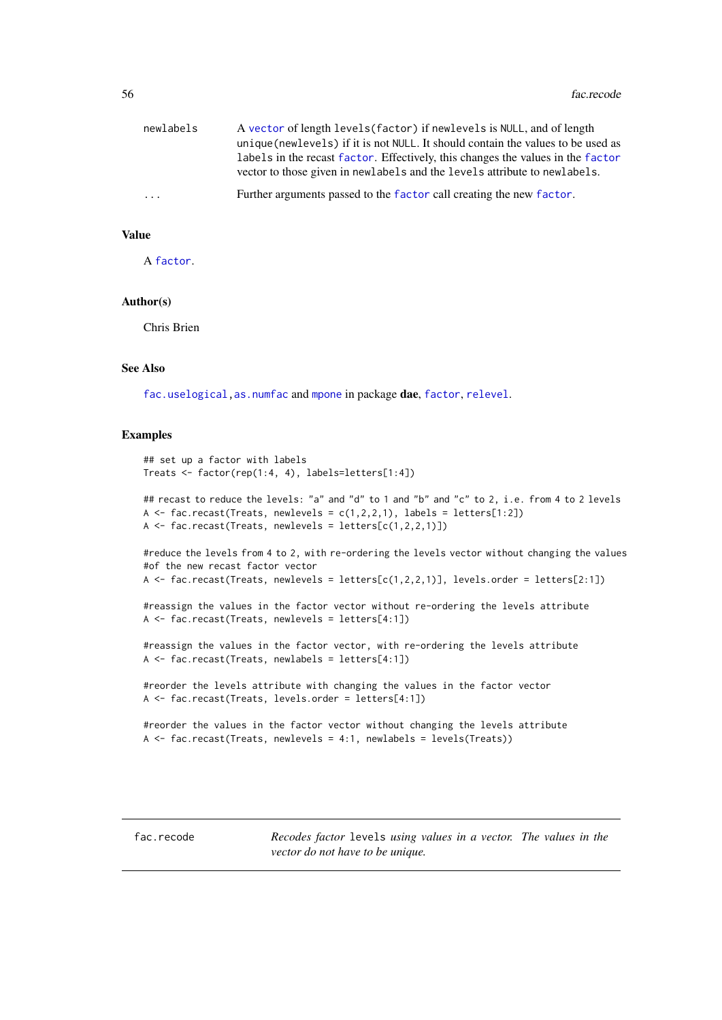| newlabels | A vector of length levels (factor) if new levels is NULL, and of length<br>unique (newlevels) if it is not NULL. It should contain the values to be used as<br>labels in the recast factor. Effectively, this changes the values in the factor<br>vector to those given in newlabels and the levels attribute to newlabels. |
|-----------|-----------------------------------------------------------------------------------------------------------------------------------------------------------------------------------------------------------------------------------------------------------------------------------------------------------------------------|
| .         | Further arguments passed to the factor call creating the new factor.                                                                                                                                                                                                                                                        |

# Value

A [factor](#page-0-0).

## Author(s)

Chris Brien

# See Also

[fac.uselogical](#page-59-0)[,as.numfac](#page-9-0) and [mpone](#page-91-0) in package dae, [factor](#page-0-0), [relevel](#page-0-0).

### Examples

```
## set up a factor with labels
Treats <- factor(rep(1:4, 4), labels=letters[1:4])
```

```
## recast to reduce the levels: "a" and "d" to 1 and "b" and "c" to 2, i.e. from 4 to 2 levels
A \le fac.recast(Treats, newlevels = c(1,2,2,1), labels = letters[1:2])
A \leftarrow fac.recast(Treats, newlevels = letters[c(1, 2, 2, 1)])
```
#reduce the levels from 4 to 2, with re-ordering the levels vector without changing the values #of the new recast factor vector A  $\le$  fac.recast(Treats, newlevels = letters[c(1,2,2,1)], levels.order = letters[2:1])

```
#reassign the values in the factor vector without re-ordering the levels attribute
A <- fac.recast(Treats, newlevels = letters[4:1])
```
#reassign the values in the factor vector, with re-ordering the levels attribute A <- fac.recast(Treats, newlabels = letters[4:1])

```
#reorder the levels attribute with changing the values in the factor vector
A <- fac.recast(Treats, levels.order = letters[4:1])
```

```
#reorder the values in the factor vector without changing the levels attribute
A \leftarrow fac.recast(Treats, newlevels = 4:1, newlabels = levels(Treats))
```
<span id="page-55-0"></span>fac.recode *Recodes factor* levels *using values in a vector. The values in the vector do not have to be unique.*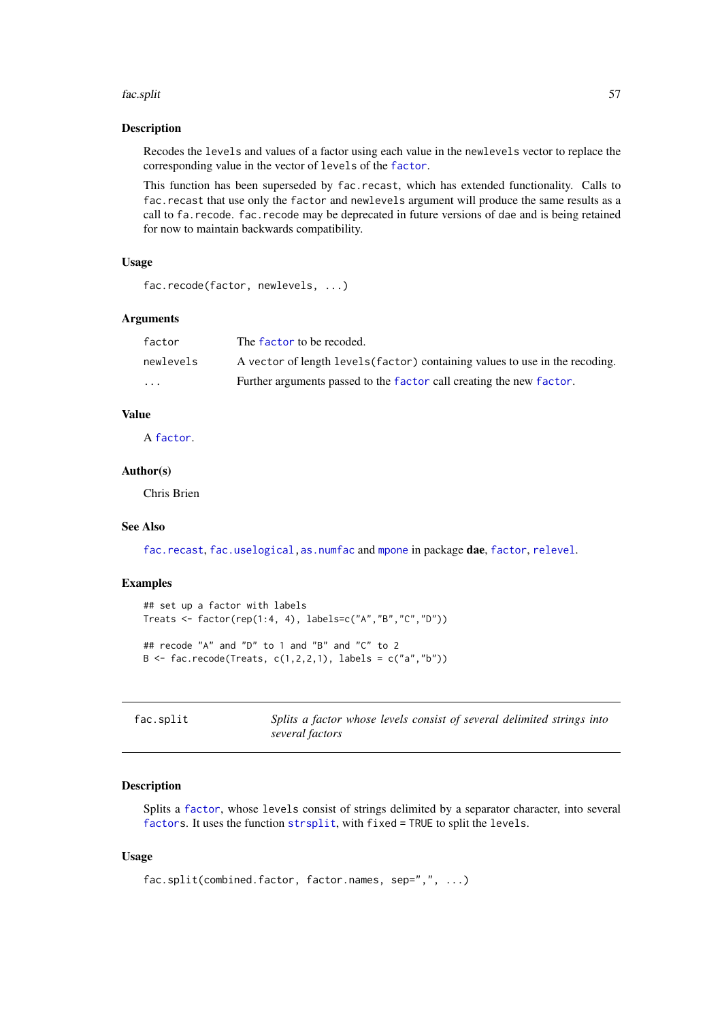#### fac.split 57

### Description

Recodes the levels and values of a factor using each value in the newlevels vector to replace the corresponding value in the vector of levels of the [factor](#page-0-0).

This function has been superseded by fac.recast, which has extended functionality. Calls to fac.recast that use only the factor and newlevels argument will produce the same results as a call to fa.recode. fac.recode may be deprecated in future versions of dae and is being retained for now to maintain backwards compatibility.

# Usage

```
fac.recode(factor, newlevels, ...)
```
## Arguments

| factor    | The factor to be recoded.                                                    |
|-----------|------------------------------------------------------------------------------|
| newlevels | A vector of length levels (factor) containing values to use in the recoding. |
| $\cdots$  | Further arguments passed to the factor call creating the new factor.         |

# Value

A [factor](#page-0-0).

# Author(s)

Chris Brien

## See Also

[fac.recast](#page-54-0), [fac.uselogical,](#page-59-0) [as.numfac](#page-9-0) and [mpone](#page-91-0) in package dae, [factor](#page-0-0), [relevel](#page-0-0).

### Examples

```
## set up a factor with labels
Treats <- factor(rep(1:4, 4), labels=c("A","B","C","D"))
## recode "A" and "D" to 1 and "B" and "C" to 2
B <- fac.recode(Treats, c(1,2,2,1), labels = c("a", "b"))
```
<span id="page-56-0"></span>fac.split *Splits a factor whose levels consist of several delimited strings into several factors*

### Description

Splits a [factor](#page-0-0), whose levels consist of strings delimited by a separator character, into several [factors](#page-0-0). It uses the function [strsplit](#page-0-0), with fixed = TRUE to split the levels.

# Usage

```
fac.split(combined.factor, factor.names, sep=",", ...)
```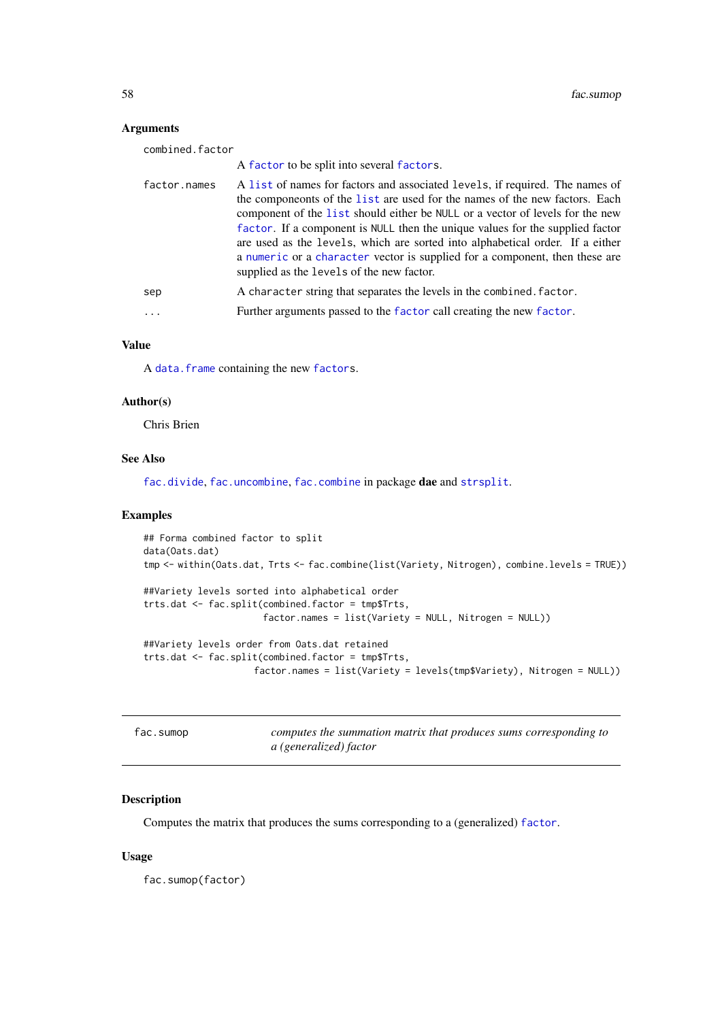# Arguments

| combined.factor |                                                                                                                                                                                                                                                                                                                                                                                                                                                                                                                                            |
|-----------------|--------------------------------------------------------------------------------------------------------------------------------------------------------------------------------------------------------------------------------------------------------------------------------------------------------------------------------------------------------------------------------------------------------------------------------------------------------------------------------------------------------------------------------------------|
|                 | A factor to be split into several factors.                                                                                                                                                                                                                                                                                                                                                                                                                                                                                                 |
| factor.names    | A list of names for factors and associated levels, if required. The names of<br>the componeonts of the list are used for the names of the new factors. Each<br>component of the list should either be NULL or a vector of levels for the new<br>factor. If a component is NULL then the unique values for the supplied factor<br>are used as the levels, which are sorted into alphabetical order. If a either<br>a numeric or a character vector is supplied for a component, then these are<br>supplied as the levels of the new factor. |
| sep             | A character string that separates the levels in the combined. factor.                                                                                                                                                                                                                                                                                                                                                                                                                                                                      |
|                 | Further arguments passed to the factor call creating the new factor.                                                                                                                                                                                                                                                                                                                                                                                                                                                                       |
|                 |                                                                                                                                                                                                                                                                                                                                                                                                                                                                                                                                            |

# Value

A [data.frame](#page-0-0) containing the new [factors](#page-0-0).

#### Author(s)

Chris Brien

# See Also

[fac.divide](#page-45-0), [fac.uncombine](#page-58-0), [fac.combine](#page-44-0) in package dae and [strsplit](#page-0-0).

## Examples

```
## Forma combined factor to split
data(Oats.dat)
tmp <- within(Oats.dat, Trts <- fac.combine(list(Variety, Nitrogen), combine.levels = TRUE))
##Variety levels sorted into alphabetical order
trts.dat <- fac.split(combined.factor = tmp$Trts,
                      factor.names = list(Variety = NULL, Nitrogen = NULL))
##Variety levels order from Oats.dat retained
trts.dat <- fac.split(combined.factor = tmp$Trts,
                    factor.names = list(Variety = levels(tmp$Variety), Nitrogen = NULL))
```

|  |  |  |  |  |  |  | fac.sumop |  |  |  |
|--|--|--|--|--|--|--|-----------|--|--|--|
|--|--|--|--|--|--|--|-----------|--|--|--|

<span id="page-57-0"></span>fac.sumop *computes the summation matrix that produces sums corresponding to a (generalized) factor*

# Description

Computes the matrix that produces the sums corresponding to a (generalized) [factor](#page-0-0).

# Usage

fac.sumop(factor)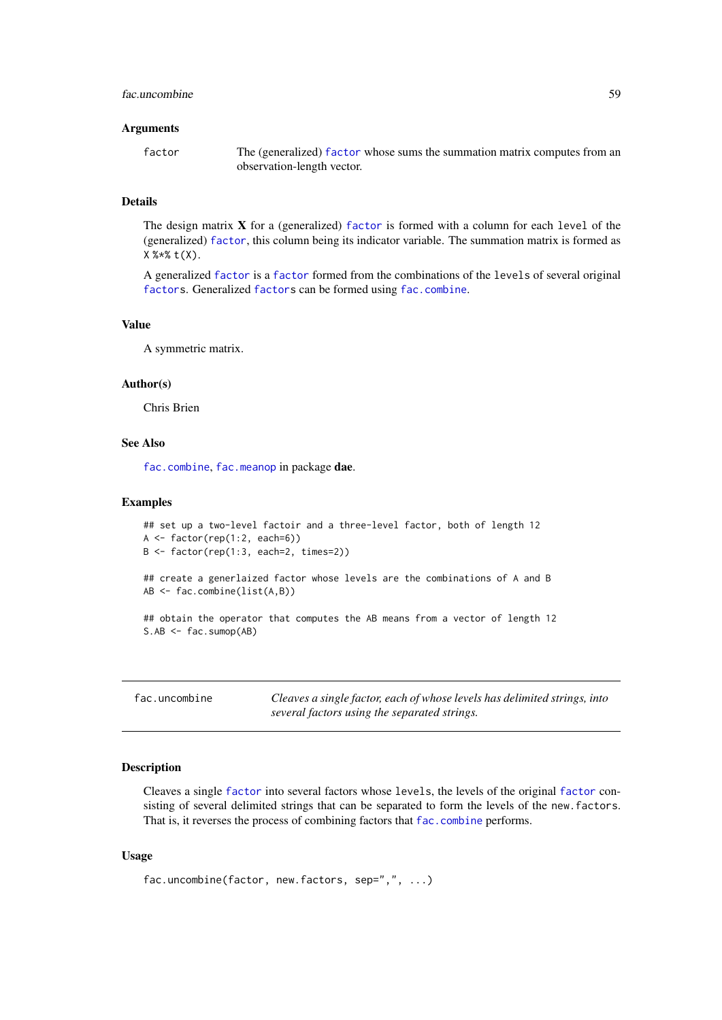#### fac.uncombine 59

### Arguments

| factor | The (generalized) factor whose sums the summation matrix computes from an |
|--------|---------------------------------------------------------------------------|
|        | observation-length vector.                                                |

# Details

The design matrix X for a (generalized) [factor](#page-0-0) is formed with a column for each level of the (generalized) [factor](#page-0-0), this column being its indicator variable. The summation matrix is formed as X %\*% t(X).

A generalized [factor](#page-0-0) is a [factor](#page-0-0) formed from the combinations of the levels of several original [factors](#page-0-0). Generalized [factors](#page-0-0) can be formed using [fac.combine](#page-44-0).

## Value

A symmetric matrix.

#### Author(s)

Chris Brien

## See Also

[fac.combine](#page-44-0), [fac.meanop](#page-50-0) in package dae.

#### Examples

```
## set up a two-level factoir and a three-level factor, both of length 12
A <- factor(rep(1:2, each=6))
B <- factor(rep(1:3, each=2, times=2))
## create a generlaized factor whose levels are the combinations of A and B
AB <- fac.combine(list(A,B))
## obtain the operator that computes the AB means from a vector of length 12
S.AB \leftarrow fac.sumop(AB)
```
<span id="page-58-0"></span>fac.uncombine *Cleaves a single factor, each of whose levels has delimited strings, into several factors using the separated strings.*

## Description

Cleaves a single [factor](#page-0-0) into several factors whose levels, the levels of the original [factor](#page-0-0) consisting of several delimited strings that can be separated to form the levels of the new.factors. That is, it reverses the process of combining factors that [fac.combine](#page-44-0) performs.

# Usage

```
fac.uncombine(factor, new.factors, sep=",", ...)
```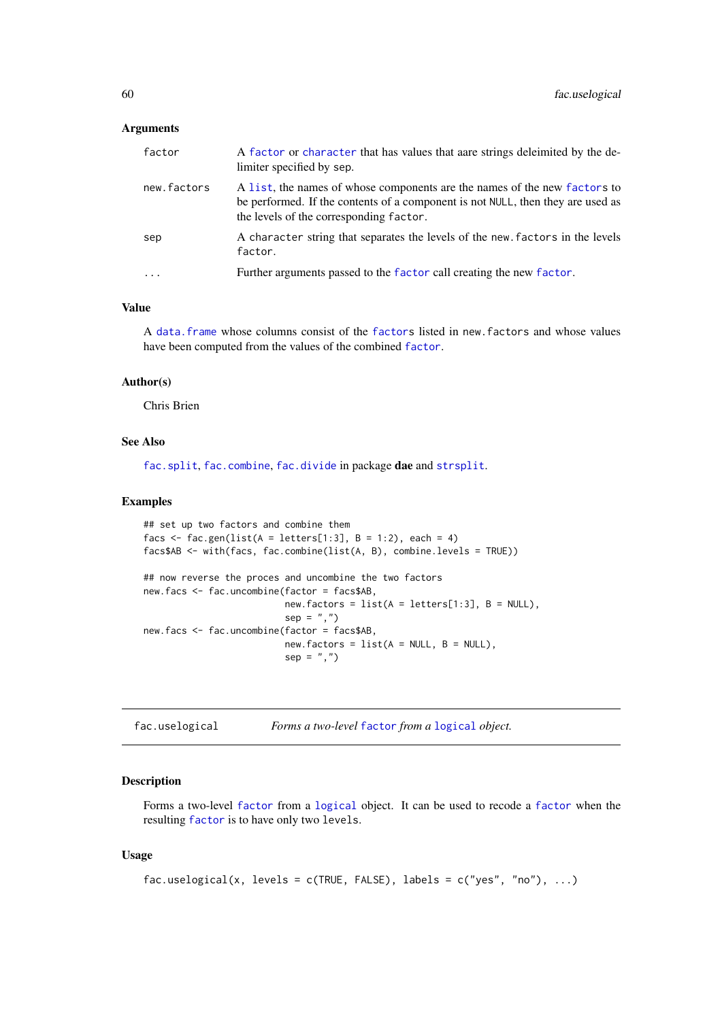## Arguments

| factor      | A factor or character that has values that aare strings deleimited by the de-<br>limiter specified by sep.                                                                                              |
|-------------|---------------------------------------------------------------------------------------------------------------------------------------------------------------------------------------------------------|
| new.factors | A list, the names of whose components are the names of the new factors to<br>be performed. If the contents of a component is not NULL, then they are used as<br>the levels of the corresponding factor. |
| sep         | A character string that separates the levels of the new factors in the levels<br>factor.                                                                                                                |
| $\cdots$    | Further arguments passed to the factor call creating the new factor.                                                                                                                                    |

# Value

A [data.frame](#page-0-0) whose columns consist of the [factors](#page-0-0) listed in new.factors and whose values have been computed from the values of the combined [factor](#page-0-0).

# Author(s)

Chris Brien

### See Also

[fac.split](#page-56-0), [fac.combine](#page-44-0), [fac.divide](#page-45-0) in package dae and [strsplit](#page-0-0).

## Examples

```
## set up two factors and combine them
facs \le fac.gen(list(A = letters[1:3], B = 1:2), each = 4)
facs$AB <- with(facs, fac.combine(list(A, B), combine.levels = TRUE))
## now reverse the proces and uncombine the two factors
new.facs <- fac.uncombine(factor = facs$AB,
                          new.factors = list(A = letters[1:3], B = NULL),sep = ","")new.facs <- fac.uncombine(factor = facs$AB,
                          new.factors = list(A = NULL, B = NULL),
                          sep = ","')
```
<span id="page-59-0"></span>fac.uselogical *Forms a two-level* [factor](#page-0-0) *from a* [logical](#page-0-0) *object.*

#### Description

Forms a two-level [factor](#page-0-0) from a [logical](#page-0-0) object. It can be used to recode a [factor](#page-0-0) when the resulting [factor](#page-0-0) is to have only two levels.

# Usage

```
fac.uselogical(x, levels = c(TRUE, FALSE), labels = c("yes", "no"), ...)
```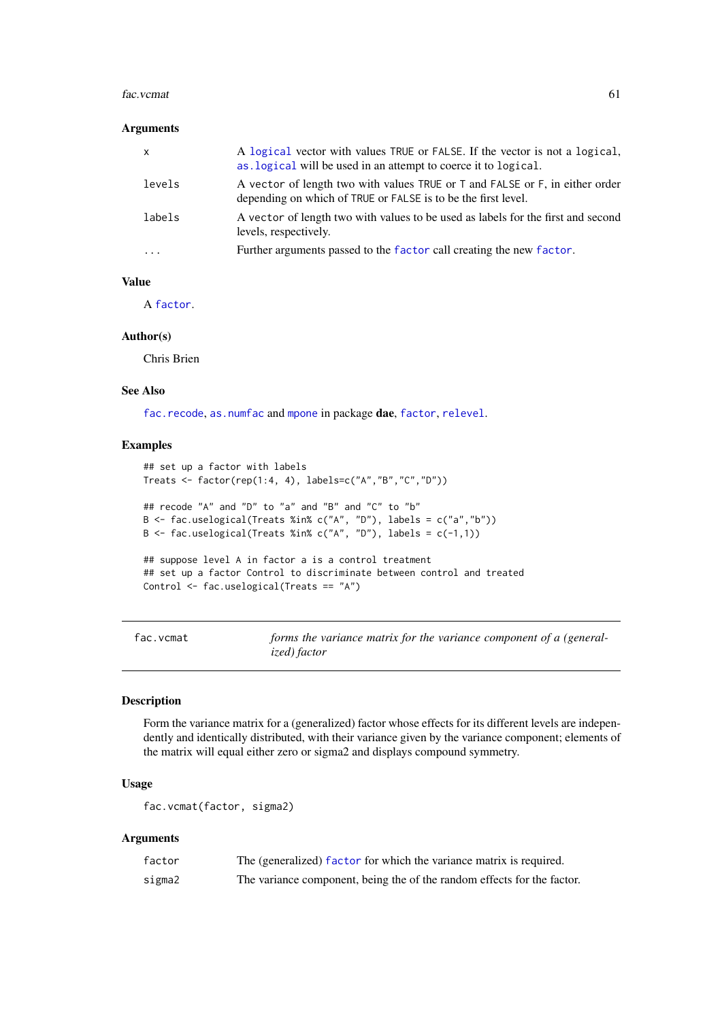#### fac.vcmat 61

# Arguments

| $\mathsf{x}$ | A logical vector with values TRUE or FALSE. If the vector is not a logical,<br>as. logical will be used in an attempt to coerce it to logical. |
|--------------|------------------------------------------------------------------------------------------------------------------------------------------------|
| levels       | A vector of length two with values TRUE or T and FALSE or F, in either order<br>depending on which of TRUE or FALSE is to be the first level.  |
| labels       | A vector of length two with values to be used as labels for the first and second<br>levels, respectively.                                      |
| $\cdots$     | Further arguments passed to the factor call creating the new factor.                                                                           |

# Value

A [factor](#page-0-0).

# Author(s)

Chris Brien

# See Also

[fac.recode](#page-55-0), [as.numfac](#page-9-0) and [mpone](#page-91-0) in package dae, [factor](#page-0-0), [relevel](#page-0-0).

# Examples

```
## set up a factor with labels
Treats <- factor(rep(1:4, 4), labels=c("A","B","C","D"))
## recode "A" and "D" to "a" and "B" and "C" to "b"
B <- fac.uselogical(Treats %in% c("A", "D"), labels = c("a","b"))
B \le fac.uselogical(Treats %in% c("A", "D"), labels = c(-1,1))
## suppose level A in factor a is a control treatment
## set up a factor Control to discriminate between control and treated
Control <- fac.uselogical(Treats == "A")
```
<span id="page-60-0"></span>fac.vcmat *forms the variance matrix for the variance component of a (generalized) factor*

# Description

Form the variance matrix for a (generalized) factor whose effects for its different levels are independently and identically distributed, with their variance given by the variance component; elements of the matrix will equal either zero or sigma2 and displays compound symmetry.

## Usage

```
fac.vcmat(factor, sigma2)
```
# Arguments

| factor | The (generalized) factor for which the variance matrix is required.     |
|--------|-------------------------------------------------------------------------|
| sigma2 | The variance component, being the of the random effects for the factor. |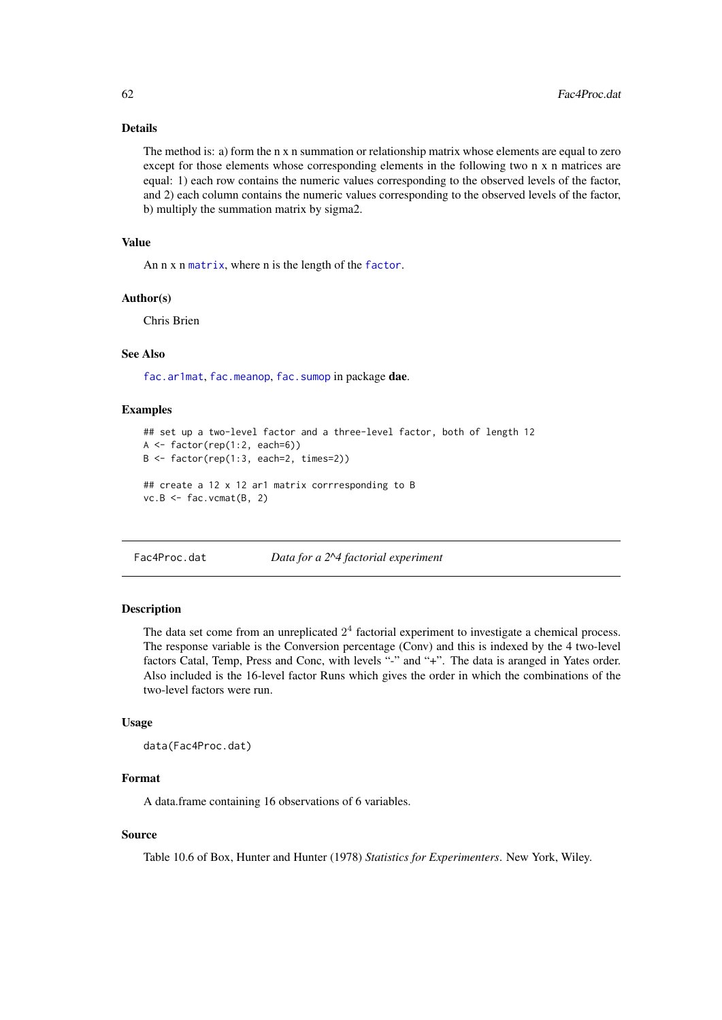## Details

The method is: a) form the n x n summation or relationship matrix whose elements are equal to zero except for those elements whose corresponding elements in the following two n x n matrices are equal: 1) each row contains the numeric values corresponding to the observed levels of the factor, and 2) each column contains the numeric values corresponding to the observed levels of the factor, b) multiply the summation matrix by sigma2.

# Value

An n x n [matrix](#page-0-0), where n is the length of the [factor](#page-0-0).

### Author(s)

Chris Brien

# See Also

[fac.ar1mat](#page-43-0), [fac.meanop](#page-50-0), [fac.sumop](#page-57-0) in package dae.

## Examples

```
## set up a two-level factor and a three-level factor, both of length 12
A \leq factor(rep(1:2, each=6))B \leftarrow factor(rep(1:3, each=2, times=2))## create a 12 x 12 ar1 matrix corrresponding to B
vc.B \leq fac.vcmat(B, 2)
```
Fac4Proc.dat *Data for a 2^4 factorial experiment*

# Description

The data set come from an unreplicated  $2<sup>4</sup>$  factorial experiment to investigate a chemical process. The response variable is the Conversion percentage (Conv) and this is indexed by the 4 two-level factors Catal, Temp, Press and Conc, with levels "-" and "+". The data is aranged in Yates order. Also included is the 16-level factor Runs which gives the order in which the combinations of the two-level factors were run.

### Usage

```
data(Fac4Proc.dat)
```
#### Format

A data.frame containing 16 observations of 6 variables.

## Source

Table 10.6 of Box, Hunter and Hunter (1978) *Statistics for Experimenters*. New York, Wiley.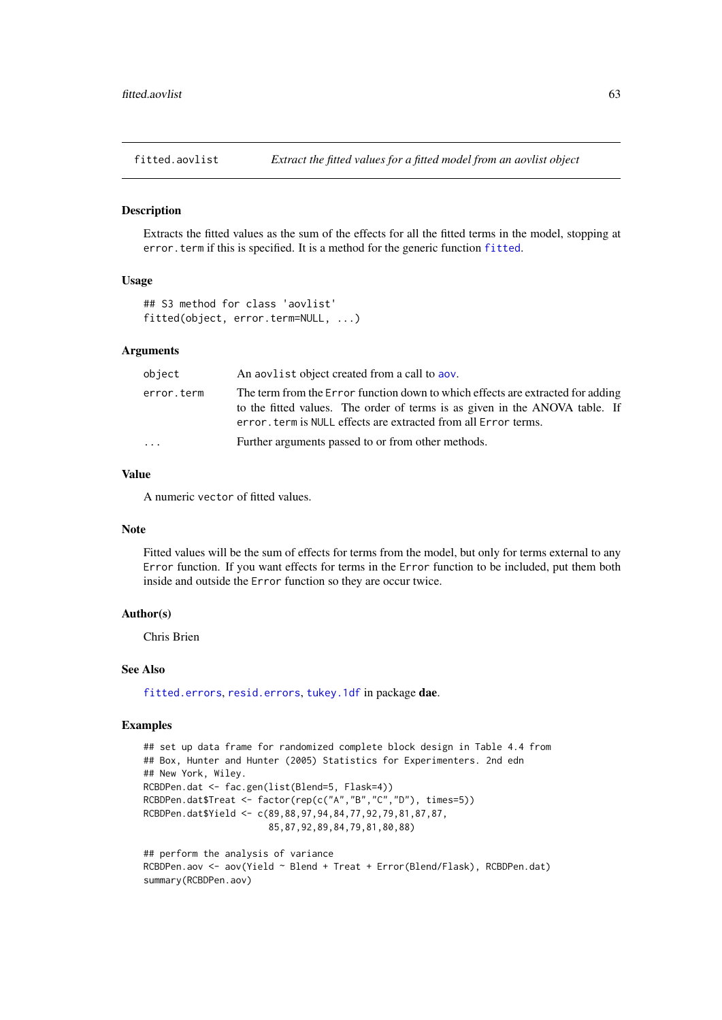<span id="page-62-1"></span>fitted.aovlist *Extract the fitted values for a fitted model from an aovlist object*

#### <span id="page-62-0"></span>**Description**

Extracts the fitted values as the sum of the effects for all the fitted terms in the model, stopping at error.term if this is specified. It is a method for the generic function [fitted](#page-62-0).

# Usage

```
## S3 method for class 'aovlist'
fitted(object, error.term=NULL, ...)
```
# Arguments

| object     | An about a object created from a call to abov.                                                                                                                                                                                    |
|------------|-----------------------------------------------------------------------------------------------------------------------------------------------------------------------------------------------------------------------------------|
| error.term | The term from the Error function down to which effects are extracted for adding<br>to the fitted values. The order of terms is as given in the ANOVA table. If<br>error, term is NULL effects are extracted from all Error terms. |
| $\ddotsc$  | Further arguments passed to or from other methods.                                                                                                                                                                                |

# Value

A numeric vector of fitted values.

#### Note

Fitted values will be the sum of effects for terms from the model, but only for terms external to any Error function. If you want effects for terms in the Error function to be included, put them both inside and outside the Error function so they are occur twice.

#### Author(s)

Chris Brien

## See Also

[fitted.errors](#page-63-0), [resid.errors](#page-116-0), [tukey.1df](#page-126-0) in package dae.

#### Examples

```
## set up data frame for randomized complete block design in Table 4.4 from
## Box, Hunter and Hunter (2005) Statistics for Experimenters. 2nd edn
## New York, Wiley.
RCBDPen.dat <- fac.gen(list(Blend=5, Flask=4))
RCBDPen.dat$Treat <- factor(rep(c("A","B","C","D"), times=5))
RCBDPen.dat$Yield <- c(89,88,97,94,84,77,92,79,81,87,87,
                       85,87,92,89,84,79,81,80,88)
## perform the analysis of variance
RCBDPen.aov <- aov(Yield ~ Blend + Treat + Error(Blend/Flask), RCBDPen.dat)
summary(RCBDPen.aov)
```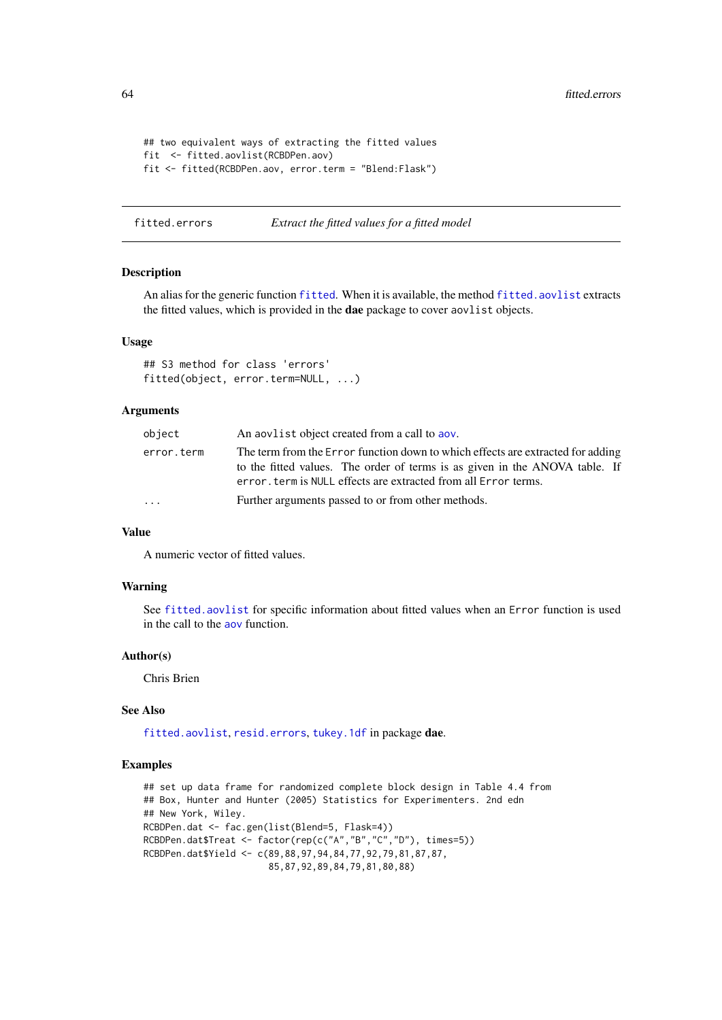```
## two equivalent ways of extracting the fitted values
fit <- fitted.aovlist(RCBDPen.aov)
fit <- fitted(RCBDPen.aov, error.term = "Blend:Flask")
```
<span id="page-63-0"></span>fitted.errors *Extract the fitted values for a fitted model*

## Description

An alias for the generic function [fitted](#page-62-0). When it is available, the method [fitted.aovlist](#page-62-1) extracts the fitted values, which is provided in the dae package to cover aovlist objects.

# Usage

```
## S3 method for class 'errors'
fitted(object, error.term=NULL, ...)
```
## Arguments

| object     | An applied object created from a call to apply.                                                                                                                                                                                   |
|------------|-----------------------------------------------------------------------------------------------------------------------------------------------------------------------------------------------------------------------------------|
| error.term | The term from the Error function down to which effects are extracted for adding<br>to the fitted values. The order of terms is as given in the ANOVA table. If<br>error, term is NULL effects are extracted from all Error terms. |
| $\ddots$   | Further arguments passed to or from other methods.                                                                                                                                                                                |

# Value

A numeric vector of fitted values.

#### Warning

See [fitted.aovlist](#page-62-1) for specific information about fitted values when an Error function is used in the call to the [aov](#page-0-0) function.

# Author(s)

Chris Brien

# See Also

[fitted.aovlist](#page-62-1), [resid.errors](#page-116-0), [tukey.1df](#page-126-0) in package dae.

## Examples

```
## set up data frame for randomized complete block design in Table 4.4 from
## Box, Hunter and Hunter (2005) Statistics for Experimenters. 2nd edn
## New York, Wiley.
RCBDPen.dat <- fac.gen(list(Blend=5, Flask=4))
RCBDPen.dat$Treat <- factor(rep(c("A","B","C","D"), times=5))
RCBDPen.dat$Yield <- c(89,88,97,94,84,77,92,79,81,87,87,
                       85,87,92,89,84,79,81,80,88)
```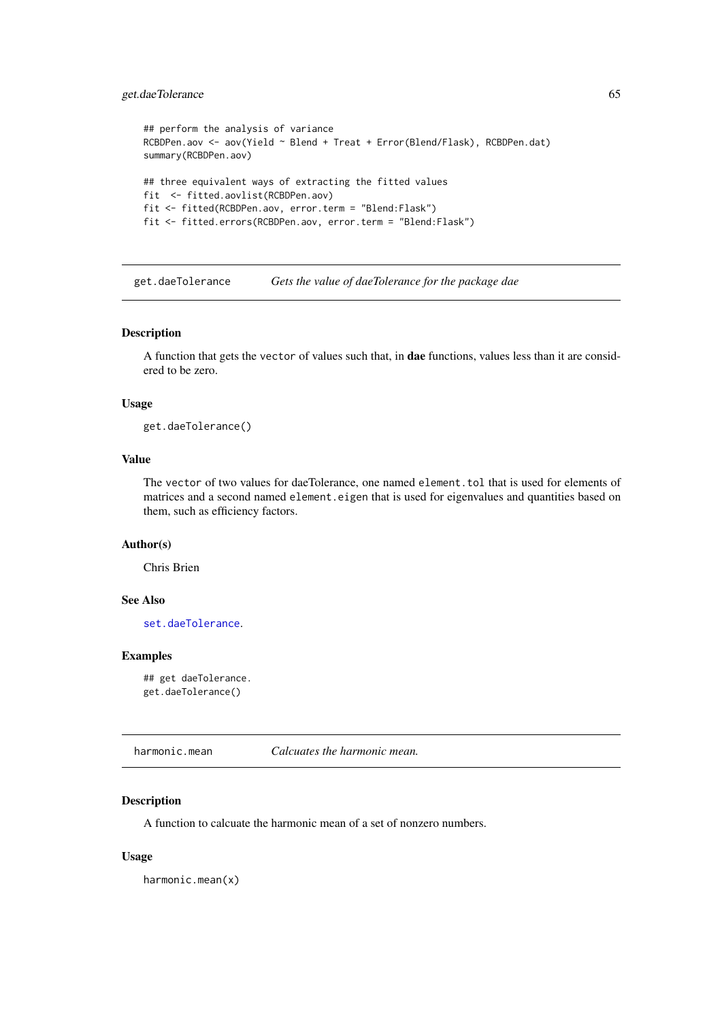## get.daeTolerance 65

```
## perform the analysis of variance
RCBDPen.aov <- aov(Yield ~ Blend + Treat + Error(Blend/Flask), RCBDPen.dat)
summary(RCBDPen.aov)
## three equivalent ways of extracting the fitted values
fit <- fitted.aovlist(RCBDPen.aov)
fit <- fitted(RCBDPen.aov, error.term = "Blend:Flask")
fit <- fitted.errors(RCBDPen.aov, error.term = "Blend:Flask")
```
get.daeTolerance *Gets the value of daeTolerance for the package dae*

#### Description

A function that gets the vector of values such that, in dae functions, values less than it are considered to be zero.

# Usage

get.daeTolerance()

# Value

The vector of two values for daeTolerance, one named element.tol that is used for elements of matrices and a second named element.eigen that is used for eigenvalues and quantities based on them, such as efficiency factors.

# Author(s)

Chris Brien

# See Also

[set.daeTolerance](#page-120-0).

## Examples

```
## get daeTolerance.
get.daeTolerance()
```
harmonic.mean *Calcuates the harmonic mean.*

## Description

A function to calcuate the harmonic mean of a set of nonzero numbers.

## Usage

harmonic.mean(x)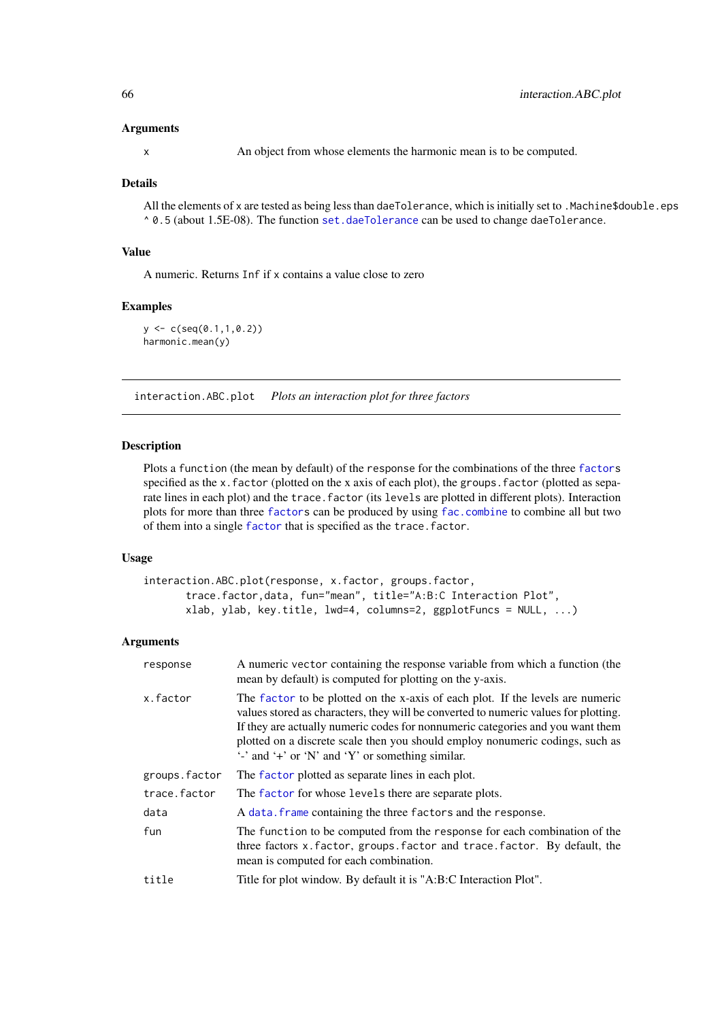## Arguments

x An object from whose elements the harmonic mean is to be computed.

#### Details

All the elements of x are tested as being less than daeTolerance, which is initially set to .Machine\$double.eps  $\triangle$  0.5 (about 1.5E-08). The function [set.daeTolerance](#page-120-0) can be used to change daeTolerance.

# Value

A numeric. Returns Inf if x contains a value close to zero

# Examples

 $y \leftarrow c(\text{seq}(0.1, 1, 0.2))$ harmonic.mean(y)

interaction.ABC.plot *Plots an interaction plot for three factors*

## Description

Plots a function (the mean by default) of the response for the combinations of the three [factors](#page-0-0) specified as the x.factor (plotted on the x axis of each plot), the groups.factor (plotted as separate lines in each plot) and the trace. factor (its levels are plotted in different plots). Interaction plots for more than three [factors](#page-0-0) can be produced by using [fac.combine](#page-44-0) to combine all but two of them into a single [factor](#page-0-0) that is specified as the trace.factor.

### Usage

```
interaction.ABC.plot(response, x.factor, groups.factor,
       trace.factor,data, fun="mean", title="A:B:C Interaction Plot",
       xlab, ylab, key.title, lwd=4, columns=2, ggplotFuncs = NULL, ...)
```
#### Arguments

| response      | A numeric vector containing the response variable from which a function (the<br>mean by default) is computed for plotting on the y-axis.                                                                                                                                                                                                                                                                             |
|---------------|----------------------------------------------------------------------------------------------------------------------------------------------------------------------------------------------------------------------------------------------------------------------------------------------------------------------------------------------------------------------------------------------------------------------|
| x.factor      | The factor to be plotted on the x-axis of each plot. If the levels are numeric<br>values stored as characters, they will be converted to numeric values for plotting.<br>If they are actually numeric codes for nonnumeric categories and you want them<br>plotted on a discrete scale then you should employ nonumeric codings, such as<br>$\cdot$ and $\cdot$ + or $\cdot$ N' and $\cdot$ Y' or something similar. |
| groups.factor | The factor plotted as separate lines in each plot.                                                                                                                                                                                                                                                                                                                                                                   |
| trace.factor  | The factor for whose levels there are separate plots.                                                                                                                                                                                                                                                                                                                                                                |
| data          | A data, frame containing the three factors and the response.                                                                                                                                                                                                                                                                                                                                                         |
| fun           | The function to be computed from the response for each combination of the<br>three factors x. factor, groups. factor and trace. factor. By default, the<br>mean is computed for each combination.                                                                                                                                                                                                                    |
| title         | Title for plot window. By default it is "A:B:C Interaction Plot".                                                                                                                                                                                                                                                                                                                                                    |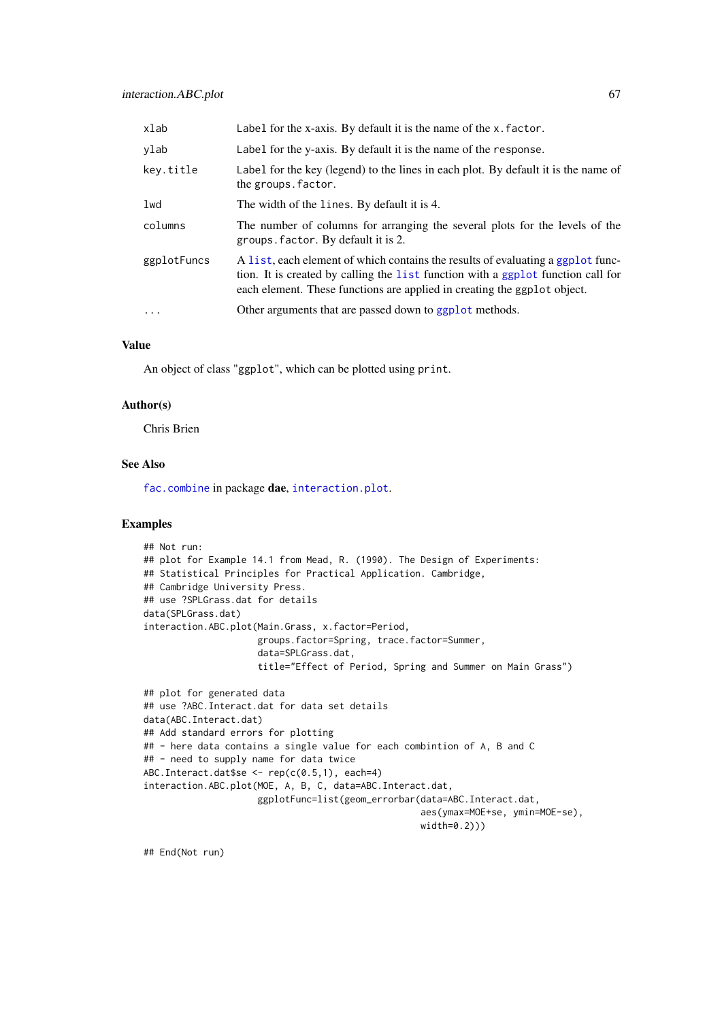| xlab        | Label for the x-axis. By default it is the name of the x. factor.                                                                                                                                                                               |
|-------------|-------------------------------------------------------------------------------------------------------------------------------------------------------------------------------------------------------------------------------------------------|
| ylab        | Label for the y-axis. By default it is the name of the response.                                                                                                                                                                                |
| key.title   | Label for the key (legend) to the lines in each plot. By default it is the name of<br>the groups. factor.                                                                                                                                       |
| lwd         | The width of the lines. By default it is 4.                                                                                                                                                                                                     |
| columns     | The number of columns for arranging the several plots for the levels of the<br>groups. factor. By default it is 2.                                                                                                                              |
| ggplotFuncs | A list, each element of which contains the results of evaluating a ggplot func-<br>tion. It is created by calling the list function with a ggplot function call for<br>each element. These functions are applied in creating the ggplot object. |
| .           | Other arguments that are passed down to ggplot methods.                                                                                                                                                                                         |
|             |                                                                                                                                                                                                                                                 |

## Value

An object of class "ggplot", which can be plotted using print.

## Author(s)

Chris Brien

# See Also

[fac.combine](#page-44-0) in package dae, [interaction.plot](#page-0-0).

## Examples

```
## Not run:
## plot for Example 14.1 from Mead, R. (1990). The Design of Experiments:
## Statistical Principles for Practical Application. Cambridge,
## Cambridge University Press.
## use ?SPLGrass.dat for details
data(SPLGrass.dat)
interaction.ABC.plot(Main.Grass, x.factor=Period,
                     groups.factor=Spring, trace.factor=Summer,
                     data=SPLGrass.dat,
                     title="Effect of Period, Spring and Summer on Main Grass")
## plot for generated data
## use ?ABC.Interact.dat for data set details
data(ABC.Interact.dat)
## Add standard errors for plotting
## - here data contains a single value for each combintion of A, B and C
## - need to supply name for data twice
ABC.Interact.dat$se <- rep(c(0.5,1), each=4)
interaction.ABC.plot(MOE, A, B, C, data=ABC.Interact.dat,
                     ggplotFunc=list(geom_errorbar(data=ABC.Interact.dat,
                                                   aes(ymax=MOE+se, ymin=MOE-se),
                                                   width=0.2)))
```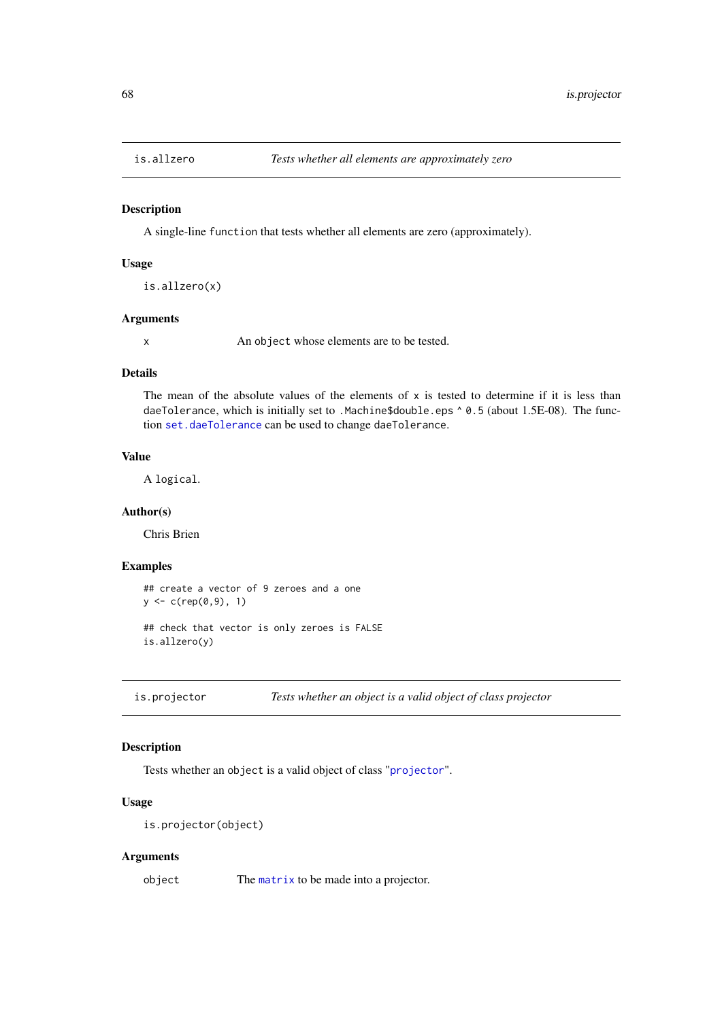## Description

A single-line function that tests whether all elements are zero (approximately).

## Usage

is.allzero(x)

#### Arguments

x An object whose elements are to be tested.

#### Details

The mean of the absolute values of the elements of x is tested to determine if it is less than daeTolerance, which is initially set to .Machine\$double.eps ^ 0.5 (about 1.5E-08). The function [set.daeTolerance](#page-120-0) can be used to change daeTolerance.

# Value

A logical.

## Author(s)

Chris Brien

## Examples

```
## create a vector of 9 zeroes and a one
y \leftarrow c(rep(\emptyset, 9), 1)## check that vector is only zeroes is FALSE
```
is.allzero(y)

is.projector *Tests whether an object is a valid object of class projector*

## Description

Tests whether an object is a valid object of class "[projector](#page-106-0)".

## Usage

```
is.projector(object)
```
# Arguments

object The [matrix](#page-0-0) to be made into a projector.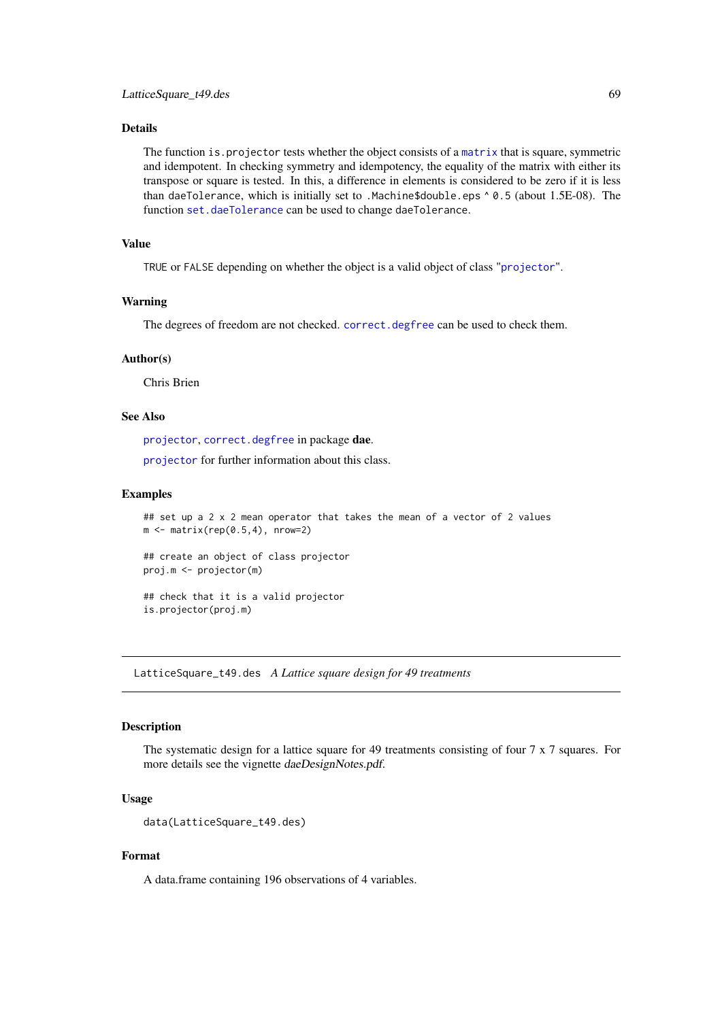# Details

The function is.projector tests whether the object consists of a [matrix](#page-0-0) that is square, symmetric and idempotent. In checking symmetry and idempotency, the equality of the matrix with either its transpose or square is tested. In this, a difference in elements is considered to be zero if it is less than daeTolerance, which is initially set to .Machine\$double.eps ^ 0.5 (about 1.5E-08). The function [set.daeTolerance](#page-120-0) can be used to change daeTolerance.

# Value

TRUE or FALSE depending on whether the object is a valid object of class "[projector](#page-106-0)".

### Warning

The degrees of freedom are not checked. [correct.degfree](#page-13-0) can be used to check them.

## Author(s)

Chris Brien

# See Also

[projector](#page-105-0), [correct.degfree](#page-13-0) in package dae.

[projector](#page-106-0) for further information about this class.

### Examples

```
## set up a 2 x 2 mean operator that takes the mean of a vector of 2 values
m \leftarrow matrix(rep(0.5, 4), nrow=2)## create an object of class projector
proj.m <- projector(m)
## check that it is a valid projector
is.projector(proj.m)
```
LatticeSquare\_t49.des *A Lattice square design for 49 treatments*

## Description

The systematic design for a lattice square for 49 treatments consisting of four 7 x 7 squares. For more details see the vignette daeDesignNotes.pdf.

## Usage

```
data(LatticeSquare_t49.des)
```
# Format

A data.frame containing 196 observations of 4 variables.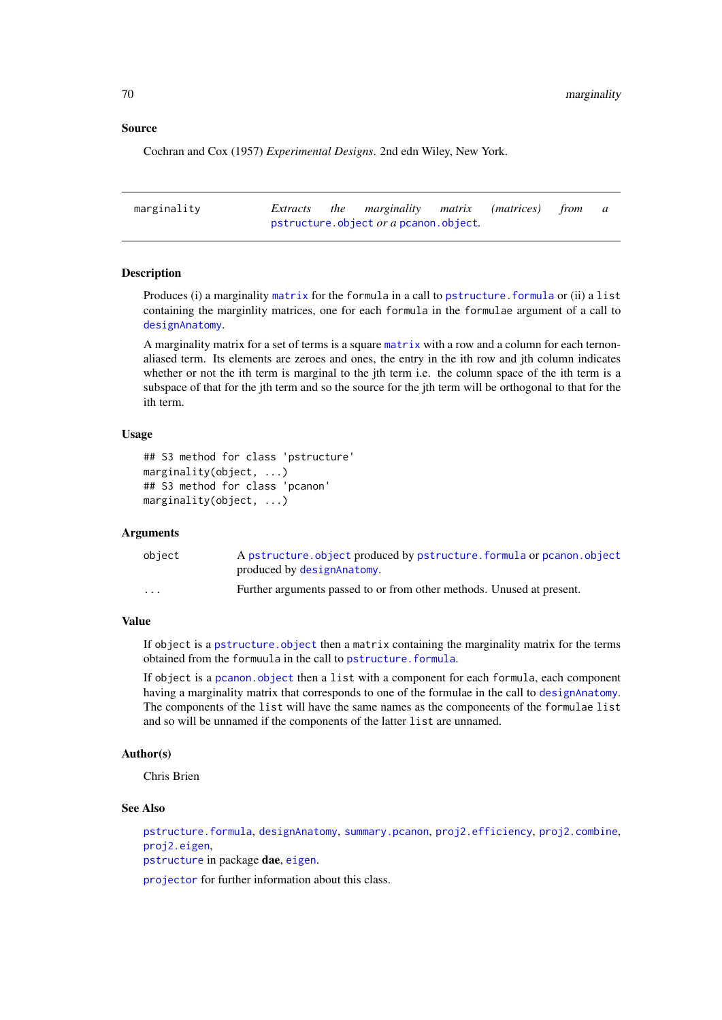## Source

Cochran and Cox (1957) *Experimental Designs*. 2nd edn Wiley, New York.

| marginality |  | Extracts the marginality matrix (matrices) from a |  |  |
|-------------|--|---------------------------------------------------|--|--|
|             |  | pstructure.object or a pcanon.object.             |  |  |

## Description

Produces (i) a marginality [matrix](#page-0-0) for the formula in a call to pstructure. formula or (ii) a list containing the marginlity matrices, one for each formula in the formulae argument of a call to [designAnatomy](#page-19-0).

A marginality matrix for a set of terms is a square [matrix](#page-0-0) with a row and a column for each ternonaliased term. Its elements are zeroes and ones, the entry in the ith row and jth column indicates whether or not the ith term is marginal to the jth term i.e. the column space of the ith term is a subspace of that for the jth term and so the source for the jth term will be orthogonal to that for the ith term.

### Usage

```
## S3 method for class 'pstructure'
marginality(object, ...)
## S3 method for class 'pcanon'
marginality(object, ...)
```
#### Arguments

| object   | A pstructure object produced by pstructure formula or pcanon.object   |
|----------|-----------------------------------------------------------------------|
|          | produced by designAnatomy.                                            |
| $\cdots$ | Further arguments passed to or from other methods. Unused at present. |

## Value

If object is a pstructure. object then a matrix containing the marginality matrix for the terms obtained from the formuula in the call to [pstructure.formula](#page-110-1).

If object is a [pcanon.object](#page-94-0) then a list with a component for each formula, each component having a marginality matrix that corresponds to one of the formulae in the call to [designAnatomy](#page-19-0). The components of the list will have the same names as the componeents of the formulae list and so will be unnamed if the components of the latter list are unnamed.

## Author(s)

Chris Brien

## See Also

[pstructure.formula](#page-110-1), [designAnatomy](#page-19-0), [summary.pcanon](#page-124-0), [proj2.efficiency](#page-102-0), [proj2.combine](#page-101-0), [proj2.eigen](#page-103-0), [pstructure](#page-110-0) in package dae, [eigen](#page-0-0).

[projector](#page-106-0) for further information about this class.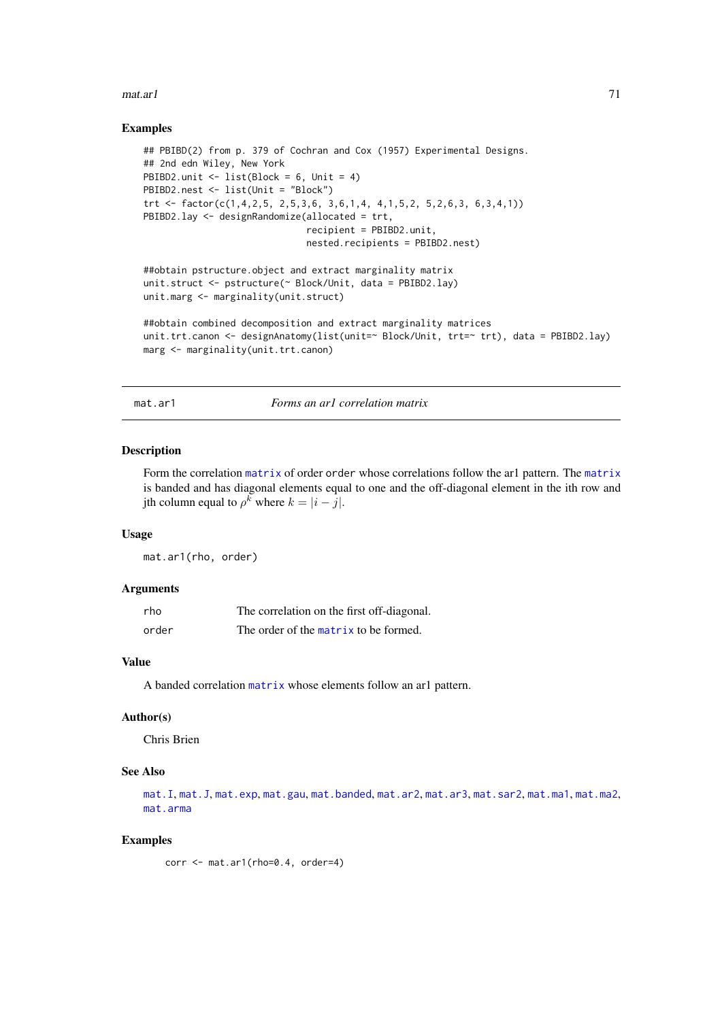#### $\text{max.}$ ar1 71

### Examples

```
## PBIBD(2) from p. 379 of Cochran and Cox (1957) Experimental Designs.
## 2nd edn Wiley, New York
PBIBD2.unit <- list(Block = 6, Unit = 4)
PBIBD2.nest <- list(Unit = "Block")
trt <- factor(c(1,4,2,5, 2,5,3,6, 3,6,1,4, 4,1,5,2, 5,2,6,3, 6,3,4,1))
PBIBD2.lay <- designRandomize(allocated = trt,
                              recipient = PBIBD2.unit,
                              nested.recipients = PBIBD2.nest)
##obtain pstructure.object and extract marginality matrix
unit.struct <- pstructure(~ Block/Unit, data = PBIBD2.lay)
unit.marg <- marginality(unit.struct)
##obtain combined decomposition and extract marginality matrices
unit.trt.canon <- designAnatomy(list(unit=~ Block/Unit, trt=~ trt), data = PBIBD2.lay)
marg <- marginality(unit.trt.canon)
```
<span id="page-70-0"></span>mat.ar1 *Forms an ar1 correlation matrix*

### Description

Form the correlation [matrix](#page-0-0) of order order whose correlations follow the ar1 pattern. The [matrix](#page-0-0) is banded and has diagonal elements equal to one and the off-diagonal element in the ith row and jth column equal to  $\rho^k$  where  $k = |i - j|$ .

#### Usage

mat.ar1(rho, order)

## Arguments

| rho   | The correlation on the first off-diagonal. |
|-------|--------------------------------------------|
| order | The order of the matrix to be formed.      |

## Value

A banded correlation [matrix](#page-0-0) whose elements follow an ar1 pattern.

## Author(s)

Chris Brien

## See Also

[mat.I](#page-78-0), [mat.J](#page-78-1), [mat.exp](#page-76-0), [mat.gau](#page-77-0), [mat.banded](#page-74-0), [mat.ar2](#page-71-0), [mat.ar3](#page-72-0), [mat.sar2](#page-84-0), [mat.ma1](#page-79-0), [mat.ma2](#page-80-0), [mat.arma](#page-73-0)

# Examples

corr <- mat.ar1(rho=0.4, order=4)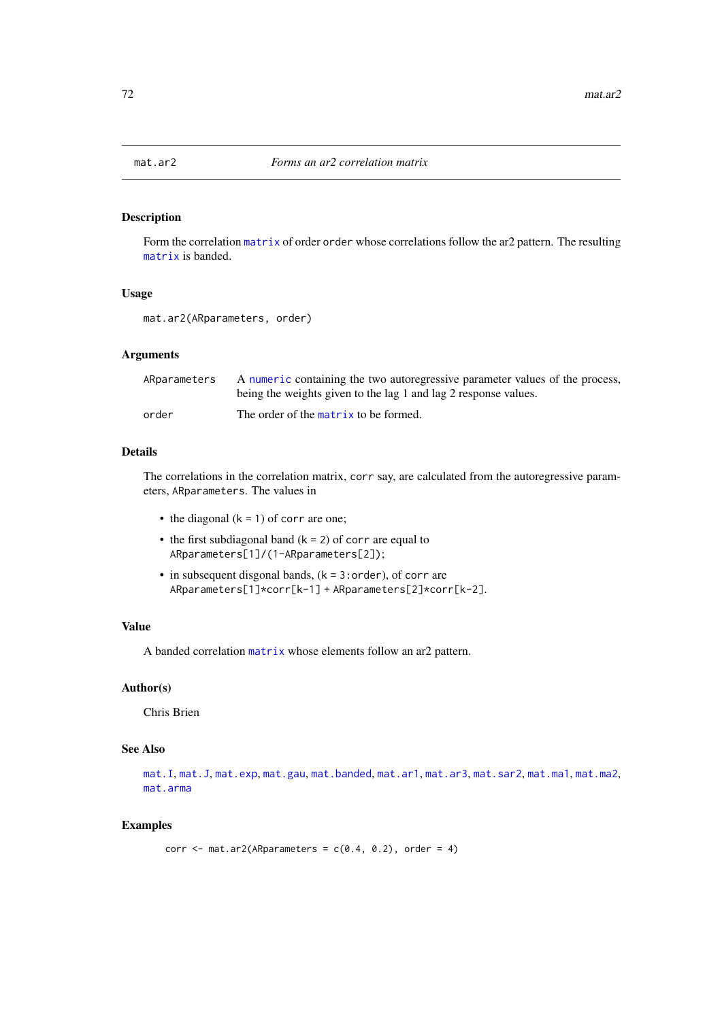<span id="page-71-0"></span>

## Description

Form the correlation [matrix](#page-0-0) of order order whose correlations follow the ar2 pattern. The resulting [matrix](#page-0-0) is banded.

# Usage

mat.ar2(ARparameters, order)

## Arguments

| ARparameters | A numeric containing the two autoregressive parameter values of the process,<br>being the weights given to the lag 1 and lag 2 response values. |
|--------------|-------------------------------------------------------------------------------------------------------------------------------------------------|
| order        | The order of the matrix to be formed.                                                                                                           |

#### Details

The correlations in the correlation matrix, corr say, are calculated from the autoregressive parameters, ARparameters. The values in

- the diagonal  $(k = 1)$  of corr are one;
- the first subdiagonal band  $(k = 2)$  of corr are equal to ARparameters[1]/(1-ARparameters[2]);
- $\bullet$  in subsequent disgonal bands, ( $k = 3$ : order), of corr are ARparameters[1]\*corr[k-1] + ARparameters[2]\*corr[k-2].

# Value

A banded correlation [matrix](#page-0-0) whose elements follow an ar2 pattern.

# Author(s)

Chris Brien

# See Also

```
mat.Imat.Jmat.expmat.gaumat.bandedmat.ar1mat.ar3mat.sar2mat.ma1mat.ma2,
mat.arma
```
### Examples

```
corr \leq mat.ar2(ARparameters = c(0.4, 0.2), order = 4)
```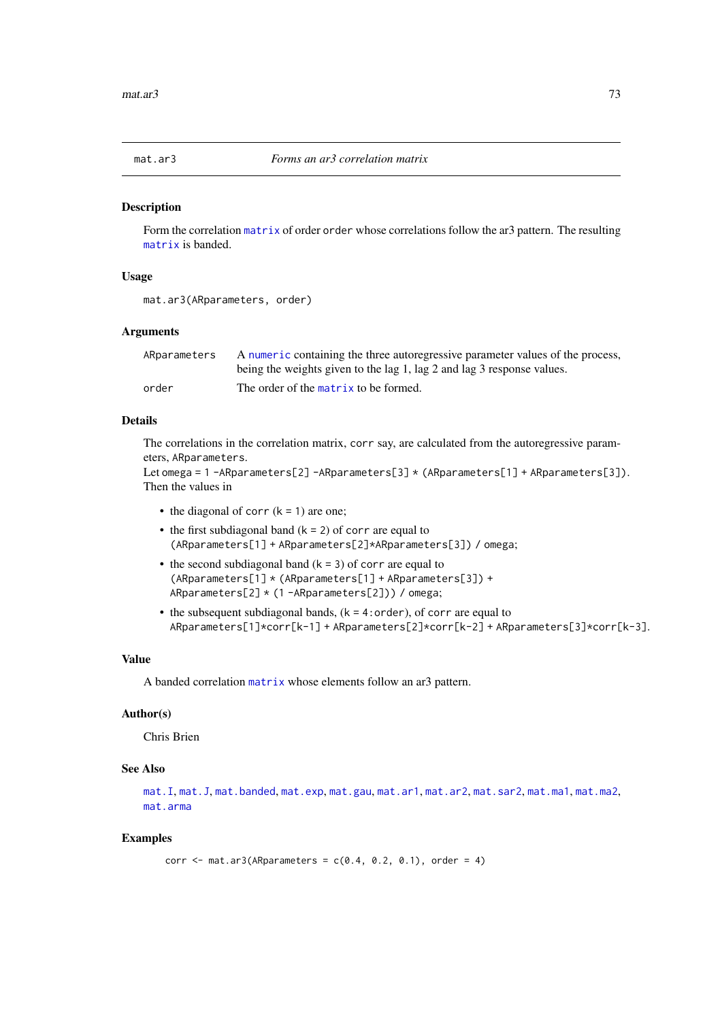<span id="page-72-0"></span>

Form the correlation [matrix](#page-0-0) of order order whose correlations follow the ar3 pattern. The resulting [matrix](#page-0-0) is banded.

# Usage

```
mat.ar3(ARparameters, order)
```
#### Arguments

| ARparameters | A numeric containing the three autoregressive parameter values of the process, |
|--------------|--------------------------------------------------------------------------------|
|              | being the weights given to the lag 1, lag 2 and lag 3 response values.         |
| order        | The order of the matrix to be formed.                                          |

# Details

The correlations in the correlation matrix, corr say, are calculated from the autoregressive parameters, ARparameters.

```
Let omega = 1 -ARparameters[2] -ARparameters[3] * (ARparameters[1] + ARparameters[3]).
Then the values in
```
- the diagonal of corr  $(k = 1)$  are one;
- the first subdiagonal band  $(k = 2)$  of corr are equal to (ARparameters[1] + ARparameters[2]\*ARparameters[3]) / omega;
- the second subdiagonal band  $(k = 3)$  of corr are equal to (ARparameters[1] \* (ARparameters[1] + ARparameters[3]) + ARparameters[2] \* (1 -ARparameters[2])) / omega;
- the subsequent subdiagonal bands,  $(k = 4:order)$ , of corr are equal to ARparameters[1]\*corr[k-1] + ARparameters[2]\*corr[k-2] + ARparameters[3]\*corr[k-3].

## Value

A banded correlation [matrix](#page-0-0) whose elements follow an ar3 pattern.

#### Author(s)

Chris Brien

# See Also

```
mat.Imat.Jmat.bandedmat.expmat.gaumat.ar1mat.ar2mat.sar2mat.ma1mat.ma2,
mat.arma
```

```
corr \leq mat.ar3(ARparameters = c(0.4, 0.2, 0.1), order = 4)
```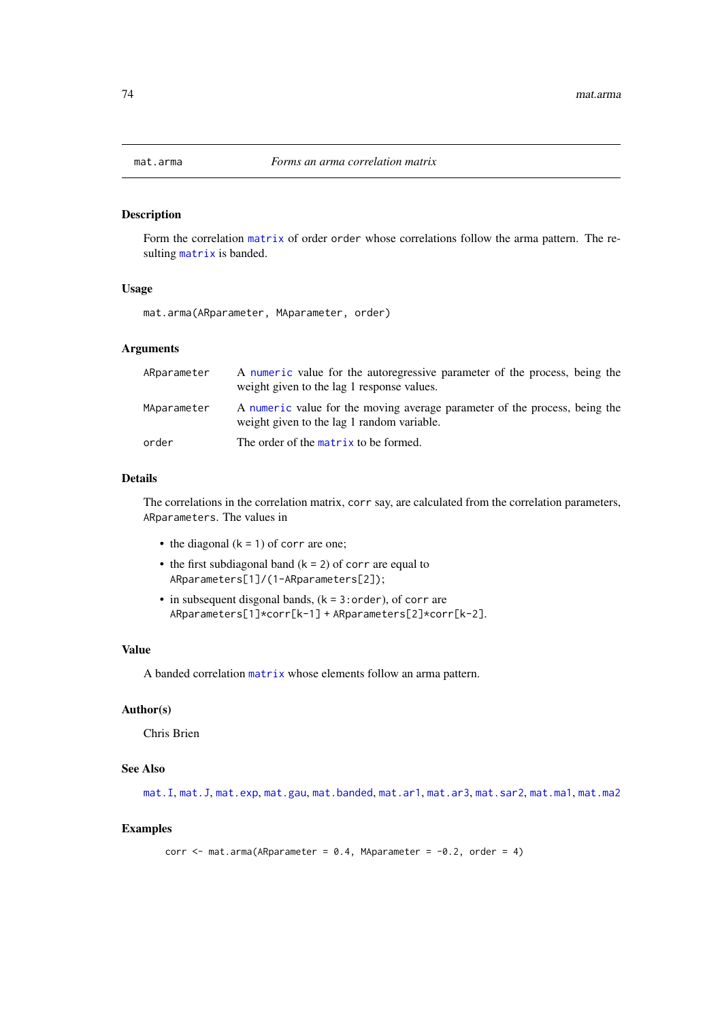<span id="page-73-0"></span>

Form the correlation [matrix](#page-0-0) of order order whose correlations follow the arma pattern. The resulting [matrix](#page-0-0) is banded.

## Usage

mat.arma(ARparameter, MAparameter, order)

#### Arguments

| ARparameter | A numeric value for the autoregressive parameter of the process, being the<br>weight given to the lag 1 response values. |
|-------------|--------------------------------------------------------------------------------------------------------------------------|
| MAparameter | A numeric value for the moving average parameter of the process, being the<br>weight given to the lag 1 random variable. |
| order       | The order of the matrix to be formed.                                                                                    |

#### Details

The correlations in the correlation matrix, corr say, are calculated from the correlation parameters, ARparameters. The values in

- the diagonal  $(k = 1)$  of corr are one;
- the first subdiagonal band  $(k = 2)$  of corr are equal to ARparameters[1]/(1-ARparameters[2]);
- $\bullet$  in subsequent disgonal bands, ( $k = 3$ : order), of corr are ARparameters[1]\*corr[k-1] + ARparameters[2]\*corr[k-2].

#### Value

A banded correlation [matrix](#page-0-0) whose elements follow an arma pattern.

## Author(s)

Chris Brien

## See Also

[mat.I](#page-78-0), [mat.J](#page-78-1), [mat.exp](#page-76-0), [mat.gau](#page-77-0), [mat.banded](#page-74-0), [mat.ar1](#page-70-0), [mat.ar3](#page-72-0), [mat.sar2](#page-84-0), [mat.ma1](#page-79-0), [mat.ma2](#page-80-0)

```
corr \leq mat.arma(ARparameter = 0.4, MAparameter = -0.2, order = 4)
```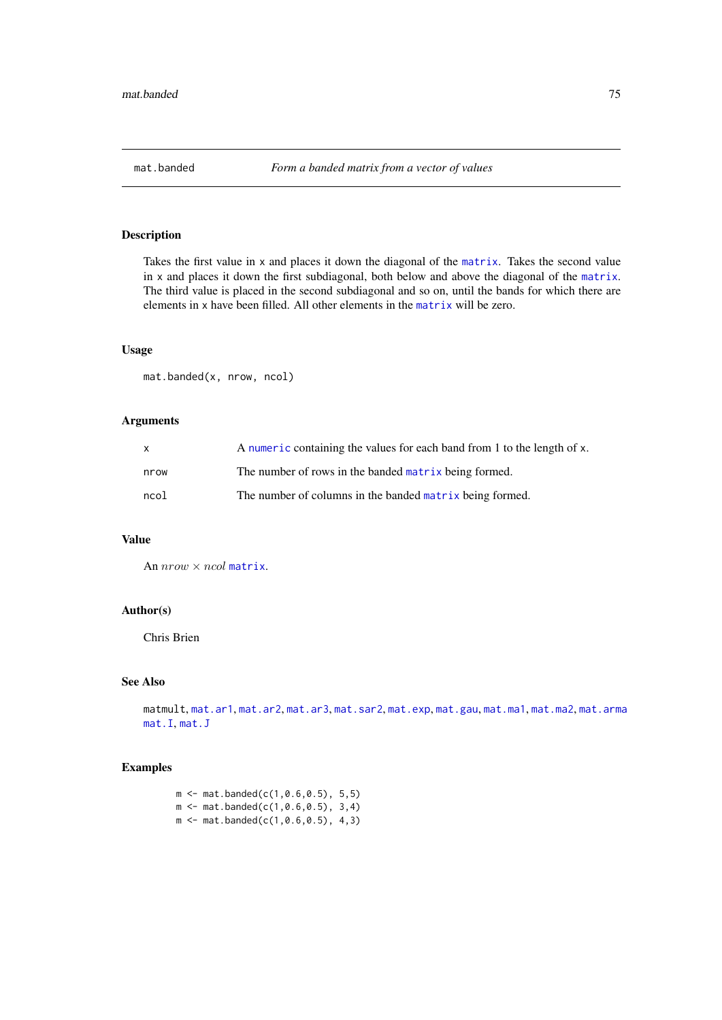<span id="page-74-0"></span>Takes the first value in x and places it down the diagonal of the [matrix](#page-0-0). Takes the second value in x and places it down the first subdiagonal, both below and above the diagonal of the [matrix](#page-0-0). The third value is placed in the second subdiagonal and so on, until the bands for which there are elements in x have been filled. All other elements in the [matrix](#page-0-0) will be zero.

#### Usage

mat.banded(x, nrow, ncol)

## Arguments

| $\mathsf{x}$ | A numeric containing the values for each band from 1 to the length of x. |
|--------------|--------------------------------------------------------------------------|
| nrow         | The number of rows in the banded matrix being formed.                    |
| ncol         | The number of columns in the banded matrix being formed.                 |

# Value

An  $nrow \times ncol$  [matrix](#page-0-0).

#### Author(s)

Chris Brien

# See Also

matmult, [mat.ar1](#page-70-0), [mat.ar2](#page-71-0), [mat.ar3](#page-72-0), [mat.sar2](#page-84-0), [mat.exp](#page-76-0), [mat.gau](#page-77-0), [mat.ma1](#page-79-0), [mat.ma2](#page-80-0), [mat.arma](#page-73-0) [mat.I](#page-78-0), [mat.J](#page-78-1)

## Examples

 $m$  <- mat.banded(c(1,0.6,0.5), 5,5)  $m \le - \text{mat.banded}(c(1, 0.6, 0.5), 3, 4)$  $m \le - \text{mat.banded}(c(1, 0.6, 0.5), 4, 3)$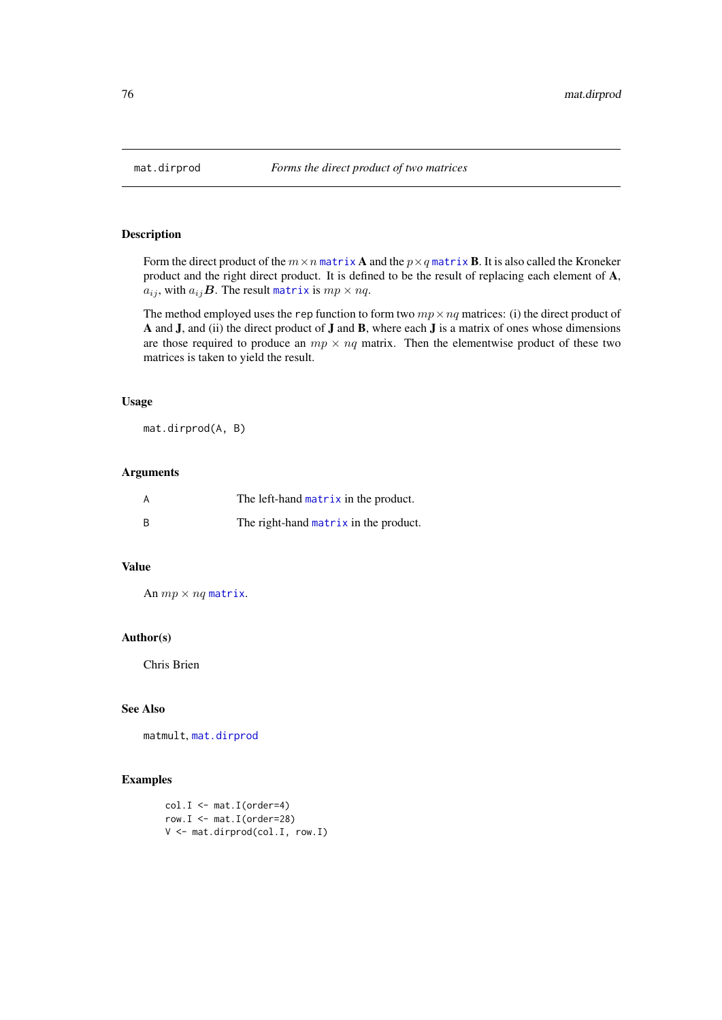Form the direct product of the  $m \times n$  [matrix](#page-0-0) **A** and the  $p \times q$  matrix **B**. It is also called the Kroneker product and the right direct product. It is defined to be the result of replacing each element of A,  $a_{ij}$ , with  $a_{ij}$ **B**. The result [matrix](#page-0-0) is  $mp \times nq$ .

The method employed uses the rep function to form two  $mp \times nq$  matrices: (i) the direct product of A and J, and (ii) the direct product of J and B, where each J is a matrix of ones whose dimensions are those required to produce an  $mp \times nq$  matrix. Then the elementwise product of these two matrices is taken to yield the result.

#### Usage

mat.dirprod(A, B)

#### Arguments

| The left-hand matrix in the product.  |
|---------------------------------------|
| The right-hand matrix in the product. |

## Value

An  $mp \times nq$  [matrix](#page-0-0).

#### Author(s)

Chris Brien

# See Also

matmult, [mat.dirprod](#page-75-0)

```
col.I \leftarrow mat.I(order=4)row. I \leq - \text{mat.I}(\text{order}=28)V <- mat.dirprod(col.I, row.I)
```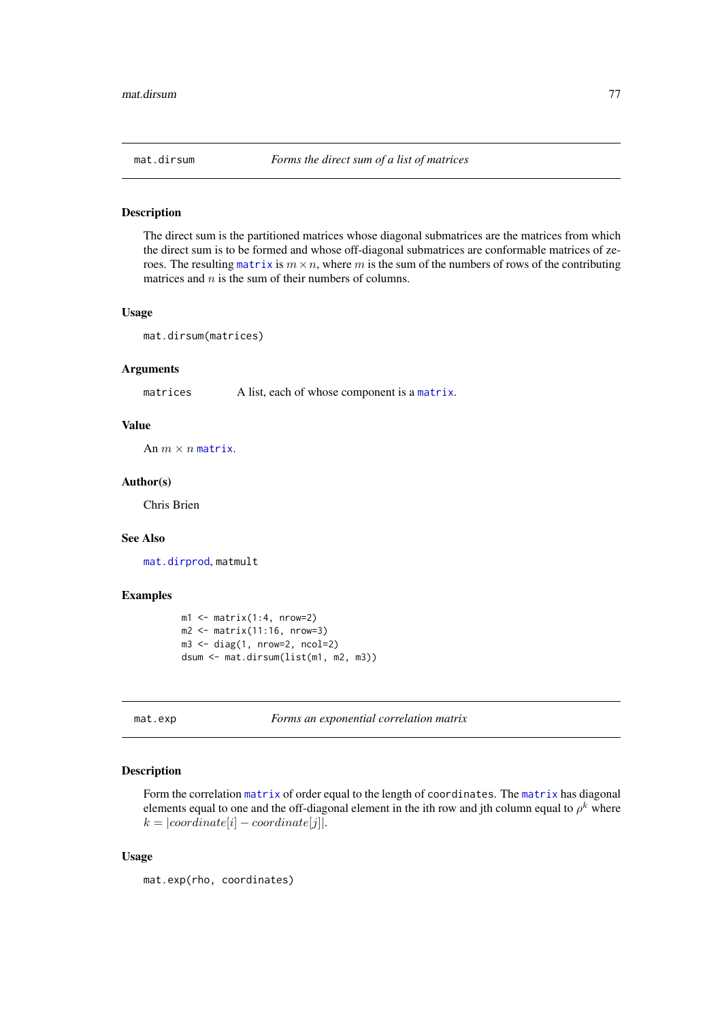The direct sum is the partitioned matrices whose diagonal submatrices are the matrices from which the direct sum is to be formed and whose off-diagonal submatrices are conformable matrices of zeroes. The resulting [matrix](#page-0-0) is  $m \times n$ , where m is the sum of the numbers of rows of the contributing matrices and  $n$  is the sum of their numbers of columns.

#### Usage

mat.dirsum(matrices)

#### Arguments

matrices A list, each of whose component is a [matrix](#page-0-0).

## Value

An  $m \times n$  [matrix](#page-0-0).

#### Author(s)

Chris Brien

#### See Also

[mat.dirprod](#page-75-0), matmult

## Examples

```
ml \leftarrow matrix(1:4, nrow=2)m2 \leq - matrix(11:16, nrow=3)
m3 \leq -diag(1, nrow=2, ncol=2)dsum <- mat.dirsum(list(m1, m2, m3))
```
<span id="page-76-0"></span>mat.exp *Forms an exponential correlation matrix*

## Description

Form the correlation [matrix](#page-0-0) of order equal to the length of coordinates. The [matrix](#page-0-0) has diagonal elements equal to one and the off-diagonal element in the ith row and jth column equal to  $\rho^k$  where  $k = |coordinate[i] - coordinate[j]|.$ 

# Usage

```
mat.exp(rho, coordinates)
```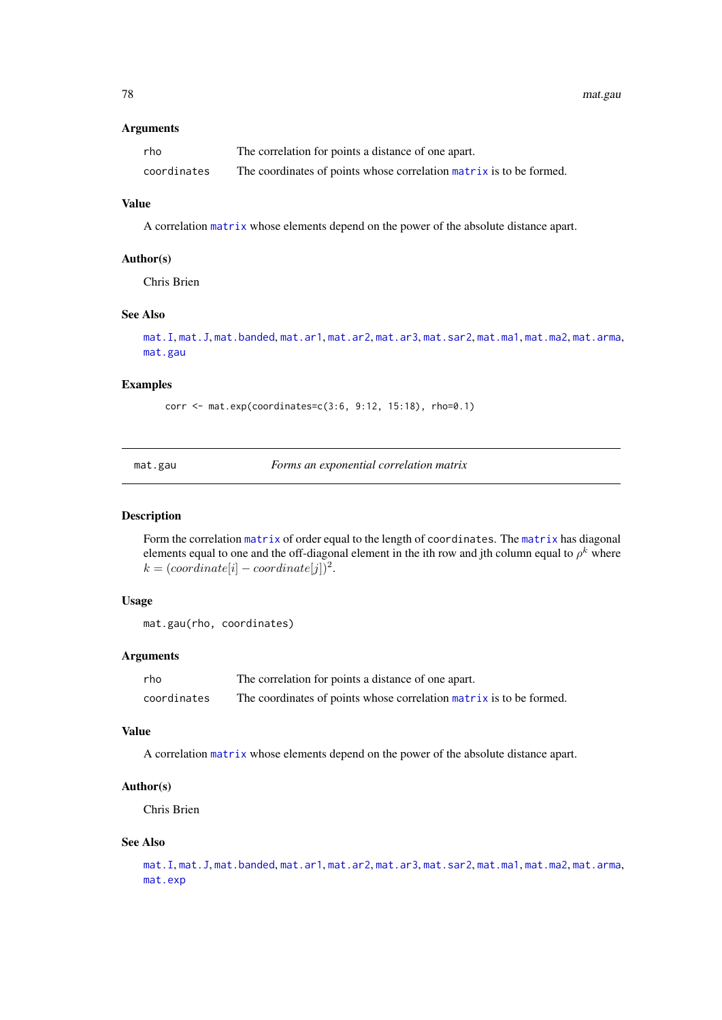# Arguments

| rho         | The correlation for points a distance of one apart.                 |
|-------------|---------------------------------------------------------------------|
| coordinates | The coordinates of points whose correlation matrix is to be formed. |

## Value

A correlation [matrix](#page-0-0) whose elements depend on the power of the absolute distance apart.

## Author(s)

Chris Brien

# See Also

```
mat.I, mat.J, mat.banded, mat.ar1, mat.ar2, mat.ar3, mat.sar2, mat.ma1, mat.ma2, mat.arma,
mat.gau
```
#### Examples

corr <- mat.exp(coordinates=c(3:6, 9:12, 15:18), rho=0.1)

<span id="page-77-0"></span>mat.gau *Forms an exponential correlation matrix*

#### Description

Form the correlation [matrix](#page-0-0) of order equal to the length of coordinates. The [matrix](#page-0-0) has diagonal elements equal to one and the off-diagonal element in the ith row and jth column equal to  $\rho^k$  where  $k = (coordinate[i] - coordinate[j])^2$ .

## Usage

```
mat.gau(rho, coordinates)
```
## Arguments

| rho         | The correlation for points a distance of one apart.                 |
|-------------|---------------------------------------------------------------------|
| coordinates | The coordinates of points whose correlation matrix is to be formed. |

#### Value

A correlation [matrix](#page-0-0) whose elements depend on the power of the absolute distance apart.

#### Author(s)

Chris Brien

#### See Also

[mat.I](#page-78-0), [mat.J](#page-78-1), [mat.banded](#page-74-0), [mat.ar1](#page-70-0), [mat.ar2](#page-71-0), [mat.ar3](#page-72-0), [mat.sar2](#page-84-0), [mat.ma1](#page-79-0), [mat.ma2](#page-80-0), [mat.arma](#page-73-0), [mat.exp](#page-76-0)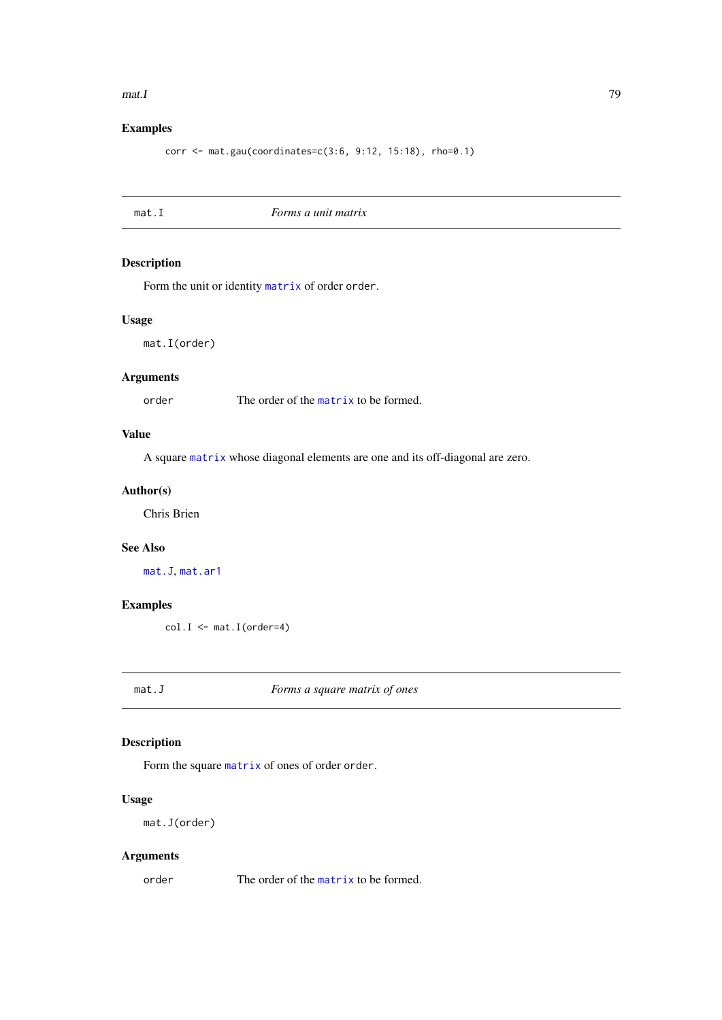#### $\text{mat.}$  I and  $\text{mat.}$  T

# Examples

corr <- mat.gau(coordinates=c(3:6, 9:12, 15:18), rho=0.1)

<span id="page-78-0"></span>mat.I *Forms a unit matrix*

# Description

Form the unit or identity [matrix](#page-0-0) of order order.

# Usage

mat.I(order)

# Arguments

order The order of the [matrix](#page-0-0) to be formed.

# Value

A square [matrix](#page-0-0) whose diagonal elements are one and its off-diagonal are zero.

# Author(s)

Chris Brien

## See Also

[mat.J](#page-78-1), [mat.ar1](#page-70-0)

## Examples

col.I <- mat.I(order=4)

<span id="page-78-1"></span>mat.J *Forms a square matrix of ones*

# Description

Form the square [matrix](#page-0-0) of ones of order order.

# Usage

mat.J(order)

# Arguments

order The order of the [matrix](#page-0-0) to be formed.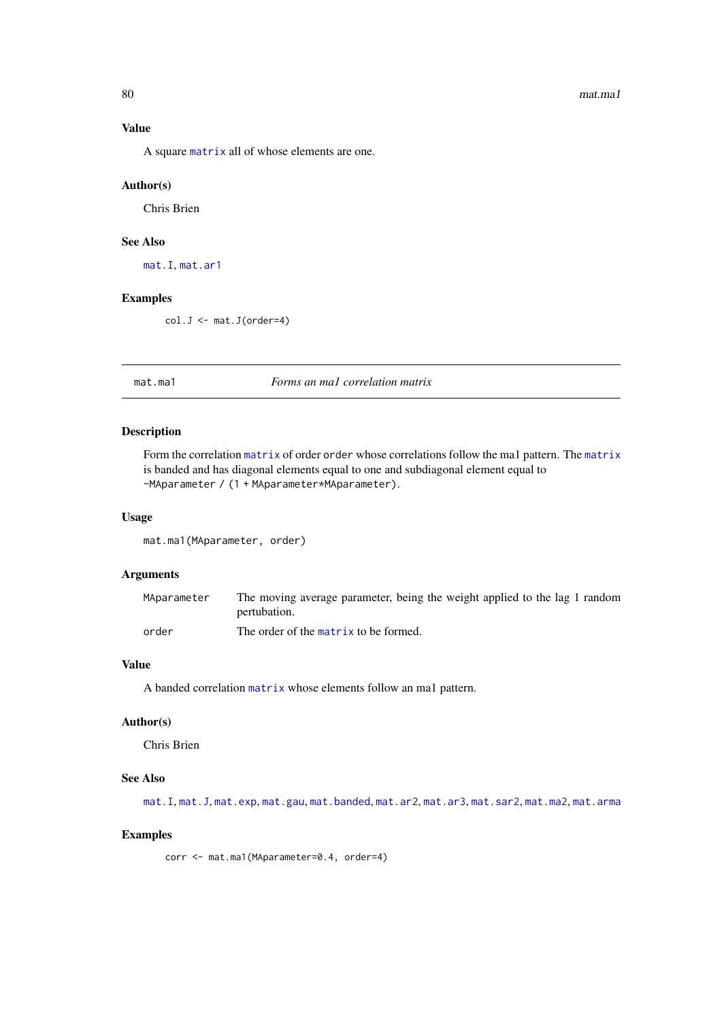#### 80 mat.ma1

# Value

A square [matrix](#page-0-0) all of whose elements are one.

## Author(s)

Chris Brien

# See Also

[mat.I](#page-78-0), [mat.ar1](#page-70-0)

# Examples

col.J <- mat.J(order=4)

<span id="page-79-0"></span>mat.ma1 *Forms an ma1 correlation matrix*

## Description

Form the correlation [matrix](#page-0-0) of order order whose correlations follow the ma1 pattern. The [matrix](#page-0-0) is banded and has diagonal elements equal to one and subdiagonal element equal to -MAparameter / (1 + MAparameter\*MAparameter).

# Usage

mat.ma1(MAparameter, order)

#### Arguments

| MAparameter | The moving average parameter, being the weight applied to the lag 1 random |
|-------------|----------------------------------------------------------------------------|
|             | pertubation.                                                               |
| order       | The order of the matrix to be formed.                                      |

## Value

A banded correlation [matrix](#page-0-0) whose elements follow an ma1 pattern.

# Author(s)

Chris Brien

## See Also

[mat.I](#page-78-0), [mat.J](#page-78-1), [mat.exp](#page-76-0), [mat.gau](#page-77-0), [mat.banded](#page-74-0), [mat.ar2](#page-71-0), [mat.ar3](#page-72-0), [mat.sar2](#page-84-0), [mat.ma2](#page-80-0), [mat.arma](#page-73-0)

#### Examples

corr <- mat.ma1(MAparameter=0.4, order=4)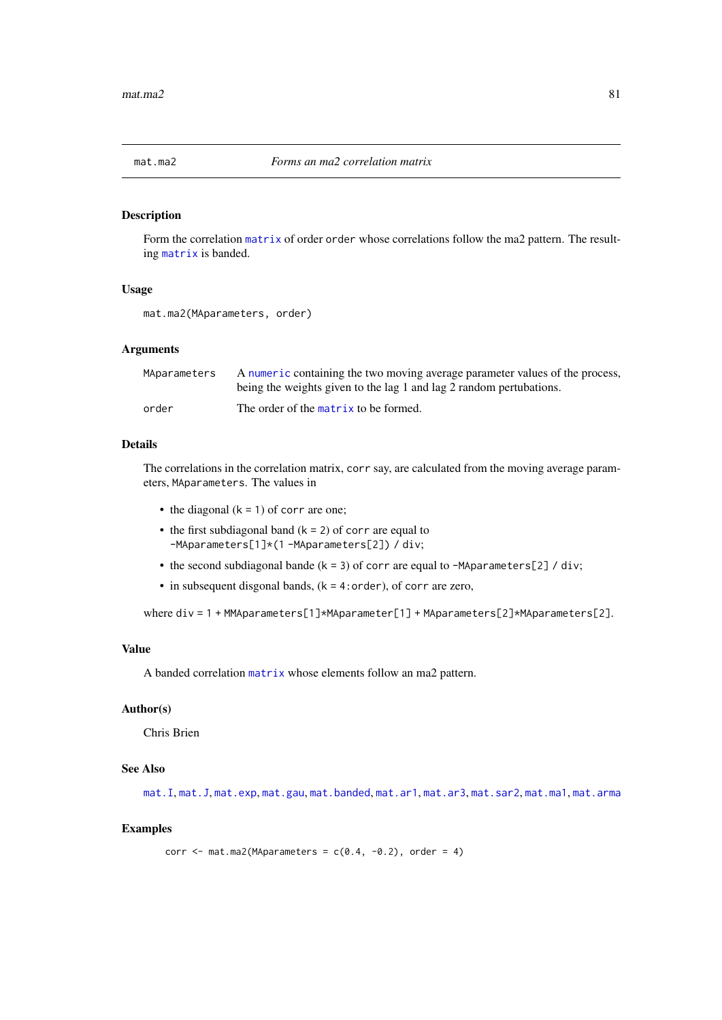<span id="page-80-0"></span>

Form the correlation [matrix](#page-0-0) of order order whose correlations follow the ma2 pattern. The resulting [matrix](#page-0-0) is banded.

## Usage

```
mat.ma2(MAparameters, order)
```
#### Arguments

| MAparameters | A numeric containing the two moving average parameter values of the process,<br>being the weights given to the lag 1 and lag 2 random pertubations. |
|--------------|-----------------------------------------------------------------------------------------------------------------------------------------------------|
| order        | The order of the matrix to be formed.                                                                                                               |

## Details

The correlations in the correlation matrix, corr say, are calculated from the moving average parameters, MAparameters. The values in

- the diagonal  $(k = 1)$  of corr are one;
- the first subdiagonal band  $(k = 2)$  of corr are equal to -MAparameters[1]\*(1 -MAparameters[2]) / div;
- the second subdiagonal bande ( $k = 3$ ) of corr are equal to -MAparameters[2] / div;
- in subsequent disgonal bands, (k = 4:order), of corr are zero,

where div = 1 + MMAparameters[1]\*MAparameter[1] + MAparameters[2]\*MAparameters[2].

#### Value

A banded correlation [matrix](#page-0-0) whose elements follow an ma2 pattern.

## Author(s)

Chris Brien

## See Also

[mat.I](#page-78-0), [mat.J](#page-78-1), [mat.exp](#page-76-0), [mat.gau](#page-77-0), [mat.banded](#page-74-0), [mat.ar1](#page-70-0), [mat.ar3](#page-72-0), [mat.sar2](#page-84-0), [mat.ma1](#page-79-0), [mat.arma](#page-73-0)

```
corr \leq mat.ma2(MAparameters = c(0.4, -0.2), order = 4)
```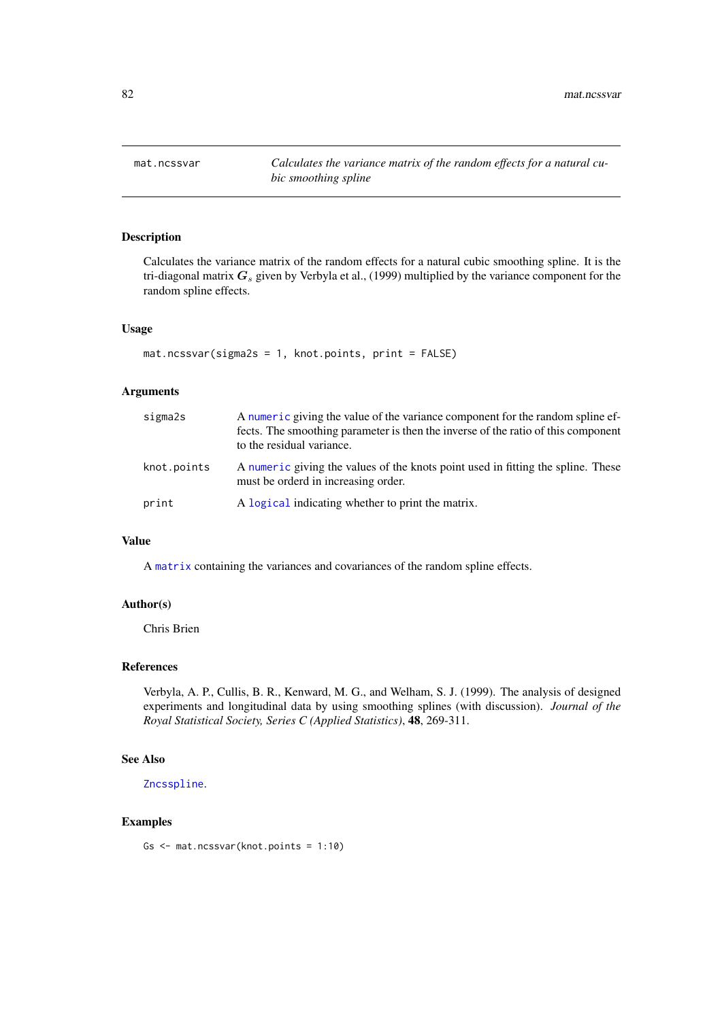Calculates the variance matrix of the random effects for a natural cubic smoothing spline. It is the tri-diagonal matrix  $G_s$  given by Verbyla et al., (1999) multiplied by the variance component for the random spline effects.

#### Usage

```
mat.ncssvar(sigma2s = 1, knot.points, print = FALSE)
```
## Arguments

| sigma2s     | A numeric giving the value of the variance component for the random spline ef-<br>fects. The smoothing parameter is then the inverse of the ratio of this component<br>to the residual variance. |
|-------------|--------------------------------------------------------------------------------------------------------------------------------------------------------------------------------------------------|
| knot.points | A numeric giving the values of the knots point used in fitting the spline. These<br>must be orderd in increasing order.                                                                          |
| print       | A logical indicating whether to print the matrix.                                                                                                                                                |

# Value

A [matrix](#page-0-0) containing the variances and covariances of the random spline effects.

## Author(s)

Chris Brien

## References

Verbyla, A. P., Cullis, B. R., Kenward, M. G., and Welham, S. J. (1999). The analysis of designed experiments and longitudinal data by using smoothing splines (with discussion). *Journal of the Royal Statistical Society, Series C (Applied Statistics)*, 48, 269-311.

## See Also

[Zncsspline](#page-128-0).

#### Examples

Gs <- mat.ncssvar(knot.points = 1:10)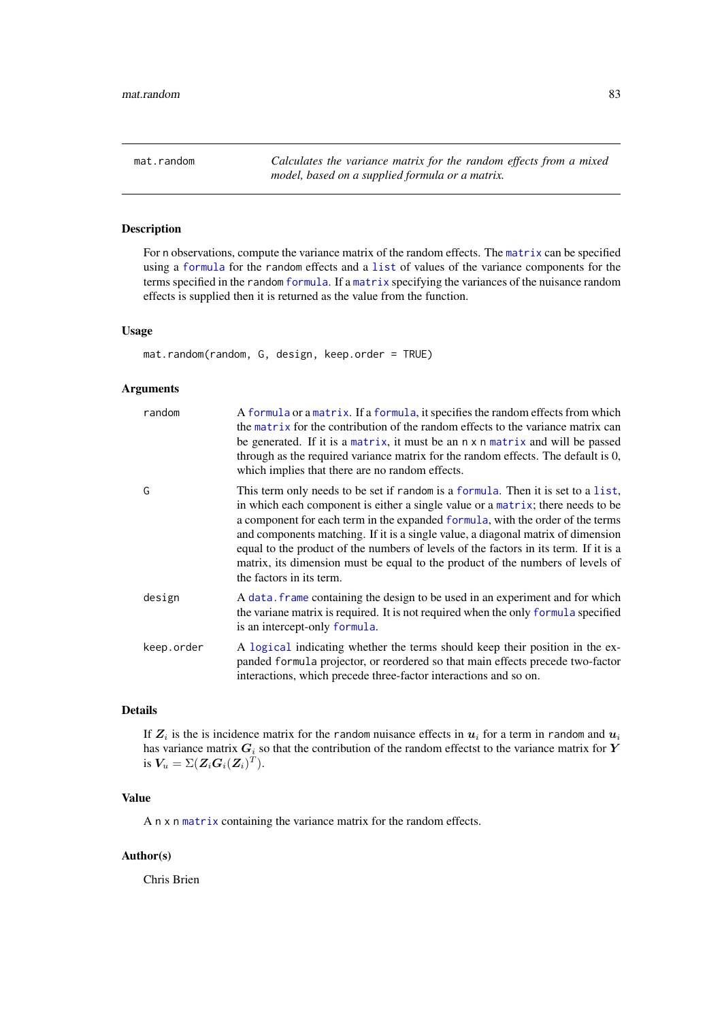<span id="page-82-0"></span>mat.random *Calculates the variance matrix for the random effects from a mixed model, based on a supplied formula or a matrix.*

# Description

For n observations, compute the variance matrix of the random effects. The [matrix](#page-0-0) can be specified using a [formula](#page-0-0) for the random effects and a [list](#page-0-0) of values of the variance components for the terms specified in the random [formula](#page-0-0). If a [matrix](#page-0-0) specifying the variances of the nuisance random effects is supplied then it is returned as the value from the function.

#### Usage

mat.random(random, G, design, keep.order = TRUE)

# Arguments

| random     | A formula or a matrix. If a formula, it specifies the random effects from which<br>the matrix for the contribution of the random effects to the variance matrix can<br>be generated. If it is a matrix, it must be an n x n matrix and will be passed<br>through as the required variance matrix for the random effects. The default is 0,<br>which implies that there are no random effects.                                                                                                                                                   |
|------------|-------------------------------------------------------------------------------------------------------------------------------------------------------------------------------------------------------------------------------------------------------------------------------------------------------------------------------------------------------------------------------------------------------------------------------------------------------------------------------------------------------------------------------------------------|
| G          | This term only needs to be set if random is a formula. Then it is set to a list,<br>in which each component is either a single value or a matrix; there needs to be<br>a component for each term in the expanded formula, with the order of the terms<br>and components matching. If it is a single value, a diagonal matrix of dimension<br>equal to the product of the numbers of levels of the factors in its term. If it is a<br>matrix, its dimension must be equal to the product of the numbers of levels of<br>the factors in its term. |
| design     | A data, frame containing the design to be used in an experiment and for which<br>the variane matrix is required. It is not required when the only formula specified<br>is an intercept-only formula.                                                                                                                                                                                                                                                                                                                                            |
| keep.order | A logical indicating whether the terms should keep their position in the ex-<br>panded formula projector, or reordered so that main effects precede two-factor<br>interactions, which precede three-factor interactions and so on.                                                                                                                                                                                                                                                                                                              |

## Details

If  $Z_i$  is the is incidence matrix for the random nuisance effects in  $u_i$  for a term in random and  $u_i$ has variance matrix  $G_i$  so that the contribution of the random effectst to the variance matrix for Y is  $\boldsymbol{V_u} = \Sigma(\boldsymbol{Z_i} \boldsymbol{G_i} (\boldsymbol{Z_i})^T).$ 

## Value

A n x n [matrix](#page-0-0) containing the variance matrix for the random effects.

# Author(s)

Chris Brien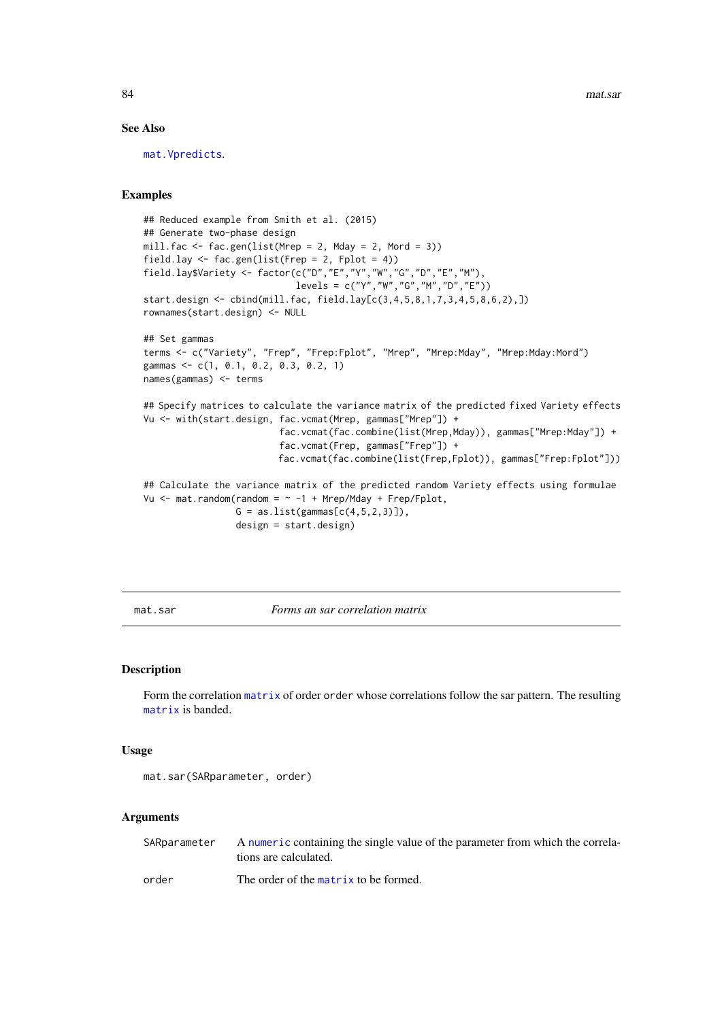#### See Also

[mat.Vpredicts](#page-87-0).

## Examples

```
## Reduced example from Smith et al. (2015)
## Generate two-phase design
mill.fac \leq fac.gen(list(Mrep = 2, Mday = 2, Mord = 3))
field.lay \le fac.gen(list(Frep = 2, Fplot = 4))
field.lay$Variety <- factor(c("D","E","Y","W","G","D","E","M"),
                            levels = c("Y", "W", "G", "M", "D", "E"))start.design <- cbind(mill.fac, field.lay[c(3,4,5,8,1,7,3,4,5,8,6,2),])
rownames(start.design) <- NULL
## Set gammas
terms <- c("Variety", "Frep", "Frep:Fplot", "Mrep", "Mrep:Mday", "Mrep:Mday:Mord")
gammas <- c(1, 0.1, 0.2, 0.3, 0.2, 1)
names(gammas) <- terms
## Specify matrices to calculate the variance matrix of the predicted fixed Variety effects
Vu <- with(start.design, fac.vcmat(Mrep, gammas["Mrep"]) +
                         fac.vcmat(fac.combine(list(Mrep,Mday)), gammas["Mrep:Mday"]) +
                         fac.vcmat(Frep, gammas["Frep"]) +
                         fac.vcmat(fac.combine(list(Frep,Fplot)), gammas["Frep:Fplot"]))
## Calculate the variance matrix of the predicted random Variety effects using formulae
Vu \leq mat.random(random = \sim -1 + Mrep/Mday + Frep/Fplot,
                 G = as.list(gammas[c(4,5,2,3)]),design = start.design)
```
<span id="page-83-0"></span>mat.sar *Forms an sar correlation matrix*

#### Description

Form the correlation [matrix](#page-0-0) of order order whose correlations follow the sar pattern. The resulting [matrix](#page-0-0) is banded.

#### Usage

```
mat.sar(SARparameter, order)
```
#### Arguments

| SARparameter | A numeric containing the single value of the parameter from which the correla-<br>tions are calculated. |
|--------------|---------------------------------------------------------------------------------------------------------|
| order        | The order of the matrix to be formed.                                                                   |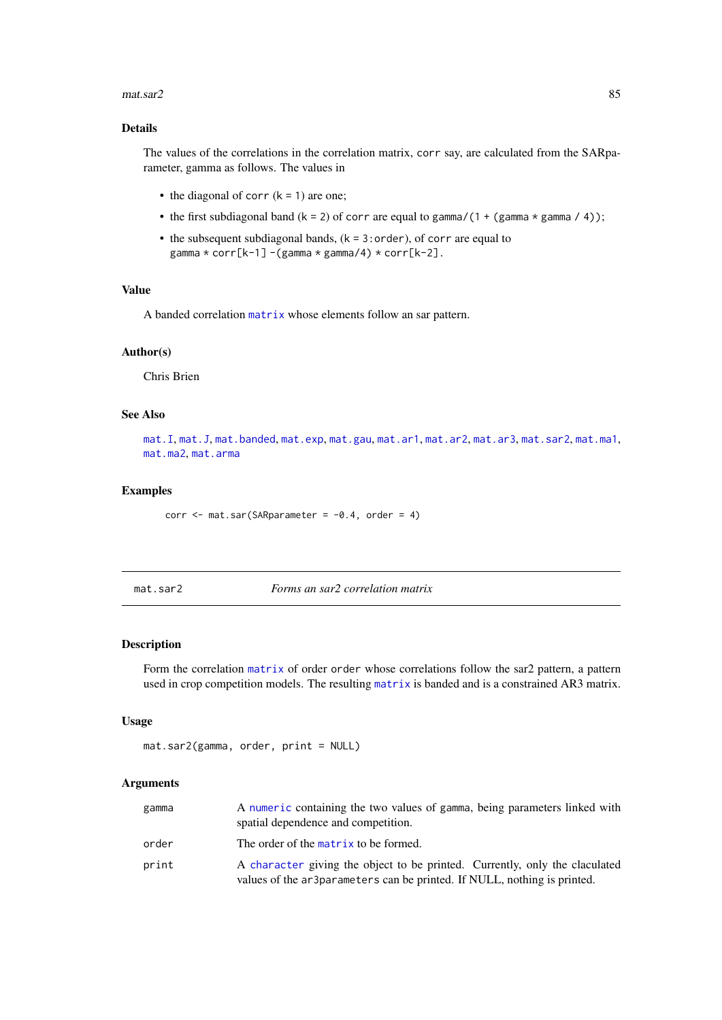#### $\text{mat.sar2}$  85

#### Details

The values of the correlations in the correlation matrix, corr say, are calculated from the SARparameter, gamma as follows. The values in

- the diagonal of corr  $(k = 1)$  are one;
- the first subdiagonal band  $(k = 2)$  of corr are equal to gamma/(1 + (gamma  $*$  gamma / 4));
- the subsequent subdiagonal bands,  $(k = 3:order)$ , of corr are equal to gamma \* corr[k-1] -(gamma \* gamma/4) \* corr[k-2].

#### Value

A banded correlation [matrix](#page-0-0) whose elements follow an sar pattern.

## Author(s)

Chris Brien

#### See Also

[mat.I](#page-78-0), [mat.J](#page-78-1), [mat.banded](#page-74-0), [mat.exp](#page-76-0), [mat.gau](#page-77-0), [mat.ar1](#page-70-0), [mat.ar2](#page-71-0), [mat.ar3](#page-72-0), [mat.sar2](#page-84-0), [mat.ma1](#page-79-0), [mat.ma2](#page-80-0), [mat.arma](#page-73-0)

## Examples

```
corr \leq mat.sar(SARparameter = -0.4, order = 4)
```
<span id="page-84-0"></span>mat.sar2 *Forms an sar2 correlation matrix*

#### Description

Form the correlation [matrix](#page-0-0) of order order whose correlations follow the sar2 pattern, a pattern used in crop competition models. The resulting [matrix](#page-0-0) is banded and is a constrained AR3 matrix.

# Usage

```
mat.sar2(gamma, order, print = NULL)
```
#### Arguments

| gamma | A numeric containing the two values of gamma, being parameters linked with<br>spatial dependence and competition.                                       |
|-------|---------------------------------------------------------------------------------------------------------------------------------------------------------|
| order | The order of the matrix to be formed.                                                                                                                   |
| print | A character giving the object to be printed. Currently, only the claculated<br>values of the ar3parameters can be printed. If NULL, nothing is printed. |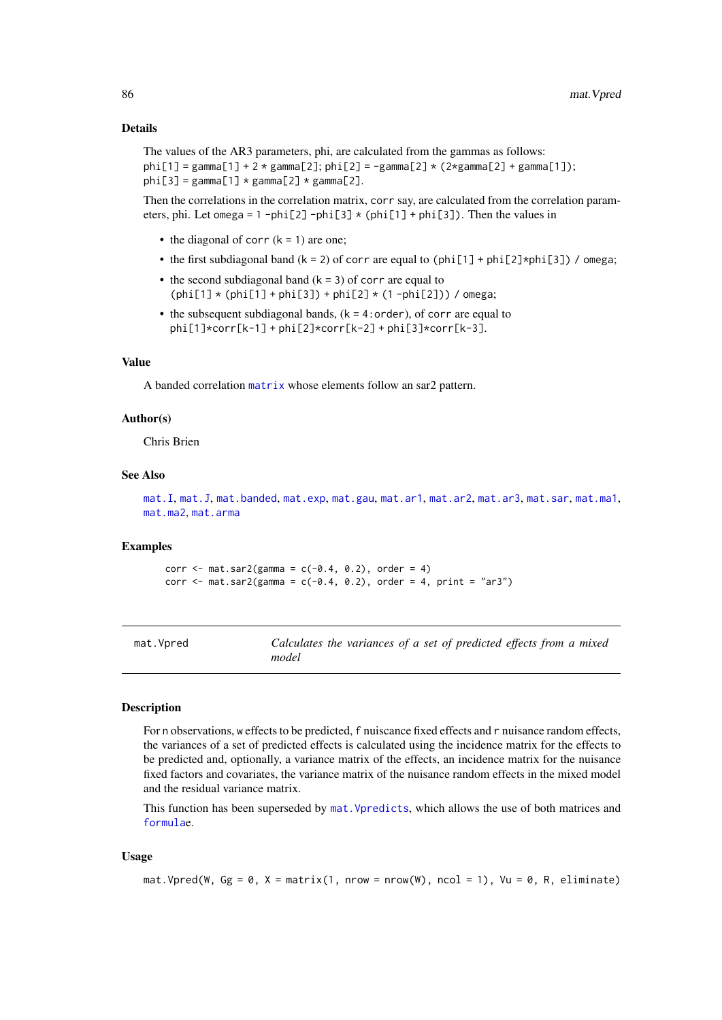#### Details

The values of the AR3 parameters, phi, are calculated from the gammas as follows: phi[1] = gamma[1] + 2 \* gamma[2]; phi[2] = -gamma[2] \* (2\*gamma[2] + gamma[1]); phi[3] = gamma[1]  $*$  gamma[2]  $*$  gamma[2].

Then the correlations in the correlation matrix, corr say, are calculated from the correlation parameters, phi. Let omega = 1 -phi[2] -phi[3] \* (phi[1] + phi[3]). Then the values in

- the diagonal of corr  $(k = 1)$  are one;
- the first subdiagonal band  $(k = 2)$  of corr are equal to (phi[1] + phi[2]\*phi[3]) / omega;
- the second subdiagonal band  $(k = 3)$  of corr are equal to  $(\text{phi}[1] * (\text{phi}[1] + \text{phi}[3]) + \text{phi}[2] * (1 - \text{phi}[2]))$  / omega;
- the subsequent subdiagonal bands,  $(k = 4:order)$ , of corr are equal to phi[1]\*corr[k-1] + phi[2]\*corr[k-2] + phi[3]\*corr[k-3].

## Value

A banded correlation [matrix](#page-0-0) whose elements follow an sar2 pattern.

## Author(s)

Chris Brien

## See Also

```
mat.I, mat.J, mat.banded, mat.exp, mat.gau, mat.ar1, mat.ar2, mat.ar3, mat.sar, mat.ma1,
mat.ma2, mat.arma
```
#### Examples

```
corr \leq mat.sar2(gamma = c(-0.4, 0.2), order = 4)
corr \leq mat.sar2(gamma = c(-0.4, 0.2), order = 4, print = "ar3")
```
<span id="page-85-0"></span>

| mat.Vpred | Calculates the variances of a set of predicted effects from a mixed |  |  |  |
|-----------|---------------------------------------------------------------------|--|--|--|
|           | model                                                               |  |  |  |

## Description

For n observations, w effects to be predicted, f nuiscance fixed effects and r nuisance random effects, the variances of a set of predicted effects is calculated using the incidence matrix for the effects to be predicted and, optionally, a variance matrix of the effects, an incidence matrix for the nuisance fixed factors and covariates, the variance matrix of the nuisance random effects in the mixed model and the residual variance matrix.

This function has been superseded by [mat.Vpredicts](#page-87-0), which allows the use of both matrices and [formula](#page-0-0)e.

#### Usage

```
mat. Vpred(W, Gg = 0, X = matrix(1, nrow = nrow(W), ncol = 1), Vu = 0, R, eliminate)
```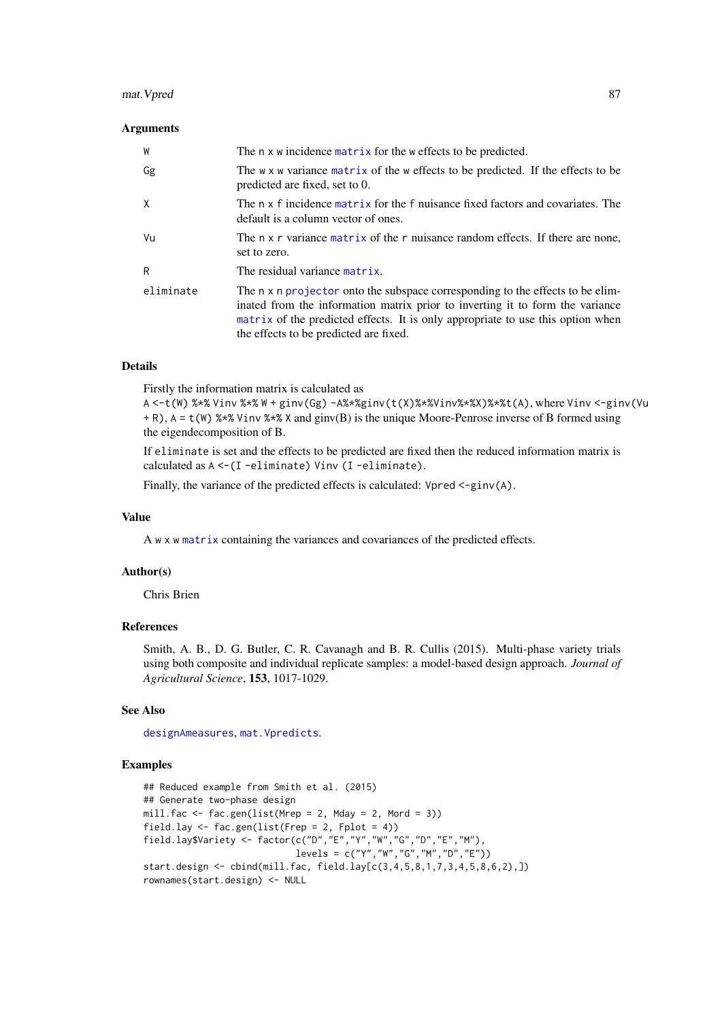#### mat. Vpred 87

#### Arguments

| W         | The n x w incidence matrix for the w effects to be predicted.                                                                                                                                                                                                                                |
|-----------|----------------------------------------------------------------------------------------------------------------------------------------------------------------------------------------------------------------------------------------------------------------------------------------------|
| Gg        | The w x w variance matrix of the w effects to be predicted. If the effects to be<br>predicted are fixed, set to 0.                                                                                                                                                                           |
| X         | The n x f incidence matrix for the f nuisance fixed factors and covariates. The<br>default is a column vector of ones.                                                                                                                                                                       |
| Vu        | The n x r variance matrix of the r nuisance random effects. If there are none,<br>set to zero.                                                                                                                                                                                               |
| R         | The residual variance matrix.                                                                                                                                                                                                                                                                |
| eliminate | The n x n projector onto the subspace corresponding to the effects to be elim-<br>inated from the information matrix prior to inverting it to form the variance<br>matrix of the predicted effects. It is only appropriate to use this option when<br>the effects to be predicted are fixed. |

# Details

Firstly the information matrix is calculated as

A <-t(W) %\*% Vinv %\*% W + ginv(Gg) -A%\*%ginv(t(X)%\*%Vinv%\*%X)%\*%t(A), where Vinv <-ginv(Vu + R), A = t(W) %\*% Vinv %\*% X and ginv(B) is the unique Moore-Penrose inverse of B formed using the eigendecomposition of B.

If eliminate is set and the effects to be predicted are fixed then the reduced information matrix is calculated as A <-(I -eliminate) Vinv (I -eliminate).

Finally, the variance of the predicted effects is calculated: Vpred  $\le$ -ginv(A).

## Value

A w x w [matrix](#page-0-0) containing the variances and covariances of the predicted effects.

#### Author(s)

Chris Brien

## References

Smith, A. B., D. G. Butler, C. R. Cavanagh and B. R. Cullis (2015). Multi-phase variety trials using both composite and individual replicate samples: a model-based design approach. *Journal of Agricultural Science*, 153, 1017-1029.

## See Also

[designAmeasures](#page-17-0), [mat.Vpredicts](#page-87-0).

```
## Reduced example from Smith et al. (2015)
## Generate two-phase design
mill.fac <- fac.gen(list(Mrep = 2, Mday = 2, Mord = 3))
field.lay \leq fac.gen(list(Frep = 2, Fplot = 4))
field.lay$Variety <- factor(c("D","E","Y","W","G","D","E","M"),
                            levels = c("Y", "W", "G", "M", "D", "E"))start.design <- cbind(mill.fac, field.lay[c(3,4,5,8,1,7,3,4,5,8,6,2),])
rownames(start.design) <- NULL
```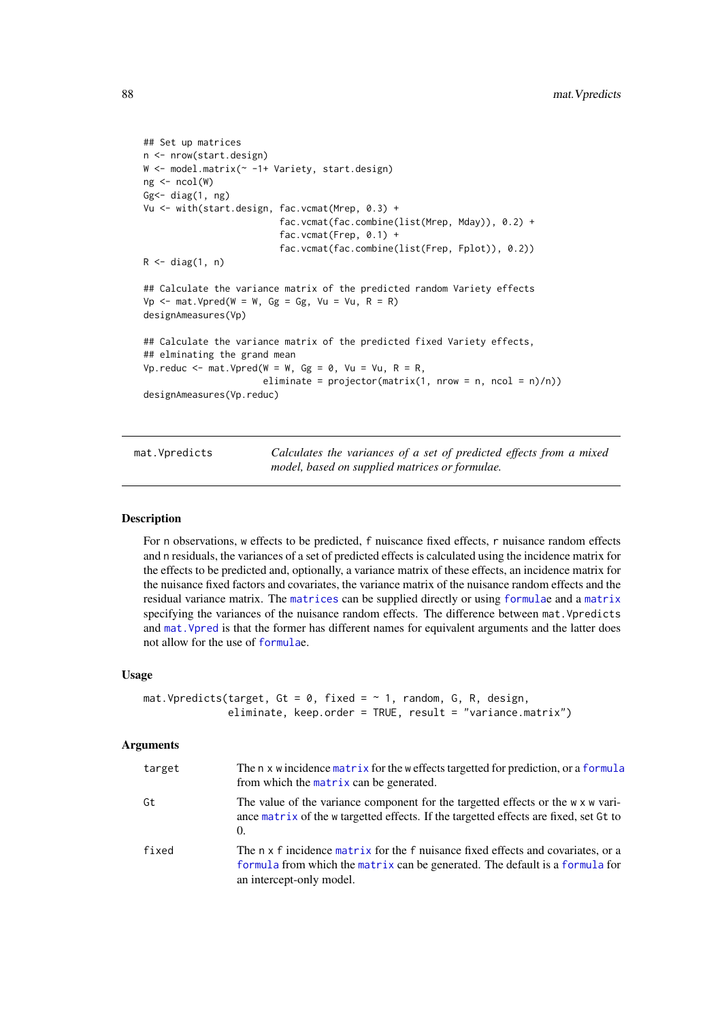```
## Set up matrices
n <- nrow(start.design)
W <- model.matrix(~ -1+ Variety, start.design)
ng \leftarrow \text{ncol}(W)Gg<- diag(1, ng)
Vu <- with(start.design, fac.vcmat(Mrep, 0.3) +
                          fac.vcmat(fac.combine(list(Mrep, Mday)), 0.2) +
                          fac.vcmat(Frep, 0.1) +
                          fac.vcmat(fac.combine(list(Frep, Fplot)), 0.2))
R \leftarrow diag(1, n)## Calculate the variance matrix of the predicted random Variety effects
Vp \le - mat. Vpred(W = W, Gg = Gg, Vu = Vu, R = R)
designAmeasures(Vp)
## Calculate the variance matrix of the predicted fixed Variety effects,
## elminating the grand mean
Vp.reduc \leq mat.Vpred(W = W, Gg = 0, Vu = Vu, R = R,
                       eliminate = projector(matrix(1, nrow = n, ncol = n)/n))designAmeasures(Vp.reduc)
```
<span id="page-87-0"></span>mat.Vpredicts *Calculates the variances of a set of predicted effects from a mixed model, based on supplied matrices or formulae.*

#### Description

For n observations, w effects to be predicted, f nuiscance fixed effects, r nuisance random effects and n residuals, the variances of a set of predicted effects is calculated using the incidence matrix for the effects to be predicted and, optionally, a variance matrix of these effects, an incidence matrix for the nuisance fixed factors and covariates, the variance matrix of the nuisance random effects and the residual variance matrix. The [matrices](#page-0-0) can be supplied directly or using [formula](#page-0-0)e and a [matrix](#page-0-0) specifying the variances of the nuisance random effects. The difference between mat.Vpredicts and [mat.Vpred](#page-85-0) is that the former has different names for equivalent arguments and the latter does not allow for the use of [formula](#page-0-0)e.

#### Usage

```
mat. Vpredicts(target, Gt = 0, fixed = \sim 1, random, G, R, design,
              eliminate, keep.order = TRUE, result = "variance.matrix")
```
## Arguments

| target | The n x w incidence matrix for the w effects targetted for prediction, or a formula<br>from which the matrix can be generated.                                                               |
|--------|----------------------------------------------------------------------------------------------------------------------------------------------------------------------------------------------|
| Gt     | The value of the variance component for the targetted effects or the w x w vari-<br>ance matrix of the w targetted effects. If the targetted effects are fixed, set Gt to<br>$\Omega$ .      |
| fixed  | The n x f incidence matrix for the f nuisance fixed effects and covariates, or a<br>formula from which the matrix can be generated. The default is a formula for<br>an intercept-only model. |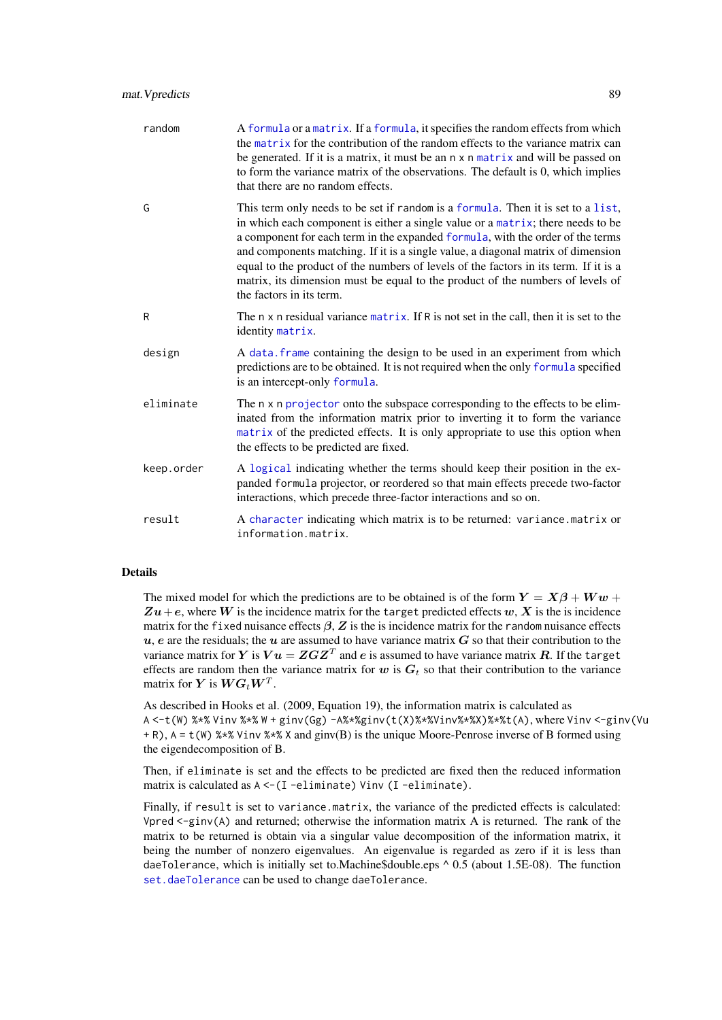| random     | A formula or a matrix. If a formula, it specifies the random effects from which<br>the matrix for the contribution of the random effects to the variance matrix can<br>be generated. If it is a matrix, it must be an $n \times n$ matrix and will be passed on<br>to form the variance matrix of the observations. The default is 0, which implies<br>that there are no random effects.                                                                                                                                                        |
|------------|-------------------------------------------------------------------------------------------------------------------------------------------------------------------------------------------------------------------------------------------------------------------------------------------------------------------------------------------------------------------------------------------------------------------------------------------------------------------------------------------------------------------------------------------------|
| G          | This term only needs to be set if random is a formula. Then it is set to a list,<br>in which each component is either a single value or a matrix; there needs to be<br>a component for each term in the expanded formula, with the order of the terms<br>and components matching. If it is a single value, a diagonal matrix of dimension<br>equal to the product of the numbers of levels of the factors in its term. If it is a<br>matrix, its dimension must be equal to the product of the numbers of levels of<br>the factors in its term. |
| R          | The n x n residual variance matrix. If R is not set in the call, then it is set to the<br>identity matrix.                                                                                                                                                                                                                                                                                                                                                                                                                                      |
| design     | A data frame containing the design to be used in an experiment from which<br>predictions are to be obtained. It is not required when the only formula specified<br>is an intercept-only formula.                                                                                                                                                                                                                                                                                                                                                |
| eliminate  | The n x n projector onto the subspace corresponding to the effects to be elim-<br>inated from the information matrix prior to inverting it to form the variance<br>matrix of the predicted effects. It is only appropriate to use this option when<br>the effects to be predicted are fixed.                                                                                                                                                                                                                                                    |
| keep.order | A logical indicating whether the terms should keep their position in the ex-<br>panded formula projector, or reordered so that main effects precede two-factor<br>interactions, which precede three-factor interactions and so on.                                                                                                                                                                                                                                                                                                              |
| result     | A character indicating which matrix is to be returned: variance.matrix or<br>information.matrix.                                                                                                                                                                                                                                                                                                                                                                                                                                                |

# Details

The mixed model for which the predictions are to be obtained is of the form  $Y = X\beta + Ww +$  $Zu+e$ , where W is the incidence matrix for the target predicted effects w, X is the is incidence matrix for the fixed nuisance effects  $\beta$ , Z is the is incidence matrix for the random nuisance effects  $u$ , e are the residuals; the  $u$  are assumed to have variance matrix  $G$  so that their contribution to the variance matrix for  $Y$  is  $Vu = ZGZ^T$  and  $e$  is assumed to have variance matrix  $R$ . If the target effects are random then the variance matrix for w is  $G_t$  so that their contribution to the variance matrix for  $\boldsymbol{Y}$  is  $\boldsymbol{W}\boldsymbol{G}_t\boldsymbol{W}^T$ .

As described in Hooks et al. (2009, Equation 19), the information matrix is calculated as  $A \leq t(W)$ %\*% Vinv %\*% W + ginv(Gg)  $-A$ %\*%ginv(t(X)%\*%Vinv%\*%X)%\*%t(A), where Vinv  $\leq$ ginv(Vu + R), A = t(W) %\*% Vinv %\*% X and ginv(B) is the unique Moore-Penrose inverse of B formed using the eigendecomposition of B.

Then, if eliminate is set and the effects to be predicted are fixed then the reduced information matrix is calculated as  $A < - (I - \text{eliminate})$  Vinv (I-eliminate).

Finally, if result is set to variance.matrix, the variance of the predicted effects is calculated: Vpred  $\leq$ -ginv(A) and returned; otherwise the information matrix A is returned. The rank of the matrix to be returned is obtain via a singular value decomposition of the information matrix, it being the number of nonzero eigenvalues. An eigenvalue is regarded as zero if it is less than daeTolerance, which is initially set to.Machine\$double.eps ^ 0.5 (about 1.5E-08). The function [set.daeTolerance](#page-120-0) can be used to change daeTolerance.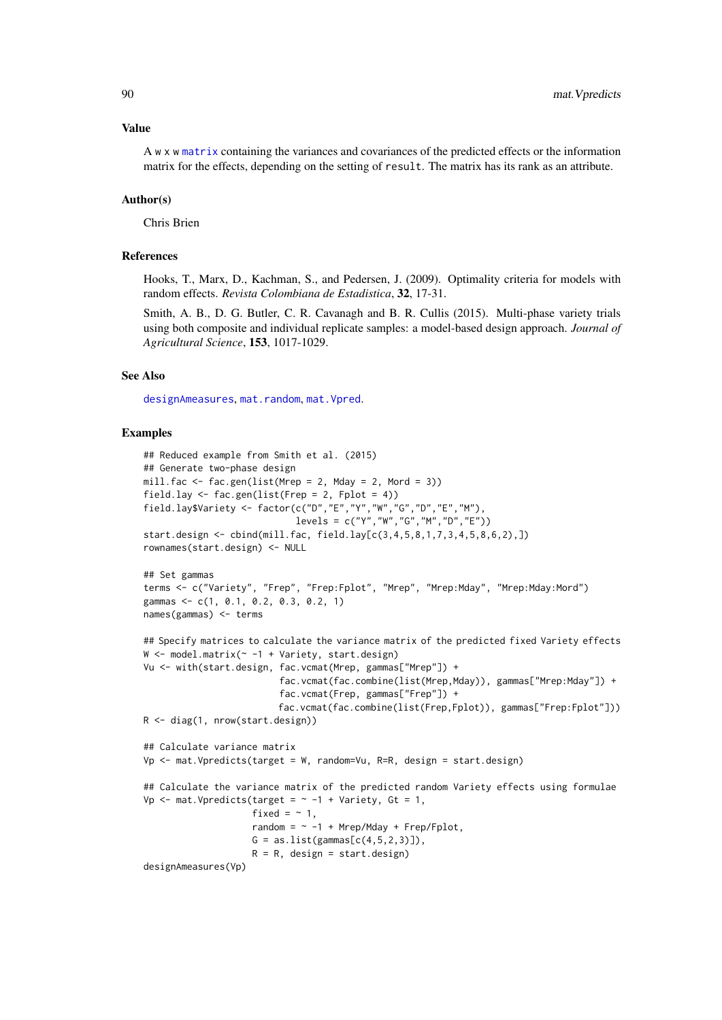#### Value

A w x w [matrix](#page-0-0) containing the variances and covariances of the predicted effects or the information matrix for the effects, depending on the setting of result. The matrix has its rank as an attribute.

## Author(s)

Chris Brien

## References

Hooks, T., Marx, D., Kachman, S., and Pedersen, J. (2009). Optimality criteria for models with random effects. *Revista Colombiana de Estadistica*, 32, 17-31.

Smith, A. B., D. G. Butler, C. R. Cavanagh and B. R. Cullis (2015). Multi-phase variety trials using both composite and individual replicate samples: a model-based design approach. *Journal of Agricultural Science*, 153, 1017-1029.

## See Also

[designAmeasures](#page-17-0), [mat.random](#page-82-0), [mat.Vpred](#page-85-0).

```
## Reduced example from Smith et al. (2015)
## Generate two-phase design
mill.fac \le fac.gen(list(Mrep = 2, Mday = 2, Mord = 3))
field.lay \le fac.gen(list(Frep = 2, Fplot = 4))
field.lay$Variety <- factor(c("D","E","Y","W","G","D","E","M"),
                            levels = c("Y","W","G","M","D","E"))
start.design <- cbind(mill.fac, field.lay[c(3,4,5,8,1,7,3,4,5,8,6,2),])
rownames(start.design) <- NULL
## Set gammas
terms <- c("Variety", "Frep", "Frep:Fplot", "Mrep", "Mrep:Mday", "Mrep:Mday:Mord")
gammas <- c(1, 0.1, 0.2, 0.3, 0.2, 1)
names(gammas) <- terms
## Specify matrices to calculate the variance matrix of the predicted fixed Variety effects
W <- model.matrix(~ -1 + Variety, start.design)
Vu <- with(start.design, fac.vcmat(Mrep, gammas["Mrep"]) +
                         fac.vcmat(fac.combine(list(Mrep,Mday)), gammas["Mrep:Mday"]) +
                         fac.vcmat(Frep, gammas["Frep"]) +
                         fac.vcmat(fac.combine(list(Frep,Fplot)), gammas["Frep:Fplot"]))
R <- diag(1, nrow(start.design))
## Calculate variance matrix
Vp <- mat.Vpredicts(target = W, random=Vu, R=R, design = start.design)
## Calculate the variance matrix of the predicted random Variety effects using formulae
Vp \leq mat. Vpredicts(target = \sim -1 + Variety, Gt = 1,
                    firsted = -1,
                    random = \sim -1 + Mrep/Mday + Frep/Fplot,
                    G = as.list(gammas[c(4,5,2,3)]),R = R, design = start.design)
designAmeasures(Vp)
```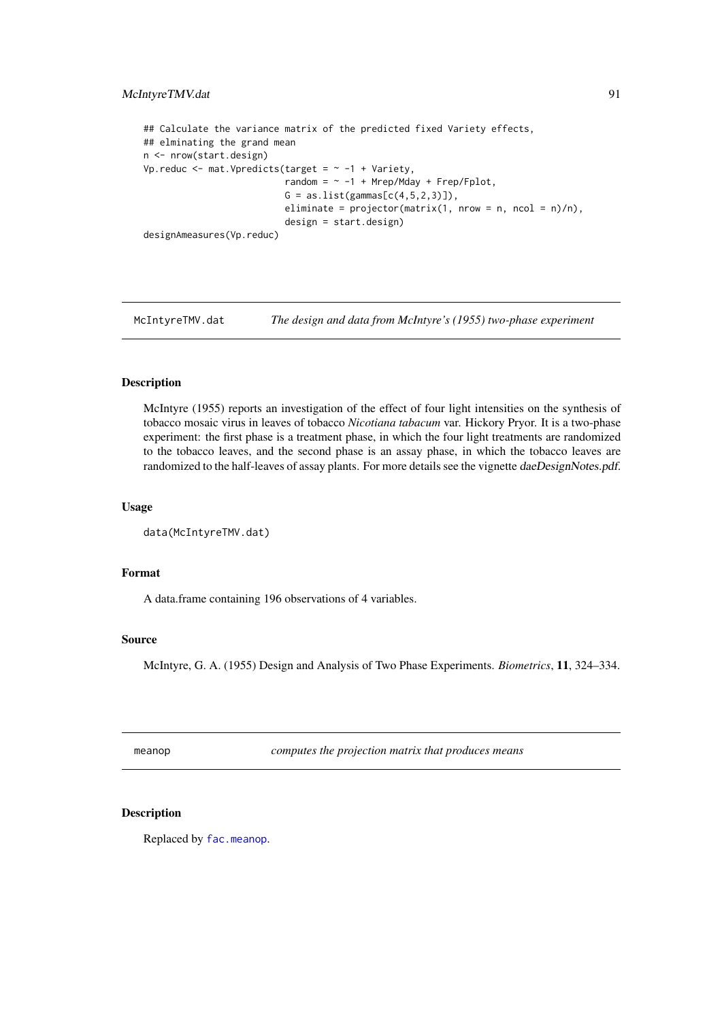#### McIntyreTMV.dat 91

```
## Calculate the variance matrix of the predicted fixed Variety effects,
## elminating the grand mean
n <- nrow(start.design)
Vp.reduc <- mat.Vpredicts(target = \sim -1 + Variety,
                          r = \frac{1}{2} -1 + Mrep/Mday + Frep/Fplot,
                          G = as.list(gammas[c(4,5,2,3)]),eliminate = projector(matrix(1, nrow = n, ncol = n)/n),
                          design = start.design)
designAmeasures(Vp.reduc)
```
McIntyreTMV.dat *The design and data from McIntyre's (1955) two-phase experiment*

## Description

McIntyre (1955) reports an investigation of the effect of four light intensities on the synthesis of tobacco mosaic virus in leaves of tobacco *Nicotiana tabacum* var. Hickory Pryor. It is a two-phase experiment: the first phase is a treatment phase, in which the four light treatments are randomized to the tobacco leaves, and the second phase is an assay phase, in which the tobacco leaves are randomized to the half-leaves of assay plants. For more details see the vignette daeDesignNotes.pdf.

#### Usage

```
data(McIntyreTMV.dat)
```
#### Format

A data.frame containing 196 observations of 4 variables.

#### Source

McIntyre, G. A. (1955) Design and Analysis of Two Phase Experiments. *Biometrics*, 11, 324–334.

meanop *computes the projection matrix that produces means*

# Description

Replaced by [fac.meanop](#page-50-0).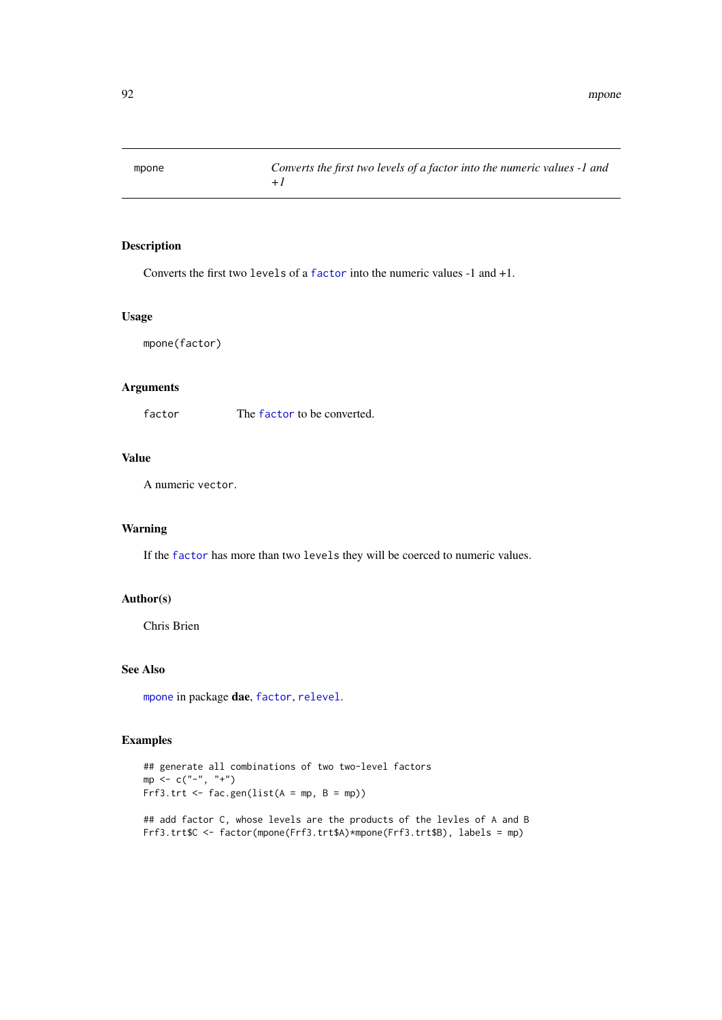<span id="page-91-0"></span>

Converts the first two levels of a [factor](#page-0-0) into the numeric values -1 and +1.

#### Usage

mpone(factor)

## Arguments

[factor](#page-0-0) The factor to be converted.

# Value

A numeric vector.

# Warning

If the [factor](#page-0-0) has more than two levels they will be coerced to numeric values.

#### Author(s)

Chris Brien

## See Also

[mpone](#page-91-0) in package dae, [factor](#page-0-0), [relevel](#page-0-0).

```
## generate all combinations of two two-level factors
mp < -c("^{-n}, "^{+n})Frf3.trt <- fac.gen(list(A = mp, B = mp))
## add factor C, whose levels are the products of the levles of A and B
Frf3.trt$C <- factor(mpone(Frf3.trt$A)*mpone(Frf3.trt$B), labels = mp)
```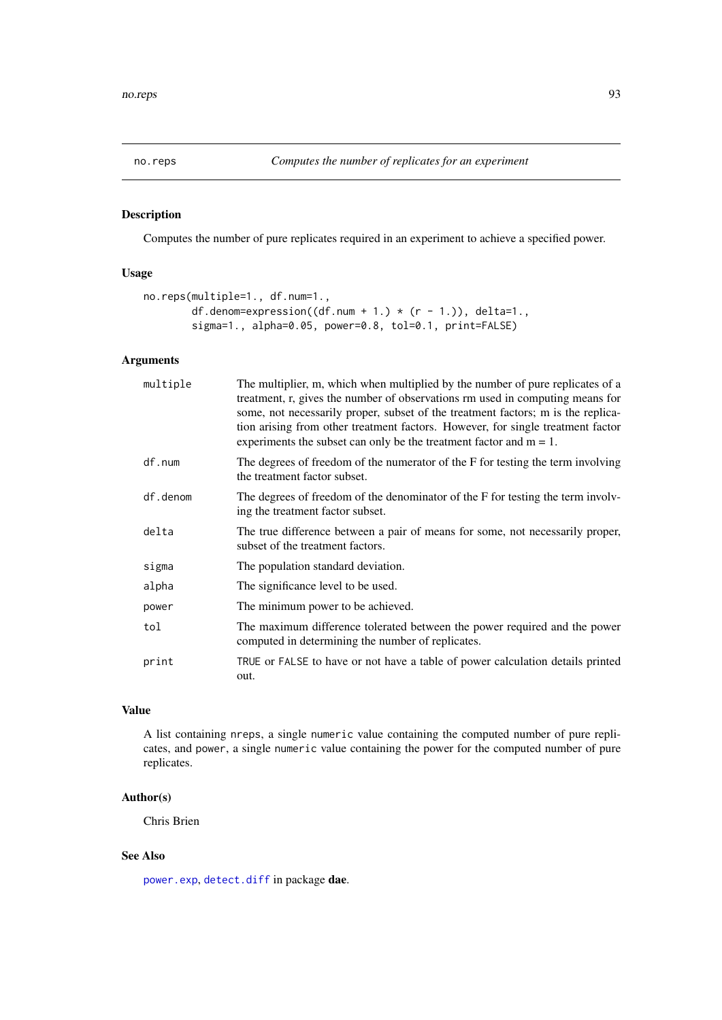<span id="page-92-0"></span>

Computes the number of pure replicates required in an experiment to achieve a specified power.

# Usage

```
no.reps(multiple=1., df.num=1.,
        df.denom=expression((df.num + 1.) * (r - 1.)), delta=1.,
        sigma=1., alpha=0.05, power=0.8, tol=0.1, print=FALSE)
```
## Arguments

| multiple | The multiplier, m, which when multiplied by the number of pure replicates of a<br>treatment, r, gives the number of observations rm used in computing means for<br>some, not necessarily proper, subset of the treatment factors; m is the replica-<br>tion arising from other treatment factors. However, for single treatment factor<br>experiments the subset can only be the treatment factor and $m = 1$ . |
|----------|-----------------------------------------------------------------------------------------------------------------------------------------------------------------------------------------------------------------------------------------------------------------------------------------------------------------------------------------------------------------------------------------------------------------|
| df.num   | The degrees of freedom of the numerator of the F for testing the term involving<br>the treatment factor subset.                                                                                                                                                                                                                                                                                                 |
| df.denom | The degrees of freedom of the denominator of the F for testing the term involv-<br>ing the treatment factor subset.                                                                                                                                                                                                                                                                                             |
| delta    | The true difference between a pair of means for some, not necessarily proper,<br>subset of the treatment factors.                                                                                                                                                                                                                                                                                               |
| sigma    | The population standard deviation.                                                                                                                                                                                                                                                                                                                                                                              |
| alpha    | The significance level to be used.                                                                                                                                                                                                                                                                                                                                                                              |
| power    | The minimum power to be achieved.                                                                                                                                                                                                                                                                                                                                                                               |
| tol      | The maximum difference tolerated between the power required and the power<br>computed in determining the number of replicates.                                                                                                                                                                                                                                                                                  |
| print    | TRUE or FALSE to have or not have a table of power calculation details printed<br>out.                                                                                                                                                                                                                                                                                                                          |

# Value

A list containing nreps, a single numeric value containing the computed number of pure replicates, and power, a single numeric value containing the power for the computed number of pure replicates.

# Author(s)

Chris Brien

# See Also

[power.exp](#page-95-0), [detect.diff](#page-38-0) in package dae.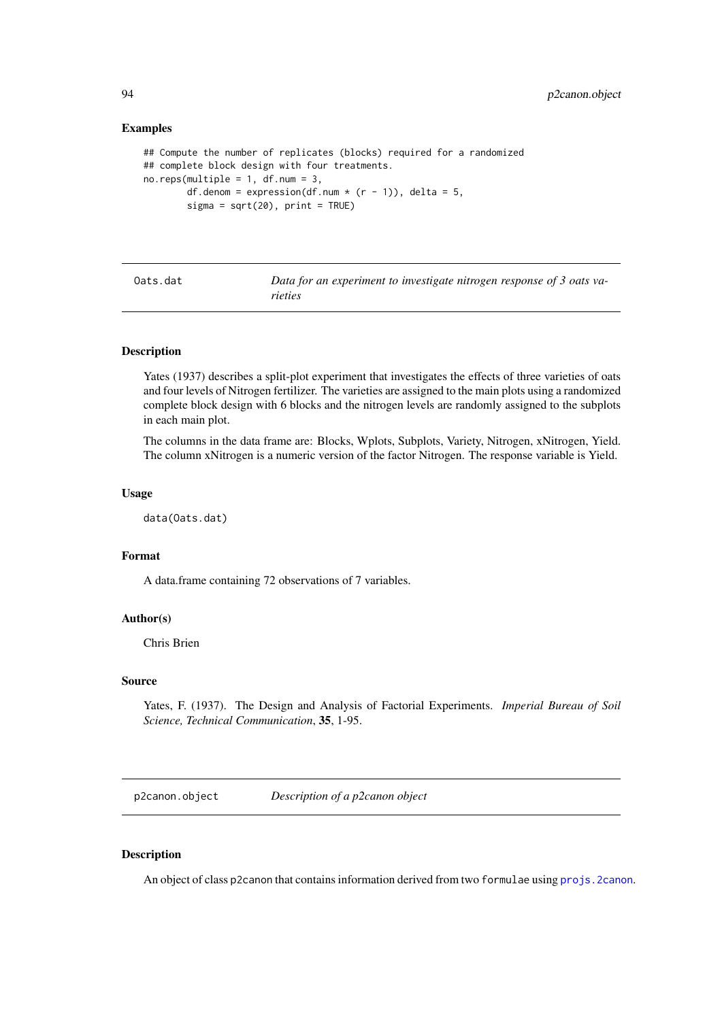#### Examples

```
## Compute the number of replicates (blocks) required for a randomized
## complete block design with four treatments.
no.reps(multiple = 1, df.num = 3,
        df.denom = expression(df.num * (r - 1)), delta = 5,
        signa = sqrt(20), print = TRUE)
```

| Oats.dat | Data for an experiment to investigate nitrogen response of 3 oats va- |
|----------|-----------------------------------------------------------------------|
|          | rieties                                                               |

#### Description

Yates (1937) describes a split-plot experiment that investigates the effects of three varieties of oats and four levels of Nitrogen fertilizer. The varieties are assigned to the main plots using a randomized complete block design with 6 blocks and the nitrogen levels are randomly assigned to the subplots in each main plot.

The columns in the data frame are: Blocks, Wplots, Subplots, Variety, Nitrogen, xNitrogen, Yield. The column xNitrogen is a numeric version of the factor Nitrogen. The response variable is Yield.

#### Usage

data(Oats.dat)

## Format

A data.frame containing 72 observations of 7 variables.

## Author(s)

Chris Brien

## Source

Yates, F. (1937). The Design and Analysis of Factorial Experiments. *Imperial Bureau of Soil Science, Technical Communication*, 35, 1-95.

<span id="page-93-0"></span>p2canon.object *Description of a p2canon object*

## Description

An object of class p2canon that contains information derived from two formulae using projs. 2canon.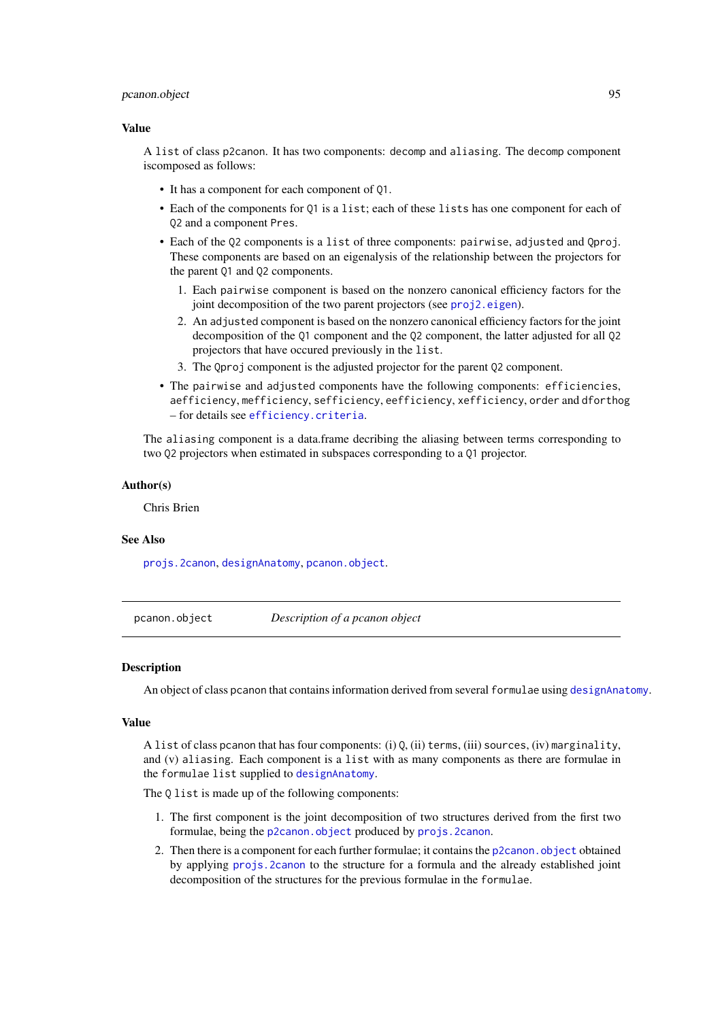#### pcanon.object 95

#### Value

A list of class p2canon. It has two components: decomp and aliasing. The decomp component iscomposed as follows:

- It has a component for each component of Q1.
- Each of the components for Q1 is a list; each of these lists has one component for each of Q2 and a component Pres.
- Each of the Q2 components is a list of three components: pairwise, adjusted and Qproj. These components are based on an eigenalysis of the relationship between the projectors for the parent Q1 and Q2 components.
	- 1. Each pairwise component is based on the nonzero canonical efficiency factors for the joint decomposition of the two parent projectors (see [proj2.eigen](#page-103-0)).
	- 2. An adjusted component is based on the nonzero canonical efficiency factors for the joint decomposition of the Q1 component and the Q2 component, the latter adjusted for all Q2 projectors that have occured previously in the list.
	- 3. The Qproj component is the adjusted projector for the parent Q2 component.
- The pairwise and adjusted components have the following components: efficiencies, aefficiency, mefficiency, sefficiency, eefficiency, xefficiency, order and dforthog – for details see [efficiency.criteria](#page-40-0).

The aliasing component is a data.frame decribing the aliasing between terms corresponding to two Q2 projectors when estimated in subspaces corresponding to a Q1 projector.

#### Author(s)

Chris Brien

#### See Also

[projs.2canon](#page-107-0), [designAnatomy](#page-19-0), [pcanon.object](#page-94-0).

<span id="page-94-0"></span>pcanon.object *Description of a pcanon object*

#### Description

An object of class pcanon that contains information derived from several formulae using [designAnatomy](#page-19-0).

#### Value

A list of class pcanon that has four components: (i) Q, (ii) terms, (iii) sources, (iv) marginality, and (v) aliasing. Each component is a list with as many components as there are formulae in the formulae list supplied to [designAnatomy](#page-19-0).

The Q list is made up of the following components:

- 1. The first component is the joint decomposition of two structures derived from the first two formulae, being the [p2canon.object](#page-93-0) produced by [projs.2canon](#page-107-0).
- 2. Then there is a component for each further formulae; it contains the [p2canon.object](#page-93-0) obtained by applying [projs.2canon](#page-107-0) to the structure for a formula and the already established joint decomposition of the structures for the previous formulae in the formulae.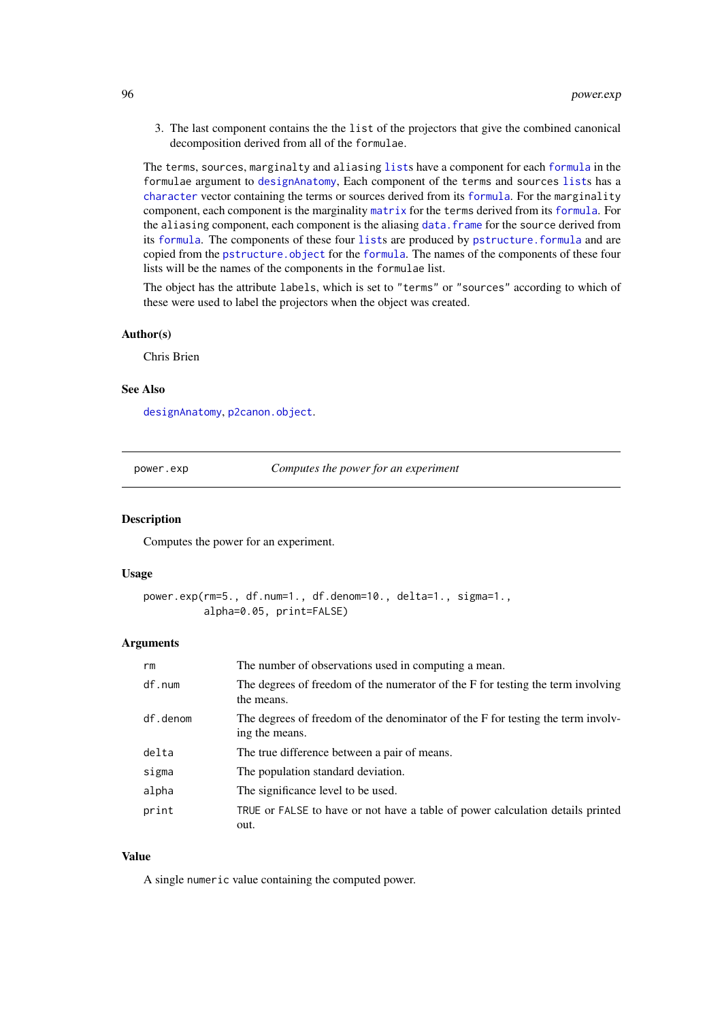3. The last component contains the the list of the projectors that give the combined canonical decomposition derived from all of the formulae.

The terms, sources, marginalty and aliasing [list](#page-0-0)s have a component for each [formula](#page-0-0) in the formulae argument to [designAnatomy](#page-19-0), Each component of the terms and sources [list](#page-0-0)s has a [character](#page-0-0) vector containing the terms or sources derived from its [formula](#page-0-0). For the marginality component, each component is the marginality [matrix](#page-0-0) for the terms derived from its [formula](#page-0-0). For the aliasing component, each component is the aliasing [data.frame](#page-0-0) for the source derived from its [formula](#page-0-0). The components of these four [list](#page-0-0)s are produced by [pstructure.formula](#page-110-0) and are copied from the [pstructure.object](#page-113-0) for the [formula](#page-0-0). The names of the components of these four lists will be the names of the components in the formulae list.

The object has the attribute labels, which is set to "terms" or "sources" according to which of these were used to label the projectors when the object was created.

#### Author(s)

Chris Brien

## See Also

[designAnatomy](#page-19-0), [p2canon.object](#page-93-0).

<span id="page-95-0"></span>power.exp *Computes the power for an experiment*

#### Description

Computes the power for an experiment.

#### Usage

```
power.exp(rm=5., df.num=1., df.denom=10., delta=1., sigma=1.,
          alpha=0.05, print=FALSE)
```
## Arguments

| rm       | The number of observations used in computing a mean.                                              |
|----------|---------------------------------------------------------------------------------------------------|
| df.num   | The degrees of freedom of the numerator of the F for testing the term involving<br>the means.     |
| df.denom | The degrees of freedom of the denominator of the F for testing the term involv-<br>ing the means. |
| delta    | The true difference between a pair of means.                                                      |
| sigma    | The population standard deviation.                                                                |
| alpha    | The significance level to be used.                                                                |
| print    | TRUE or FALSE to have or not have a table of power calculation details printed<br>out.            |

# Value

A single numeric value containing the computed power.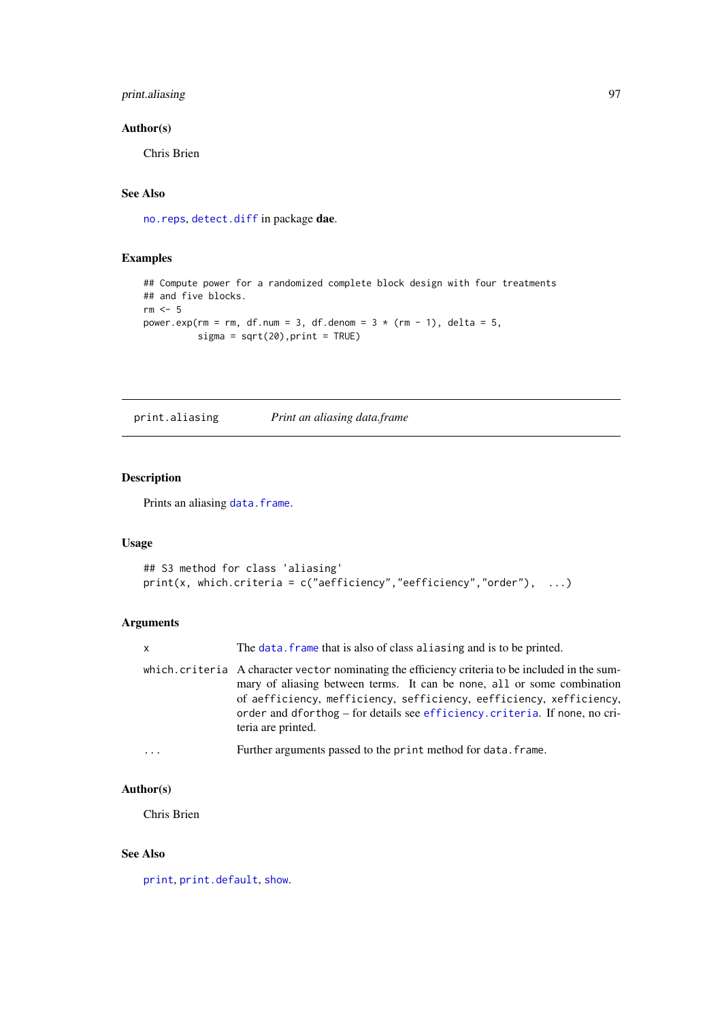# print.aliasing 97

#### Author(s)

Chris Brien

# See Also

[no.reps](#page-92-0), [detect.diff](#page-38-0) in package dae.

# Examples

```
## Compute power for a randomized complete block design with four treatments
## and five blocks.
rm < -5power.exp(rm = rm, df.num = 3, df.denom = 3 * (rm - 1), delta = 5,
          signa = sqrt(20), print = TRUE)
```
<span id="page-96-0"></span>print.aliasing *Print an aliasing data.frame*

## Description

Prints an aliasing [data.frame](#page-0-0).

## Usage

```
## S3 method for class 'aliasing'
print(x, which.criteria = c("aefficientcy", "eefficiency", "order"), ...)
```
# Arguments

| $\mathsf{x}$      | The data, frame that is also of class aliasing and is to be printed.                                                                                                                                                                                                                                                                                   |
|-------------------|--------------------------------------------------------------------------------------------------------------------------------------------------------------------------------------------------------------------------------------------------------------------------------------------------------------------------------------------------------|
|                   | which.criteria A character vector nominating the efficiency criteria to be included in the sum-<br>mary of aliasing between terms. It can be none, all or some combination<br>of aefficiency, mefficiency, sefficiency, eefficiency, xefficiency.<br>order and dforthog – for details see efficiency. criteria. If none, no cri-<br>teria are printed. |
| $\cdot\cdot\cdot$ | Further arguments passed to the print method for data. frame.                                                                                                                                                                                                                                                                                          |

# Author(s)

Chris Brien

# See Also

[print](#page-0-0), [print.default](#page-0-0), [show](#page-0-0).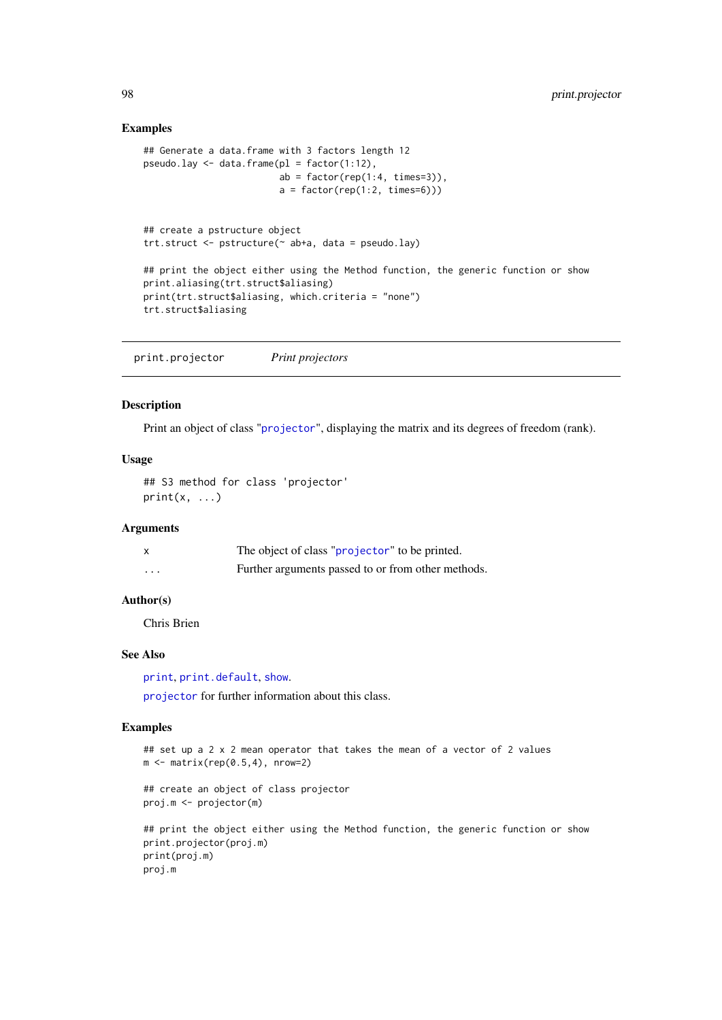# Examples

```
## Generate a data.frame with 3 factors length 12
pseudo.lay \leq data.frame(pl = factor(1:12),
                         ab = factor(rep(1:4, times=3)),a = factor(rep(1:2, times=6)))## create a pstructure object
trt.struct <- pstructure(~ ab+a, data = pseudo.lay)
## print the object either using the Method function, the generic function or show
print.aliasing(trt.struct$aliasing)
print(trt.struct$aliasing, which.criteria = "none")
trt.struct$aliasing
```
print.projector *Print projectors*

## Description

Print an object of class "[projector](#page-106-0)", displaying the matrix and its degrees of freedom (rank).

## Usage

## S3 method for class 'projector'  $print(x, \ldots)$ 

# Arguments

|          | The object of class "projector" to be printed.     |
|----------|----------------------------------------------------|
| $\cdots$ | Further arguments passed to or from other methods. |

## Author(s)

Chris Brien

# See Also

[print](#page-0-0), [print.default](#page-0-0), [show](#page-0-0).

[projector](#page-106-0) for further information about this class.

```
## set up a 2 x 2 mean operator that takes the mean of a vector of 2 values
m \leftarrow matrix(rep(0.5, 4), nrow=2)
```

```
## create an object of class projector
proj.m <- projector(m)
```

```
## print the object either using the Method function, the generic function or show
print.projector(proj.m)
print(proj.m)
proj.m
```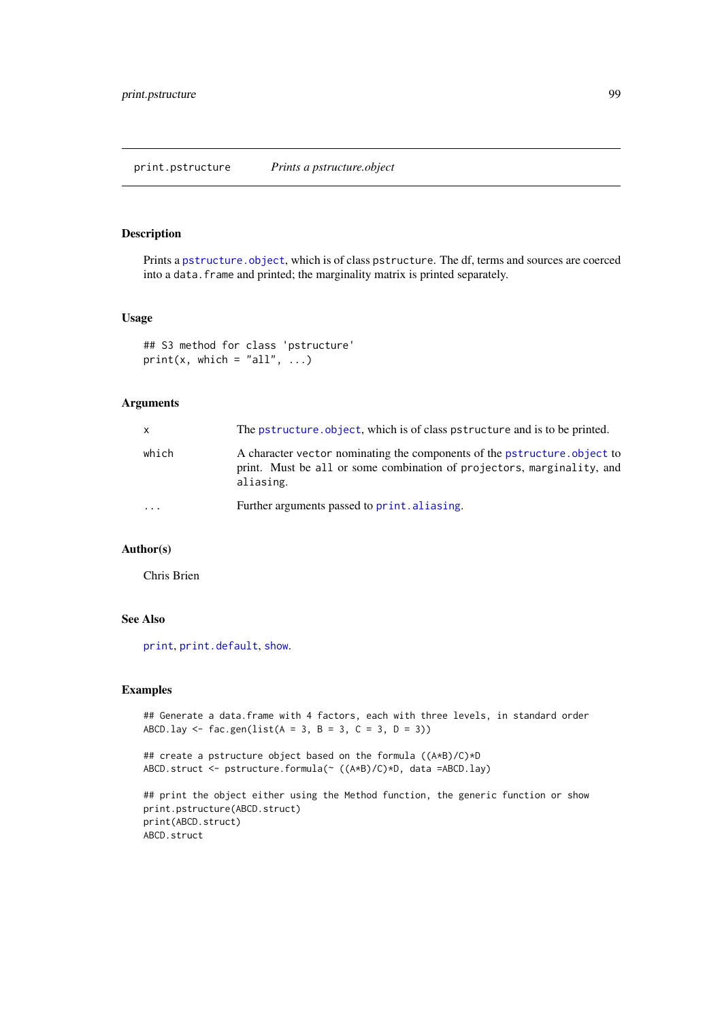print.pstructure *Prints a pstructure.object*

#### Description

Prints a [pstructure.object](#page-113-0), which is of class pstructure. The df, terms and sources are coerced into a data. frame and printed; the marginality matrix is printed separately.

#### Usage

```
## S3 method for class 'pstructure'
print(x, which = "all", \ldots)
```
# Arguments

| X     | The pstructure, object, which is of class pstructure and is to be printed.                                                                                       |
|-------|------------------------------------------------------------------------------------------------------------------------------------------------------------------|
| which | A character vector nominating the components of the pstructure, object to<br>print. Must be all or some combination of projectors, marginality, and<br>aliasing. |
| .     | Further arguments passed to print. aliasing.                                                                                                                     |

# Author(s)

Chris Brien

## See Also

[print](#page-0-0), [print.default](#page-0-0), [show](#page-0-0).

```
## Generate a data.frame with 4 factors, each with three levels, in standard order
ABCD.lay \leq fac.gen(list(A = 3, B = 3, C = 3, D = 3))
```

```
## create a pstructure object based on the formula ((A*B)/C)*D
ABCD.struct <- pstructure.formula(~ ((A*B)/C)*D, data =ABCD.lay)
```

```
## print the object either using the Method function, the generic function or show
print.pstructure(ABCD.struct)
print(ABCD.struct)
ABCD.struct
```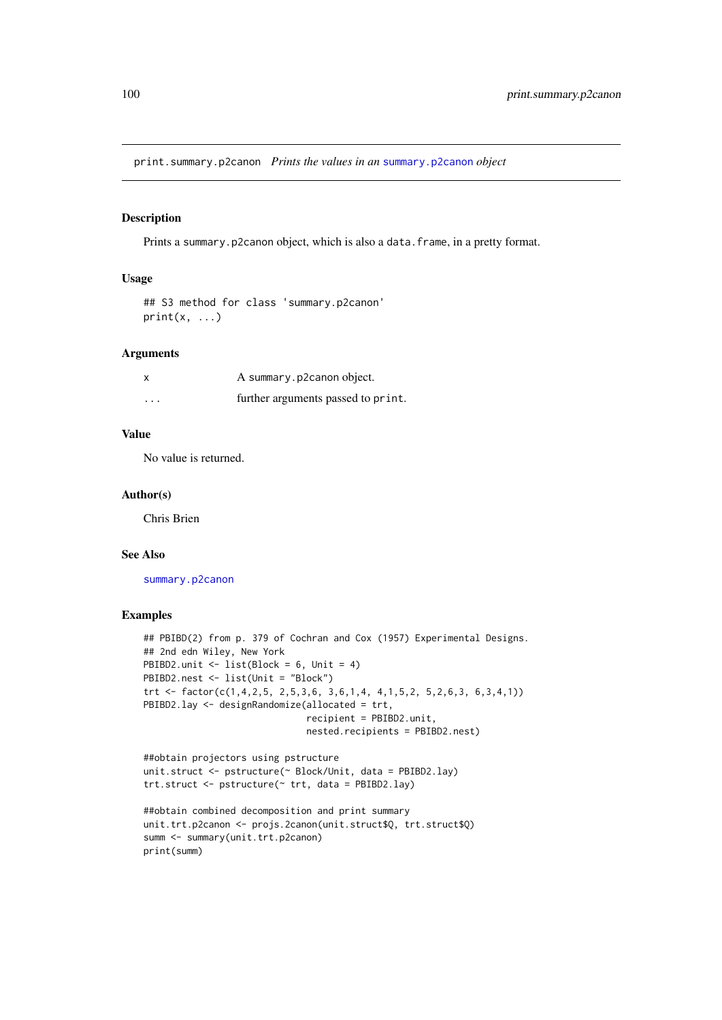print.summary.p2canon *Prints the values in an* [summary.p2canon](#page-123-0) *object*

## Description

Prints a summary.p2canon object, which is also a data.frame, in a pretty format.

#### Usage

```
## S3 method for class 'summary.p2canon'
print(x, \ldots)
```
## Arguments

| x        | A summary.p2canon object.          |
|----------|------------------------------------|
| $\cdots$ | further arguments passed to print. |

# Value

No value is returned.

#### Author(s)

Chris Brien

## See Also

[summary.p2canon](#page-123-0)

```
## PBIBD(2) from p. 379 of Cochran and Cox (1957) Experimental Designs.
## 2nd edn Wiley, New York
PBIBD2.unit <- list(Block = 6, Unit = 4)
PBIBD2.nest <- list(Unit = "Block")
trt <- factor(c(1,4,2,5, 2,5,3,6, 3,6,1,4, 4,1,5,2, 5,2,6,3, 6,3,4,1))
PBIBD2.lay <- designRandomize(allocated = trt,
                              recipient = PBIBD2.unit,
                              nested.recipients = PBIBD2.nest)
```

```
##obtain projectors using pstructure
unit.struct <- pstructure(~ Block/Unit, data = PBIBD2.lay)
trt.struct <- pstructure(~ trt, data = PBIBD2.lay)
```

```
##obtain combined decomposition and print summary
unit.trt.p2canon <- projs.2canon(unit.struct$Q, trt.struct$Q)
summ <- summary(unit.trt.p2canon)
print(summ)
```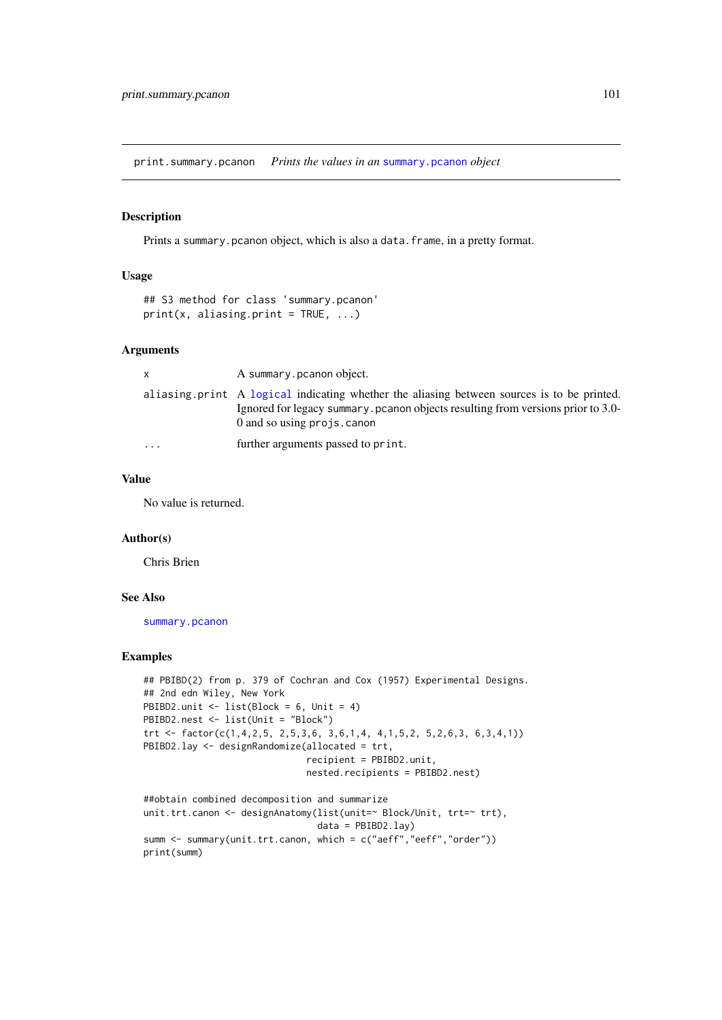print.summary.pcanon *Prints the values in an* [summary.pcanon](#page-124-0) *object*

#### Description

Prints a summary.pcanon object, which is also a data.frame, in a pretty format.

# Usage

```
## S3 method for class 'summary.pcanon'
print(x, aliasing.print = TRUE, ...)
```
#### Arguments

| X        | A summary pcanon object.                                                                                                                                                                                        |
|----------|-----------------------------------------------------------------------------------------------------------------------------------------------------------------------------------------------------------------|
|          | aliasing print A logical indicating whether the aliasing between sources is to be printed.<br>Ignored for legacy summary. pcanon objects resulting from versions prior to 3.0-<br>$0$ and so using projs. canon |
| $\cdots$ | further arguments passed to print.                                                                                                                                                                              |

#### Value

No value is returned.

## Author(s)

Chris Brien

## See Also

[summary.pcanon](#page-124-0)

```
## PBIBD(2) from p. 379 of Cochran and Cox (1957) Experimental Designs.
## 2nd edn Wiley, New York
PBIBD2.unit <- list(Block = 6, Unit = 4)
PBIBD2.nest <- list(Unit = "Block")
trt <- factor(c(1,4,2,5, 2,5,3,6, 3,6,1,4, 4,1,5,2, 5,2,6,3, 6,3,4,1))
PBIBD2.lay <- designRandomize(allocated = trt,
                              recipient = PBIBD2.unit,
                              nested.recipients = PBIBD2.nest)
```

```
##obtain combined decomposition and summarize
unit.trt.canon <- designAnatomy(list(unit=~ Block/Unit, trt=~ trt),
                               data = PBIBD2.lay)summ <- summary(unit.trt.canon, which = c("aeff","eeff","order"))
print(summ)
```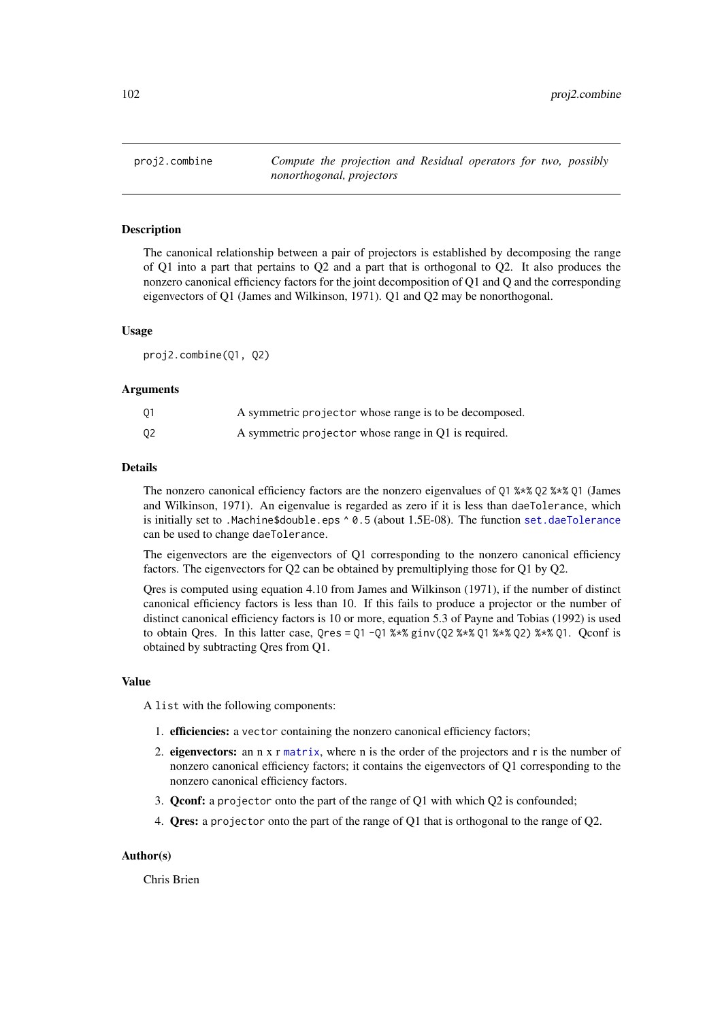<span id="page-101-0"></span>

The canonical relationship between a pair of projectors is established by decomposing the range of Q1 into a part that pertains to Q2 and a part that is orthogonal to Q2. It also produces the nonzero canonical efficiency factors for the joint decomposition of Q1 and Q and the corresponding eigenvectors of Q1 (James and Wilkinson, 1971). Q1 and Q2 may be nonorthogonal.

#### Usage

proj2.combine(Q1, Q2)

#### Arguments

| Q1 | A symmetric projector whose range is to be decomposed. |
|----|--------------------------------------------------------|
| Q2 | A symmetric projector whose range in Q1 is required.   |

#### Details

The nonzero canonical efficiency factors are the nonzero eigenvalues of Q1 %\*% Q2 %\*% Q1 (James and Wilkinson, 1971). An eigenvalue is regarded as zero if it is less than daeTolerance, which is initially set to .Machine\$double.eps ^ 0.5 (about 1.5E-08). The function [set.daeTolerance](#page-120-0) can be used to change daeTolerance.

The eigenvectors are the eigenvectors of Q1 corresponding to the nonzero canonical efficiency factors. The eigenvectors for Q2 can be obtained by premultiplying those for Q1 by Q2.

Qres is computed using equation 4.10 from James and Wilkinson (1971), if the number of distinct canonical efficiency factors is less than 10. If this fails to produce a projector or the number of distinct canonical efficiency factors is 10 or more, equation 5.3 of Payne and Tobias (1992) is used to obtain Qres. In this latter case,  $Qres = Q1 - Q1$  %\*% ginv( $Q2$  %\*%  $Q1$  %\*%  $Q2$ ) %\*%  $Q1$ . Qconf is obtained by subtracting Qres from Q1.

## Value

A list with the following components:

- 1. efficiencies: a vector containing the nonzero canonical efficiency factors;
- 2. eigenvectors: an n x r [matrix](#page-0-0), where n is the order of the projectors and r is the number of nonzero canonical efficiency factors; it contains the eigenvectors of Q1 corresponding to the nonzero canonical efficiency factors.
- 3. Qconf: a projector onto the part of the range of Q1 with which Q2 is confounded;
- 4. Qres: a projector onto the part of the range of Q1 that is orthogonal to the range of Q2.

## Author(s)

Chris Brien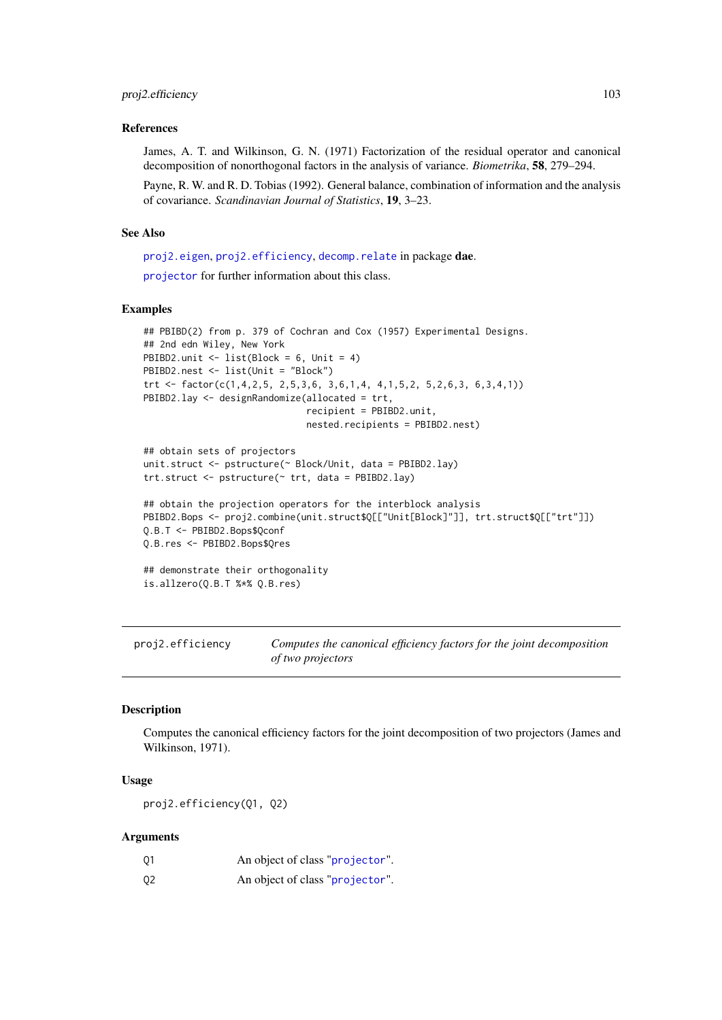#### References

James, A. T. and Wilkinson, G. N. (1971) Factorization of the residual operator and canonical decomposition of nonorthogonal factors in the analysis of variance. *Biometrika*, 58, 279–294.

Payne, R. W. and R. D. Tobias (1992). General balance, combination of information and the analysis of covariance. *Scandinavian Journal of Statistics*, 19, 3–23.

## See Also

[proj2.eigen](#page-103-0), [proj2.efficiency](#page-102-0), [decomp.relate](#page-15-0) in package dae.

[projector](#page-106-0) for further information about this class.

#### Examples

```
## PBIBD(2) from p. 379 of Cochran and Cox (1957) Experimental Designs.
## 2nd edn Wiley, New York
PBIBD2.unit \le list(Block = 6, Unit = 4)
PBIBD2.nest <- list(Unit = "Block")
trt <- factor(c(1,4,2,5, 2,5,3,6, 3,6,1,4, 4,1,5,2, 5,2,6,3, 6,3,4,1))
PBIBD2.lay <- designRandomize(allocated = trt,
                              recipient = PBIBD2.unit,
                              nested.recipients = PBIBD2.nest)
## obtain sets of projectors
unit.struct <- pstructure(~ Block/Unit, data = PBIBD2.lay)
trt.struct <- pstructure(~ trt, data = PBIBD2.lay)
## obtain the projection operators for the interblock analysis
PBIBD2.Bops <- proj2.combine(unit.struct$Q[["Unit[Block]"]], trt.struct$Q[["trt"]])
Q.B.T <- PBIBD2.Bops$Qconf
Q.B.res <- PBIBD2.Bops$Qres
## demonstrate their orthogonality
is.allzero(Q.B.T %*% Q.B.res)
```
<span id="page-102-0"></span>proj2.efficiency *Computes the canonical efficiency factors for the joint decomposition of two projectors*

#### Description

Computes the canonical efficiency factors for the joint decomposition of two projectors (James and Wilkinson, 1971).

#### Usage

proj2.efficiency(Q1, Q2)

#### Arguments

| 01             | An object of class "projector". |
|----------------|---------------------------------|
| Q <sub>2</sub> | An object of class "projector". |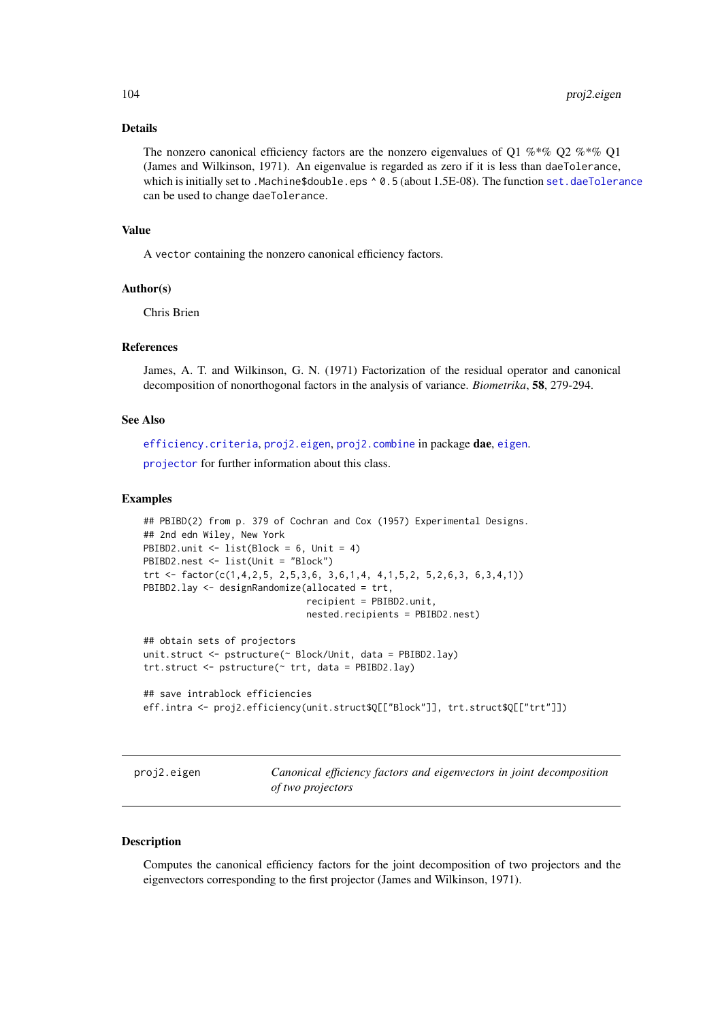#### Details

The nonzero canonical efficiency factors are the nonzero eigenvalues of Q1 %\*% Q2 %\*% Q1 (James and Wilkinson, 1971). An eigenvalue is regarded as zero if it is less than daeTolerance, which is initially set to .Machine\$double.eps ^ 0.5 (about 1.5E-08). The function [set.daeTolerance](#page-120-0) can be used to change daeTolerance.

#### Value

A vector containing the nonzero canonical efficiency factors.

#### Author(s)

Chris Brien

#### References

James, A. T. and Wilkinson, G. N. (1971) Factorization of the residual operator and canonical decomposition of nonorthogonal factors in the analysis of variance. *Biometrika*, 58, 279-294.

## See Also

[efficiency.criteria](#page-40-0), [proj2.eigen](#page-103-0), [proj2.combine](#page-101-0) in package dae, [eigen](#page-0-0).

[projector](#page-106-0) for further information about this class.

#### Examples

```
## PBIBD(2) from p. 379 of Cochran and Cox (1957) Experimental Designs.
## 2nd edn Wiley, New York
PBIBD2.unit \le list(Block = 6, Unit = 4)
PBIBD2.nest <- list(Unit = "Block")
trt <- factor(c(1,4,2,5, 2,5,3,6, 3,6,1,4, 4,1,5,2, 5,2,6,3, 6,3,4,1))
PBIBD2.lay <- designRandomize(allocated = trt,
                              recipient = PBIBD2.unit,
                              nested.recipients = PBIBD2.nest)
## obtain sets of projectors
unit.struct <- pstructure(~ Block/Unit, data = PBIBD2.lay)
trt.struct <- pstructure(~ trt, data = PBIBD2.lay)
```

```
## save intrablock efficiencies
eff.intra <- proj2.efficiency(unit.struct$Q[["Block"]], trt.struct$Q[["trt"]])
```
<span id="page-103-0"></span>proj2.eigen *Canonical efficiency factors and eigenvectors in joint decomposition of two projectors*

#### Description

Computes the canonical efficiency factors for the joint decomposition of two projectors and the eigenvectors corresponding to the first projector (James and Wilkinson, 1971).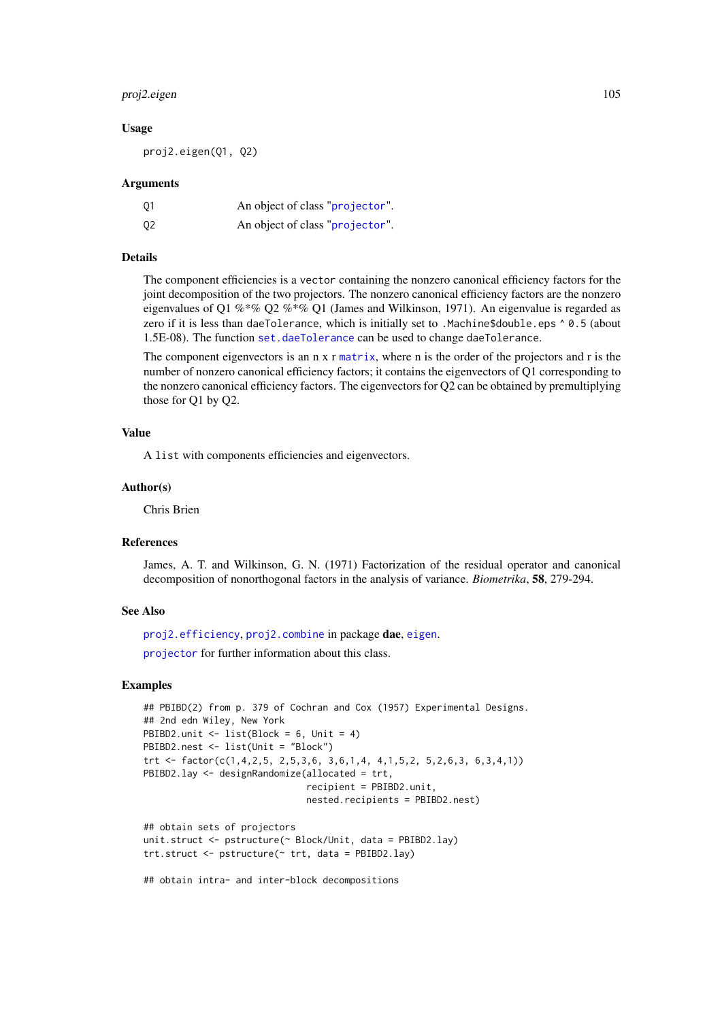#### proj2.eigen 105

#### Usage

proj2.eigen(Q1, Q2)

# Arguments

| 01             | An object of class "projector". |
|----------------|---------------------------------|
| Q <sub>2</sub> | An object of class "projector". |

# Details

The component efficiencies is a vector containing the nonzero canonical efficiency factors for the joint decomposition of the two projectors. The nonzero canonical efficiency factors are the nonzero eigenvalues of Q1 %\*% Q2 %\*% Q1 (James and Wilkinson, 1971). An eigenvalue is regarded as zero if it is less than daeTolerance, which is initially set to .Machine\$double.eps ^ 0.5 (about 1.5E-08). The function [set.daeTolerance](#page-120-0) can be used to change daeTolerance.

The component eigenvectors is an n x r [matrix](#page-0-0), where n is the order of the projectors and r is the number of nonzero canonical efficiency factors; it contains the eigenvectors of Q1 corresponding to the nonzero canonical efficiency factors. The eigenvectors for Q2 can be obtained by premultiplying those for Q1 by Q2.

## Value

A list with components efficiencies and eigenvectors.

#### Author(s)

Chris Brien

## References

James, A. T. and Wilkinson, G. N. (1971) Factorization of the residual operator and canonical decomposition of nonorthogonal factors in the analysis of variance. *Biometrika*, 58, 279-294.

#### See Also

[proj2.efficiency](#page-102-0), [proj2.combine](#page-101-0) in package dae, [eigen](#page-0-0).

[projector](#page-106-0) for further information about this class.

```
## PBIBD(2) from p. 379 of Cochran and Cox (1957) Experimental Designs.
## 2nd edn Wiley, New York
PBIBD2.unit \le list(Block = 6, Unit = 4)
PBIBD2.nest <- list(Unit = "Block")
trt <- factor(c(1,4,2,5, 2,5,3,6, 3,6,1,4, 4,1,5,2, 5,2,6,3, 6,3,4,1))
PBIBD2.lay <- designRandomize(allocated = trt,
                              recipient = PBIBD2.unit,
                              nested.recipients = PBIBD2.nest)
## obtain sets of projectors
unit.struct <- pstructure(~ Block/Unit, data = PBIBD2.lay)
trt.struct <- pstructure(~ trt, data = PBIBD2.lay)
## obtain intra- and inter-block decompositions
```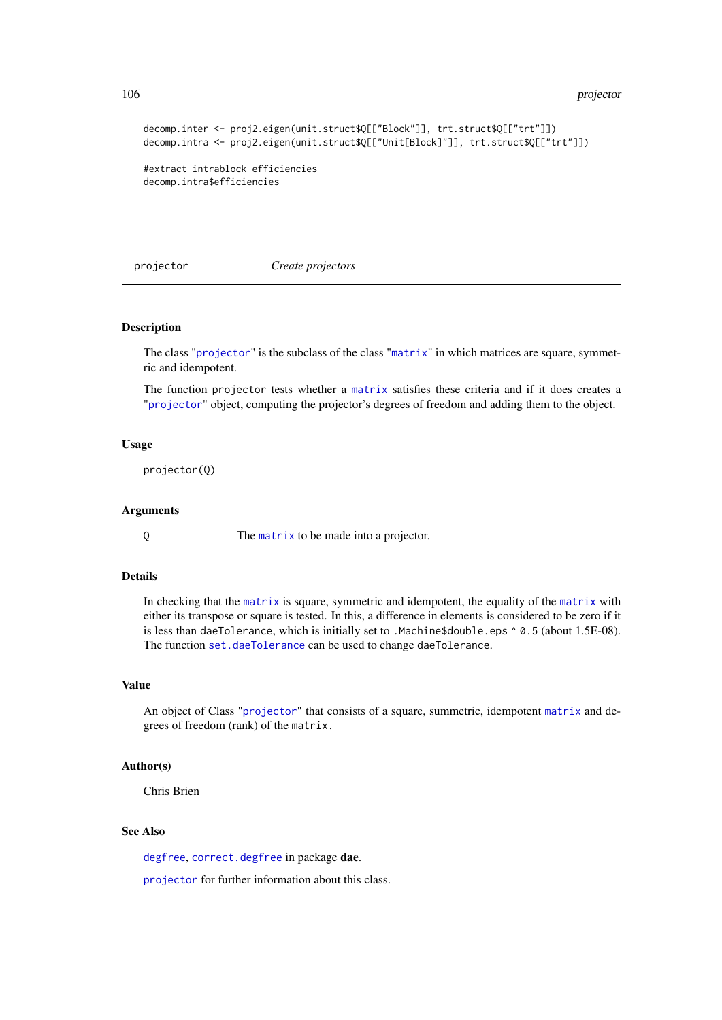106 projector and the projector of the state of the projector  $\mu$ 

```
decomp.inter <- proj2.eigen(unit.struct$Q[["Block"]], trt.struct$Q[["trt"]])
decomp.intra <- proj2.eigen(unit.struct$Q[["Unit[Block]"]], trt.struct$Q[["trt"]])
#extract intrablock efficiencies
decomp.intra$efficiencies
```
<span id="page-105-0"></span>projector *Create projectors*

# Description

The class "[projector](#page-106-0)" is the subclass of the class "[matrix](#page-0-0)" in which matrices are square, symmetric and idempotent.

The function projector tests whether a [matrix](#page-0-0) satisfies these criteria and if it does creates a "[projector](#page-106-0)" object, computing the projector's degrees of freedom and adding them to the object.

## Usage

projector(Q)

#### Arguments

Q The [matrix](#page-0-0) to be made into a projector.

# Details

In checking that the [matrix](#page-0-0) is square, symmetric and idempotent, the equality of the [matrix](#page-0-0) with either its transpose or square is tested. In this, a difference in elements is considered to be zero if it is less than daeTolerance, which is initially set to .Machine\$double.eps ^ 0.5 (about 1.5E-08). The function [set.daeTolerance](#page-120-0) can be used to change daeTolerance.

# Value

An object of Class "[projector](#page-106-0)" that consists of a square, summetric, idempotent [matrix](#page-0-0) and degrees of freedom (rank) of the matrix.

## Author(s)

Chris Brien

#### See Also

[degfree](#page-16-0), [correct.degfree](#page-13-0) in package dae.

[projector](#page-106-0) for further information about this class.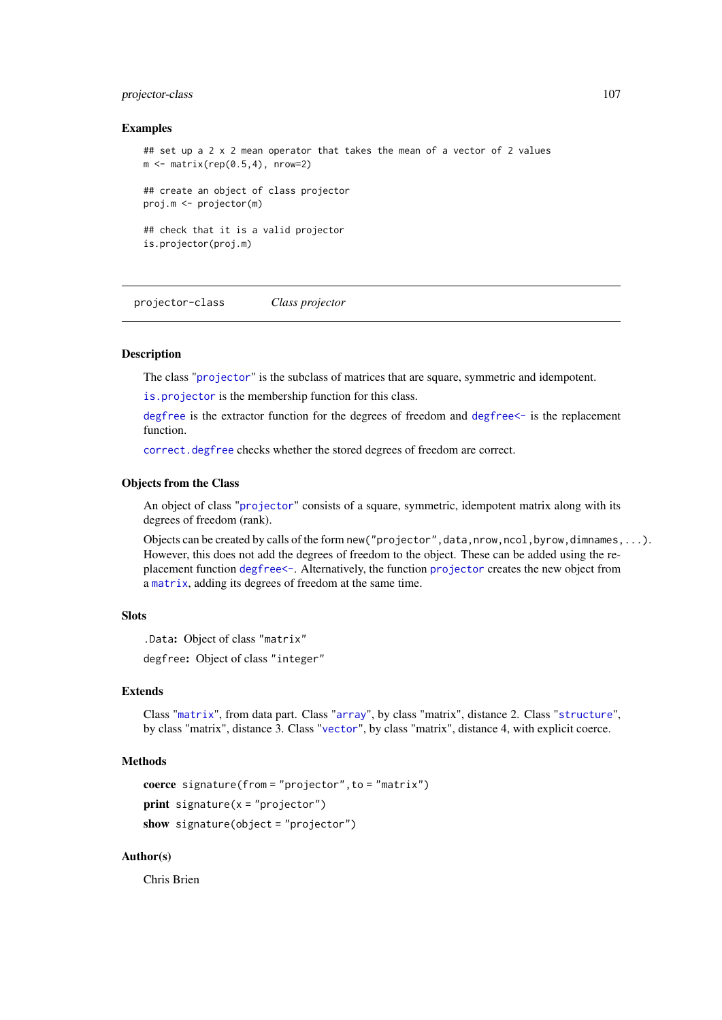#### projector-class 107

#### Examples

```
## set up a 2 x 2 mean operator that takes the mean of a vector of 2 values
m \leq - matrix(rep(0.5,4), nrow=2)
## create an object of class projector
proj.m <- projector(m)
## check that it is a valid projector
is.projector(proj.m)
```
<span id="page-106-0"></span>projector-class *Class projector*

# **Description**

The class "[projector](#page-106-0)" is the subclass of matrices that are square, symmetric and idempotent.

[is.projector](#page-67-0) is the membership function for this class.

[degfree](#page-16-0) is the extractor function for the degrees of freedom and [degfree<-](#page-16-0) is the replacement function.

[correct.degfree](#page-13-0) checks whether the stored degrees of freedom are correct.

## Objects from the Class

An object of class "[projector](#page-106-0)" consists of a square, symmetric, idempotent matrix along with its degrees of freedom (rank).

Objects can be created by calls of the form new ("projector", data, nrow, ncol, byrow, dimnames, ...). However, this does not add the degrees of freedom to the object. These can be added using the replacement function [degfree<-](#page-16-0). Alternatively, the function [projector](#page-105-0) creates the new object from a [matrix](#page-0-0), adding its degrees of freedom at the same time.

## Slots

.Data: Object of class "matrix" degfree: Object of class "integer"

# Extends

Class "[matrix](#page-0-0)", from data part. Class "[array](#page-0-0)", by class "matrix", distance 2. Class "[structure](#page-0-0)", by class "matrix", distance 3. Class "[vector](#page-0-0)", by class "matrix", distance 4, with explicit coerce.

# Methods

```
coerce signature(from = "projector",to = "matrix")
print signature(x = "projector")show signature(object = "projector")
```
# Author(s)

Chris Brien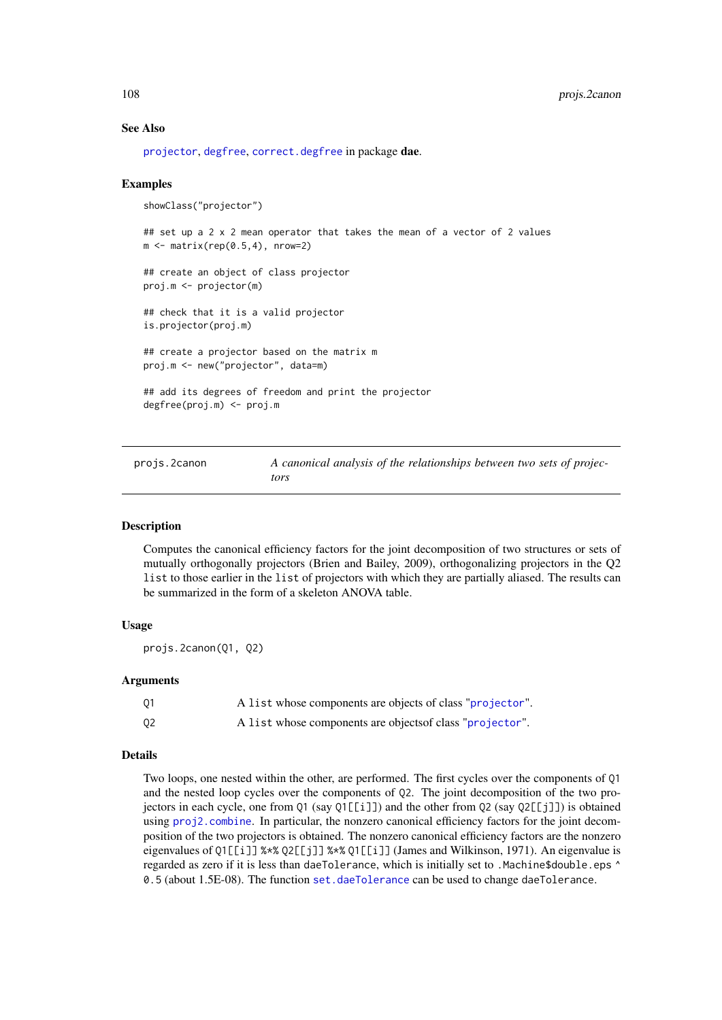#### See Also

[projector](#page-105-0), [degfree](#page-16-0), [correct.degfree](#page-13-0) in package dae.

#### Examples

```
showClass("projector")
## set up a 2 x 2 mean operator that takes the mean of a vector of 2 values
m \leftarrow matrix(rep(0.5, 4), nrow=2)## create an object of class projector
proj.m <- projector(m)
## check that it is a valid projector
is.projector(proj.m)
## create a projector based on the matrix m
proj.m <- new("projector", data=m)
## add its degrees of freedom and print the projector
degfree(proj.m) <- proj.m
```
<span id="page-107-0"></span>projs.2canon *A canonical analysis of the relationships between two sets of projectors*

#### Description

Computes the canonical efficiency factors for the joint decomposition of two structures or sets of mutually orthogonally projectors (Brien and Bailey, 2009), orthogonalizing projectors in the Q2 list to those earlier in the list of projectors with which they are partially aliased. The results can be summarized in the form of a skeleton ANOVA table.

## Usage

```
projs.2canon(Q1, Q2)
```
# Arguments

| 01 | A list whose components are objects of class "projector". |
|----|-----------------------------------------------------------|
| Q2 | A list whose components are objects of class "projector". |

#### Details

Two loops, one nested within the other, are performed. The first cycles over the components of Q1 and the nested loop cycles over the components of Q2. The joint decomposition of the two projectors in each cycle, one from Q1 (say Q1[[i]]) and the other from Q2 (say Q2[[j]]) is obtained using [proj2.combine](#page-101-0). In particular, the nonzero canonical efficiency factors for the joint decomposition of the two projectors is obtained. The nonzero canonical efficiency factors are the nonzero eigenvalues of Q1[[i]] %\*% Q2[[j]] %\*% Q1[[i]] (James and Wilkinson, 1971). An eigenvalue is regarded as zero if it is less than daeTolerance, which is initially set to .Machine\$double.eps ^ 0.5 (about 1.5E-08). The function [set.daeTolerance](#page-120-0) can be used to change daeTolerance.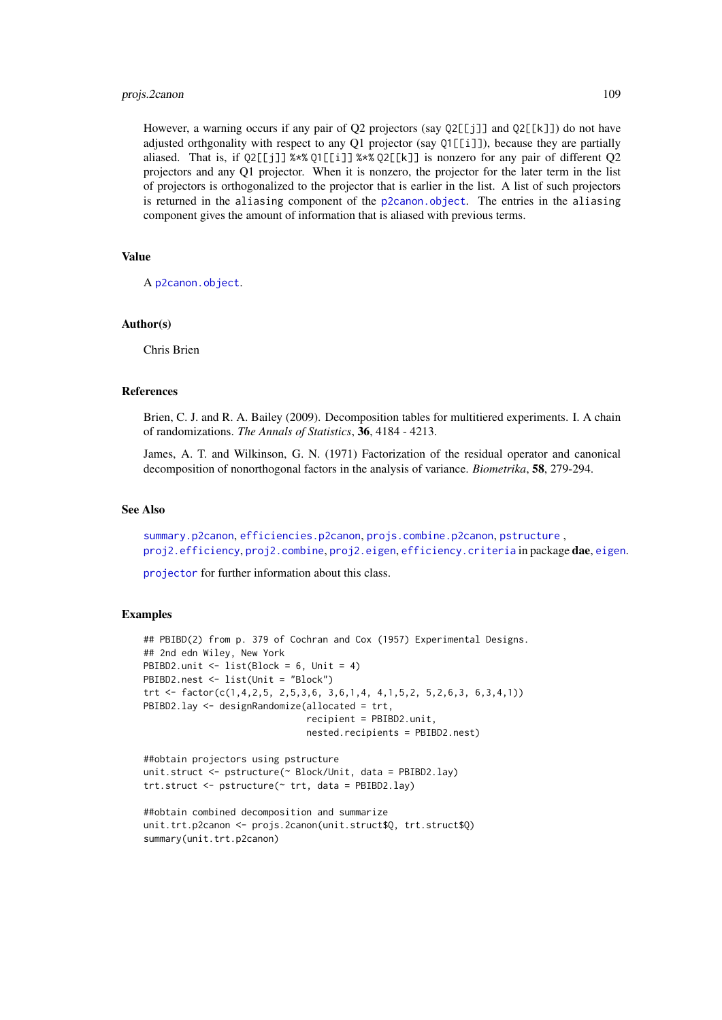#### <span id="page-108-0"></span>projs.2canon 109

However, a warning occurs if any pair of O2 projectors (say  $02[\lceil i \rceil]$  and  $02[\lceil k \rceil]$ ) do not have adjusted orthgonality with respect to any Q1 projector (say Q1[[i]]), because they are partially aliased. That is, if Q2[[j]] %\*% Q1[[i]] %\*% Q2[[k]] is nonzero for any pair of different Q2 projectors and any Q1 projector. When it is nonzero, the projector for the later term in the list of projectors is orthogonalized to the projector that is earlier in the list. A list of such projectors is returned in the aliasing component of the [p2canon.object](#page-93-0). The entries in the aliasing component gives the amount of information that is aliased with previous terms.

#### Value

A [p2canon.object](#page-93-0).

# Author(s)

Chris Brien

# References

Brien, C. J. and R. A. Bailey (2009). Decomposition tables for multitiered experiments. I. A chain of randomizations. *The Annals of Statistics*, 36, 4184 - 4213.

James, A. T. and Wilkinson, G. N. (1971) Factorization of the residual operator and canonical decomposition of nonorthogonal factors in the analysis of variance. *Biometrika*, 58, 279-294.

# See Also

[summary.p2canon](#page-123-0), [efficiencies.p2canon](#page-39-0), [projs.combine.p2canon](#page-109-0), [pstructure](#page-110-0) , [proj2.efficiency](#page-102-0), [proj2.combine](#page-101-0), [proj2.eigen](#page-103-0), [efficiency.criteria](#page-40-0) in package dae, [eigen](#page-0-0).

[projector](#page-106-0) for further information about this class.

```
## PBIBD(2) from p. 379 of Cochran and Cox (1957) Experimental Designs.
## 2nd edn Wiley, New York
PBIBD2.unit \leftarrow list(Block = 6, Unit = 4)
PBIBD2.nest <- list(Unit = "Block")
trt <- factor(c(1,4,2,5, 2,5,3,6, 3,6,1,4, 4,1,5,2, 5,2,6,3, 6,3,4,1))
PBIBD2.lay <- designRandomize(allocated = trt,
                               recipient = PBIBD2.unit,
                               nested.recipients = PBIBD2.nest)
```

```
##obtain projectors using pstructure
unit.struct <- pstructure(~ Block/Unit, data = PBIBD2.lay)
trt.struct <- pstructure(~ trt, data = PBIBD2.lay)
```

```
##obtain combined decomposition and summarize
unit.trt.p2canon <- projs.2canon(unit.struct$Q, trt.struct$Q)
summary(unit.trt.p2canon)
```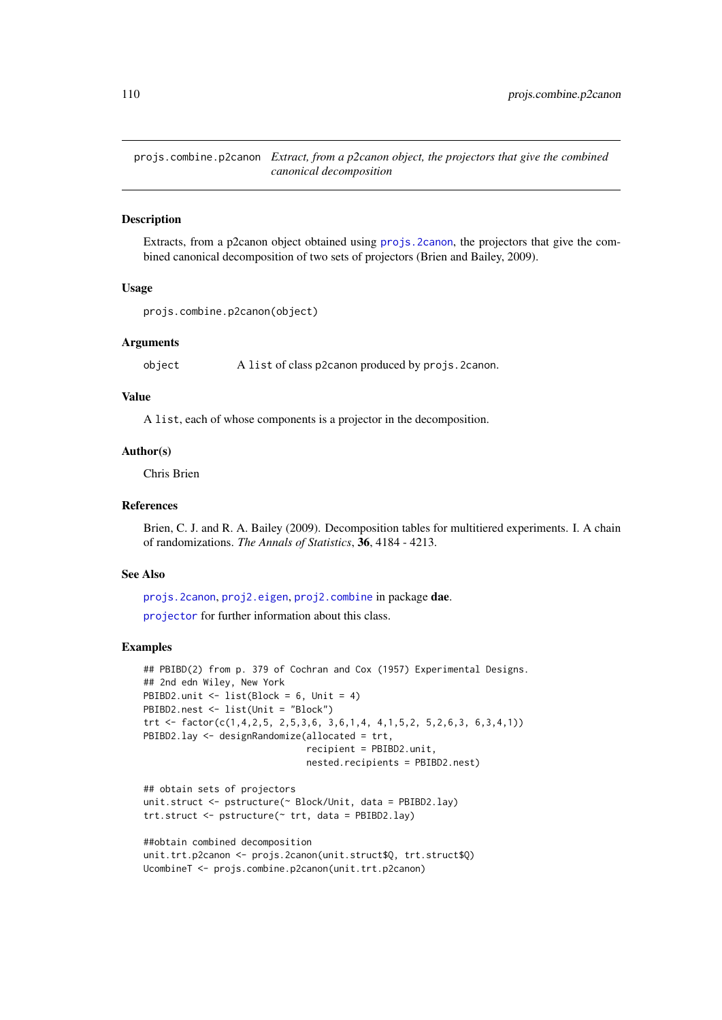<span id="page-109-1"></span><span id="page-109-0"></span>projs.combine.p2canon *Extract, from a p2canon object, the projectors that give the combined canonical decomposition*

#### Description

Extracts, from a p2canon object obtained using [projs.2canon](#page-107-0), the projectors that give the combined canonical decomposition of two sets of projectors (Brien and Bailey, 2009).

#### Usage

```
projs.combine.p2canon(object)
```
#### Arguments

object A list of class p2canon produced by projs.2canon.

#### Value

A list, each of whose components is a projector in the decomposition.

#### Author(s)

Chris Brien

#### References

Brien, C. J. and R. A. Bailey (2009). Decomposition tables for multitiered experiments. I. A chain of randomizations. *The Annals of Statistics*, 36, 4184 - 4213.

#### See Also

[projs.2canon](#page-107-0), [proj2.eigen](#page-103-0), [proj2.combine](#page-101-0) in package dae. [projector](#page-106-0) for further information about this class.

```
## PBIBD(2) from p. 379 of Cochran and Cox (1957) Experimental Designs.
## 2nd edn Wiley, New York
PBIBD2.unit <- list(Block = 6, Unit = 4)
PBIBD2.nest <- list(Unit = "Block")
trt <- factor(c(1,4,2,5, 2,5,3,6, 3,6,1,4, 4,1,5,2, 5,2,6,3, 6,3,4,1))
PBIBD2.lay <- designRandomize(allocated = trt,
                              recipient = PBIBD2.unit,
                              nested.recipients = PBIBD2.nest)
## obtain sets of projectors
```

```
unit.struct <- pstructure(~ Block/Unit, data = PBIBD2.lay)
trt.struct <- pstructure(~ trt, data = PBIBD2.lay)
```

```
##obtain combined decomposition
unit.trt.p2canon <- projs.2canon(unit.struct$Q, trt.struct$Q)
UcombineT <- projs.combine.p2canon(unit.trt.p2canon)
```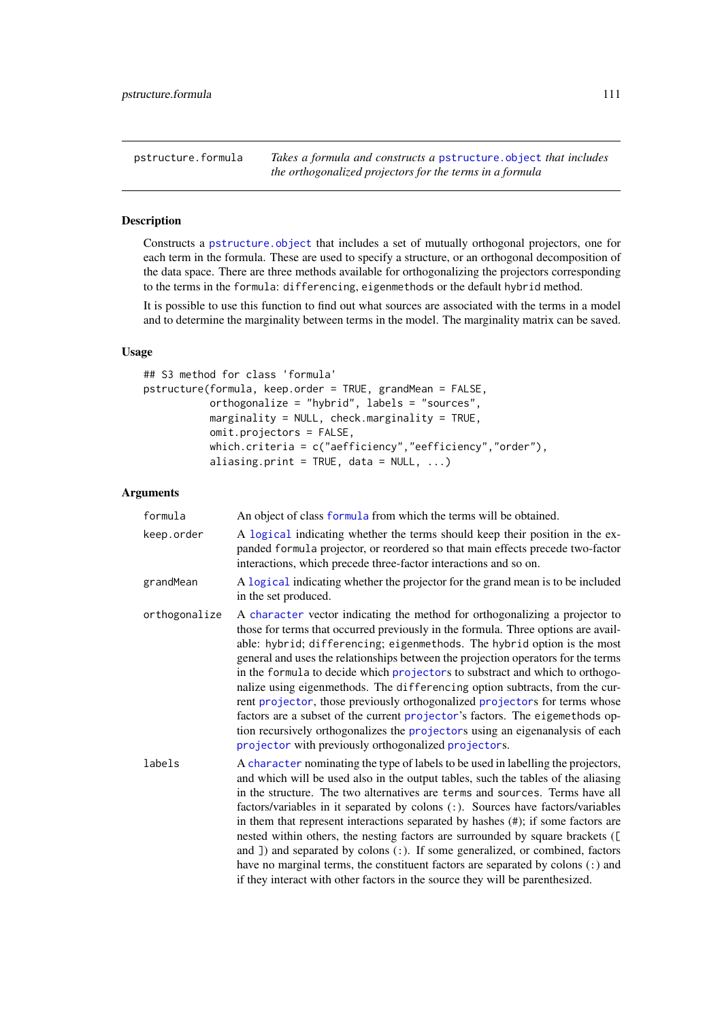<span id="page-110-2"></span><span id="page-110-1"></span>pstructure.formula *Takes a formula and constructs a* [pstructure.object](#page-113-0) *that includes the orthogonalized projectors for the terms in a formula*

#### <span id="page-110-0"></span>Description

Constructs a [pstructure.object](#page-113-0) that includes a set of mutually orthogonal projectors, one for each term in the formula. These are used to specify a structure, or an orthogonal decomposition of the data space. There are three methods available for orthogonalizing the projectors corresponding to the terms in the formula: differencing, eigenmethods or the default hybrid method.

It is possible to use this function to find out what sources are associated with the terms in a model and to determine the marginality between terms in the model. The marginality matrix can be saved.

# Usage

```
## S3 method for class 'formula'
pstructure(formula, keep.order = TRUE, grandMean = FALSE,
           orthogonalize = "hybrid", labels = "sources",
           marginality = NULL, check.marginality = TRUE,
           omit.projectors = FALSE,
           which.criteria = c("aefficiency","eefficiency","order"),
           aliasing.print = TRUE, data = NULL, ...)
```
#### Arguments

| formula       | An object of class formula from which the terms will be obtained.                                                                                                                                                                                                                                                                                                                                                                                                                                                                                                                                                                                                                                                                                                                                      |
|---------------|--------------------------------------------------------------------------------------------------------------------------------------------------------------------------------------------------------------------------------------------------------------------------------------------------------------------------------------------------------------------------------------------------------------------------------------------------------------------------------------------------------------------------------------------------------------------------------------------------------------------------------------------------------------------------------------------------------------------------------------------------------------------------------------------------------|
| keep.order    | A logical indicating whether the terms should keep their position in the ex-<br>panded formula projector, or reordered so that main effects precede two-factor<br>interactions, which precede three-factor interactions and so on.                                                                                                                                                                                                                                                                                                                                                                                                                                                                                                                                                                     |
| grandMean     | A logical indicating whether the projector for the grand mean is to be included<br>in the set produced.                                                                                                                                                                                                                                                                                                                                                                                                                                                                                                                                                                                                                                                                                                |
| orthogonalize | A character vector indicating the method for orthogonalizing a projector to<br>those for terms that occurred previously in the formula. Three options are avail-<br>able: hybrid; differencing; eigenmethods. The hybrid option is the most<br>general and uses the relationships between the projection operators for the terms<br>in the formula to decide which projectors to substract and which to orthogo-<br>nalize using eigenmethods. The differencing option subtracts, from the cur-<br>rent projector, those previously orthogonalized projectors for terms whose<br>factors are a subset of the current projector's factors. The eigemethods op-<br>tion recursively orthogonalizes the projectors using an eigenanalysis of each<br>projector with previously orthogonalized projectors. |
| labels        | A character nominating the type of labels to be used in labelling the projectors,<br>and which will be used also in the output tables, such the tables of the aliasing<br>in the structure. The two alternatives are terms and sources. Terms have all<br>factors/variables in it separated by colons (:). Sources have factors/variables<br>in them that represent interactions separated by hashes $(\#)$ ; if some factors are<br>nested within others, the nesting factors are surrounded by square brackets ([<br>and $\Box$ ) and separated by colons $\Box$ . If some generalized, or combined, factors<br>have no marginal terms, the constituent factors are separated by colons (:) and<br>if they interact with other factors in the source they will be parenthesized.                     |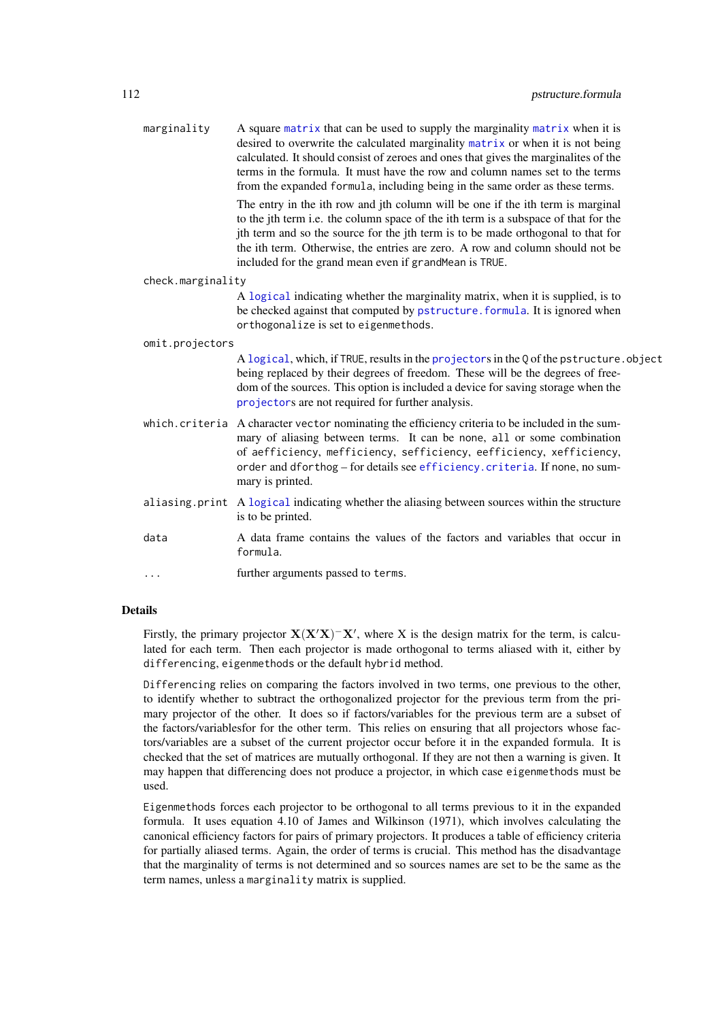<span id="page-111-0"></span>

| marginality       | A square matrix that can be used to supply the marginality matrix when it is<br>desired to overwrite the calculated marginality matrix or when it is not being<br>calculated. It should consist of zeroes and ones that gives the marginalites of the<br>terms in the formula. It must have the row and column names set to the terms<br>from the expanded formula, including being in the same order as these terms. |
|-------------------|-----------------------------------------------------------------------------------------------------------------------------------------------------------------------------------------------------------------------------------------------------------------------------------------------------------------------------------------------------------------------------------------------------------------------|
|                   | The entry in the ith row and jth column will be one if the ith term is marginal<br>to the jth term i.e. the column space of the ith term is a subspace of that for the<br>jth term and so the source for the jth term is to be made orthogonal to that for<br>the ith term. Otherwise, the entries are zero. A row and column should not be<br>included for the grand mean even if grandMean is TRUE.                 |
| check.marginality |                                                                                                                                                                                                                                                                                                                                                                                                                       |
|                   | A logical indicating whether the marginality matrix, when it is supplied, is to<br>be checked against that computed by pstructure. formula. It is ignored when<br>orthogonalize is set to eigenmethods.                                                                                                                                                                                                               |
| omit.projectors   |                                                                                                                                                                                                                                                                                                                                                                                                                       |
|                   | A logical, which, if TRUE, results in the projectors in the Q of the pstructure. object<br>being replaced by their degrees of freedom. These will be the degrees of free-<br>dom of the sources. This option is included a device for saving storage when the<br>projectors are not required for further analysis.                                                                                                    |
|                   | which.criteria A character vector nominating the efficiency criteria to be included in the sum-<br>mary of aliasing between terms. It can be none, all or some combination<br>of aefficiency, mefficiency, sefficiency, eefficiency, xefficiency,<br>order and dforthog - for details see efficiency. criteria. If none, no sum-<br>mary is printed.                                                                  |
|                   | aliasing print A logical indicating whether the aliasing between sources within the structure<br>is to be printed.                                                                                                                                                                                                                                                                                                    |
| data              | A data frame contains the values of the factors and variables that occur in<br>formula.                                                                                                                                                                                                                                                                                                                               |
| .                 | further arguments passed to terms.                                                                                                                                                                                                                                                                                                                                                                                    |
|                   |                                                                                                                                                                                                                                                                                                                                                                                                                       |

# Details

Firstly, the primary projector  $X(X'X)^-X'$ , where X is the design matrix for the term, is calculated for each term. Then each projector is made orthogonal to terms aliased with it, either by differencing, eigenmethods or the default hybrid method.

Differencing relies on comparing the factors involved in two terms, one previous to the other, to identify whether to subtract the orthogonalized projector for the previous term from the primary projector of the other. It does so if factors/variables for the previous term are a subset of the factors/variablesfor for the other term. This relies on ensuring that all projectors whose factors/variables are a subset of the current projector occur before it in the expanded formula. It is checked that the set of matrices are mutually orthogonal. If they are not then a warning is given. It may happen that differencing does not produce a projector, in which case eigenmethods must be used.

Eigenmethods forces each projector to be orthogonal to all terms previous to it in the expanded formula. It uses equation 4.10 of James and Wilkinson (1971), which involves calculating the canonical efficiency factors for pairs of primary projectors. It produces a table of efficiency criteria for partially aliased terms. Again, the order of terms is crucial. This method has the disadvantage that the marginality of terms is not determined and so sources names are set to be the same as the term names, unless a marginality matrix is supplied.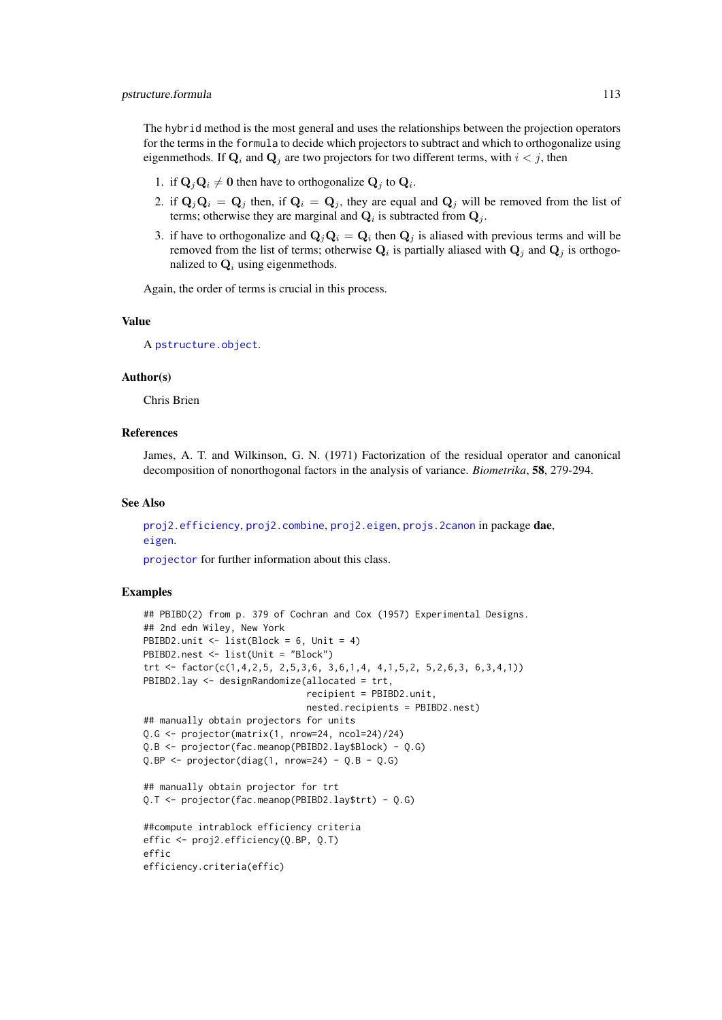<span id="page-112-0"></span>The hybrid method is the most general and uses the relationships between the projection operators for the terms in the formula to decide which projectors to subtract and which to orthogonalize using eigenmethods. If  $\mathbf{Q}_i$  and  $\mathbf{Q}_j$  are two projectors for two different terms, with  $i < j$ , then

- 1. if  $\mathbf{Q}_j \mathbf{Q}_i \neq \mathbf{0}$  then have to orthogonalize  $\mathbf{Q}_j$  to  $\mathbf{Q}_i$ .
- 2. if  $\mathbf{Q}_j\mathbf{Q}_i = \mathbf{Q}_j$  then, if  $\mathbf{Q}_i = \mathbf{Q}_j$ , they are equal and  $\mathbf{Q}_j$  will be removed from the list of terms; otherwise they are marginal and  $\mathbf{Q}_i$  is subtracted from  $\mathbf{Q}_j$ .
- 3. if have to orthogonalize and  $\mathbf{Q}_j \mathbf{Q}_i = \mathbf{Q}_i$  then  $\mathbf{Q}_j$  is aliased with previous terms and will be removed from the list of terms; otherwise  $Q_i$  is partially aliased with  $Q_j$  and  $Q_j$  is orthogonalized to  $\mathbf{Q}_i$  using eigenmethods.

Again, the order of terms is crucial in this process.

#### Value

A [pstructure.object](#page-113-0).

# Author(s)

Chris Brien

# References

James, A. T. and Wilkinson, G. N. (1971) Factorization of the residual operator and canonical decomposition of nonorthogonal factors in the analysis of variance. *Biometrika*, 58, 279-294.

#### See Also

```
proj2.efficiency, proj2.combine, proj2.eigen, projs.2canon in package dae,
eigen.
```
[projector](#page-106-0) for further information about this class.

```
## PBIBD(2) from p. 379 of Cochran and Cox (1957) Experimental Designs.
## 2nd edn Wiley, New York
PBIBD2.unit \le list(Block = 6, Unit = 4)
PBIBD2.nest <- list(Unit = "Block")
trt <- factor(c(1,4,2,5, 2,5,3,6, 3,6,1,4, 4,1,5,2, 5,2,6,3, 6,3,4,1))
PBIBD2.lay <- designRandomize(allocated = trt,
                              recipient = PBIBD2.unit,
                              nested.recipients = PBIBD2.nest)
## manually obtain projectors for units
Q.G <- projector(matrix(1, nrow=24, ncol=24)/24)
Q.B <- projector(fac.meanop(PBIBD2.lay$Block) - Q.G)
Q.BP \leftarrow projector(diag(1, nrow=24) - Q.B - Q.G)## manually obtain projector for trt
Q.T <- projector(fac.meanop(PBIBD2.lay$trt) - Q.G)
##compute intrablock efficiency criteria
effic <- proj2.efficiency(Q.BP, Q.T)
effic
efficiency.criteria(effic)
```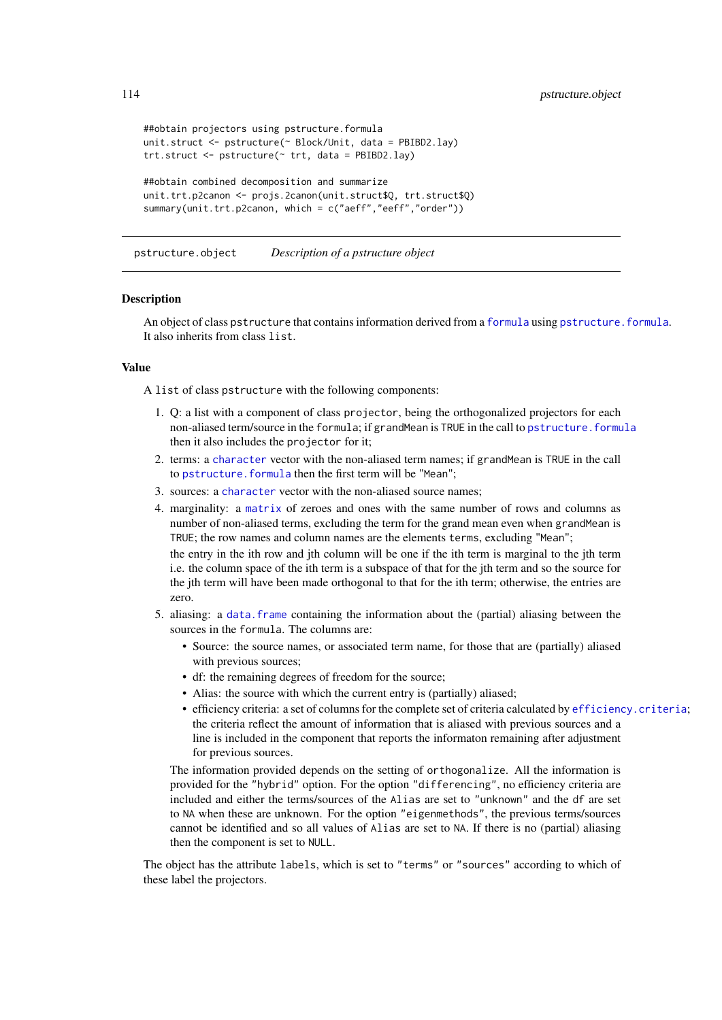```
##obtain projectors using pstructure.formula
unit.struct <- pstructure(~ Block/Unit, data = PBIBD2.lay)
trt.struct <- pstructure(~ trt, data = PBIBD2.lay)
##obtain combined decomposition and summarize
unit.trt.p2canon <- projs.2canon(unit.struct$Q, trt.struct$Q)
summary(unit.trt.p2canon, which = c("aeff","eeff","order"))
```
<span id="page-113-0"></span>pstructure.object *Description of a pstructure object*

#### Description

zero.

An object of class pstructure that contains information derived from a [formula](#page-0-0) using [pstructure.formula](#page-110-1). It also inherits from class list.

# Value

A list of class pstructure with the following components:

- 1. Q: a list with a component of class projector, being the orthogonalized projectors for each non-aliased term/source in the formula; if grandMean is TRUE in the call to [pstructure.formula](#page-110-1) then it also includes the projector for it;
- 2. terms: a [character](#page-0-0) vector with the non-aliased term names; if grandMean is TRUE in the call to pstructure. formula then the first term will be "Mean";
- 3. sources: a [character](#page-0-0) vector with the non-aliased source names;
- 4. marginality: a [matrix](#page-0-0) of zeroes and ones with the same number of rows and columns as number of non-aliased terms, excluding the term for the grand mean even when grandMean is TRUE; the row names and column names are the elements terms, excluding "Mean"; the entry in the ith row and jth column will be one if the ith term is marginal to the jth term i.e. the column space of the ith term is a subspace of that for the jth term and so the source for the jth term will have been made orthogonal to that for the ith term; otherwise, the entries are
- 5. aliasing: a [data.frame](#page-0-0) containing the information about the (partial) aliasing between the sources in the formula. The columns are:
	- Source: the source names, or associated term name, for those that are (partially) aliased with previous sources;
	- df: the remaining degrees of freedom for the source;
	- Alias: the source with which the current entry is (partially) aliased;
	- efficiency criteria: a set of columns for the complete set of criteria calculated by [efficiency.criteria](#page-40-0); the criteria reflect the amount of information that is aliased with previous sources and a line is included in the component that reports the informaton remaining after adjustment for previous sources.

The information provided depends on the setting of orthogonalize. All the information is provided for the "hybrid" option. For the option "differencing", no efficiency criteria are included and either the terms/sources of the Alias are set to "unknown" and the df are set to NA when these are unknown. For the option "eigenmethods", the previous terms/sources cannot be identified and so all values of Alias are set to NA. If there is no (partial) aliasing then the component is set to NULL.

The object has the attribute labels, which is set to "terms" or "sources" according to which of these label the projectors.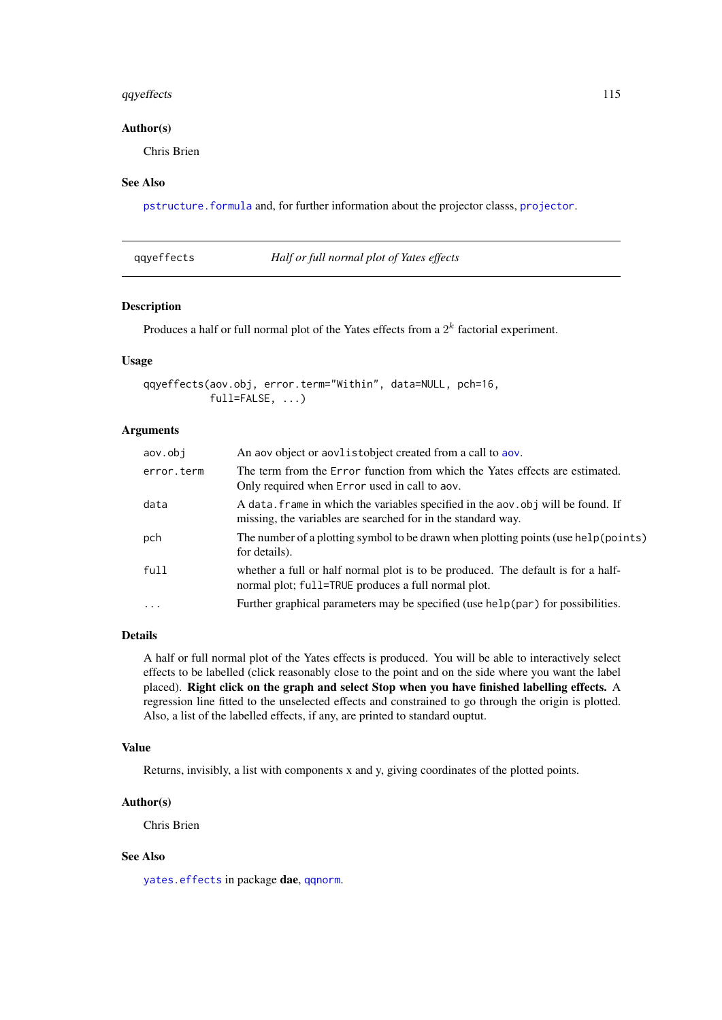#### <span id="page-114-1"></span>qqyeffects 115

# Author(s)

Chris Brien

# See Also

[pstructure.formula](#page-110-1) and, for further information about the projector classs, [projector](#page-106-0).

<span id="page-114-0"></span>

|  | qqyeffects |  |  |
|--|------------|--|--|
|  |            |  |  |
|  |            |  |  |
|  |            |  |  |

#### **Half or full normal plot of Yates effects**

#### Description

Produces a half or full normal plot of the Yates effects from a  $2^k$  factorial experiment.

# Usage

```
qqyeffects(aov.obj, error.term="Within", data=NULL, pch=16,
           full=FALSE, ...)
```
# Arguments

| aov.obi    | An aov object or aovlistobject created from a call to aov.                                                                                       |
|------------|--------------------------------------------------------------------------------------------------------------------------------------------------|
| error.term | The term from the Error function from which the Yates effects are estimated.<br>Only required when Error used in call to aov.                    |
| data       | A data. frame in which the variables specified in the aov. obj will be found. If<br>missing, the variables are searched for in the standard way. |
| pch        | The number of a plotting symbol to be drawn when plotting points (use help (points)<br>for details).                                             |
| full       | whether a full or half normal plot is to be produced. The default is for a half-<br>normal plot; full=TRUE produces a full normal plot.          |
| $\ddots$ . | Further graphical parameters may be specified (use help(par) for possibilities.                                                                  |

# Details

A half or full normal plot of the Yates effects is produced. You will be able to interactively select effects to be labelled (click reasonably close to the point and on the side where you want the label placed). Right click on the graph and select Stop when you have finished labelling effects. A regression line fitted to the unselected effects and constrained to go through the origin is plotted. Also, a list of the labelled effects, if any, are printed to standard ouptut.

# Value

Returns, invisibly, a list with components x and y, giving coordinates of the plotted points.

#### Author(s)

Chris Brien

# See Also

[yates.effects](#page-127-0) in package dae, [qqnorm](#page-0-0).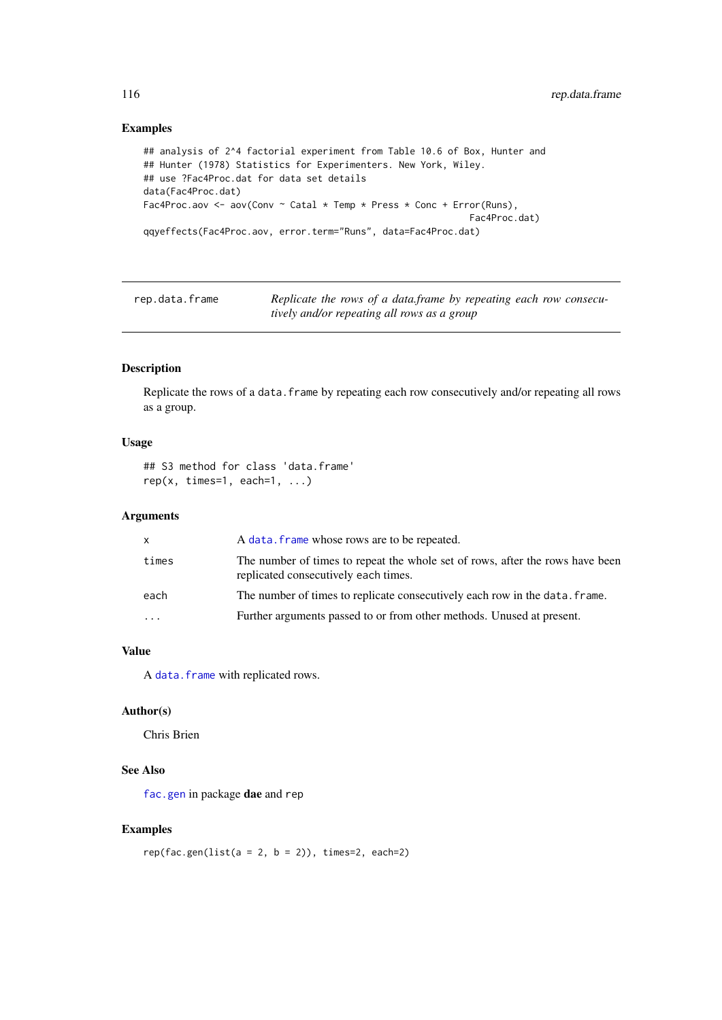# Examples

```
## analysis of 2^4 factorial experiment from Table 10.6 of Box, Hunter and
## Hunter (1978) Statistics for Experimenters. New York, Wiley.
## use ?Fac4Proc.dat for data set details
data(Fac4Proc.dat)
Fac4Proc.aov <- aov(Conv ~ Catal * Temp * Press * Conc + Error(Runs),
                                                            Fac4Proc.dat)
qqyeffects(Fac4Proc.aov, error.term="Runs", data=Fac4Proc.dat)
```
rep.data.frame *Replicate the rows of a data.frame by repeating each row consecutively and/or repeating all rows as a group*

# Description

Replicate the rows of a data. frame by repeating each row consecutively and/or repeating all rows as a group.

#### Usage

```
## S3 method for class 'data.frame'
rep(x, times=1, each=1, ...)
```
# Arguments

| x         | A data. frame whose rows are to be repeated.                                                                          |
|-----------|-----------------------------------------------------------------------------------------------------------------------|
| times     | The number of times to repeat the whole set of rows, after the rows have been<br>replicated consecutively each times. |
| each      | The number of times to replicate consecutively each row in the data, frame.                                           |
| $\ddotsc$ | Further arguments passed to or from other methods. Unused at present.                                                 |
|           |                                                                                                                       |

#### Value

A [data.frame](#page-0-0) with replicated rows.

# Author(s)

Chris Brien

# See Also

[fac.gen](#page-47-0) in package dae and rep

```
rep(fac.gen(list(a = 2, b = 2)), times=2, each=2)
```
<span id="page-115-0"></span>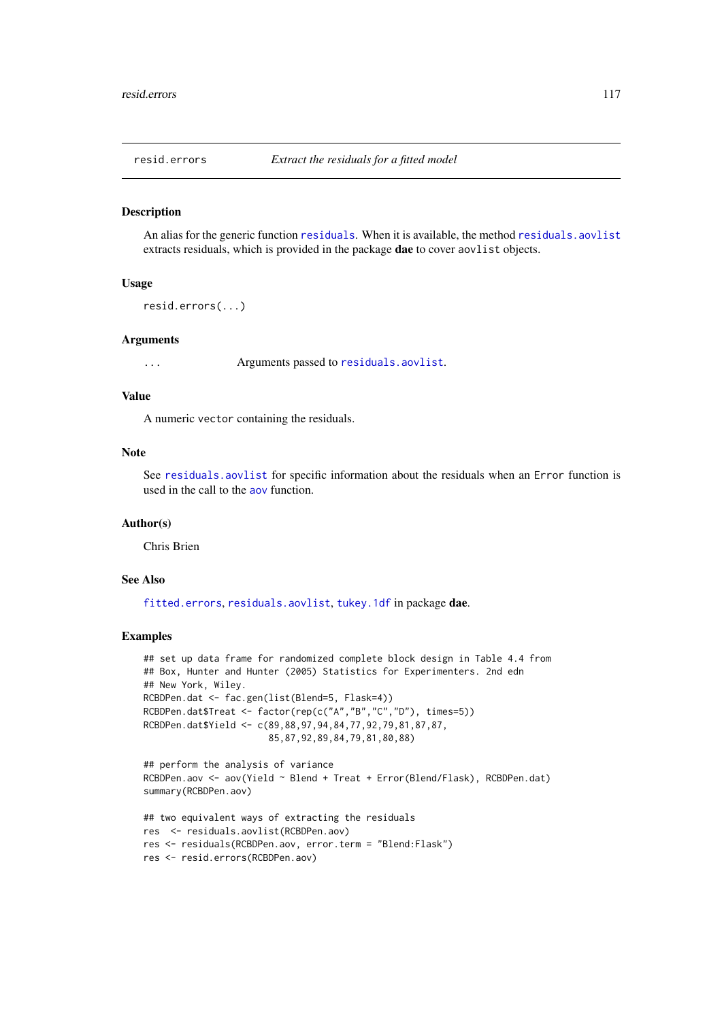<span id="page-116-1"></span><span id="page-116-0"></span>

#### Description

An alias for the generic function [residuals](#page-117-0). When it is available, the method [residuals.aovlist](#page-117-1) extracts residuals, which is provided in the package dae to cover aovlist objects.

#### Usage

```
resid.errors(...)
```
#### Arguments

... Arguments passed to [residuals.aovlist](#page-117-1).

# Value

A numeric vector containing the residuals.

#### Note

See [residuals.aovlist](#page-117-1) for specific information about the residuals when an Error function is used in the call to the [aov](#page-0-0) function.

#### Author(s)

Chris Brien

# See Also

[fitted.errors](#page-63-0), [residuals.aovlist](#page-117-1), [tukey.1df](#page-126-0) in package dae.

```
## set up data frame for randomized complete block design in Table 4.4 from
## Box, Hunter and Hunter (2005) Statistics for Experimenters. 2nd edn
## New York, Wiley.
RCBDPen.dat <- fac.gen(list(Blend=5, Flask=4))
RCBDPen.dat$Treat <- factor(rep(c("A","B","C","D"), times=5))
RCBDPen.dat$Yield <- c(89,88,97,94,84,77,92,79,81,87,87,
                       85,87,92,89,84,79,81,80,88)
## perform the analysis of variance
RCBDPen.aov <- aov(Yield ~ Blend + Treat + Error(Blend/Flask), RCBDPen.dat)
summary(RCBDPen.aov)
## two equivalent ways of extracting the residuals
```

```
res <- residuals.aovlist(RCBDPen.aov)
res <- residuals(RCBDPen.aov, error.term = "Blend:Flask")
res <- resid.errors(RCBDPen.aov)
```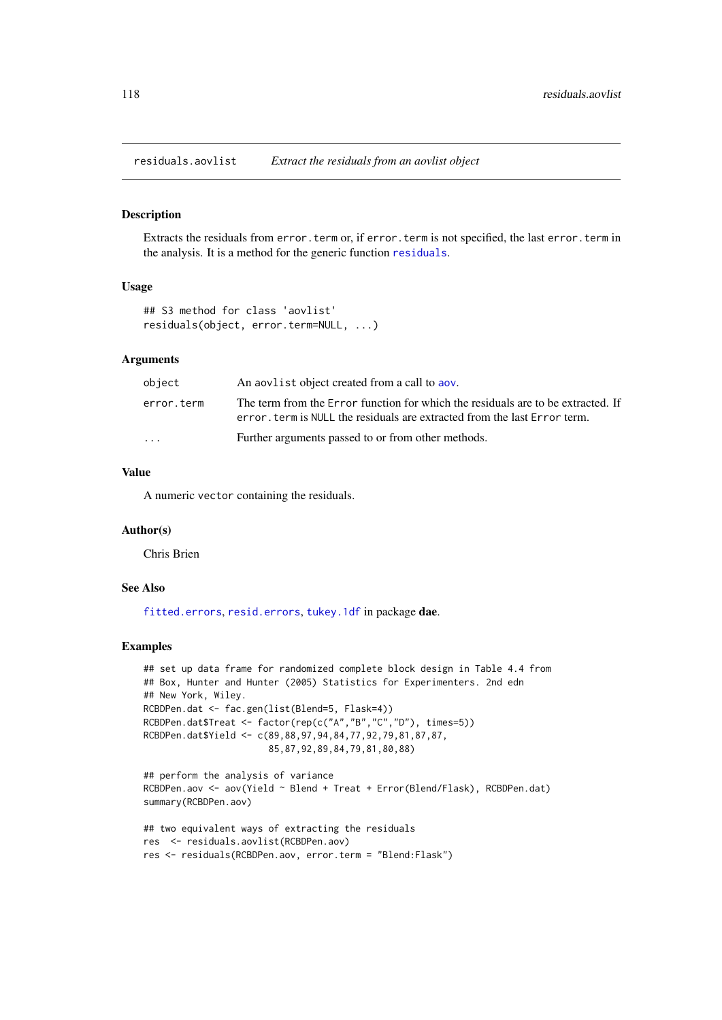<span id="page-117-2"></span><span id="page-117-1"></span>residuals.aovlist *Extract the residuals from an aovlist object*

#### <span id="page-117-0"></span>Description

Extracts the residuals from error.term or, if error.term is not specified, the last error.term in the analysis. It is a method for the generic function [residuals](#page-117-0).

# Usage

```
## S3 method for class 'aovlist'
residuals(object, error.term=NULL, ...)
```
#### Arguments

| object     | An applied object created from a call to apply                                                                                                                |
|------------|---------------------------------------------------------------------------------------------------------------------------------------------------------------|
| error.term | The term from the Error function for which the residuals are to be extracted. If<br>error, term is NULL the residuals are extracted from the last Error term. |
| $\ddotsc$  | Further arguments passed to or from other methods.                                                                                                            |

# Value

A numeric vector containing the residuals.

#### Author(s)

Chris Brien

# See Also

[fitted.errors](#page-63-0), [resid.errors](#page-116-0), [tukey.1df](#page-126-0) in package dae.

```
## set up data frame for randomized complete block design in Table 4.4 from
## Box, Hunter and Hunter (2005) Statistics for Experimenters. 2nd edn
## New York, Wiley.
RCBDPen.dat <- fac.gen(list(Blend=5, Flask=4))
RCBDPen.dat$Treat <- factor(rep(c("A","B","C","D"), times=5))
RCBDPen.dat$Yield <- c(89,88,97,94,84,77,92,79,81,87,87,
                       85,87,92,89,84,79,81,80,88)
```

```
## perform the analysis of variance
RCBDPen.aov <- aov(Yield ~ Blend + Treat + Error(Blend/Flask), RCBDPen.dat)
summary(RCBDPen.aov)
```

```
## two equivalent ways of extracting the residuals
res <- residuals.aovlist(RCBDPen.aov)
res <- residuals(RCBDPen.aov, error.term = "Blend:Flask")
```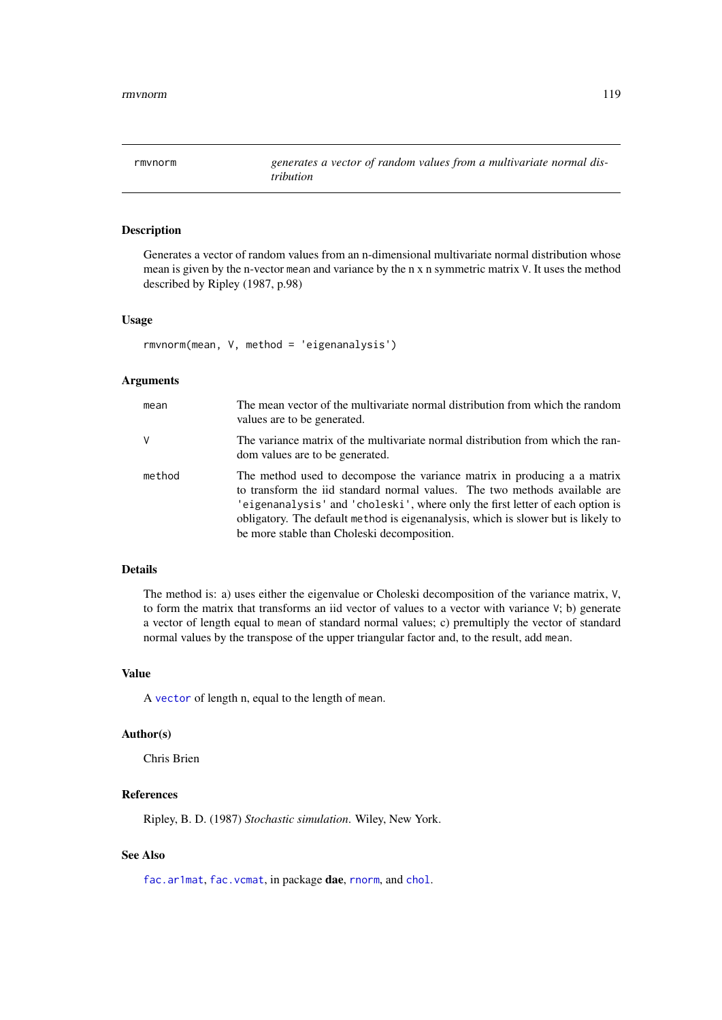<span id="page-118-0"></span>

# Description

Generates a vector of random values from an n-dimensional multivariate normal distribution whose mean is given by the n-vector mean and variance by the n x n symmetric matrix V. It uses the method described by Ripley (1987, p.98)

#### Usage

```
rmvnorm(mean, V, method = 'eigenanalysis')
```
#### Arguments

| mean   | The mean vector of the multivariate normal distribution from which the random<br>values are to be generated.                                                                                                                                                                                                                                                                |
|--------|-----------------------------------------------------------------------------------------------------------------------------------------------------------------------------------------------------------------------------------------------------------------------------------------------------------------------------------------------------------------------------|
| V      | The variance matrix of the multivariate normal distribution from which the ran-<br>dom values are to be generated.                                                                                                                                                                                                                                                          |
| method | The method used to decompose the variance matrix in producing a a matrix<br>to transform the iid standard normal values. The two methods available are<br>'eigenanalysis' and 'choleski', where only the first letter of each option is<br>obligatory. The default method is eigenanalysis, which is slower but is likely to<br>be more stable than Choleski decomposition. |

# Details

The method is: a) uses either the eigenvalue or Choleski decomposition of the variance matrix, V, to form the matrix that transforms an iid vector of values to a vector with variance V; b) generate a vector of length equal to mean of standard normal values; c) premultiply the vector of standard normal values by the transpose of the upper triangular factor and, to the result, add mean.

# Value

A [vector](#page-0-0) of length n, equal to the length of mean.

#### Author(s)

Chris Brien

# References

Ripley, B. D. (1987) *Stochastic simulation*. Wiley, New York.

# See Also

[fac.ar1mat](#page-43-0), [fac.vcmat](#page-60-0), in package dae, [rnorm](#page-0-0), and [chol](#page-0-0).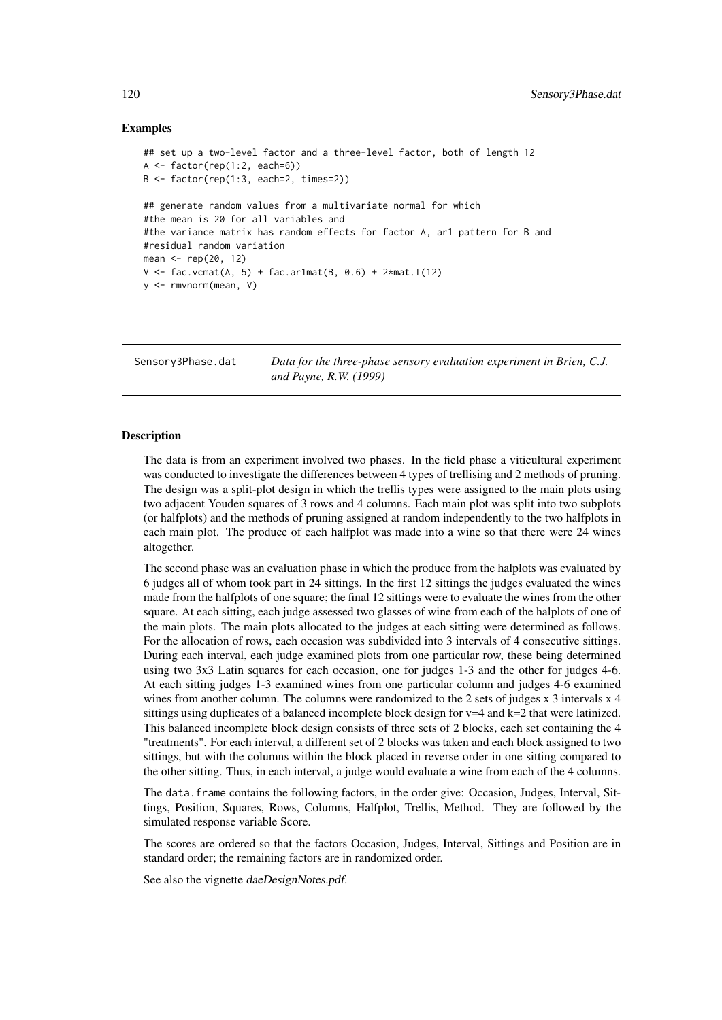#### Examples

```
## set up a two-level factor and a three-level factor, both of length 12
A \leftarrow factor(rep(1:2, each=6))B <- factor(rep(1:3, each=2, times=2))
## generate random values from a multivariate normal for which
#the mean is 20 for all variables and
#the variance matrix has random effects for factor A, ar1 pattern for B and
#residual random variation
mean <- rep(20, 12)
V \le fac.vcmat(A, 5) + fac.ar1mat(B, 0.6) + 2*mat.I(12)
y <- rmvnorm(mean, V)
```
Sensory3Phase.dat *Data for the three-phase sensory evaluation experiment in Brien, C.J. and Payne, R.W. (1999)*

#### Description

The data is from an experiment involved two phases. In the field phase a viticultural experiment was conducted to investigate the differences between 4 types of trellising and 2 methods of pruning. The design was a split-plot design in which the trellis types were assigned to the main plots using two adjacent Youden squares of 3 rows and 4 columns. Each main plot was split into two subplots (or halfplots) and the methods of pruning assigned at random independently to the two halfplots in each main plot. The produce of each halfplot was made into a wine so that there were 24 wines altogether.

The second phase was an evaluation phase in which the produce from the halplots was evaluated by 6 judges all of whom took part in 24 sittings. In the first 12 sittings the judges evaluated the wines made from the halfplots of one square; the final 12 sittings were to evaluate the wines from the other square. At each sitting, each judge assessed two glasses of wine from each of the halplots of one of the main plots. The main plots allocated to the judges at each sitting were determined as follows. For the allocation of rows, each occasion was subdivided into 3 intervals of 4 consecutive sittings. During each interval, each judge examined plots from one particular row, these being determined using two 3x3 Latin squares for each occasion, one for judges 1-3 and the other for judges 4-6. At each sitting judges 1-3 examined wines from one particular column and judges 4-6 examined wines from another column. The columns were randomized to the 2 sets of judges x 3 intervals x 4 sittings using duplicates of a balanced incomplete block design for  $v=4$  and  $k=2$  that were latinized. This balanced incomplete block design consists of three sets of 2 blocks, each set containing the 4 "treatments". For each interval, a different set of 2 blocks was taken and each block assigned to two sittings, but with the columns within the block placed in reverse order in one sitting compared to the other sitting. Thus, in each interval, a judge would evaluate a wine from each of the 4 columns.

The data.frame contains the following factors, in the order give: Occasion, Judges, Interval, Sittings, Position, Squares, Rows, Columns, Halfplot, Trellis, Method. They are followed by the simulated response variable Score.

The scores are ordered so that the factors Occasion, Judges, Interval, Sittings and Position are in standard order; the remaining factors are in randomized order.

See also the vignette daeDesignNotes.pdf.

<span id="page-119-0"></span>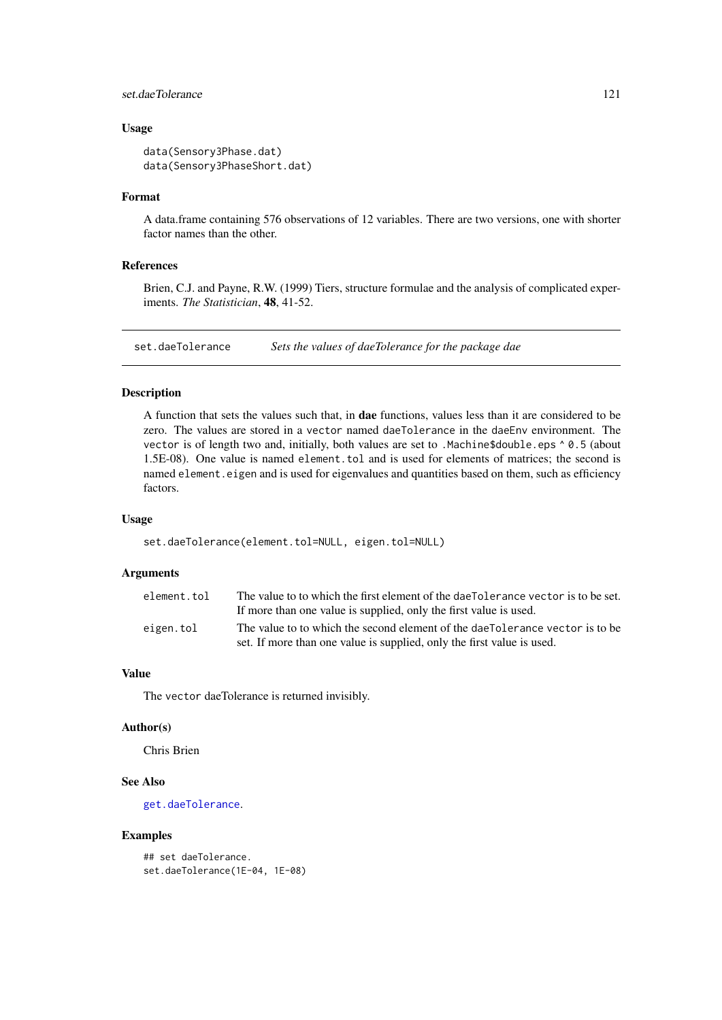#### <span id="page-120-0"></span>set.daeTolerance 121

#### Usage

```
data(Sensory3Phase.dat)
data(Sensory3PhaseShort.dat)
```
#### Format

A data.frame containing 576 observations of 12 variables. There are two versions, one with shorter factor names than the other.

#### References

Brien, C.J. and Payne, R.W. (1999) Tiers, structure formulae and the analysis of complicated experiments. *The Statistician*, 48, 41-52.

set.daeTolerance *Sets the values of daeTolerance for the package dae*

# Description

A function that sets the values such that, in dae functions, values less than it are considered to be zero. The values are stored in a vector named daeTolerance in the daeEnv environment. The vector is of length two and, initially, both values are set to .Machine\$double.eps  $\land$  0.5 (about 1.5E-08). One value is named element.tol and is used for elements of matrices; the second is named element.eigen and is used for eigenvalues and quantities based on them, such as efficiency factors.

#### Usage

```
set.daeTolerance(element.tol=NULL, eigen.tol=NULL)
```
#### Arguments

| element.tol | The value to to which the first element of the dae Tolerance vector is to be set.                                                                      |
|-------------|--------------------------------------------------------------------------------------------------------------------------------------------------------|
|             | If more than one value is supplied, only the first value is used.                                                                                      |
| eigen.tol   | The value to to which the second element of the daeTolerance vector is to be<br>set. If more than one value is supplied, only the first value is used. |
|             |                                                                                                                                                        |

# Value

The vector daeTolerance is returned invisibly.

#### Author(s)

Chris Brien

#### See Also

[get.daeTolerance](#page-64-0).

#### Examples

## set daeTolerance. set.daeTolerance(1E-04, 1E-08)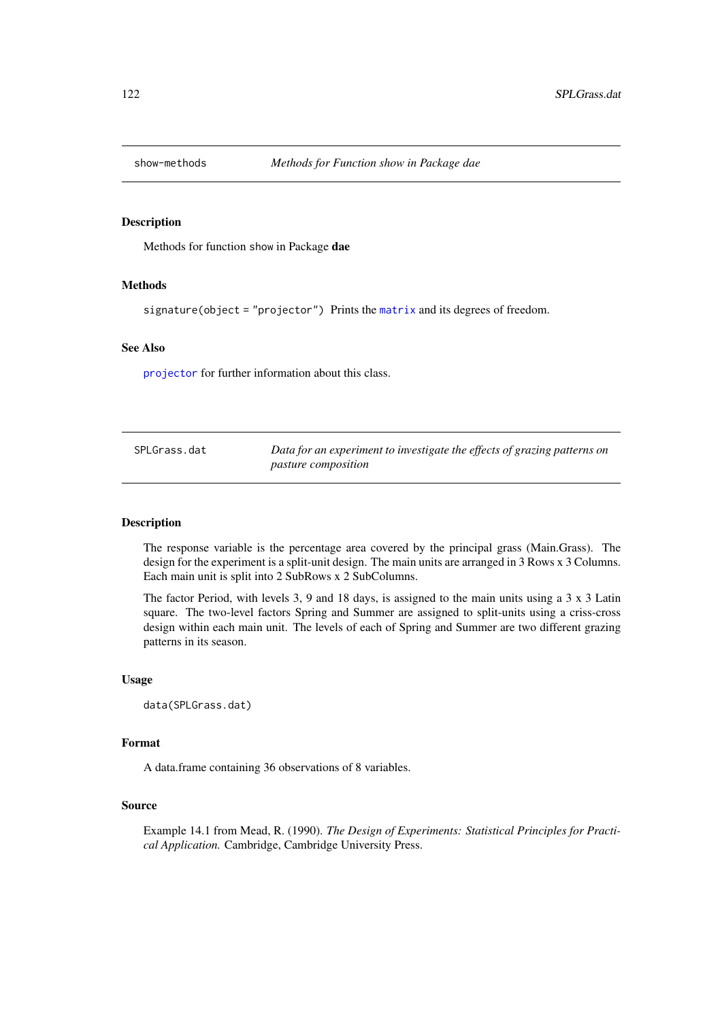<span id="page-121-0"></span>

# Description

Methods for function show in Package dae

# Methods

signature(object = "projector") Prints the [matrix](#page-0-0) and its degrees of freedom.

## See Also

[projector](#page-106-0) for further information about this class.

| SPLGrass.dat | Data for an experiment to investigate the effects of grazing patterns on |
|--------------|--------------------------------------------------------------------------|
|              | <i>pasture composition</i>                                               |

# Description

The response variable is the percentage area covered by the principal grass (Main.Grass). The design for the experiment is a split-unit design. The main units are arranged in 3 Rows x 3 Columns. Each main unit is split into 2 SubRows x 2 SubColumns.

The factor Period, with levels 3, 9 and 18 days, is assigned to the main units using a 3 x 3 Latin square. The two-level factors Spring and Summer are assigned to split-units using a criss-cross design within each main unit. The levels of each of Spring and Summer are two different grazing patterns in its season.

#### Usage

```
data(SPLGrass.dat)
```
#### Format

A data.frame containing 36 observations of 8 variables.

#### Source

Example 14.1 from Mead, R. (1990). *The Design of Experiments: Statistical Principles for Practical Application.* Cambridge, Cambridge University Press.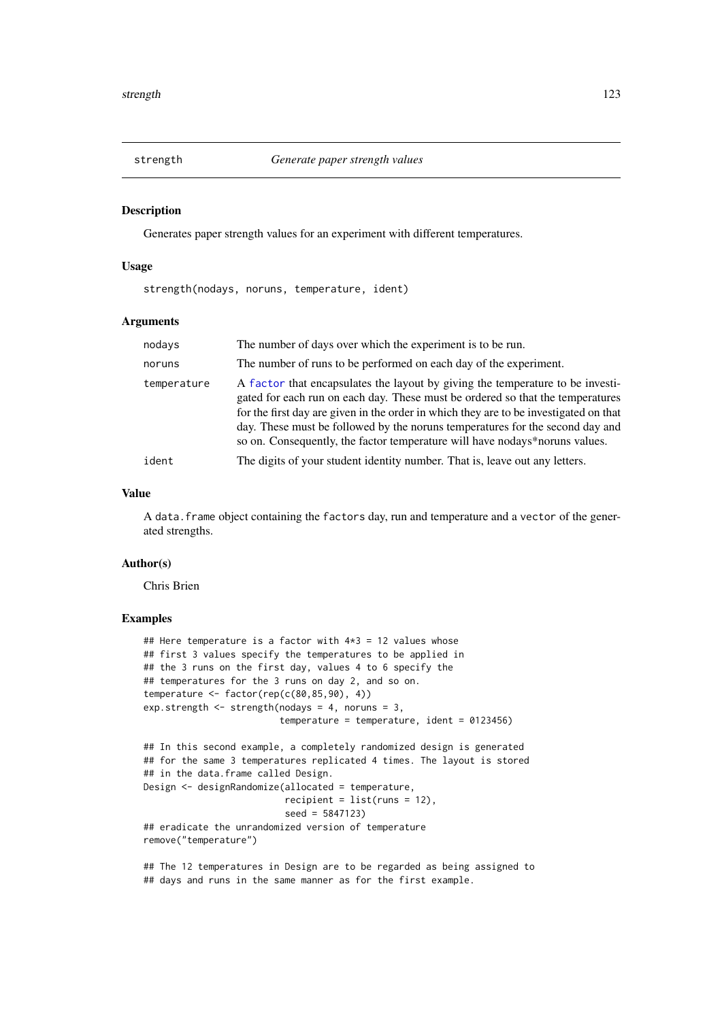<span id="page-122-0"></span>

#### Description

Generates paper strength values for an experiment with different temperatures.

#### Usage

strength(nodays, noruns, temperature, ident)

#### Arguments

| nodays      | The number of days over which the experiment is to be run.                                                                                                                                                                                                                                                                                                                                                                |
|-------------|---------------------------------------------------------------------------------------------------------------------------------------------------------------------------------------------------------------------------------------------------------------------------------------------------------------------------------------------------------------------------------------------------------------------------|
| noruns      | The number of runs to be performed on each day of the experiment.                                                                                                                                                                                                                                                                                                                                                         |
| temperature | A factor that encapsulates the layout by giving the temperature to be investi-<br>gated for each run on each day. These must be ordered so that the temperatures<br>for the first day are given in the order in which they are to be investigated on that<br>day. These must be followed by the noruns temperatures for the second day and<br>so on. Consequently, the factor temperature will have nodays*noruns values. |
| ident       | The digits of your student identity number. That is, leave out any letters.                                                                                                                                                                                                                                                                                                                                               |

# Value

A data.frame object containing the factors day, run and temperature and a vector of the generated strengths.

#### Author(s)

Chris Brien

# Examples

```
## Here temperature is a factor with 4*3 = 12 values whose
## first 3 values specify the temperatures to be applied in
## the 3 runs on the first day, values 4 to 6 specify the
## temperatures for the 3 runs on day 2, and so on.
temperature \leq factor(rep(c(80,85,90), 4))
exp.strength \le strength(nodays = 4, noruns = 3,
                         temperature = temperature, ident = 0123456)
## In this second example, a completely randomized design is generated
## for the same 3 temperatures replicated 4 times. The layout is stored
## in the data.frame called Design.
Design <- designRandomize(allocated = temperature,
                          recipient = list(runs = 12),
                          seed = 5847123)
## eradicate the unrandomized version of temperature
remove("temperature")
```
## The 12 temperatures in Design are to be regarded as being assigned to ## days and runs in the same manner as for the first example.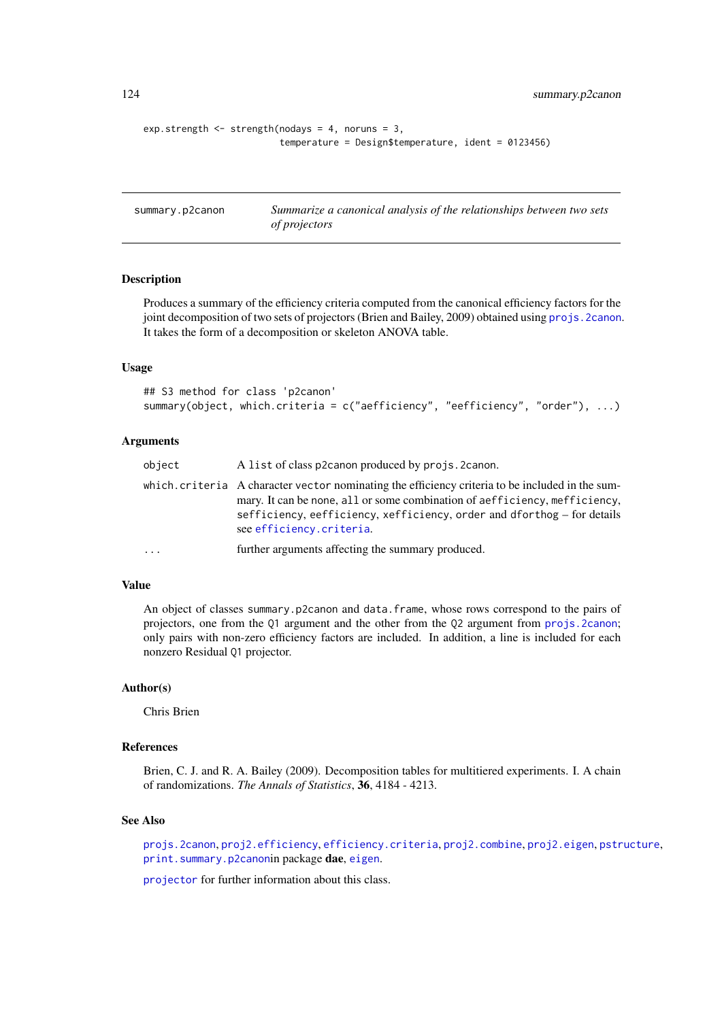<span id="page-123-1"></span>124 summary.p2canon

```
exp.strength \leq strength(nodays = 4, noruns = 3,
                          temperature = Design$temperature, ident = 0123456)
```
<span id="page-123-0"></span>

| summary.p2canon | Summarize a canonical analysis of the relationships between two sets |
|-----------------|----------------------------------------------------------------------|
|                 | <i>of projectors</i>                                                 |

# Description

Produces a summary of the efficiency criteria computed from the canonical efficiency factors for the joint decomposition of two sets of projectors (Brien and Bailey, 2009) obtained using [projs.2canon](#page-107-0). It takes the form of a decomposition or skeleton ANOVA table.

# Usage

```
## S3 method for class 'p2canon'
summary(object, which.criteria = c("aefficiency", "eefficiency", "order"), ...)
```
#### Arguments

| object   | A list of class p2canon produced by projs. 2canon.                                                                                                                                                                                                                                    |
|----------|---------------------------------------------------------------------------------------------------------------------------------------------------------------------------------------------------------------------------------------------------------------------------------------|
|          | which, criteria A character vector nominating the efficiency criteria to be included in the sum-<br>mary. It can be none, all or some combination of aefficiency, mefficiency,<br>sefficiency, eefficiency, xefficiency, order and dforthog – for details<br>see efficiency.criteria. |
| $\ddots$ | further arguments affecting the summary produced.                                                                                                                                                                                                                                     |
|          |                                                                                                                                                                                                                                                                                       |

#### Value

An object of classes summary.p2canon and data.frame, whose rows correspond to the pairs of projectors, one from the Q1 argument and the other from the Q2 argument from [projs.2canon](#page-107-0); only pairs with non-zero efficiency factors are included. In addition, a line is included for each nonzero Residual Q1 projector.

# Author(s)

Chris Brien

#### References

Brien, C. J. and R. A. Bailey (2009). Decomposition tables for multitiered experiments. I. A chain of randomizations. *The Annals of Statistics*, 36, 4184 - 4213.

# See Also

[projs.2canon](#page-107-0), [proj2.efficiency](#page-102-0), [efficiency.criteria](#page-40-0), [proj2.combine](#page-101-0), [proj2.eigen](#page-103-0), [pstructure](#page-110-0), [print.summary.p2canon](#page-99-0)in package dae, [eigen](#page-0-0).

[projector](#page-106-0) for further information about this class.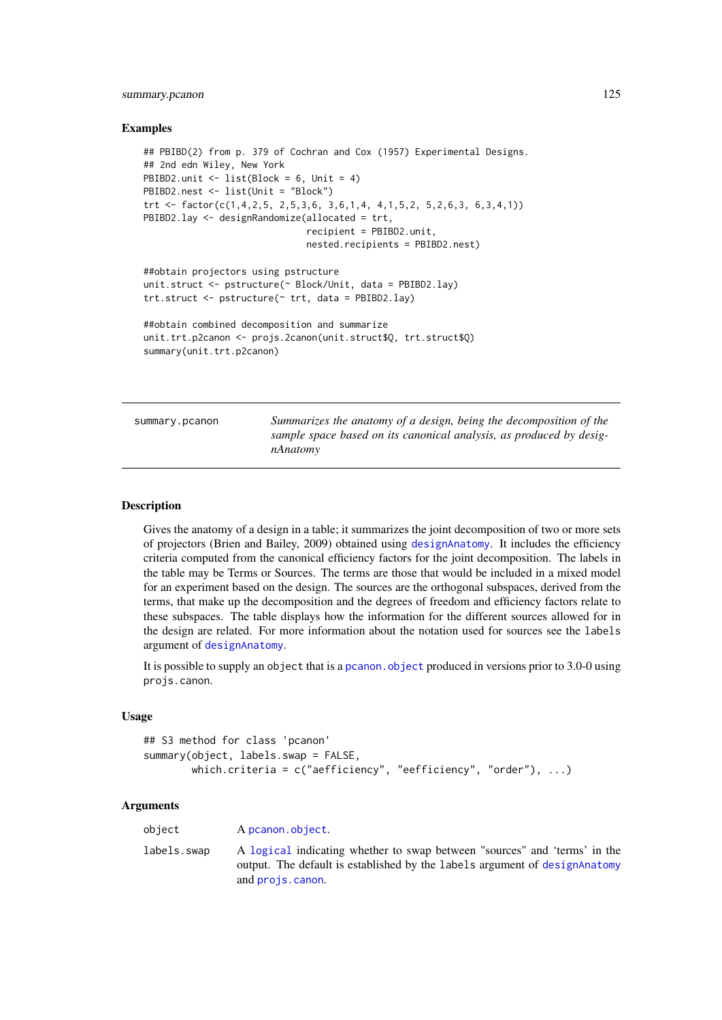#### <span id="page-124-0"></span>summary.pcanon 125

#### Examples

```
## PBIBD(2) from p. 379 of Cochran and Cox (1957) Experimental Designs.
## 2nd edn Wiley, New York
PBIBD2.unit <- list(Block = 6, Unit = 4)
PBIBD2.nest <- list(Unit = "Block")
trt <- factor(c(1,4,2,5, 2,5,3,6, 3,6,1,4, 4,1,5,2, 5,2,6,3, 6,3,4,1))
PBIBD2.lay <- designRandomize(allocated = trt,
                              recipient = PBIBD2.unit,
                              nested.recipients = PBIBD2.nest)
##obtain projectors using pstructure
unit.struct <- pstructure(~ Block/Unit, data = PBIBD2.lay)
trt.struct <- pstructure(~ trt, data = PBIBD2.lay)
##obtain combined decomposition and summarize
unit.trt.p2canon <- projs.2canon(unit.struct$Q, trt.struct$Q)
summary(unit.trt.p2canon)
```
summary.pcanon *Summarizes the anatomy of a design, being the decomposition of the sample space based on its canonical analysis, as produced by designAnatomy*

#### Description

Gives the anatomy of a design in a table; it summarizes the joint decomposition of two or more sets of projectors (Brien and Bailey, 2009) obtained using [designAnatomy](#page-19-0). It includes the efficiency criteria computed from the canonical efficiency factors for the joint decomposition. The labels in the table may be Terms or Sources. The terms are those that would be included in a mixed model for an experiment based on the design. The sources are the orthogonal subspaces, derived from the terms, that make up the decomposition and the degrees of freedom and efficiency factors relate to these subspaces. The table displays how the information for the different sources allowed for in the design are related. For more information about the notation used for sources see the labels argument of [designAnatomy](#page-19-0).

It is possible to supply an object that is a pcanon. object produced in versions prior to 3.0-0 using projs.canon.

#### Usage

```
## S3 method for class 'pcanon'
summary(object, labels.swap = FALSE,
        which.criteria = c("aefficiency", "eefficiency", "order"), ...)
```
#### Arguments

| object      | A pcanon.object.                                                                                                                                                             |
|-------------|------------------------------------------------------------------------------------------------------------------------------------------------------------------------------|
| labels.swap | A logical indicating whether to swap between "sources" and 'terms' in the<br>output. The default is established by the labels argument of designaleatomy<br>and projs.canon. |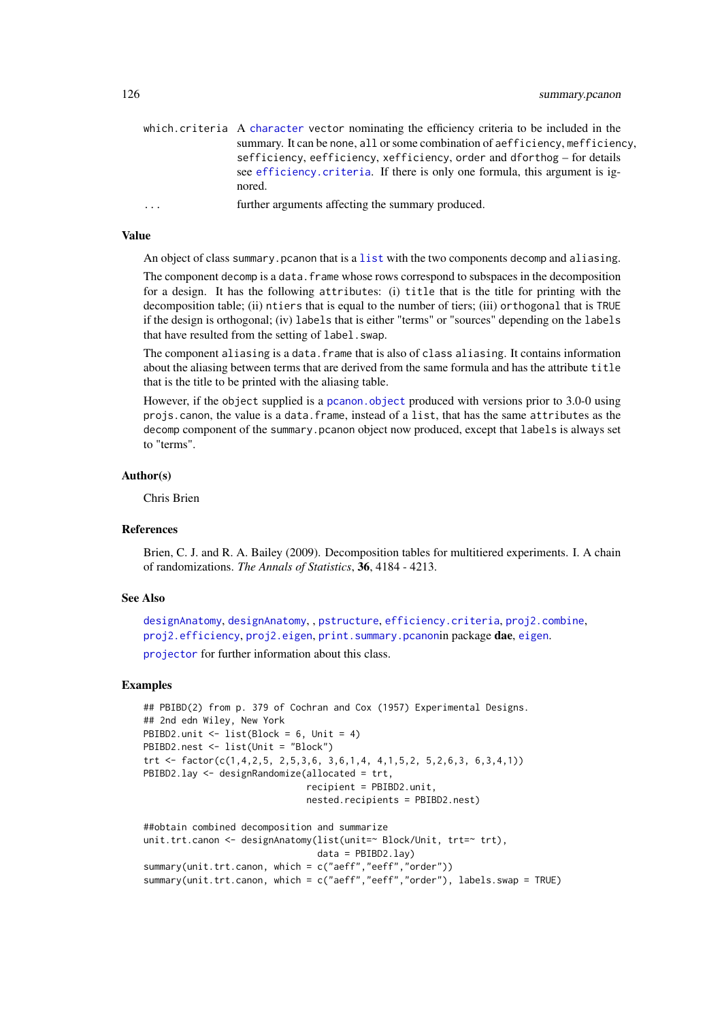<span id="page-125-0"></span>

|                         | which criteria A character vector nominating the efficiency criteria to be included in the<br>summary. It can be none, all or some combination of aefficiency, mefficiency.<br>sefficiency, eefficiency, xefficiency, order and dforthog – for details<br>see efficiency criteria. If there is only one formula, this argument is ig-<br>nored. |
|-------------------------|-------------------------------------------------------------------------------------------------------------------------------------------------------------------------------------------------------------------------------------------------------------------------------------------------------------------------------------------------|
| $\cdot$ $\cdot$ $\cdot$ | further arguments affecting the summary produced.                                                                                                                                                                                                                                                                                               |

# Value

An object of class summary.pcanon that is a [list](#page-0-0) with the two components decomp and aliasing.

The component decomp is a data. frame whose rows correspond to subspaces in the decomposition for a design. It has the following attributes: (i) title that is the title for printing with the decomposition table; (ii) ntiers that is equal to the number of tiers; (iii) orthogonal that is TRUE if the design is orthogonal; (iv) labels that is either "terms" or "sources" depending on the labels that have resulted from the setting of label. swap.

The component aliasing is a data. frame that is also of class aliasing. It contains information about the aliasing between terms that are derived from the same formula and has the attribute title that is the title to be printed with the aliasing table.

However, if the object supplied is a [pcanon.object](#page-94-0) produced with versions prior to 3.0-0 using projs.canon, the value is a data.frame, instead of a list, that has the same attributes as the decomp component of the summary.pcanon object now produced, except that labels is always set to "terms".

#### Author(s)

Chris Brien

#### References

Brien, C. J. and R. A. Bailey (2009). Decomposition tables for multitiered experiments. I. A chain of randomizations. *The Annals of Statistics*, 36, 4184 - 4213.

#### See Also

```
designAnatomy, designAnatomy, , pstructure, efficiency.criteria, proj2.combine,
proj2.efficiency, proj2.eigen, print.summary.pcanonin package dae, eigen.
```
[projector](#page-106-0) for further information about this class.

```
## PBIBD(2) from p. 379 of Cochran and Cox (1957) Experimental Designs.
## 2nd edn Wiley, New York
PBIBD2.unit \le list(Block = 6, Unit = 4)
PBIBD2.nest <- list(Unit = "Block")
trt <- factor(c(1,4,2,5, 2,5,3,6, 3,6,1,4, 4,1,5,2, 5,2,6,3, 6,3,4,1))
PBIBD2.lay <- designRandomize(allocated = trt,
                              recipient = PBIBD2.unit,
                              nested.recipients = PBIBD2.nest)
##obtain combined decomposition and summarize
unit.trt.canon <- designAnatomy(list(unit=~ Block/Unit, trt=~ trt),
                                data = PBIBD2.lay)
```

```
summary(unit.trt.canon, which = c("aeff","eeff","order"))
```

```
summary(unit.trt.canon, which = c("aeff","eeff","order"), labels.swap = TRUE)
```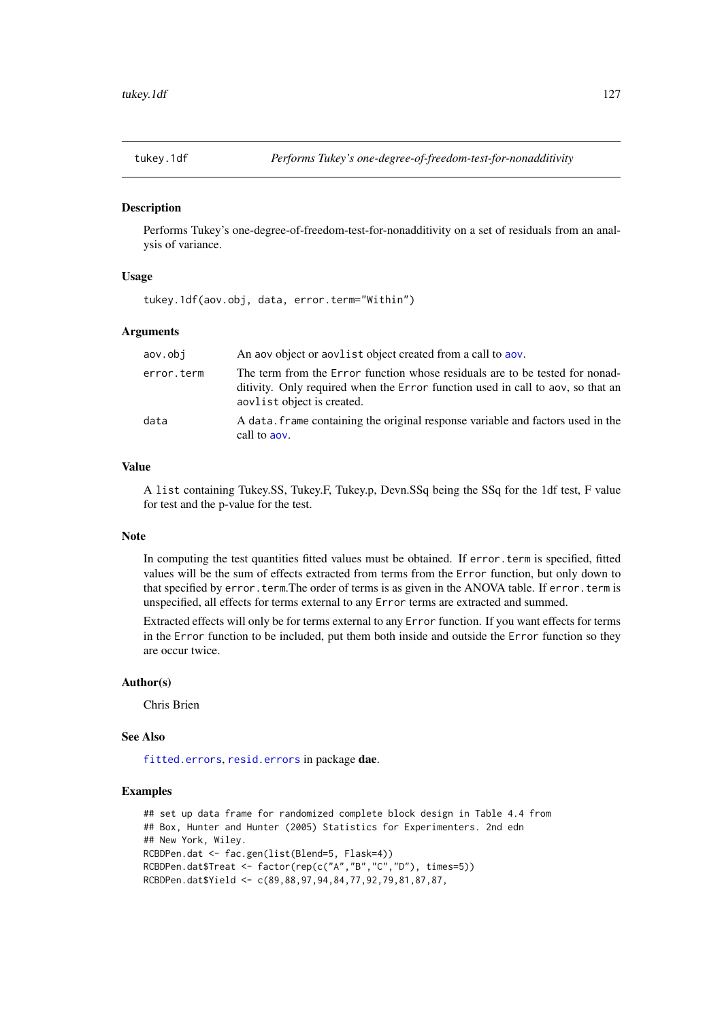<span id="page-126-1"></span><span id="page-126-0"></span>

# Description

Performs Tukey's one-degree-of-freedom-test-for-nonadditivity on a set of residuals from an analysis of variance.

# Usage

tukey.1df(aov.obj, data, error.term="Within")

#### Arguments

| aov.obi    | An aov object or aovlist object created from a call to aov.                                                                                                                                   |
|------------|-----------------------------------------------------------------------------------------------------------------------------------------------------------------------------------------------|
| error.term | The term from the Error function whose residuals are to be tested for nonad-<br>ditivity. Only required when the Error function used in call to aov, so that an<br>aovlist object is created. |
| data       | A data. frame containing the original response variable and factors used in the<br>call to aov.                                                                                               |

# Value

A list containing Tukey.SS, Tukey.F, Tukey.p, Devn.SSq being the SSq for the 1df test, F value for test and the p-value for the test.

#### Note

In computing the test quantities fitted values must be obtained. If error, term is specified, fitted values will be the sum of effects extracted from terms from the Error function, but only down to that specified by error.term.The order of terms is as given in the ANOVA table. If error.term is unspecified, all effects for terms external to any Error terms are extracted and summed.

Extracted effects will only be for terms external to any Error function. If you want effects for terms in the Error function to be included, put them both inside and outside the Error function so they are occur twice.

#### Author(s)

Chris Brien

#### See Also

[fitted.errors](#page-63-0), [resid.errors](#page-116-0) in package dae.

```
## set up data frame for randomized complete block design in Table 4.4 from
## Box, Hunter and Hunter (2005) Statistics for Experimenters. 2nd edn
## New York, Wiley.
RCBDPen.dat <- fac.gen(list(Blend=5, Flask=4))
RCBDPen.dat$Treat <- factor(rep(c("A","B","C","D"), times=5))
RCBDPen.dat$Yield <- c(89,88,97,94,84,77,92,79,81,87,87,
```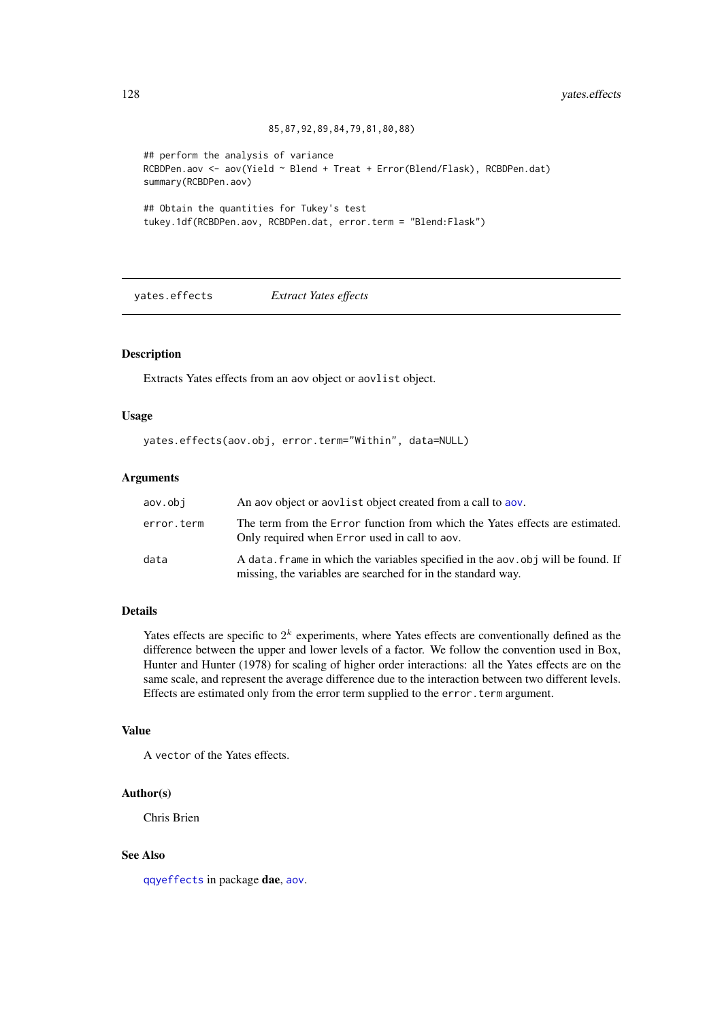```
85,87,92,89,84,79,81,80,88)
```

```
## perform the analysis of variance
RCBDPen.aov <- aov(Yield ~ Blend + Treat + Error(Blend/Flask), RCBDPen.dat)
summary(RCBDPen.aov)
```

```
## Obtain the quantities for Tukey's test
tukey.1df(RCBDPen.aov, RCBDPen.dat, error.term = "Blend:Flask")
```
<span id="page-127-0"></span>yates.effects *Extract Yates effects*

# Description

Extracts Yates effects from an aov object or aovlist object.

# Usage

```
yates.effects(aov.obj, error.term="Within", data=NULL)
```
# Arguments

| aov.obi    | An aov object or aovlist object created from a call to aov.                                                                                      |
|------------|--------------------------------------------------------------------------------------------------------------------------------------------------|
| error.term | The term from the Error function from which the Yates effects are estimated.<br>Only required when Error used in call to aov.                    |
| data       | A data, frame in which the variables specified in the aov, obj will be found. If<br>missing, the variables are searched for in the standard way. |

# Details

Yates effects are specific to  $2<sup>k</sup>$  experiments, where Yates effects are conventionally defined as the difference between the upper and lower levels of a factor. We follow the convention used in Box, Hunter and Hunter (1978) for scaling of higher order interactions: all the Yates effects are on the same scale, and represent the average difference due to the interaction between two different levels. Effects are estimated only from the error term supplied to the error.term argument.

#### Value

A vector of the Yates effects.

# Author(s)

Chris Brien

# See Also

[qqyeffects](#page-114-0) in package dae, [aov](#page-0-0).

<span id="page-127-1"></span>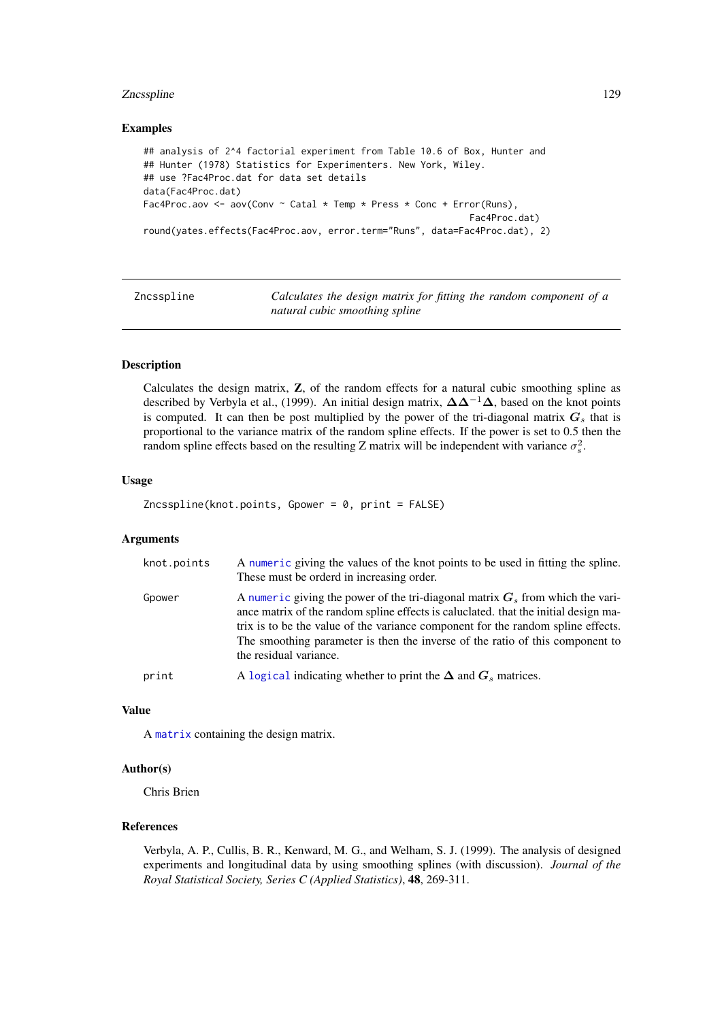#### <span id="page-128-0"></span>Zncsspline 129

#### Examples

```
## analysis of 2^4 factorial experiment from Table 10.6 of Box, Hunter and
## Hunter (1978) Statistics for Experimenters. New York, Wiley.
## use ?Fac4Proc.dat for data set details
data(Fac4Proc.dat)
Fac4Proc.aov <- aov(Conv ~ Catal * Temp * Press * Conc + Error(Runs),
                                                            Fac4Proc.dat)
round(yates.effects(Fac4Proc.aov, error.term="Runs", data=Fac4Proc.dat), 2)
```

| Zncsspline |  |
|------------|--|
|            |  |
|            |  |
|            |  |

Calculates the design matrix for fitting the random component of a *natural cubic smoothing spline*

# Description

Calculates the design matrix, Z, of the random effects for a natural cubic smoothing spline as described by Verbyla et al., (1999). An initial design matrix, ∆∆<sup>−</sup><sup>1</sup>∆, based on the knot points is computed. It can then be post multiplied by the power of the tri-diagonal matrix  $G_s$  that is proportional to the variance matrix of the random spline effects. If the power is set to 0.5 then the random spline effects based on the resulting Z matrix will be independent with variance  $\sigma_s^2$ .

#### Usage

 $Zncsspline(knot.points, Gpower = 0, print = FALSE)$ 

#### Arguments

| knot.points | A numeric giving the values of the knot points to be used in fitting the spline.<br>These must be orderd in increasing order.                                                                                                                                                                                                                                          |
|-------------|------------------------------------------------------------------------------------------------------------------------------------------------------------------------------------------------------------------------------------------------------------------------------------------------------------------------------------------------------------------------|
| Gpower      | A numeric giving the power of the tri-diagonal matrix $G_s$ from which the vari-<br>ance matrix of the random spline effects is caluclated, that the initial design ma-<br>trix is to be the value of the variance component for the random spline effects.<br>The smoothing parameter is then the inverse of the ratio of this component to<br>the residual variance. |
| print       | A logical indicating whether to print the $\Delta$ and $G_s$ matrices.                                                                                                                                                                                                                                                                                                 |
|             |                                                                                                                                                                                                                                                                                                                                                                        |

#### Value

A [matrix](#page-0-0) containing the design matrix.

# Author(s)

Chris Brien

# References

Verbyla, A. P., Cullis, B. R., Kenward, M. G., and Welham, S. J. (1999). The analysis of designed experiments and longitudinal data by using smoothing splines (with discussion). *Journal of the Royal Statistical Society, Series C (Applied Statistics)*, 48, 269-311.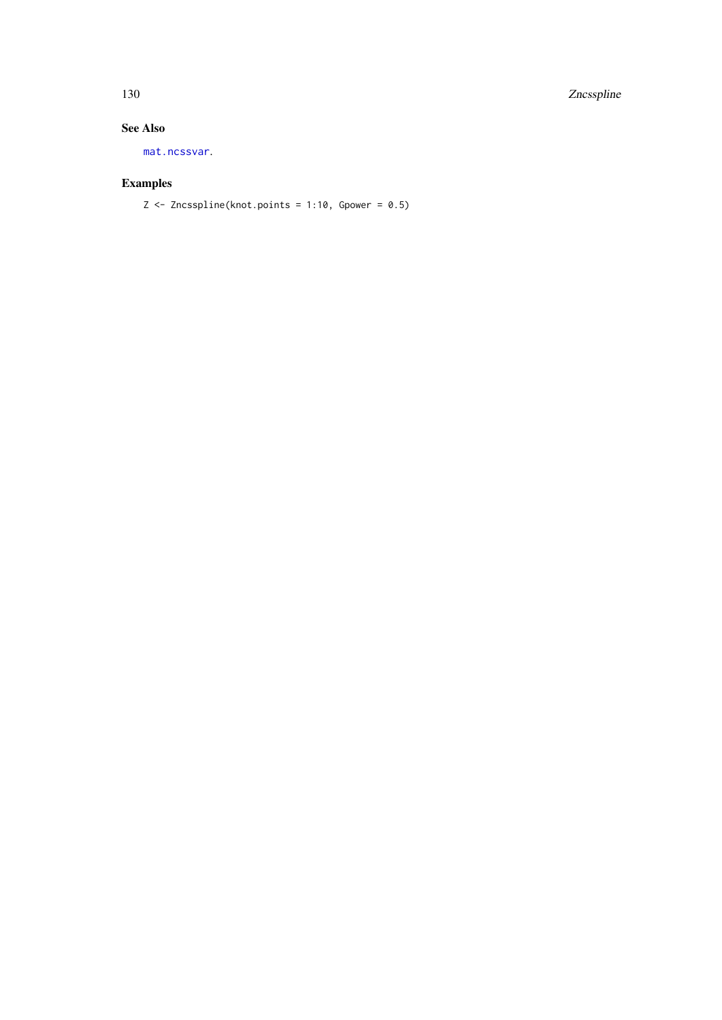<span id="page-129-0"></span>130 Zncsspline

# See Also

[mat.ncssvar](#page-81-0).

# Examples

 $Z \leq Z$ ncsspline(knot.points = 1:10, Gpower = 0.5)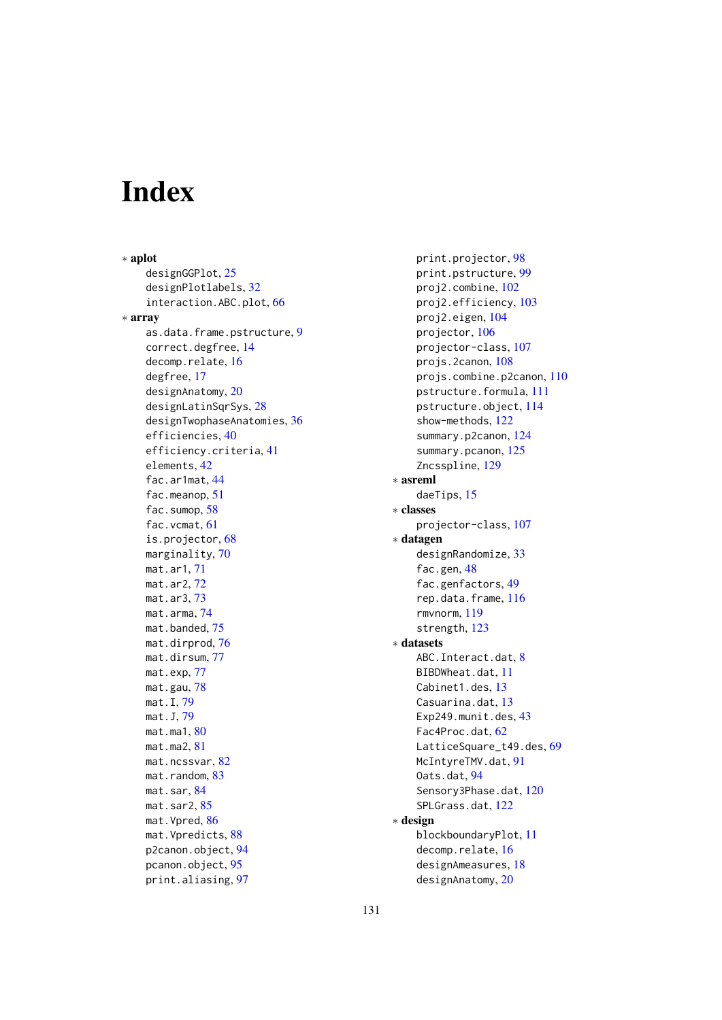# Index

∗ aplot designGGPlot, [25](#page-24-0) designPlotlabels, [32](#page-31-0) interaction.ABC.plot, [66](#page-65-0) ∗ array as.data.frame.pstructure, [9](#page-8-0) correct.degfree, [14](#page-13-0) decomp.relate, [16](#page-15-0) degfree, [17](#page-16-0) designAnatomy, [20](#page-19-1) designLatinSqrSys, [28](#page-27-0) designTwophaseAnatomies, [36](#page-35-0) efficiencies, [40](#page-39-1) efficiency.criteria, [41](#page-40-1) elements, [42](#page-41-0) fac.ar1mat, [44](#page-43-1) fac.meanop, [51](#page-50-0) fac.sumop, [58](#page-57-0) fac.vcmat, [61](#page-60-1) is.projector, [68](#page-67-0) marginality, [70](#page-69-0) mat.ar1, [71](#page-70-0) mat.ar2, [72](#page-71-0) mat.ar3, [73](#page-72-0) mat.arma, [74](#page-73-0) mat.banded, [75](#page-74-0) mat.dirprod, [76](#page-75-0) mat.dirsum, [77](#page-76-0) mat.exp, [77](#page-76-0) mat.gau, [78](#page-77-0) mat.I, [79](#page-78-0) mat.J, [79](#page-78-0) mat.ma1, [80](#page-79-0) mat.ma2, [81](#page-80-0) mat.ncssvar, [82](#page-81-1) mat.random, [83](#page-82-0) mat.sar, [84](#page-83-0) mat.sar2, [85](#page-84-0) mat.Vpred, [86](#page-85-0) mat.Vpredicts, [88](#page-87-0) p2canon.object, [94](#page-93-1) pcanon.object, [95](#page-94-1) print.aliasing, [97](#page-96-0)

print.projector, [98](#page-97-0) print.pstructure, [99](#page-98-0) proj2.combine, [102](#page-101-1) proj2.efficiency, [103](#page-102-1) proj2.eigen, [104](#page-103-1) projector, [106](#page-105-1) projector-class, [107](#page-106-1) projs.2canon, [108](#page-107-1) projs.combine.p2canon, [110](#page-109-1) pstructure.formula, [111](#page-110-2) pstructure.object, [114](#page-113-1) show-methods, [122](#page-121-0) summary.p2canon, [124](#page-123-1) summary.pcanon, [125](#page-124-0) Zncsspline, [129](#page-128-0) ∗ asreml daeTips, [15](#page-14-1) ∗ classes projector-class, [107](#page-106-1) ∗ datagen designRandomize, [33](#page-32-0) fac.gen, [48](#page-47-1) fac.genfactors, [49](#page-48-0) rep.data.frame, [116](#page-115-0) rmvnorm, [119](#page-118-0) strength, [123](#page-122-0) ∗ datasets ABC.Interact.dat, [8](#page-7-0) BIBDWheat.dat, [11](#page-10-0) Cabinet1.des, [13](#page-12-0) Casuarina.dat, [13](#page-12-0) Exp249.munit.des, [43](#page-42-0) Fac4Proc.dat, [62](#page-61-0) LatticeSquare\_t49.des, [69](#page-68-0) McIntyreTMV.dat, [91](#page-90-0) Oats.dat, [94](#page-93-1) Sensory3Phase.dat, [120](#page-119-0) SPLGrass.dat, [122](#page-121-0) ∗ design blockboundaryPlot, [11](#page-10-0) decomp.relate, [16](#page-15-0) designAmeasures, [18](#page-17-0) designAnatomy, [20](#page-19-1)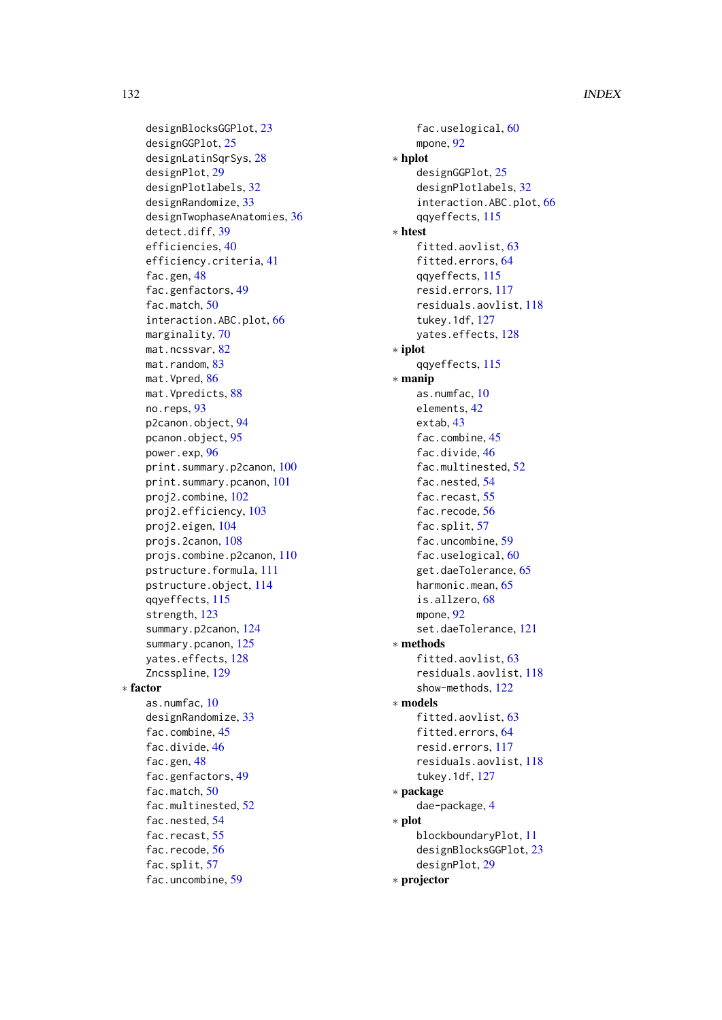designBlocksGGPlot, [23](#page-22-0) designGGPlot, [25](#page-24-0) designLatinSqrSys, [28](#page-27-0) designPlot, [29](#page-28-0) designPlotlabels, [32](#page-31-0) designRandomize, [33](#page-32-0) designTwophaseAnatomies, [36](#page-35-0) detect.diff, [39](#page-38-0) efficiencies, [40](#page-39-1) efficiency.criteria, [41](#page-40-1) fac.gen, [48](#page-47-1) fac.genfactors, [49](#page-48-0) fac.match, [50](#page-49-0) interaction.ABC.plot, [66](#page-65-0) marginality, [70](#page-69-0) mat.ncssvar, [82](#page-81-1) mat.random, [83](#page-82-0) mat.Vpred, [86](#page-85-0) mat.Vpredicts, [88](#page-87-0) no.reps, [93](#page-92-0) p2canon.object, [94](#page-93-1) pcanon.object, [95](#page-94-1) power.exp, [96](#page-95-0) print.summary.p2canon, [100](#page-99-1) print.summary.pcanon, [101](#page-100-1) proj2.combine, [102](#page-101-1) proj2.efficiency, [103](#page-102-1) proj2.eigen, [104](#page-103-1) projs.2canon, [108](#page-107-1) projs.combine.p2canon, [110](#page-109-1) pstructure.formula, [111](#page-110-2) pstructure.object, [114](#page-113-1) qqyeffects, [115](#page-114-1) strength, [123](#page-122-0) summary.p2canon, [124](#page-123-1) summary.pcanon, [125](#page-124-0) yates.effects, [128](#page-127-1) Zncsspline, [129](#page-128-0) ∗ factor as.numfac, [10](#page-9-0) designRandomize, [33](#page-32-0) fac.combine, [45](#page-44-0) fac.divide, [46](#page-45-0) fac.gen, [48](#page-47-1) fac.genfactors, [49](#page-48-0) fac.match, [50](#page-49-0) fac.multinested, [52](#page-51-0) fac.nested, [54](#page-53-0) fac.recast, [55](#page-54-0) fac.recode, [56](#page-55-0) fac.split, [57](#page-56-0) fac.uncombine, [59](#page-58-0)

fac.uselogical, [60](#page-59-0) mpone, [92](#page-91-0) ∗ hplot designGGPlot, [25](#page-24-0) designPlotlabels, [32](#page-31-0) interaction.ABC.plot, [66](#page-65-0) qqyeffects, [115](#page-114-1) ∗ htest fitted.aovlist, [63](#page-62-0) fitted.errors, [64](#page-63-1) qqyeffects, [115](#page-114-1) resid.errors, [117](#page-116-1) residuals.aovlist, [118](#page-117-2) tukey.1df, [127](#page-126-1) yates.effects, [128](#page-127-1) ∗ iplot qqyeffects, [115](#page-114-1) ∗ manip as.numfac, [10](#page-9-0) elements, [42](#page-41-0) extab, [43](#page-42-0) fac.combine, [45](#page-44-0) fac.divide, [46](#page-45-0) fac.multinested, [52](#page-51-0) fac.nested, [54](#page-53-0) fac.recast, [55](#page-54-0) fac.recode, [56](#page-55-0) fac.split, [57](#page-56-0) fac.uncombine, [59](#page-58-0) fac.uselogical, [60](#page-59-0) get.daeTolerance, [65](#page-64-1) harmonic.mean, [65](#page-64-1) is.allzero, [68](#page-67-0) mpone, [92](#page-91-0) set.daeTolerance, [121](#page-120-0) ∗ methods fitted.aovlist, [63](#page-62-0) residuals.aovlist, [118](#page-117-2) show-methods, [122](#page-121-0) ∗ models fitted.aovlist, [63](#page-62-0) fitted.errors, [64](#page-63-1) resid.errors, [117](#page-116-1) residuals.aovlist, [118](#page-117-2) tukey.1df, [127](#page-126-1) ∗ package dae-package, [4](#page-3-0) ∗ plot blockboundaryPlot, [11](#page-10-0) designBlocksGGPlot, [23](#page-22-0) designPlot, [29](#page-28-0) ∗ projector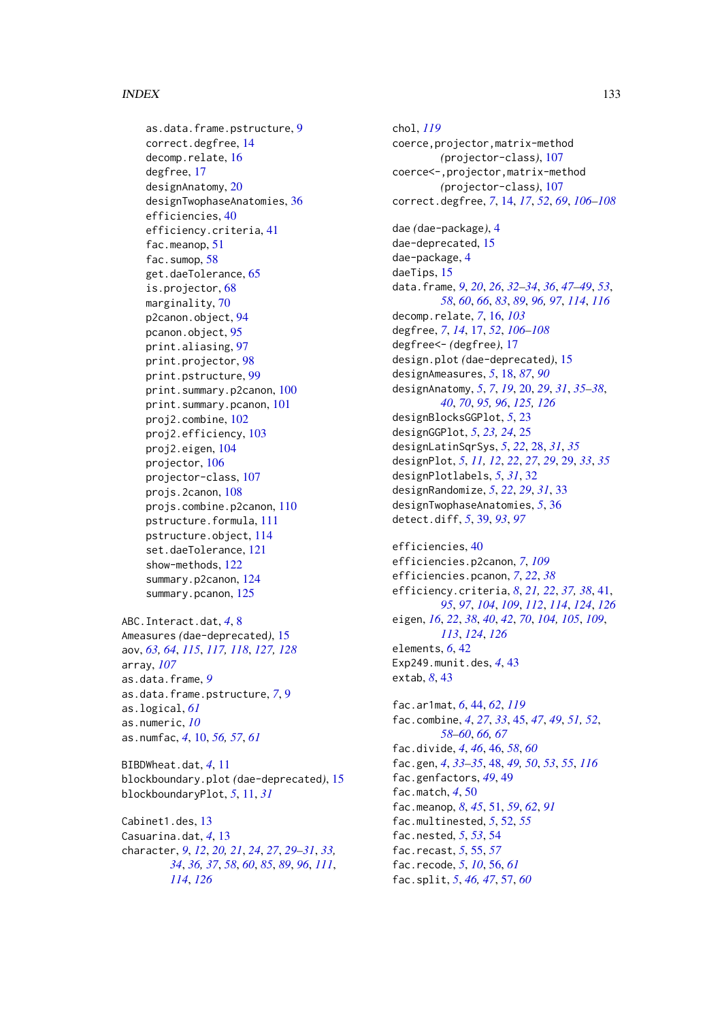#### INDEX 133

as.data.frame.pstructure, [9](#page-8-0) correct.degfree, [14](#page-13-0) decomp.relate, [16](#page-15-0) degfree, [17](#page-16-0) designAnatomy, [20](#page-19-1) designTwophaseAnatomies, [36](#page-35-0) efficiencies, [40](#page-39-1) efficiency.criteria, [41](#page-40-1) fac.meanop, [51](#page-50-0) fac.sumop, [58](#page-57-0) get.daeTolerance, [65](#page-64-1) is.projector, [68](#page-67-0) marginality, [70](#page-69-0) p2canon.object, [94](#page-93-1) pcanon.object, [95](#page-94-1) print.aliasing, [97](#page-96-0) print.projector, [98](#page-97-0) print.pstructure, [99](#page-98-0) print.summary.p2canon, [100](#page-99-1) print.summary.pcanon, [101](#page-100-1) proj2.combine, [102](#page-101-1) proj2.efficiency, [103](#page-102-1) proj2.eigen, [104](#page-103-1) projector, [106](#page-105-1) projector-class, [107](#page-106-1) projs.2canon, [108](#page-107-1) projs.combine.p2canon, [110](#page-109-1) pstructure.formula, [111](#page-110-2) pstructure.object, [114](#page-113-1) set.daeTolerance, [121](#page-120-0) show-methods, [122](#page-121-0) summary.p2canon, [124](#page-123-1) summary.pcanon, [125](#page-124-0) ABC.Interact.dat, *[4](#page-3-0)*, [8](#page-7-0) Ameasures *(*dae-deprecated*)*, [15](#page-14-1)

aov, *[63,](#page-62-0) [64](#page-63-1)*, *[115](#page-114-1)*, *[117,](#page-116-1) [118](#page-117-2)*, *[127,](#page-126-1) [128](#page-127-1)* array, *[107](#page-106-1)* as.data.frame, *[9](#page-8-0)* as.data.frame.pstructure, *[7](#page-6-0)*, [9](#page-8-0) as.logical, *[61](#page-60-1)* as.numeric, *[10](#page-9-0)* as.numfac, *[4](#page-3-0)*, [10,](#page-9-0) *[56,](#page-55-0) [57](#page-56-0)*, *[61](#page-60-1)*

BIBDWheat.dat, *[4](#page-3-0)*, [11](#page-10-0) blockboundary.plot *(*dae-deprecated*)*, [15](#page-14-1) blockboundaryPlot, *[5](#page-4-0)*, [11,](#page-10-0) *[31](#page-30-0)*

Cabinet1.des, [13](#page-12-0) Casuarina.dat, *[4](#page-3-0)*, [13](#page-12-0) character, *[9](#page-8-0)*, *[12](#page-11-0)*, *[20,](#page-19-1) [21](#page-20-0)*, *[24](#page-23-0)*, *[27](#page-26-0)*, *[29–](#page-28-0)[31](#page-30-0)*, *[33,](#page-32-0) [34](#page-33-0)*, *[36,](#page-35-0) [37](#page-36-0)*, *[58](#page-57-0)*, *[60](#page-59-0)*, *[85](#page-84-0)*, *[89](#page-88-0)*, *[96](#page-95-0)*, *[111](#page-110-2)*, *[114](#page-113-1)*, *[126](#page-125-0)*

chol, *[119](#page-118-0)* coerce,projector,matrix-method *(*projector-class*)*, [107](#page-106-1) coerce<-,projector,matrix-method *(*projector-class*)*, [107](#page-106-1) correct.degfree, *[7](#page-6-0)*, [14,](#page-13-0) *[17](#page-16-0)*, *[52](#page-51-0)*, *[69](#page-68-0)*, *[106](#page-105-1)[–108](#page-107-1)* dae *(*dae-package*)*, [4](#page-3-0) dae-deprecated, [15](#page-14-1) dae-package, [4](#page-3-0) daeTips, [15](#page-14-1) data.frame, *[9](#page-8-0)*, *[20](#page-19-1)*, *[26](#page-25-0)*, *[32](#page-31-0)[–34](#page-33-0)*, *[36](#page-35-0)*, *[47](#page-46-0)[–49](#page-48-0)*, *[53](#page-52-0)*, *[58](#page-57-0)*, *[60](#page-59-0)*, *[66](#page-65-0)*, *[83](#page-82-0)*, *[89](#page-88-0)*, *[96,](#page-95-0) [97](#page-96-0)*, *[114](#page-113-1)*, *[116](#page-115-0)* decomp.relate, *[7](#page-6-0)*, [16,](#page-15-0) *[103](#page-102-1)* degfree, *[7](#page-6-0)*, *[14](#page-13-0)*, [17,](#page-16-0) *[52](#page-51-0)*, *[106](#page-105-1)[–108](#page-107-1)* degfree<- *(*degfree*)*, [17](#page-16-0) design.plot *(*dae-deprecated*)*, [15](#page-14-1) designAmeasures, *[5](#page-4-0)*, [18,](#page-17-0) *[87](#page-86-0)*, *[90](#page-89-0)* designAnatomy, *[5](#page-4-0)*, *[7](#page-6-0)*, *[19](#page-18-0)*, [20,](#page-19-1) *[29](#page-28-0)*, *[31](#page-30-0)*, *[35](#page-34-0)[–38](#page-37-0)*, *[40](#page-39-1)*, *[70](#page-69-0)*, *[95,](#page-94-1) [96](#page-95-0)*, *[125,](#page-124-0) [126](#page-125-0)* designBlocksGGPlot, *[5](#page-4-0)*, [23](#page-22-0) designGGPlot, *[5](#page-4-0)*, *[23,](#page-22-0) [24](#page-23-0)*, [25](#page-24-0) designLatinSqrSys, *[5](#page-4-0)*, *[22](#page-21-0)*, [28,](#page-27-0) *[31](#page-30-0)*, *[35](#page-34-0)* designPlot, *[5](#page-4-0)*, *[11,](#page-10-0) [12](#page-11-0)*, *[22](#page-21-0)*, *[27](#page-26-0)*, *[29](#page-28-0)*, [29,](#page-28-0) *[33](#page-32-0)*, *[35](#page-34-0)* designPlotlabels, *[5](#page-4-0)*, *[31](#page-30-0)*, [32](#page-31-0) designRandomize, *[5](#page-4-0)*, *[22](#page-21-0)*, *[29](#page-28-0)*, *[31](#page-30-0)*, [33](#page-32-0) designTwophaseAnatomies, *[5](#page-4-0)*, [36](#page-35-0) detect.diff, *[5](#page-4-0)*, [39,](#page-38-0) *[93](#page-92-0)*, *[97](#page-96-0)*

efficiencies, [40](#page-39-1) efficiencies.p2canon, *[7](#page-6-0)*, *[109](#page-108-0)* efficiencies.pcanon, *[7](#page-6-0)*, *[22](#page-21-0)*, *[38](#page-37-0)* efficiency.criteria, *[8](#page-7-0)*, *[21,](#page-20-0) [22](#page-21-0)*, *[37,](#page-36-0) [38](#page-37-0)*, [41,](#page-40-1) *[95](#page-94-1)*, *[97](#page-96-0)*, *[104](#page-103-1)*, *[109](#page-108-0)*, *[112](#page-111-0)*, *[114](#page-113-1)*, *[124](#page-123-1)*, *[126](#page-125-0)* eigen, *[16](#page-15-0)*, *[22](#page-21-0)*, *[38](#page-37-0)*, *[40](#page-39-1)*, *[42](#page-41-0)*, *[70](#page-69-0)*, *[104,](#page-103-1) [105](#page-104-0)*, *[109](#page-108-0)*, *[113](#page-112-0)*, *[124](#page-123-1)*, *[126](#page-125-0)* elements, *[6](#page-5-0)*, [42](#page-41-0) Exp249.munit.des, *[4](#page-3-0)*, [43](#page-42-0) extab, *[8](#page-7-0)*, [43](#page-42-0) fac.ar1mat, *[6](#page-5-0)*, [44,](#page-43-1) *[62](#page-61-0)*, *[119](#page-118-0)* fac.combine, *[4](#page-3-0)*, *[27](#page-26-0)*, *[33](#page-32-0)*, [45,](#page-44-0) *[47](#page-46-0)*, *[49](#page-48-0)*, *[51,](#page-50-0) [52](#page-51-0)*, *[58](#page-57-0)[–60](#page-59-0)*, *[66,](#page-65-0) [67](#page-66-0)* fac.divide, *[4](#page-3-0)*, *[46](#page-45-0)*, [46,](#page-45-0) *[58](#page-57-0)*, *[60](#page-59-0)* fac.gen, *[4](#page-3-0)*, *[33](#page-32-0)[–35](#page-34-0)*, [48,](#page-47-1) *[49,](#page-48-0) [50](#page-49-0)*, *[53](#page-52-0)*, *[55](#page-54-0)*, *[116](#page-115-0)* fac.genfactors, *[49](#page-48-0)*, [49](#page-48-0) fac.match, *[4](#page-3-0)*, [50](#page-49-0) fac.meanop, *[8](#page-7-0)*, *[45](#page-44-0)*, [51,](#page-50-0) *[59](#page-58-0)*, *[62](#page-61-0)*, *[91](#page-90-0)*

fac.multinested, *[5](#page-4-0)*, [52,](#page-51-0) *[55](#page-54-0)* fac.nested, *[5](#page-4-0)*, *[53](#page-52-0)*, [54](#page-53-0) fac.recast, *[5](#page-4-0)*, [55,](#page-54-0) *[57](#page-56-0)* fac.recode, *[5](#page-4-0)*, *[10](#page-9-0)*, [56,](#page-55-0) *[61](#page-60-1)* fac.split, *[5](#page-4-0)*, *[46,](#page-45-0) [47](#page-46-0)*, [57,](#page-56-0) *[60](#page-59-0)*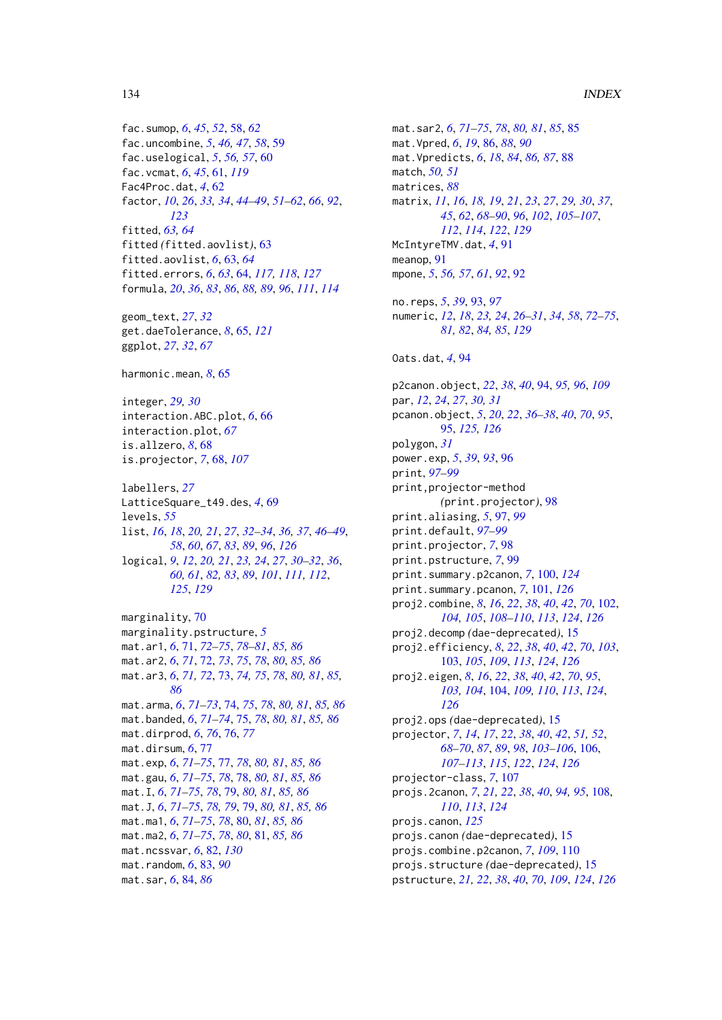#### 134 INDEX

fac.sumop, *[6](#page-5-0)*, *[45](#page-44-0)*, *[52](#page-51-0)*, [58,](#page-57-0) *[62](#page-61-0)* fac.uncombine, *[5](#page-4-0)*, *[46,](#page-45-0) [47](#page-46-0)*, *[58](#page-57-0)*, [59](#page-58-0) fac.uselogical, *[5](#page-4-0)*, *[56,](#page-55-0) [57](#page-56-0)*, [60](#page-59-0) fac.vcmat, *[6](#page-5-0)*, *[45](#page-44-0)*, [61,](#page-60-1) *[119](#page-118-0)* Fac4Proc.dat, *[4](#page-3-0)*, [62](#page-61-0) factor, *[10](#page-9-0)*, *[26](#page-25-0)*, *[33,](#page-32-0) [34](#page-33-0)*, *[44–](#page-43-1)[49](#page-48-0)*, *[51–](#page-50-0)[62](#page-61-0)*, *[66](#page-65-0)*, *[92](#page-91-0)*, *[123](#page-122-0)* fitted, *[63,](#page-62-0) [64](#page-63-1)* fitted *(*fitted.aovlist*)*, [63](#page-62-0) fitted.aovlist, *[6](#page-5-0)*, [63,](#page-62-0) *[64](#page-63-1)* fitted.errors, *[6](#page-5-0)*, *[63](#page-62-0)*, [64,](#page-63-1) *[117,](#page-116-1) [118](#page-117-2)*, *[127](#page-126-1)* formula, *[20](#page-19-1)*, *[36](#page-35-0)*, *[83](#page-82-0)*, *[86](#page-85-0)*, *[88,](#page-87-0) [89](#page-88-0)*, *[96](#page-95-0)*, *[111](#page-110-2)*, *[114](#page-113-1)* geom\_text, *[27](#page-26-0)*, *[32](#page-31-0)* get.daeTolerance, *[8](#page-7-0)*, [65,](#page-64-1) *[121](#page-120-0)* ggplot, *[27](#page-26-0)*, *[32](#page-31-0)*, *[67](#page-66-0)* harmonic.mean, *[8](#page-7-0)*, [65](#page-64-1) integer, *[29,](#page-28-0) [30](#page-29-0)* interaction.ABC.plot, *[6](#page-5-0)*, [66](#page-65-0) interaction.plot, *[67](#page-66-0)* is.allzero, *[8](#page-7-0)*, [68](#page-67-0) is.projector, *[7](#page-6-0)*, [68,](#page-67-0) *[107](#page-106-1)* labellers, *[27](#page-26-0)* LatticeSquare\_t49.des, *[4](#page-3-0)*, [69](#page-68-0) levels, *[55](#page-54-0)* list, *[16](#page-15-0)*, *[18](#page-17-0)*, *[20,](#page-19-1) [21](#page-20-0)*, *[27](#page-26-0)*, *[32–](#page-31-0)[34](#page-33-0)*, *[36,](#page-35-0) [37](#page-36-0)*, *[46–](#page-45-0)[49](#page-48-0)*, *[58](#page-57-0)*, *[60](#page-59-0)*, *[67](#page-66-0)*, *[83](#page-82-0)*, *[89](#page-88-0)*, *[96](#page-95-0)*, *[126](#page-125-0)* logical, *[9](#page-8-0)*, *[12](#page-11-0)*, *[20,](#page-19-1) [21](#page-20-0)*, *[23,](#page-22-0) [24](#page-23-0)*, *[27](#page-26-0)*, *[30–](#page-29-0)[32](#page-31-0)*, *[36](#page-35-0)*, *[60,](#page-59-0) [61](#page-60-1)*, *[82,](#page-81-1) [83](#page-82-0)*, *[89](#page-88-0)*, *[101](#page-100-1)*, *[111,](#page-110-2) [112](#page-111-0)*, *[125](#page-124-0)*, *[129](#page-128-0)* marginality, [70](#page-69-0) marginality.pstructure, *[5](#page-4-0)* mat.ar1, *[6](#page-5-0)*, [71,](#page-70-0) *[72](#page-71-0)[–75](#page-74-0)*, *[78–](#page-77-0)[81](#page-80-0)*, *[85,](#page-84-0) [86](#page-85-0)* mat.ar2, *[6](#page-5-0)*, *[71](#page-70-0)*, [72,](#page-71-0) *[73](#page-72-0)*, *[75](#page-74-0)*, *[78](#page-77-0)*, *[80](#page-79-0)*, *[85,](#page-84-0) [86](#page-85-0)* mat.ar3, *[6](#page-5-0)*, *[71,](#page-70-0) [72](#page-71-0)*, [73,](#page-72-0) *[74,](#page-73-0) [75](#page-74-0)*, *[78](#page-77-0)*, *[80,](#page-79-0) [81](#page-80-0)*, *[85,](#page-84-0) [86](#page-85-0)* mat.arma, *[6](#page-5-0)*, *[71](#page-70-0)[–73](#page-72-0)*, [74,](#page-73-0) *[75](#page-74-0)*, *[78](#page-77-0)*, *[80,](#page-79-0) [81](#page-80-0)*, *[85,](#page-84-0) [86](#page-85-0)* mat.banded, *[6](#page-5-0)*, *[71](#page-70-0)[–74](#page-73-0)*, [75,](#page-74-0) *[78](#page-77-0)*, *[80,](#page-79-0) [81](#page-80-0)*, *[85,](#page-84-0) [86](#page-85-0)* mat.dirprod, *[6](#page-5-0)*, *[76](#page-75-0)*, [76,](#page-75-0) *[77](#page-76-0)* mat.dirsum, *[6](#page-5-0)*, [77](#page-76-0) mat.exp, *[6](#page-5-0)*, *[71](#page-70-0)[–75](#page-74-0)*, [77,](#page-76-0) *[78](#page-77-0)*, *[80,](#page-79-0) [81](#page-80-0)*, *[85,](#page-84-0) [86](#page-85-0)* mat.gau, *[6](#page-5-0)*, *[71](#page-70-0)[–75](#page-74-0)*, *[78](#page-77-0)*, [78,](#page-77-0) *[80,](#page-79-0) [81](#page-80-0)*, *[85,](#page-84-0) [86](#page-85-0)* mat.I, *[6](#page-5-0)*, *[71](#page-70-0)[–75](#page-74-0)*, *[78](#page-77-0)*, [79,](#page-78-0) *[80,](#page-79-0) [81](#page-80-0)*, *[85,](#page-84-0) [86](#page-85-0)* mat.J, *[6](#page-5-0)*, *[71](#page-70-0)[–75](#page-74-0)*, *[78,](#page-77-0) [79](#page-78-0)*, [79,](#page-78-0) *[80,](#page-79-0) [81](#page-80-0)*, *[85,](#page-84-0) [86](#page-85-0)* mat.ma1, *[6](#page-5-0)*, *[71](#page-70-0)[–75](#page-74-0)*, *[78](#page-77-0)*, [80,](#page-79-0) *[81](#page-80-0)*, *[85,](#page-84-0) [86](#page-85-0)* mat.ma2, *[6](#page-5-0)*, *[71](#page-70-0)[–75](#page-74-0)*, *[78](#page-77-0)*, *[80](#page-79-0)*, [81,](#page-80-0) *[85,](#page-84-0) [86](#page-85-0)* mat.ncssvar, *[6](#page-5-0)*, [82,](#page-81-1) *[130](#page-129-0)* mat.random, *[6](#page-5-0)*, [83,](#page-82-0) *[90](#page-89-0)*

mat.sar, *[6](#page-5-0)*, [84,](#page-83-0) *[86](#page-85-0)*

match, *[50,](#page-49-0) [51](#page-50-0)* matrices, *[88](#page-87-0)* matrix, *[11](#page-10-0)*, *[16](#page-15-0)*, *[18,](#page-17-0) [19](#page-18-0)*, *[21](#page-20-0)*, *[23](#page-22-0)*, *[27](#page-26-0)*, *[29,](#page-28-0) [30](#page-29-0)*, *[37](#page-36-0)*, *[45](#page-44-0)*, *[62](#page-61-0)*, *[68](#page-67-0)[–90](#page-89-0)*, *[96](#page-95-0)*, *[102](#page-101-1)*, *[105](#page-104-0)[–107](#page-106-1)*, *[112](#page-111-0)*, *[114](#page-113-1)*, *[122](#page-121-0)*, *[129](#page-128-0)* McIntyreTMV.dat, *[4](#page-3-0)*, [91](#page-90-0) meanop, [91](#page-90-0) mpone, *[5](#page-4-0)*, *[56,](#page-55-0) [57](#page-56-0)*, *[61](#page-60-1)*, *[92](#page-91-0)*, [92](#page-91-0) no.reps, *[5](#page-4-0)*, *[39](#page-38-0)*, [93,](#page-92-0) *[97](#page-96-0)* numeric, *[12](#page-11-0)*, *[18](#page-17-0)*, *[23,](#page-22-0) [24](#page-23-0)*, *[26](#page-25-0)[–31](#page-30-0)*, *[34](#page-33-0)*, *[58](#page-57-0)*, *[72](#page-71-0)[–75](#page-74-0)*, *[81,](#page-80-0) [82](#page-81-1)*, *[84,](#page-83-0) [85](#page-84-0)*, *[129](#page-128-0)* Oats.dat, *[4](#page-3-0)*, [94](#page-93-1) p2canon.object, *[22](#page-21-0)*, *[38](#page-37-0)*, *[40](#page-39-1)*, [94,](#page-93-1) *[95,](#page-94-1) [96](#page-95-0)*, *[109](#page-108-0)* par, *[12](#page-11-0)*, *[24](#page-23-0)*, *[27](#page-26-0)*, *[30,](#page-29-0) [31](#page-30-0)* pcanon.object, *[5](#page-4-0)*, *[20](#page-19-1)*, *[22](#page-21-0)*, *[36](#page-35-0)[–38](#page-37-0)*, *[40](#page-39-1)*, *[70](#page-69-0)*, *[95](#page-94-1)*, [95,](#page-94-1) *[125,](#page-124-0) [126](#page-125-0)* polygon, *[31](#page-30-0)* power.exp, *[5](#page-4-0)*, *[39](#page-38-0)*, *[93](#page-92-0)*, [96](#page-95-0) print, *[97](#page-96-0)[–99](#page-98-0)* print,projector-method *(*print.projector*)*, [98](#page-97-0) print.aliasing, *[5](#page-4-0)*, [97,](#page-96-0) *[99](#page-98-0)* print.default, *[97](#page-96-0)[–99](#page-98-0)* print.projector, *[7](#page-6-0)*, [98](#page-97-0) print.pstructure, *[7](#page-6-0)*, [99](#page-98-0) print.summary.p2canon, *[7](#page-6-0)*, [100,](#page-99-1) *[124](#page-123-1)* print.summary.pcanon, *[7](#page-6-0)*, [101,](#page-100-1) *[126](#page-125-0)* proj2.combine, *[8](#page-7-0)*, *[16](#page-15-0)*, *[22](#page-21-0)*, *[38](#page-37-0)*, *[40](#page-39-1)*, *[42](#page-41-0)*, *[70](#page-69-0)*, [102,](#page-101-1) *[104,](#page-103-1) [105](#page-104-0)*, *[108](#page-107-1)[–110](#page-109-1)*, *[113](#page-112-0)*, *[124](#page-123-1)*, *[126](#page-125-0)* proj2.decomp *(*dae-deprecated*)*, [15](#page-14-1) proj2.efficiency, *[8](#page-7-0)*, *[22](#page-21-0)*, *[38](#page-37-0)*, *[40](#page-39-1)*, *[42](#page-41-0)*, *[70](#page-69-0)*, *[103](#page-102-1)*, [103,](#page-102-1) *[105](#page-104-0)*, *[109](#page-108-0)*, *[113](#page-112-0)*, *[124](#page-123-1)*, *[126](#page-125-0)* proj2.eigen, *[8](#page-7-0)*, *[16](#page-15-0)*, *[22](#page-21-0)*, *[38](#page-37-0)*, *[40](#page-39-1)*, *[42](#page-41-0)*, *[70](#page-69-0)*, *[95](#page-94-1)*, *[103,](#page-102-1) [104](#page-103-1)*, [104,](#page-103-1) *[109,](#page-108-0) [110](#page-109-1)*, *[113](#page-112-0)*, *[124](#page-123-1)*, *[126](#page-125-0)* proj2.ops *(*dae-deprecated*)*, [15](#page-14-1) projector, *[7](#page-6-0)*, *[14](#page-13-0)*, *[17](#page-16-0)*, *[22](#page-21-0)*, *[38](#page-37-0)*, *[40](#page-39-1)*, *[42](#page-41-0)*, *[51,](#page-50-0) [52](#page-51-0)*, *[68](#page-67-0)[–70](#page-69-0)*, *[87](#page-86-0)*, *[89](#page-88-0)*, *[98](#page-97-0)*, *[103](#page-102-1)[–106](#page-105-1)*, [106,](#page-105-1) *[107](#page-106-1)[–113](#page-112-0)*, *[115](#page-114-1)*, *[122](#page-121-0)*, *[124](#page-123-1)*, *[126](#page-125-0)* projector-class, *[7](#page-6-0)*, [107](#page-106-1) projs.2canon, *[7](#page-6-0)*, *[21,](#page-20-0) [22](#page-21-0)*, *[38](#page-37-0)*, *[40](#page-39-1)*, *[94,](#page-93-1) [95](#page-94-1)*, [108,](#page-107-1) *[110](#page-109-1)*, *[113](#page-112-0)*, *[124](#page-123-1)* projs.canon, *[125](#page-124-0)* projs.canon *(*dae-deprecated*)*, [15](#page-14-1) projs.combine.p2canon, *[7](#page-6-0)*, *[109](#page-108-0)*, [110](#page-109-1) projs.structure *(*dae-deprecated*)*, [15](#page-14-1) pstructure, *[21,](#page-20-0) [22](#page-21-0)*, *[38](#page-37-0)*, *[40](#page-39-1)*, *[70](#page-69-0)*, *[109](#page-108-0)*, *[124](#page-123-1)*, *[126](#page-125-0)*

mat.sar2, *[6](#page-5-0)*, *[71](#page-70-0)[–75](#page-74-0)*, *[78](#page-77-0)*, *[80,](#page-79-0) [81](#page-80-0)*, *[85](#page-84-0)*, [85](#page-84-0)

mat.Vpredicts, *[6](#page-5-0)*, *[18](#page-17-0)*, *[84](#page-83-0)*, *[86,](#page-85-0) [87](#page-86-0)*, [88](#page-87-0)

mat.Vpred, *[6](#page-5-0)*, *[19](#page-18-0)*, [86,](#page-85-0) *[88](#page-87-0)*, *[90](#page-89-0)*